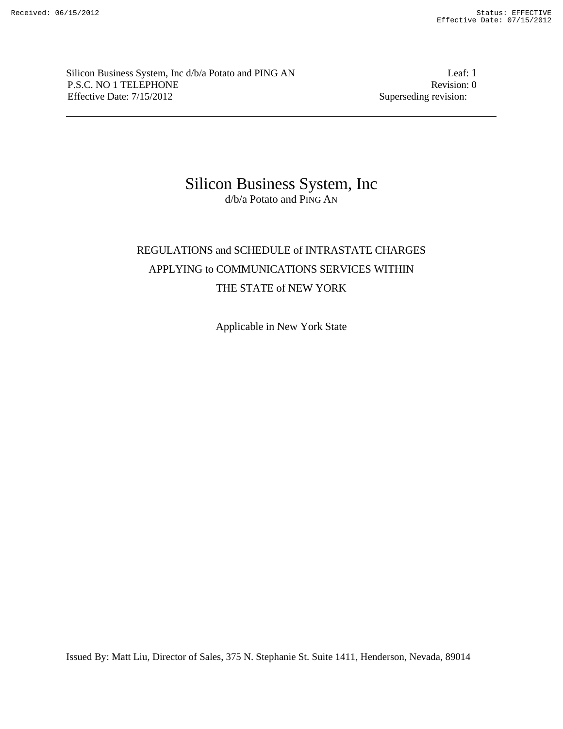Silicon Business System, Inc d/b/a Potato and PING AN Leaf: 1 P.S.C. NO 1 TELEPHONE Revision: 0 Effective Date:  $7/15/2012$  Superseding revision:

# Silicon Business System, Inc d/b/a Potato and PING AN

# REGULATIONS and SCHEDULE of INTRASTATE CHARGES APPLYING to COMMUNICATIONS SERVICES WITHIN THE STATE of NEW YORK

Applicable in New York State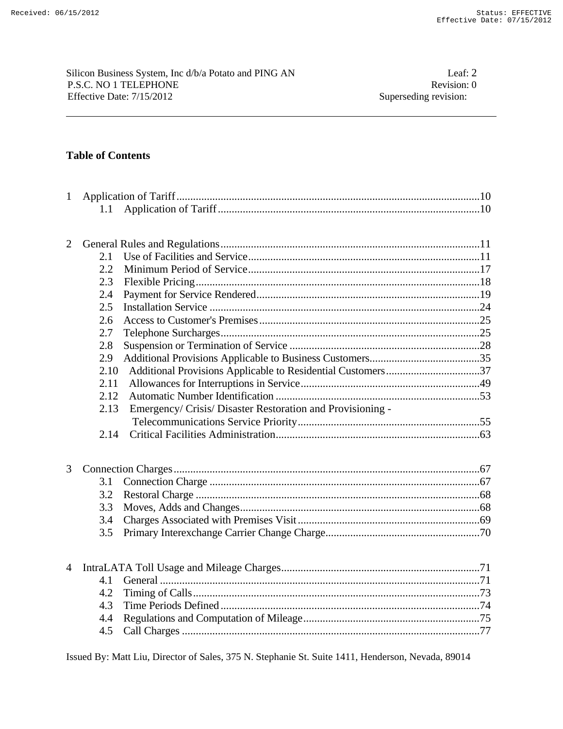# **Table of Contents**

| 1              |      |                                                            |  |  |
|----------------|------|------------------------------------------------------------|--|--|
|                | 1.1  |                                                            |  |  |
|                |      |                                                            |  |  |
|                |      |                                                            |  |  |
| $\overline{2}$ |      |                                                            |  |  |
|                | 2.1  |                                                            |  |  |
|                | 2.2  |                                                            |  |  |
|                | 2.3  |                                                            |  |  |
|                | 2.4  |                                                            |  |  |
|                | 2.5  |                                                            |  |  |
|                | 2.6  |                                                            |  |  |
|                | 2.7  |                                                            |  |  |
|                | 2.8  |                                                            |  |  |
|                | 2.9  |                                                            |  |  |
|                | 2.10 |                                                            |  |  |
|                | 2.11 |                                                            |  |  |
|                | 2.12 |                                                            |  |  |
|                | 2.13 | Emergency/ Crisis/ Disaster Restoration and Provisioning - |  |  |
|                |      |                                                            |  |  |
|                | 2.14 |                                                            |  |  |
|                |      |                                                            |  |  |
|                |      |                                                            |  |  |
| 3              |      |                                                            |  |  |
|                | 3.1  |                                                            |  |  |
|                | 3.2  |                                                            |  |  |
|                | 3.3  |                                                            |  |  |
|                | 3.4  |                                                            |  |  |
|                | 3.5  |                                                            |  |  |
|                |      |                                                            |  |  |
|                |      |                                                            |  |  |
| $\overline{4}$ |      |                                                            |  |  |
|                | 4.1  |                                                            |  |  |
|                | 4.2  |                                                            |  |  |
|                | 4.3  |                                                            |  |  |
|                | 4.4  |                                                            |  |  |
|                | 4.5  |                                                            |  |  |
|                |      |                                                            |  |  |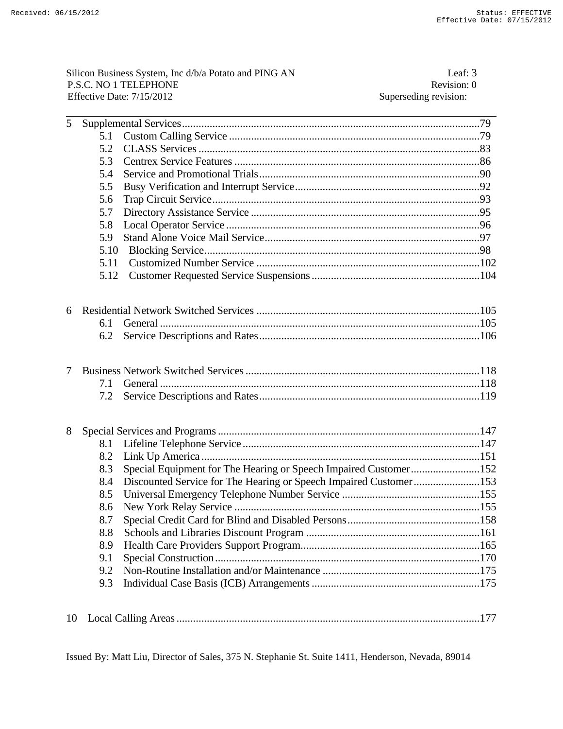Silicon Business System, Inc d/b/a Potato and PING AN Leaf: 3 P.S.C. NO 1 TELEPHONE Revision: 0 Effective Date: 7/15/2012 Superseding revision:

| 5  |      |                                                                   |  |
|----|------|-------------------------------------------------------------------|--|
|    | 5.1  |                                                                   |  |
|    | 5.2  |                                                                   |  |
|    | 5.3  |                                                                   |  |
|    | 5.4  |                                                                   |  |
|    | 5.5  |                                                                   |  |
|    | 5.6  |                                                                   |  |
|    | 5.7  |                                                                   |  |
|    | 5.8  |                                                                   |  |
|    | 5.9  |                                                                   |  |
|    | 5.10 |                                                                   |  |
|    | 5.11 |                                                                   |  |
|    | 5.12 |                                                                   |  |
|    |      |                                                                   |  |
| 6  |      |                                                                   |  |
|    | 6.1  |                                                                   |  |
|    | 6.2  |                                                                   |  |
|    |      |                                                                   |  |
| 7  |      |                                                                   |  |
|    | 7.1  |                                                                   |  |
|    | 7.2  |                                                                   |  |
|    |      |                                                                   |  |
| 8  |      |                                                                   |  |
|    | 8.1  |                                                                   |  |
|    | 8.2  |                                                                   |  |
|    | 8.3  | Special Equipment for The Hearing or Speech Impaired Customer152  |  |
|    | 8.4  | Discounted Service for The Hearing or Speech Impaired Customer153 |  |
|    | 8.5  |                                                                   |  |
|    | 8.6  |                                                                   |  |
|    | 8.7  |                                                                   |  |
|    | 8.8  |                                                                   |  |
|    | 8.9  |                                                                   |  |
|    | 9.1  |                                                                   |  |
|    | 9.2  |                                                                   |  |
|    | 9.3  |                                                                   |  |
|    |      |                                                                   |  |
|    |      |                                                                   |  |
| 10 |      |                                                                   |  |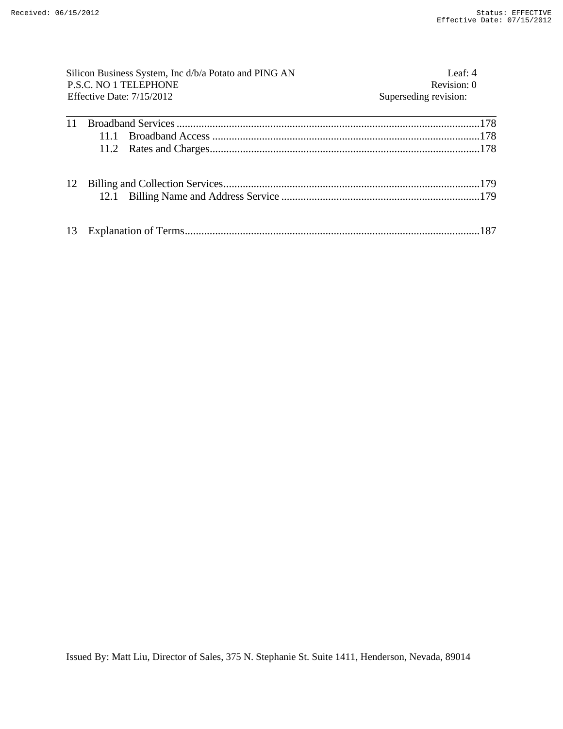| Silicon Business System, Inc d/b/a Potato and PING AN       |  | Leaf: $4$             |
|-------------------------------------------------------------|--|-----------------------|
| <b>P.S.C. NO 1 TELEPHONE</b><br>Effective Date: $7/15/2012$ |  | Revision: 0           |
|                                                             |  | Superseding revision: |
|                                                             |  | 178                   |
|                                                             |  |                       |
|                                                             |  |                       |
| 12                                                          |  |                       |
|                                                             |  |                       |
| 13                                                          |  |                       |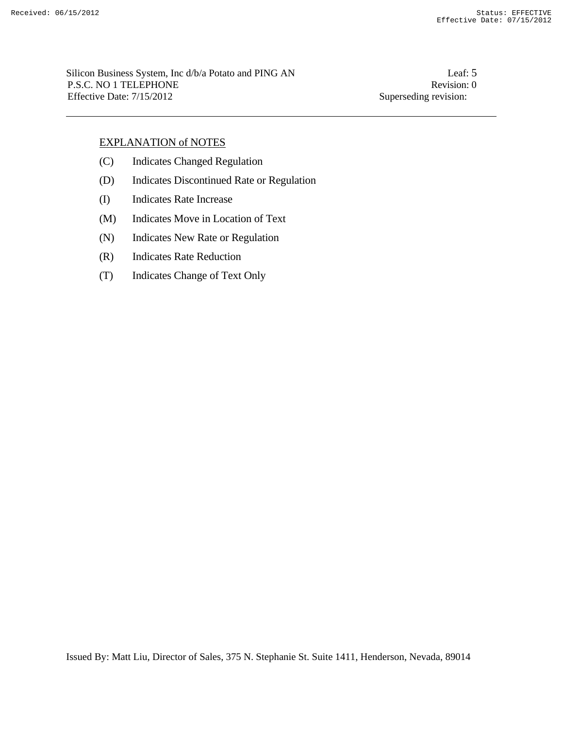Silicon Business System, Inc d/b/a Potato and PING AN Leaf: 5 P.S.C. NO 1 TELEPHONE Revision: 0 Effective Date:  $7/15/2012$  Superseding revision:

# EXPLANATION of NOTES

- (C) Indicates Changed Regulation
- (D) Indicates Discontinued Rate or Regulation
- (I) Indicates Rate Increase
- (M) Indicates Move in Location of Text
- (N) Indicates New Rate or Regulation
- (R) Indicates Rate Reduction
- (T) Indicates Change of Text Only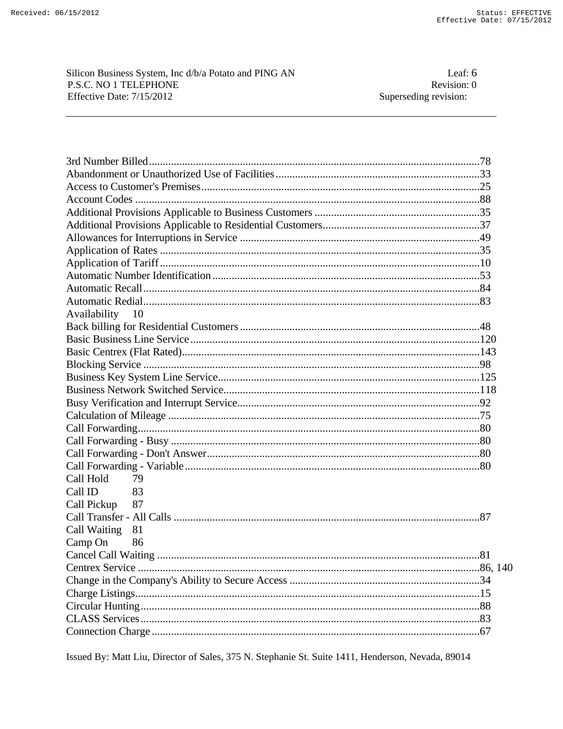Silicon Business System, Inc d/b/a Potato and PING AN P.S.C. NO 1 TELEPHONE Effective Date: 7/15/2012

Leaf: 6 Revision: 0 Superseding revision:

| Availability 10        |  |
|------------------------|--|
|                        |  |
|                        |  |
|                        |  |
|                        |  |
|                        |  |
|                        |  |
|                        |  |
|                        |  |
|                        |  |
|                        |  |
|                        |  |
|                        |  |
| Call Hold<br>79        |  |
| Call ID<br>83          |  |
| 87<br>Call Pickup      |  |
|                        |  |
| Call Waiting 81        |  |
| Camp On<br>86          |  |
|                        |  |
| <b>Centrex Service</b> |  |
|                        |  |
|                        |  |
|                        |  |
|                        |  |
|                        |  |
|                        |  |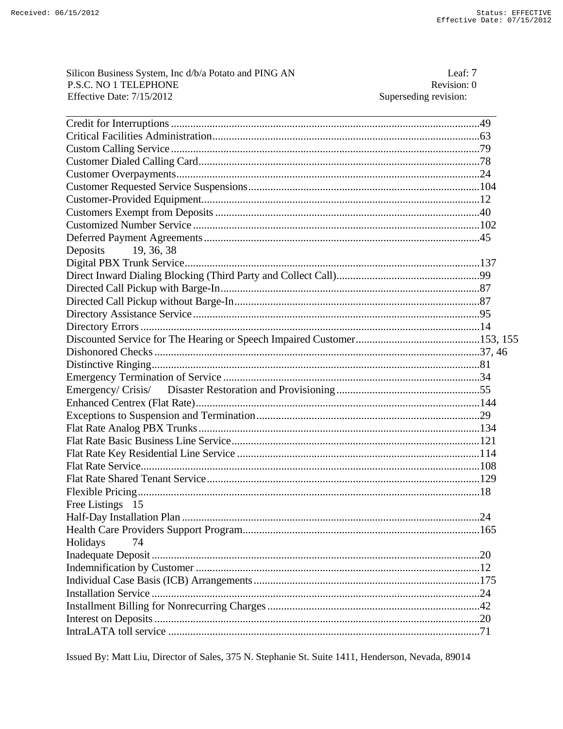| Silicon Business System, Inc d/b/a Potato and PING AN | Leaf: 7               |
|-------------------------------------------------------|-----------------------|
| P.S.C. NO 1 TELEPHONE                                 | Revision: 0           |
| Effective Date: 7/15/2012                             | Superseding revision: |
|                                                       |                       |
|                                                       |                       |
|                                                       |                       |
|                                                       |                       |
|                                                       |                       |
|                                                       |                       |
|                                                       |                       |
|                                                       |                       |
|                                                       |                       |
|                                                       |                       |
| Deposits<br>19, 36, 38                                |                       |
|                                                       |                       |
|                                                       |                       |
|                                                       |                       |
|                                                       |                       |
|                                                       |                       |
|                                                       |                       |
|                                                       |                       |
|                                                       |                       |
|                                                       |                       |
|                                                       |                       |
|                                                       |                       |
|                                                       |                       |
|                                                       |                       |
|                                                       |                       |
|                                                       |                       |
|                                                       |                       |
|                                                       |                       |
|                                                       |                       |
|                                                       |                       |
| Free Listings 15                                      |                       |
|                                                       |                       |
|                                                       |                       |
| Holidays<br>74                                        |                       |
|                                                       |                       |
|                                                       |                       |
|                                                       |                       |
|                                                       |                       |
|                                                       |                       |
|                                                       |                       |
|                                                       |                       |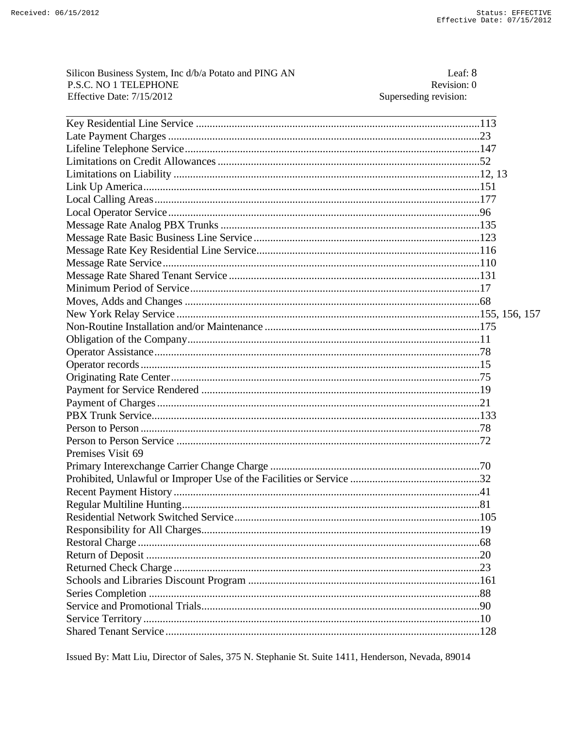| Silicon Business System, Inc d/b/a Potato and PING AN | Leaf: 8               |
|-------------------------------------------------------|-----------------------|
| P.S.C. NO 1 TELEPHONE                                 | Revision: 0           |
| Effective Date: 7/15/2012                             | Superseding revision: |
|                                                       |                       |
|                                                       |                       |
|                                                       |                       |
|                                                       |                       |
|                                                       |                       |
|                                                       |                       |
|                                                       |                       |
|                                                       |                       |
|                                                       |                       |
|                                                       |                       |
|                                                       |                       |
|                                                       |                       |
|                                                       |                       |
|                                                       |                       |
|                                                       |                       |
|                                                       |                       |
|                                                       |                       |
|                                                       |                       |
|                                                       |                       |
|                                                       |                       |
|                                                       |                       |
|                                                       |                       |
|                                                       |                       |
|                                                       |                       |
|                                                       |                       |
|                                                       |                       |
|                                                       |                       |
| Premises Visit 69                                     |                       |
|                                                       |                       |
|                                                       |                       |
|                                                       |                       |
|                                                       |                       |
|                                                       |                       |
|                                                       |                       |
|                                                       |                       |
|                                                       |                       |
|                                                       |                       |
|                                                       |                       |
|                                                       |                       |
|                                                       |                       |
|                                                       |                       |
|                                                       |                       |
|                                                       |                       |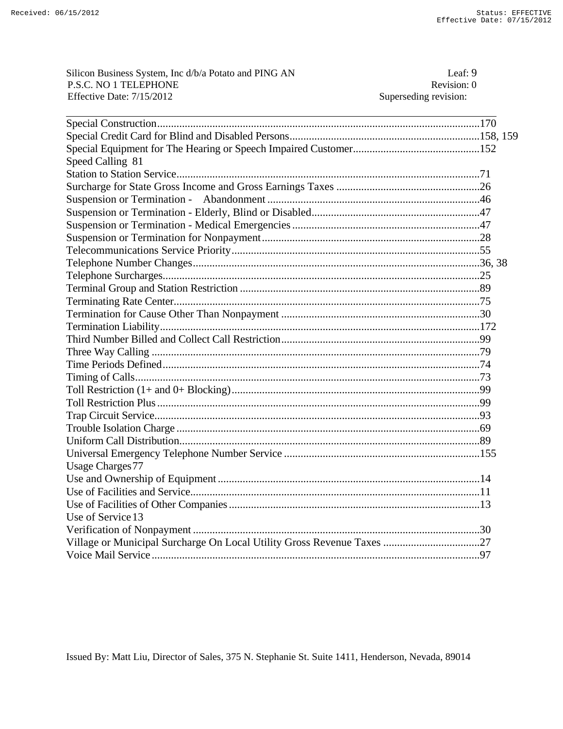| Silicon Business System, Inc d/b/a Potato and PING AN | Leaf: $9$             |
|-------------------------------------------------------|-----------------------|
| P.S.C. NO 1 TELEPHONE                                 | Revision: 0           |
| Effective Date: $7/15/2012$                           | Superseding revision: |

| Speed Calling 81        |  |
|-------------------------|--|
|                         |  |
|                         |  |
|                         |  |
|                         |  |
|                         |  |
|                         |  |
|                         |  |
|                         |  |
|                         |  |
|                         |  |
|                         |  |
|                         |  |
|                         |  |
|                         |  |
|                         |  |
|                         |  |
|                         |  |
|                         |  |
|                         |  |
|                         |  |
|                         |  |
|                         |  |
|                         |  |
| <b>Usage Charges 77</b> |  |
|                         |  |
|                         |  |
|                         |  |
| Use of Service 13       |  |
|                         |  |
|                         |  |
|                         |  |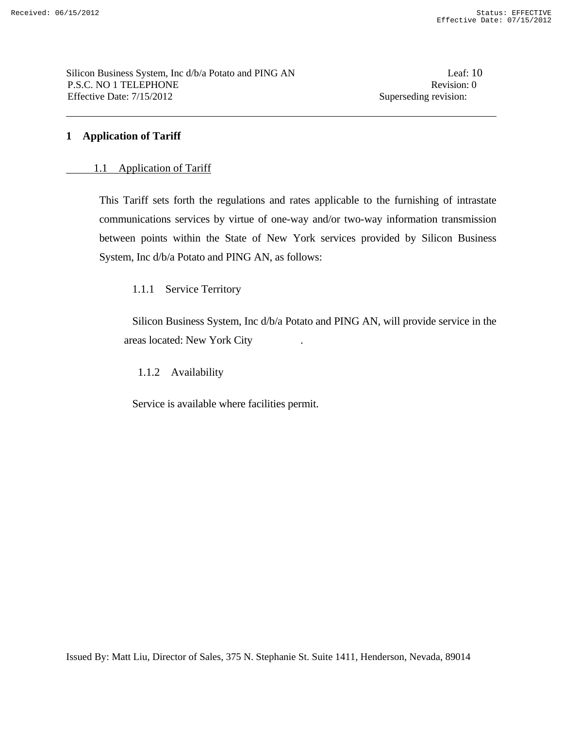# **1 Application of Tariff**

# 1.1 Application of Tariff

 This Tariff sets forth the regulations and rates applicable to the furnishing of intrastate communications services by virtue of one-way and/or two-way information transmission between points within the State of New York services provided by Silicon Business System, Inc d/b/a Potato and PING AN, as follows:

# 1.1.1 Service Territory

 Silicon Business System, Inc d/b/a Potato and PING AN, will provide service in the areas located: New York City .

1.1.2 Availability

Service is available where facilities permit.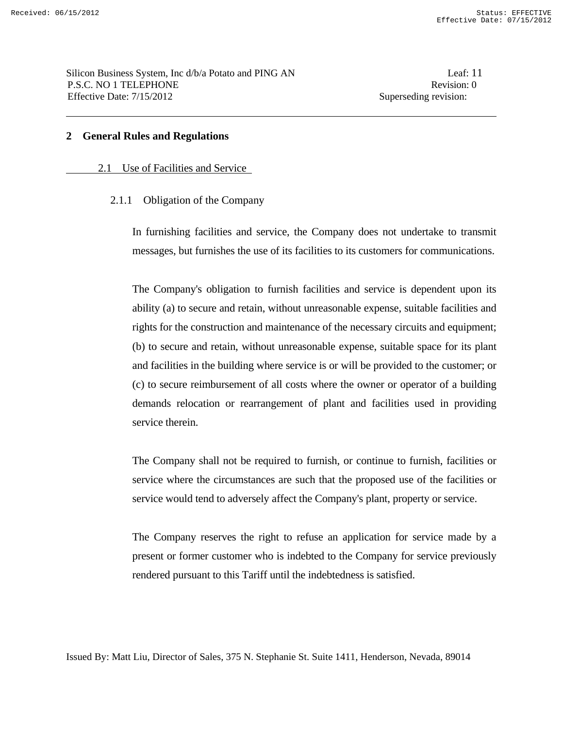#### **2 General Rules and Regulations**

#### 2.1 Use of Facilities and Service

2.1.1 Obligation of the Company

 In furnishing facilities and service, the Company does not undertake to transmit messages, but furnishes the use of its facilities to its customers for communications.

 The Company's obligation to furnish facilities and service is dependent upon its ability (a) to secure and retain, without unreasonable expense, suitable facilities and rights for the construction and maintenance of the necessary circuits and equipment; (b) to secure and retain, without unreasonable expense, suitable space for its plant and facilities in the building where service is or will be provided to the customer; or (c) to secure reimbursement of all costs where the owner or operator of a building demands relocation or rearrangement of plant and facilities used in providing service therein.

 The Company shall not be required to furnish, or continue to furnish, facilities or service where the circumstances are such that the proposed use of the facilities or service would tend to adversely affect the Company's plant, property or service.

 The Company reserves the right to refuse an application for service made by a present or former customer who is indebted to the Company for service previously rendered pursuant to this Tariff until the indebtedness is satisfied.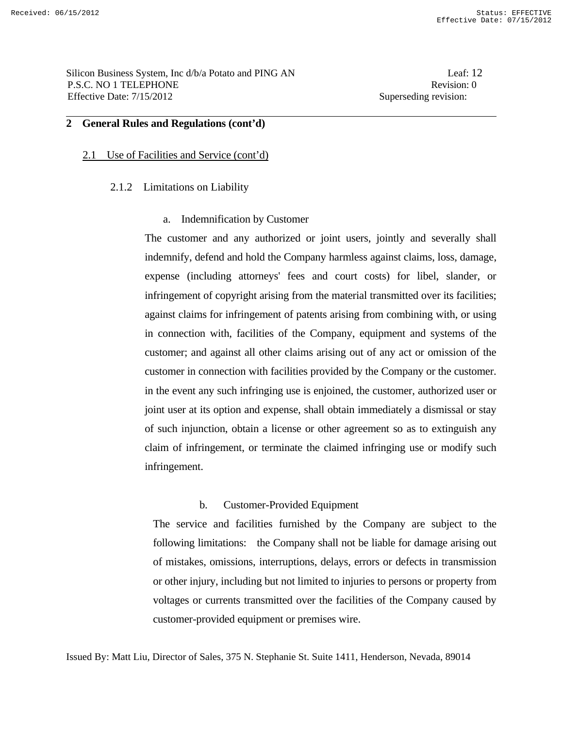Silicon Business System, Inc d/b/a Potato and PING AN Leaf: 12 P.S.C. NO 1 TELEPHONE Revision: 0 Effective Date: 7/15/2012 Superseding revision:

# **2 General Rules and Regulations (cont'd)**

#### 2.1 Use of Facilities and Service (cont'd)

## 2.1.2 Limitations on Liability

## a. Indemnification by Customer

 The customer and any authorized or joint users, jointly and severally shall indemnify, defend and hold the Company harmless against claims, loss, damage, expense (including attorneys' fees and court costs) for libel, slander, or infringement of copyright arising from the material transmitted over its facilities; against claims for infringement of patents arising from combining with, or using in connection with, facilities of the Company, equipment and systems of the customer; and against all other claims arising out of any act or omission of the customer in connection with facilities provided by the Company or the customer. in the event any such infringing use is enjoined, the customer, authorized user or joint user at its option and expense, shall obtain immediately a dismissal or stay of such injunction, obtain a license or other agreement so as to extinguish any claim of infringement, or terminate the claimed infringing use or modify such infringement.

# b. Customer-Provided Equipment

 The service and facilities furnished by the Company are subject to the following limitations: the Company shall not be liable for damage arising out of mistakes, omissions, interruptions, delays, errors or defects in transmission or other injury, including but not limited to injuries to persons or property from voltages or currents transmitted over the facilities of the Company caused by customer-provided equipment or premises wire.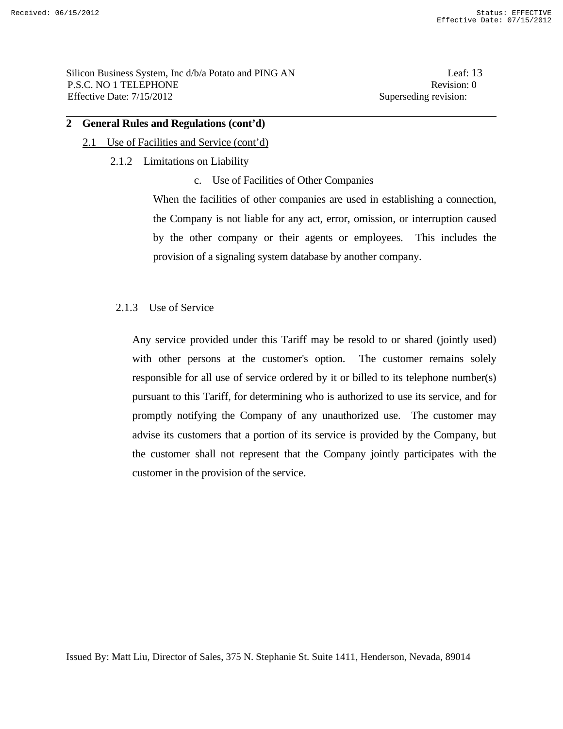#### 2.1 Use of Facilities and Service (cont'd)

#### 2.1.2 Limitations on Liability

c. Use of Facilities of Other Companies

 When the facilities of other companies are used in establishing a connection, the Company is not liable for any act, error, omission, or interruption caused by the other company or their agents or employees. This includes the provision of a signaling system database by another company.

## 2.1.3 Use of Service

 Any service provided under this Tariff may be resold to or shared (jointly used) with other persons at the customer's option. The customer remains solely responsible for all use of service ordered by it or billed to its telephone number(s) pursuant to this Tariff, for determining who is authorized to use its service, and for promptly notifying the Company of any unauthorized use. The customer may advise its customers that a portion of its service is provided by the Company, but the customer shall not represent that the Company jointly participates with the customer in the provision of the service.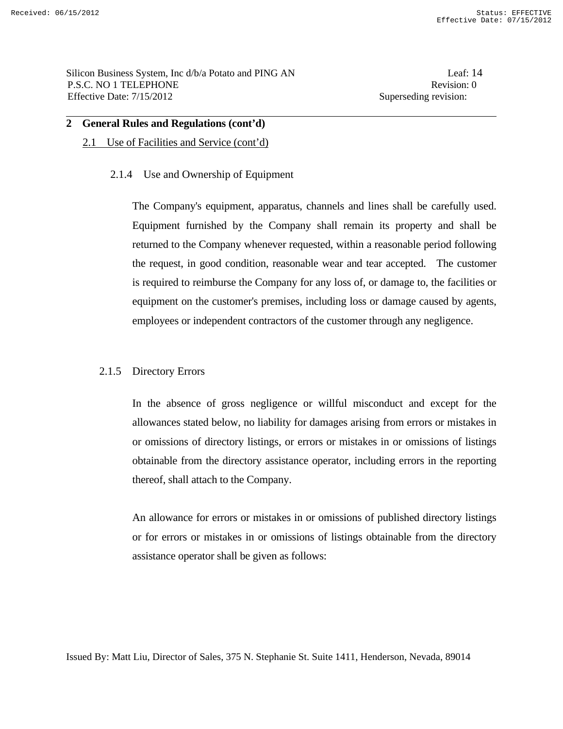#### 2.1 Use of Facilities and Service (cont'd)

#### 2.1.4 Use and Ownership of Equipment

 The Company's equipment, apparatus, channels and lines shall be carefully used. Equipment furnished by the Company shall remain its property and shall be returned to the Company whenever requested, within a reasonable period following the request, in good condition, reasonable wear and tear accepted. The customer is required to reimburse the Company for any loss of, or damage to, the facilities or equipment on the customer's premises, including loss or damage caused by agents, employees or independent contractors of the customer through any negligence.

#### 2.1.5 Directory Errors

In the absence of gross negligence or willful misconduct and except for the allowances stated below, no liability for damages arising from errors or mistakes in or omissions of directory listings, or errors or mistakes in or omissions of listings obtainable from the directory assistance operator, including errors in the reporting thereof, shall attach to the Company.

An allowance for errors or mistakes in or omissions of published directory listings or for errors or mistakes in or omissions of listings obtainable from the directory assistance operator shall be given as follows: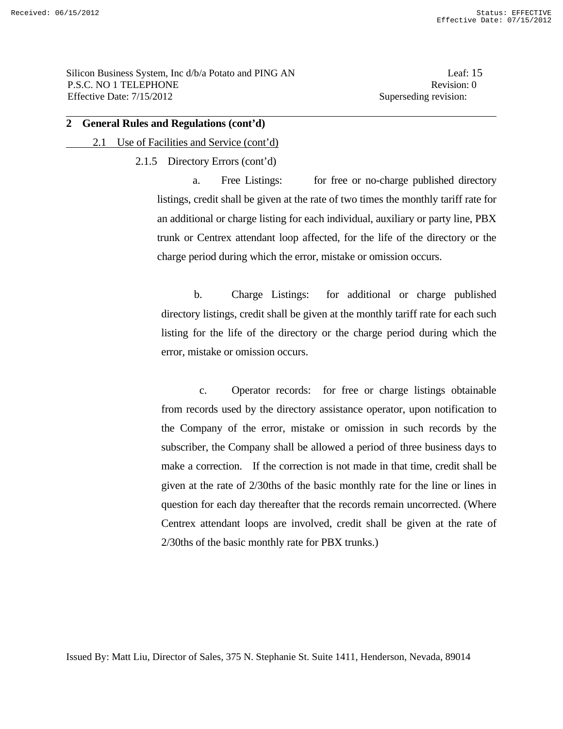Silicon Business System, Inc d/b/a Potato and PING AN Leaf: 15 P.S.C. NO 1 TELEPHONE Revision: 0 Effective Date: 7/15/2012 Superseding revision:

#### **2 General Rules and Regulations (cont'd)**

#### 2.1 Use of Facilities and Service (cont'd)

2.1.5 Directory Errors (cont'd)

 a. Free Listings: for free or no-charge published directory listings, credit shall be given at the rate of two times the monthly tariff rate for an additional or charge listing for each individual, auxiliary or party line, PBX trunk or Centrex attendant loop affected, for the life of the directory or the charge period during which the error, mistake or omission occurs.

 b. Charge Listings: for additional or charge published directory listings, credit shall be given at the monthly tariff rate for each such listing for the life of the directory or the charge period during which the error, mistake or omission occurs.

 c. Operator records: for free or charge listings obtainable from records used by the directory assistance operator, upon notification to the Company of the error, mistake or omission in such records by the subscriber, the Company shall be allowed a period of three business days to make a correction. If the correction is not made in that time, credit shall be given at the rate of 2/30ths of the basic monthly rate for the line or lines in question for each day thereafter that the records remain uncorrected. (Where Centrex attendant loops are involved, credit shall be given at the rate of 2/30ths of the basic monthly rate for PBX trunks.)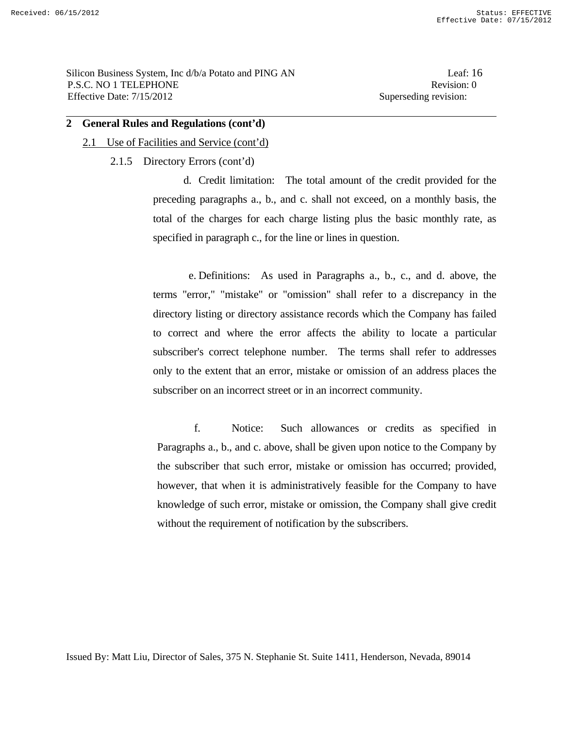# 2.1 Use of Facilities and Service (cont'd)

## 2.1.5 Directory Errors (cont'd)

 d. Credit limitation: The total amount of the credit provided for the preceding paragraphs a., b., and c. shall not exceed, on a monthly basis, the total of the charges for each charge listing plus the basic monthly rate, as specified in paragraph c., for the line or lines in question.

 e. Definitions: As used in Paragraphs a., b., c., and d. above, the terms "error," "mistake" or "omission" shall refer to a discrepancy in the directory listing or directory assistance records which the Company has failed to correct and where the error affects the ability to locate a particular subscriber's correct telephone number. The terms shall refer to addresses only to the extent that an error, mistake or omission of an address places the subscriber on an incorrect street or in an incorrect community.

 f. Notice: Such allowances or credits as specified in Paragraphs a., b., and c. above, shall be given upon notice to the Company by the subscriber that such error, mistake or omission has occurred; provided, however, that when it is administratively feasible for the Company to have knowledge of such error, mistake or omission, the Company shall give credit without the requirement of notification by the subscribers.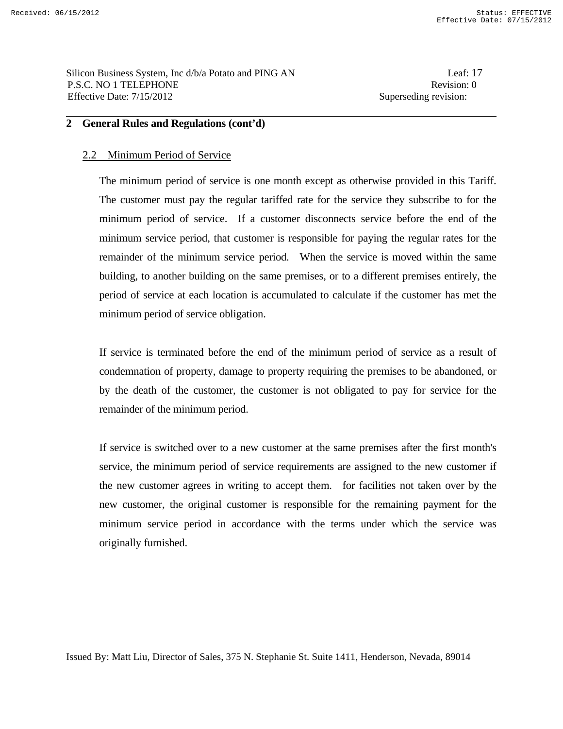## 2.2 Minimum Period of Service

 The minimum period of service is one month except as otherwise provided in this Tariff. The customer must pay the regular tariffed rate for the service they subscribe to for the minimum period of service. If a customer disconnects service before the end of the minimum service period, that customer is responsible for paying the regular rates for the remainder of the minimum service period. When the service is moved within the same building, to another building on the same premises, or to a different premises entirely, the period of service at each location is accumulated to calculate if the customer has met the minimum period of service obligation.

 If service is terminated before the end of the minimum period of service as a result of condemnation of property, damage to property requiring the premises to be abandoned, or by the death of the customer, the customer is not obligated to pay for service for the remainder of the minimum period.

 If service is switched over to a new customer at the same premises after the first month's service, the minimum period of service requirements are assigned to the new customer if the new customer agrees in writing to accept them. for facilities not taken over by the new customer, the original customer is responsible for the remaining payment for the minimum service period in accordance with the terms under which the service was originally furnished.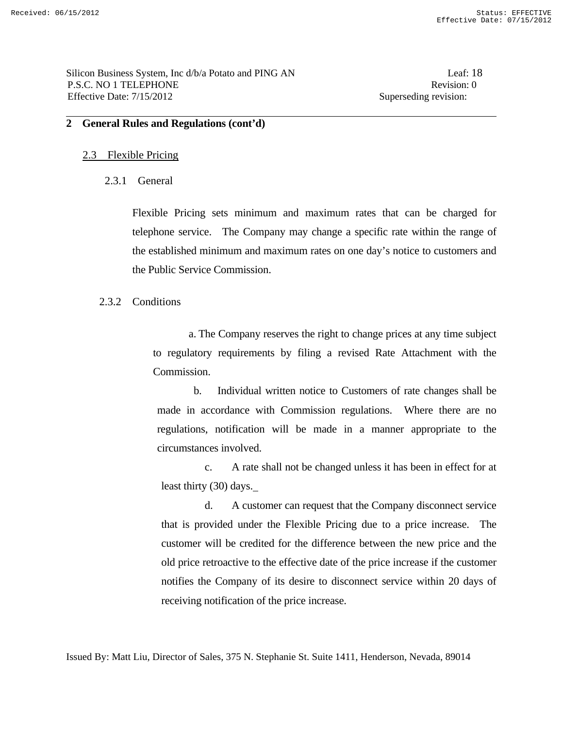## 2.3 Flexible Pricing

## 2.3.1 General

 Flexible Pricing sets minimum and maximum rates that can be charged for telephone service. The Company may change a specific rate within the range of the established minimum and maximum rates on one day's notice to customers and the Public Service Commission.

## 2.3.2 Conditions

 a. The Company reserves the right to change prices at any time subject to regulatory requirements by filing a revised Rate Attachment with the Commission.

 b. Individual written notice to Customers of rate changes shall be made in accordance with Commission regulations. Where there are no regulations, notification will be made in a manner appropriate to the circumstances involved.

 c. A rate shall not be changed unless it has been in effect for at least thirty (30) days.

 d. A customer can request that the Company disconnect service that is provided under the Flexible Pricing due to a price increase. The customer will be credited for the difference between the new price and the old price retroactive to the effective date of the price increase if the customer notifies the Company of its desire to disconnect service within 20 days of receiving notification of the price increase.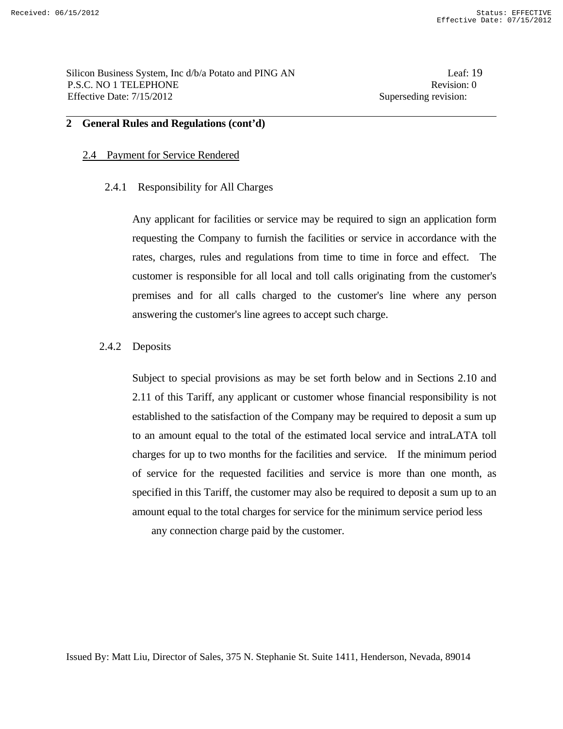## 2.4 Payment for Service Rendered

# 2.4.1 Responsibility for All Charges

 Any applicant for facilities or service may be required to sign an application form requesting the Company to furnish the facilities or service in accordance with the rates, charges, rules and regulations from time to time in force and effect. The customer is responsible for all local and toll calls originating from the customer's premises and for all calls charged to the customer's line where any person answering the customer's line agrees to accept such charge.

# 2.4.2 Deposits

Subject to special provisions as may be set forth below and in Sections 2.10 and 2.11 of this Tariff, any applicant or customer whose financial responsibility is not established to the satisfaction of the Company may be required to deposit a sum up to an amount equal to the total of the estimated local service and intraLATA toll charges for up to two months for the facilities and service. If the minimum period of service for the requested facilities and service is more than one month, as specified in this Tariff, the customer may also be required to deposit a sum up to an amount equal to the total charges for service for the minimum service period less

any connection charge paid by the customer.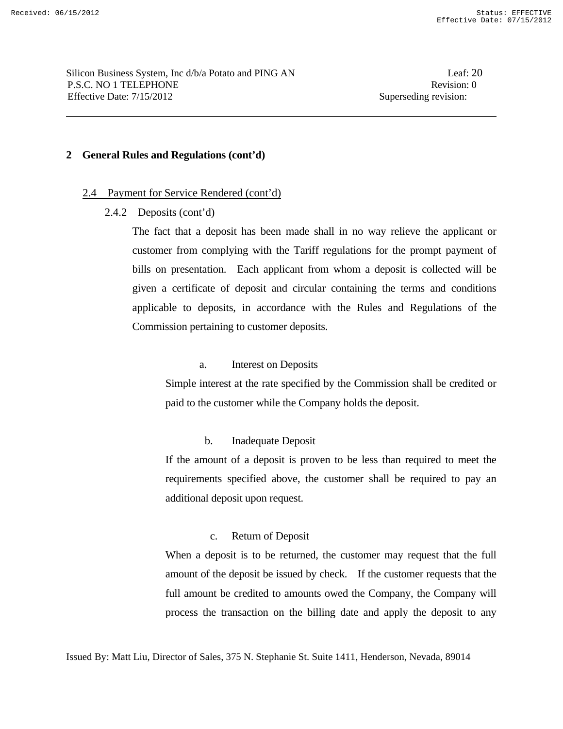Silicon Business System, Inc d/b/a Potato and PING AN Leaf: 20 P.S.C. NO 1 TELEPHONE Revision: 0 Effective Date: 7/15/2012 Superseding revision:

## **2 General Rules and Regulations (cont'd)**

#### 2.4 Payment for Service Rendered (cont'd)

2.4.2 Deposits (cont'd)

 The fact that a deposit has been made shall in no way relieve the applicant or customer from complying with the Tariff regulations for the prompt payment of bills on presentation. Each applicant from whom a deposit is collected will be given a certificate of deposit and circular containing the terms and conditions applicable to deposits, in accordance with the Rules and Regulations of the Commission pertaining to customer deposits.

#### a. Interest on Deposits

 Simple interest at the rate specified by the Commission shall be credited or paid to the customer while the Company holds the deposit.

#### b. Inadequate Deposit

 If the amount of a deposit is proven to be less than required to meet the requirements specified above, the customer shall be required to pay an additional deposit upon request.

#### c. Return of Deposit

 When a deposit is to be returned, the customer may request that the full amount of the deposit be issued by check. If the customer requests that the full amount be credited to amounts owed the Company, the Company will process the transaction on the billing date and apply the deposit to any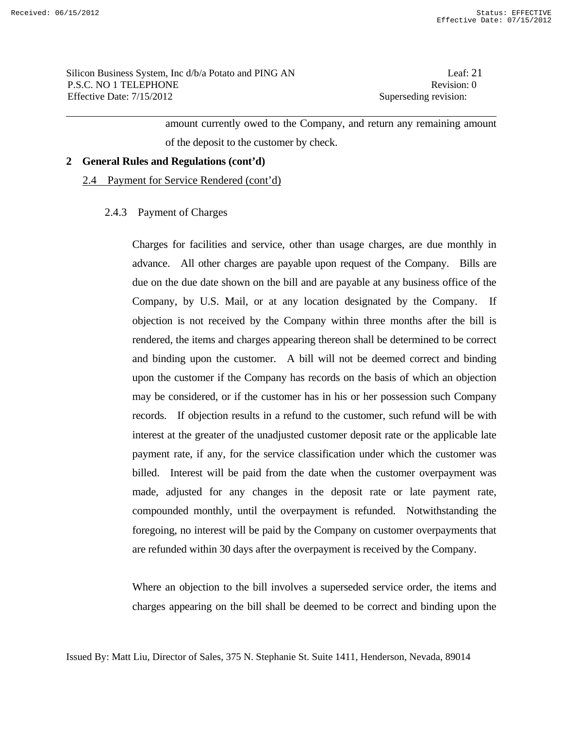amount currently owed to the Company, and return any remaining amount of the deposit to the customer by check.

#### **2 General Rules and Regulations (cont'd)**

2.4 Payment for Service Rendered (cont'd)

2.4.3 Payment of Charges

 Charges for facilities and service, other than usage charges, are due monthly in advance. All other charges are payable upon request of the Company. Bills are due on the due date shown on the bill and are payable at any business office of the Company, by U.S. Mail, or at any location designated by the Company. If objection is not received by the Company within three months after the bill is rendered, the items and charges appearing thereon shall be determined to be correct and binding upon the customer. A bill will not be deemed correct and binding upon the customer if the Company has records on the basis of which an objection may be considered, or if the customer has in his or her possession such Company records. If objection results in a refund to the customer, such refund will be with interest at the greater of the unadjusted customer deposit rate or the applicable late payment rate, if any, for the service classification under which the customer was billed. Interest will be paid from the date when the customer overpayment was made, adjusted for any changes in the deposit rate or late payment rate, compounded monthly, until the overpayment is refunded. Notwithstanding the foregoing, no interest will be paid by the Company on customer overpayments that are refunded within 30 days after the overpayment is received by the Company.

 Where an objection to the bill involves a superseded service order, the items and charges appearing on the bill shall be deemed to be correct and binding upon the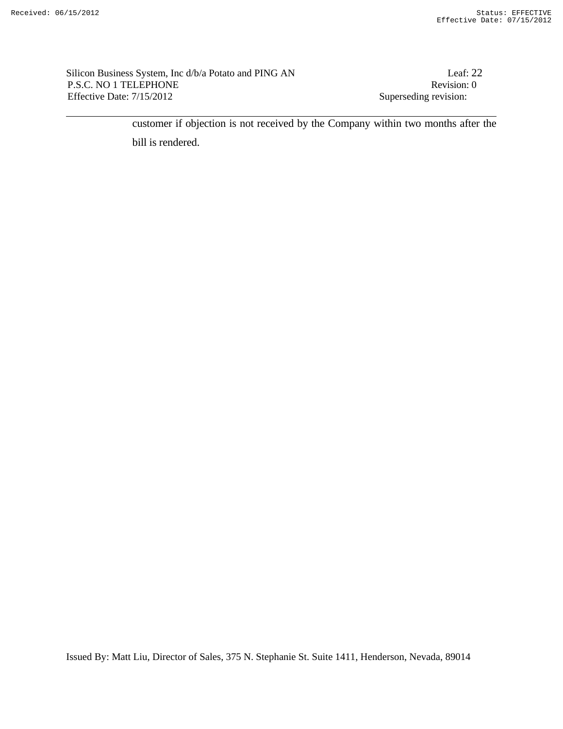Silicon Business System, Inc d/b/a Potato and PING AN Leaf: 22 P.S.C. NO 1 TELEPHONE Revision: 0 Effective Date: 7/15/2012 Superseding revision:

customer if objection is not received by the Company within two months after the bill is rendered.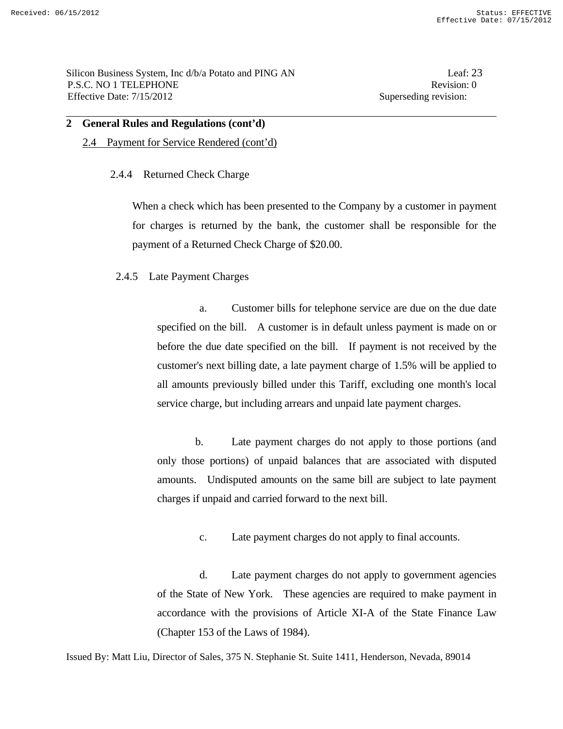Silicon Business System, Inc d/b/a Potato and PING AN Leaf: 23 P.S.C. NO 1 TELEPHONE Revision: 0 Effective Date: 7/15/2012 Superseding revision:

#### **2 General Rules and Regulations (cont'd)**

2.4 Payment for Service Rendered (cont'd)

## 2.4.4 Returned Check Charge

 When a check which has been presented to the Company by a customer in payment for charges is returned by the bank, the customer shall be responsible for the payment of a Returned Check Charge of \$20.00.

2.4.5 Late Payment Charges

 a. Customer bills for telephone service are due on the due date specified on the bill. A customer is in default unless payment is made on or before the due date specified on the bill. If payment is not received by the customer's next billing date, a late payment charge of 1.5% will be applied to all amounts previously billed under this Tariff, excluding one month's local service charge, but including arrears and unpaid late payment charges.

 b. Late payment charges do not apply to those portions (and only those portions) of unpaid balances that are associated with disputed amounts. Undisputed amounts on the same bill are subject to late payment charges if unpaid and carried forward to the next bill.

c. Late payment charges do not apply to final accounts.

 d. Late payment charges do not apply to government agencies of the State of New York. These agencies are required to make payment in accordance with the provisions of Article XI-A of the State Finance Law (Chapter 153 of the Laws of 1984).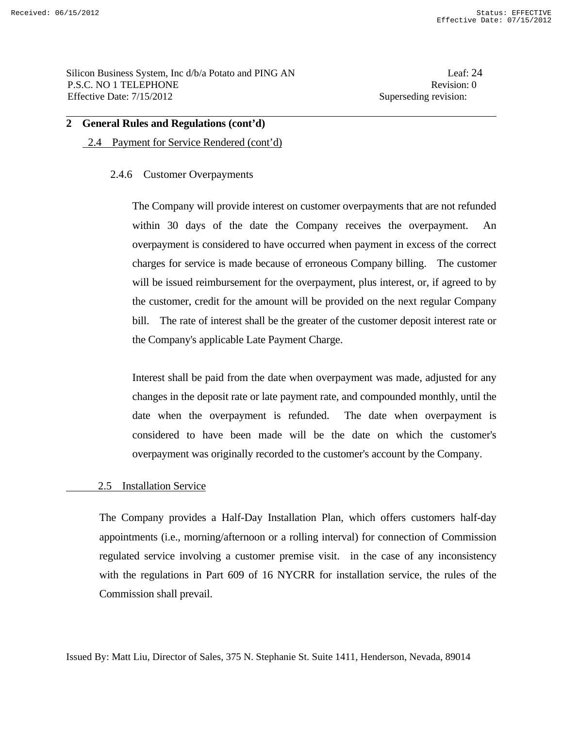Silicon Business System, Inc d/b/a Potato and PING AN Leaf: 24 P.S.C. NO 1 TELEPHONE Revision: 0 Effective Date: 7/15/2012 Superseding revision:

## **2 General Rules and Regulations (cont'd)**

#### 2.4 Payment for Service Rendered (cont'd)

#### 2.4.6 Customer Overpayments

 The Company will provide interest on customer overpayments that are not refunded within 30 days of the date the Company receives the overpayment. An overpayment is considered to have occurred when payment in excess of the correct charges for service is made because of erroneous Company billing. The customer will be issued reimbursement for the overpayment, plus interest, or, if agreed to by the customer, credit for the amount will be provided on the next regular Company bill. The rate of interest shall be the greater of the customer deposit interest rate or the Company's applicable Late Payment Charge.

 Interest shall be paid from the date when overpayment was made, adjusted for any changes in the deposit rate or late payment rate, and compounded monthly, until the date when the overpayment is refunded. The date when overpayment is considered to have been made will be the date on which the customer's overpayment was originally recorded to the customer's account by the Company.

#### 2.5 Installation Service

 The Company provides a Half-Day Installation Plan, which offers customers half-day appointments (i.e., morning/afternoon or a rolling interval) for connection of Commission regulated service involving a customer premise visit. in the case of any inconsistency with the regulations in Part 609 of 16 NYCRR for installation service, the rules of the Commission shall prevail.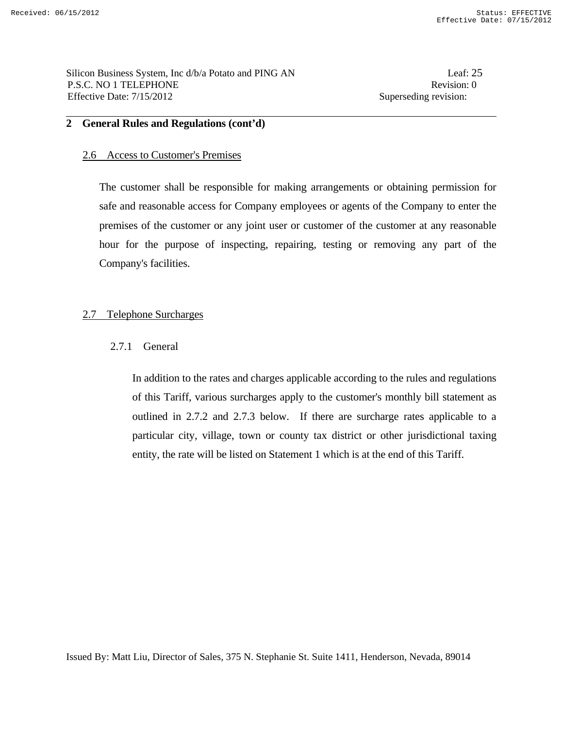#### 2.6 Access to Customer's Premises

 The customer shall be responsible for making arrangements or obtaining permission for safe and reasonable access for Company employees or agents of the Company to enter the premises of the customer or any joint user or customer of the customer at any reasonable hour for the purpose of inspecting, repairing, testing or removing any part of the Company's facilities.

# 2.7 Telephone Surcharges

## 2.7.1 General

 In addition to the rates and charges applicable according to the rules and regulations of this Tariff, various surcharges apply to the customer's monthly bill statement as outlined in 2.7.2 and 2.7.3 below. If there are surcharge rates applicable to a particular city, village, town or county tax district or other jurisdictional taxing entity, the rate will be listed on Statement 1 which is at the end of this Tariff.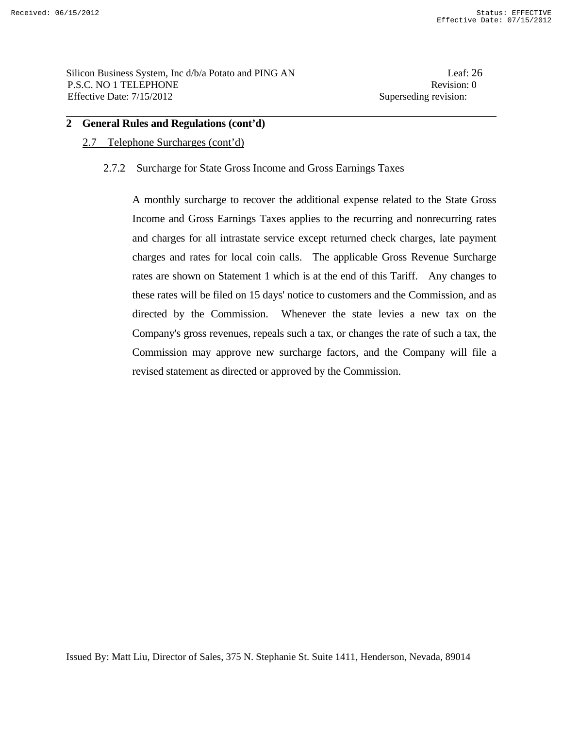## 2.7 Telephone Surcharges (cont'd)

# 2.7.2 Surcharge for State Gross Income and Gross Earnings Taxes

A monthly surcharge to recover the additional expense related to the State Gross Income and Gross Earnings Taxes applies to the recurring and nonrecurring rates and charges for all intrastate service except returned check charges, late payment charges and rates for local coin calls. The applicable Gross Revenue Surcharge rates are shown on Statement 1 which is at the end of this Tariff. Any changes to these rates will be filed on 15 days' notice to customers and the Commission, and as directed by the Commission. Whenever the state levies a new tax on the Company's gross revenues, repeals such a tax, or changes the rate of such a tax, the Commission may approve new surcharge factors, and the Company will file a revised statement as directed or approved by the Commission.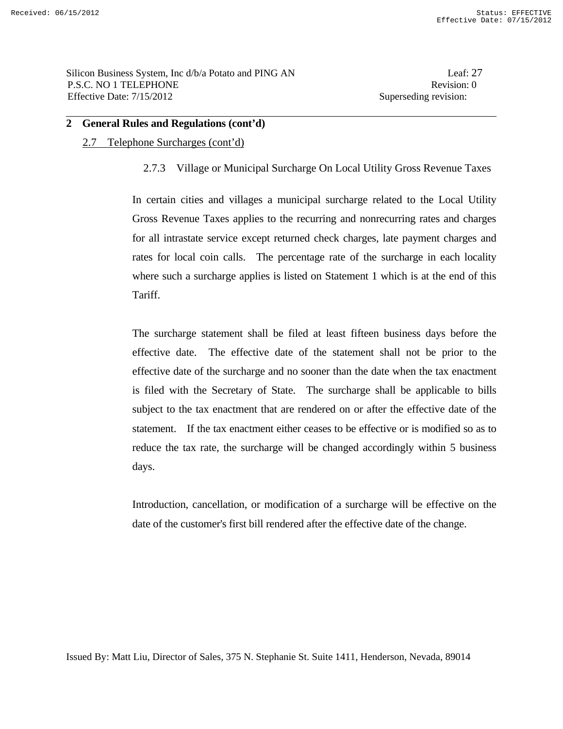## 2.7 Telephone Surcharges (cont'd)

# 2.7.3 Village or Municipal Surcharge On Local Utility Gross Revenue Taxes

 In certain cities and villages a municipal surcharge related to the Local Utility Gross Revenue Taxes applies to the recurring and nonrecurring rates and charges for all intrastate service except returned check charges, late payment charges and rates for local coin calls. The percentage rate of the surcharge in each locality where such a surcharge applies is listed on Statement 1 which is at the end of this Tariff.

 The surcharge statement shall be filed at least fifteen business days before the effective date. The effective date of the statement shall not be prior to the effective date of the surcharge and no sooner than the date when the tax enactment is filed with the Secretary of State. The surcharge shall be applicable to bills subject to the tax enactment that are rendered on or after the effective date of the statement. If the tax enactment either ceases to be effective or is modified so as to reduce the tax rate, the surcharge will be changed accordingly within 5 business days.

 Introduction, cancellation, or modification of a surcharge will be effective on the date of the customer's first bill rendered after the effective date of the change.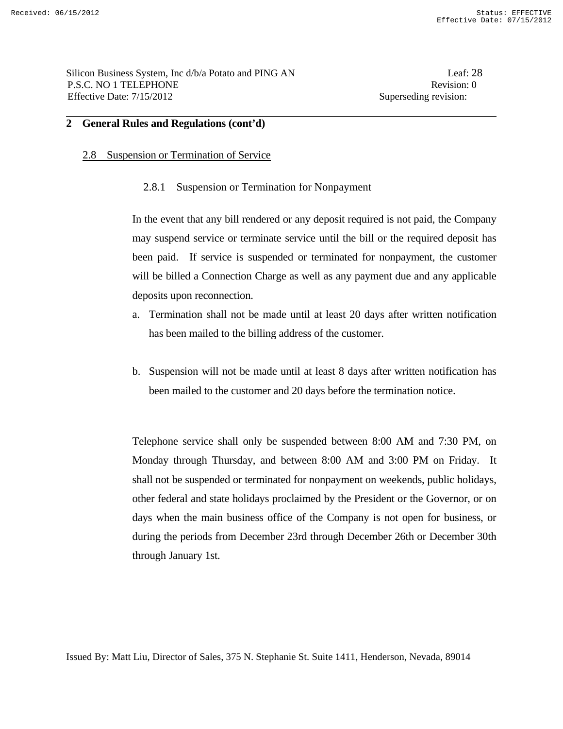## 2.8 Suspension or Termination of Service

2.8.1 Suspension or Termination for Nonpayment

 In the event that any bill rendered or any deposit required is not paid, the Company may suspend service or terminate service until the bill or the required deposit has been paid. If service is suspended or terminated for nonpayment, the customer will be billed a Connection Charge as well as any payment due and any applicable deposits upon reconnection.

- a. Termination shall not be made until at least 20 days after written notification has been mailed to the billing address of the customer.
- b. Suspension will not be made until at least 8 days after written notification has been mailed to the customer and 20 days before the termination notice.

 Telephone service shall only be suspended between 8:00 AM and 7:30 PM, on Monday through Thursday, and between 8:00 AM and 3:00 PM on Friday. It shall not be suspended or terminated for nonpayment on weekends, public holidays, other federal and state holidays proclaimed by the President or the Governor, or on days when the main business office of the Company is not open for business, or during the periods from December 23rd through December 26th or December 30th through January 1st.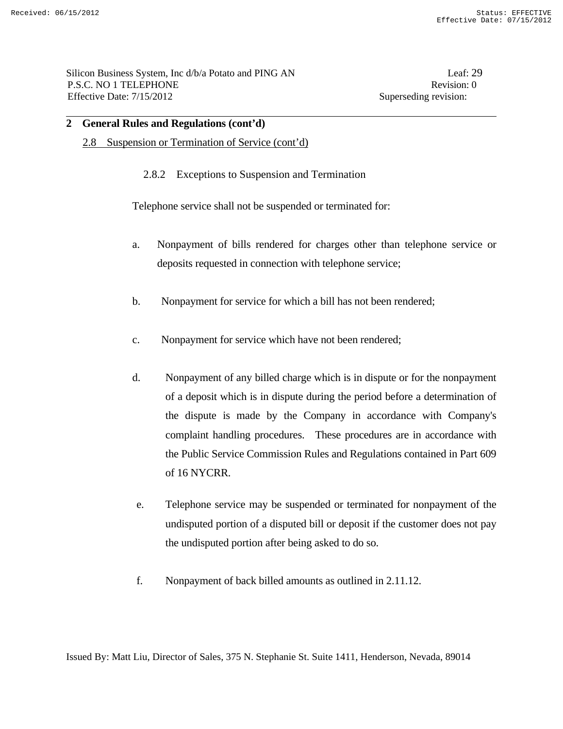- 2.8 Suspension or Termination of Service (cont'd)
	- 2.8.2 Exceptions to Suspension and Termination

Telephone service shall not be suspended or terminated for:

- a. Nonpayment of bills rendered for charges other than telephone service or deposits requested in connection with telephone service;
- b. Nonpayment for service for which a bill has not been rendered;
- c. Nonpayment for service which have not been rendered;
- d. Nonpayment of any billed charge which is in dispute or for the nonpayment of a deposit which is in dispute during the period before a determination of the dispute is made by the Company in accordance with Company's complaint handling procedures. These procedures are in accordance with the Public Service Commission Rules and Regulations contained in Part 609 of 16 NYCRR.
- e. Telephone service may be suspended or terminated for nonpayment of the undisputed portion of a disputed bill or deposit if the customer does not pay the undisputed portion after being asked to do so.
- f. Nonpayment of back billed amounts as outlined in 2.11.12.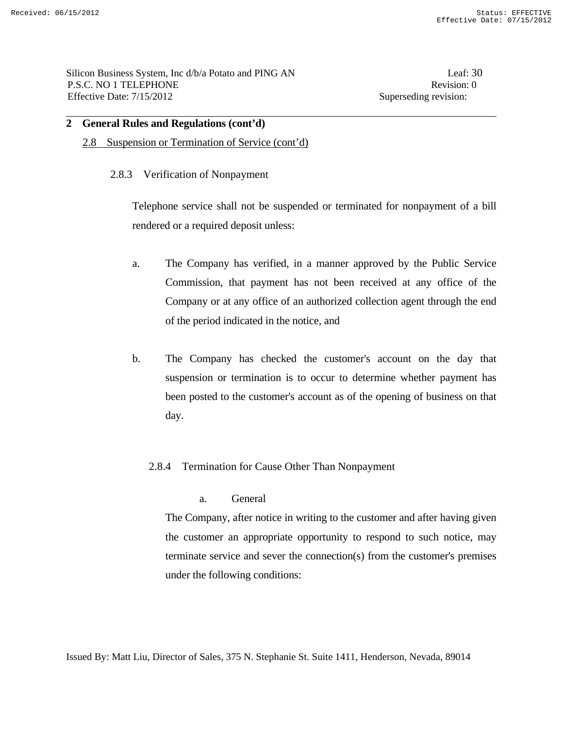Silicon Business System, Inc d/b/a Potato and PING AN Leaf: 30 P.S.C. NO 1 TELEPHONE Revision: 0 Effective Date: 7/15/2012 Superseding revision:

## **2 General Rules and Regulations (cont'd)**

## 2.8 Suspension or Termination of Service (cont'd)

## 2.8.3 Verification of Nonpayment

 Telephone service shall not be suspended or terminated for nonpayment of a bill rendered or a required deposit unless:

- a. The Company has verified, in a manner approved by the Public Service Commission, that payment has not been received at any office of the Company or at any office of an authorized collection agent through the end of the period indicated in the notice, and
- b. The Company has checked the customer's account on the day that suspension or termination is to occur to determine whether payment has been posted to the customer's account as of the opening of business on that day.

# 2.8.4 Termination for Cause Other Than Nonpayment

a. General

 The Company, after notice in writing to the customer and after having given the customer an appropriate opportunity to respond to such notice, may terminate service and sever the connection(s) from the customer's premises under the following conditions: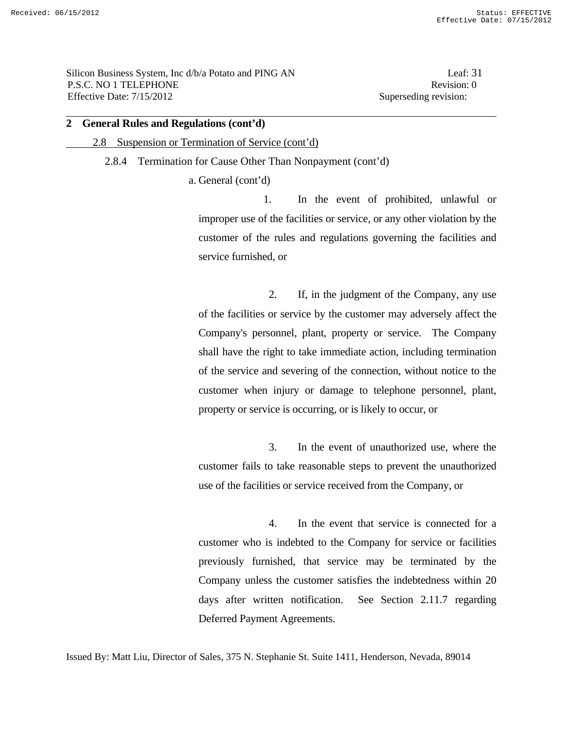Silicon Business System, Inc d/b/a Potato and PING AN Leaf: 31 P.S.C. NO 1 TELEPHONE Revision: 0 Effective Date: 7/15/2012 Superseding revision:

#### **2 General Rules and Regulations (cont'd)**

#### 2.8 Suspension or Termination of Service (cont'd)

#### 2.8.4 Termination for Cause Other Than Nonpayment (cont'd)

a. General (cont'd)

 1. In the event of prohibited, unlawful or improper use of the facilities or service, or any other violation by the customer of the rules and regulations governing the facilities and service furnished, or

 2. If, in the judgment of the Company, any use of the facilities or service by the customer may adversely affect the Company's personnel, plant, property or service. The Company shall have the right to take immediate action, including termination of the service and severing of the connection, without notice to the customer when injury or damage to telephone personnel, plant, property or service is occurring, or is likely to occur, or

 3. In the event of unauthorized use, where the customer fails to take reasonable steps to prevent the unauthorized use of the facilities or service received from the Company, or

 4. In the event that service is connected for a customer who is indebted to the Company for service or facilities previously furnished, that service may be terminated by the Company unless the customer satisfies the indebtedness within 20 days after written notification. See Section 2.11.7 regarding Deferred Payment Agreements.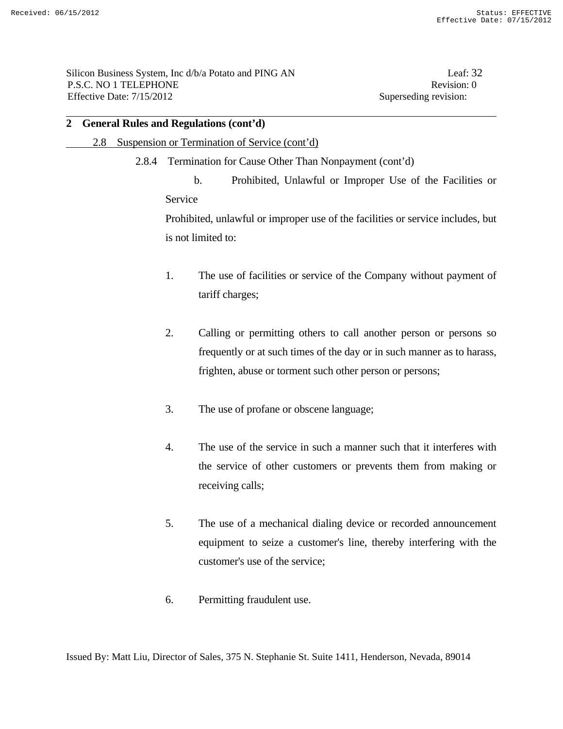# 2.8 Suspension or Termination of Service (cont'd)

2.8.4 Termination for Cause Other Than Nonpayment (cont'd)

 b. Prohibited, Unlawful or Improper Use of the Facilities or Service Prohibited, unlawful or improper use of the facilities or service includes, but is not limited to:

- 1. The use of facilities or service of the Company without payment of tariff charges;
- 2. Calling or permitting others to call another person or persons so frequently or at such times of the day or in such manner as to harass, frighten, abuse or torment such other person or persons;
- 3. The use of profane or obscene language;
- 4. The use of the service in such a manner such that it interferes with the service of other customers or prevents them from making or receiving calls;
- 5. The use of a mechanical dialing device or recorded announcement equipment to seize a customer's line, thereby interfering with the customer's use of the service;
- 6. Permitting fraudulent use.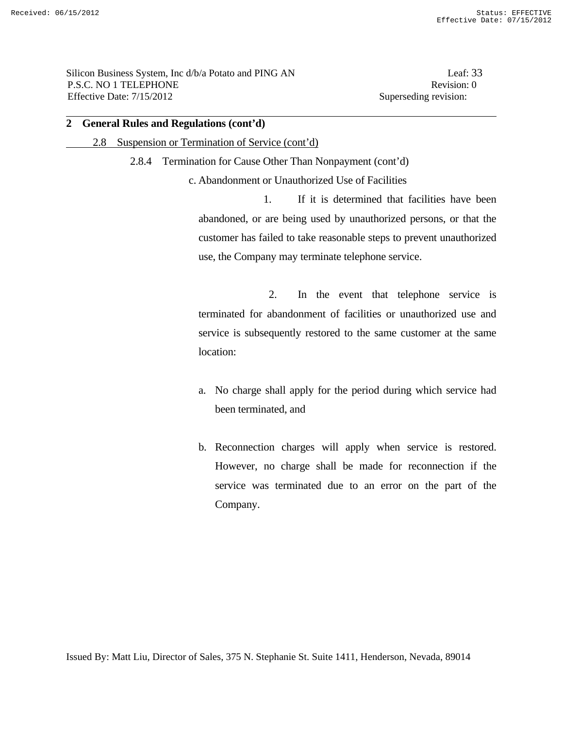Silicon Business System, Inc d/b/a Potato and PING AN Leaf: 33 P.S.C. NO 1 TELEPHONE Revision: 0 Effective Date: 7/15/2012 Superseding revision:

## **2 General Rules and Regulations (cont'd)**

- 2.8 Suspension or Termination of Service (cont'd)
	- 2.8.4 Termination for Cause Other Than Nonpayment (cont'd)
		- c. Abandonment or Unauthorized Use of Facilities

 1. If it is determined that facilities have been abandoned, or are being used by unauthorized persons, or that the customer has failed to take reasonable steps to prevent unauthorized use, the Company may terminate telephone service.

 2. In the event that telephone service is terminated for abandonment of facilities or unauthorized use and service is subsequently restored to the same customer at the same location:

- a. No charge shall apply for the period during which service had been terminated, and
- b. Reconnection charges will apply when service is restored. However, no charge shall be made for reconnection if the service was terminated due to an error on the part of the Company.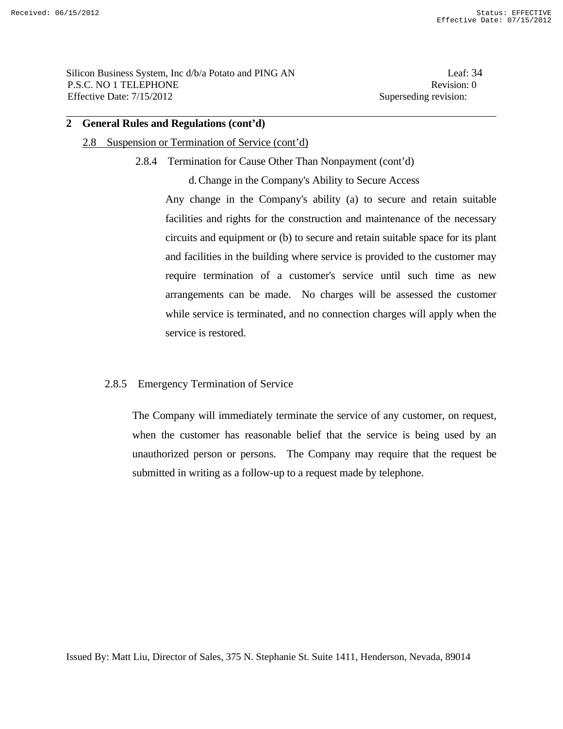## 2.8 Suspension or Termination of Service (cont'd)

# 2.8.4 Termination for Cause Other Than Nonpayment (cont'd)

d. Change in the Company's Ability to Secure Access

 Any change in the Company's ability (a) to secure and retain suitable facilities and rights for the construction and maintenance of the necessary circuits and equipment or (b) to secure and retain suitable space for its plant and facilities in the building where service is provided to the customer may require termination of a customer's service until such time as new arrangements can be made. No charges will be assessed the customer while service is terminated, and no connection charges will apply when the service is restored.

# 2.8.5 Emergency Termination of Service

The Company will immediately terminate the service of any customer, on request, when the customer has reasonable belief that the service is being used by an unauthorized person or persons. The Company may require that the request be submitted in writing as a follow-up to a request made by telephone.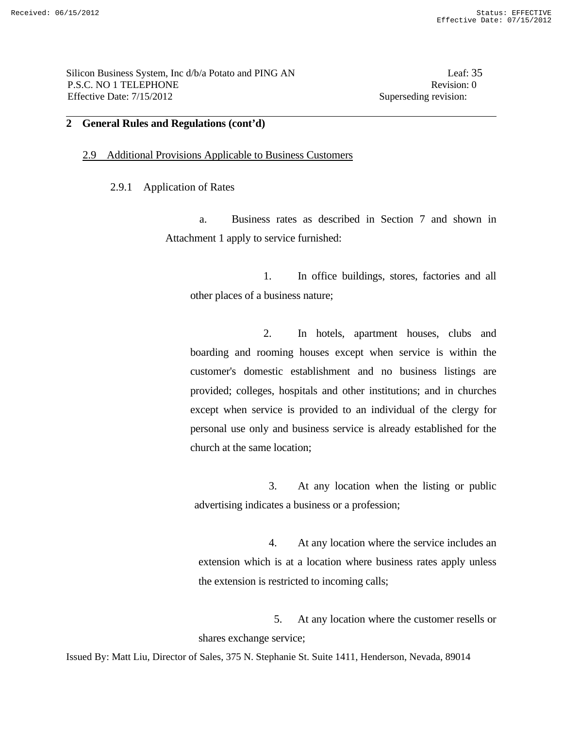Silicon Business System, Inc d/b/a Potato and PING AN Leaf: 35 P.S.C. NO 1 TELEPHONE Revision: 0 Effective Date: 7/15/2012 Superseding revision:

# **2 General Rules and Regulations (cont'd)**

#### 2.9 Additional Provisions Applicable to Business Customers

2.9.1 Application of Rates

 a. Business rates as described in Section 7 and shown in Attachment 1 apply to service furnished:

 1. In office buildings, stores, factories and all other places of a business nature;

 2. In hotels, apartment houses, clubs and boarding and rooming houses except when service is within the customer's domestic establishment and no business listings are provided; colleges, hospitals and other institutions; and in churches except when service is provided to an individual of the clergy for personal use only and business service is already established for the church at the same location;

 3. At any location when the listing or public advertising indicates a business or a profession;

 4. At any location where the service includes an extension which is at a location where business rates apply unless the extension is restricted to incoming calls;

 5. At any location where the customer resells or shares exchange service;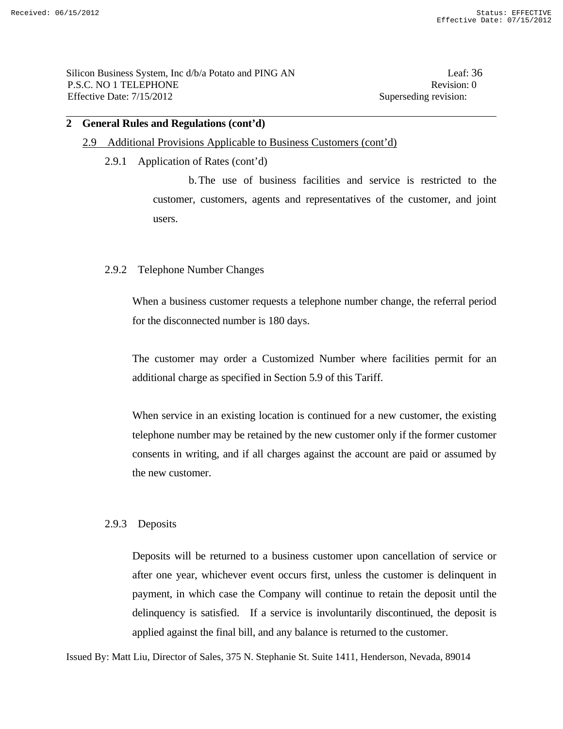#### 2.9 Additional Provisions Applicable to Business Customers (cont'd)

#### 2.9.1 Application of Rates (cont'd)

 b. The use of business facilities and service is restricted to the customer, customers, agents and representatives of the customer, and joint users.

## 2.9.2 Telephone Number Changes

 When a business customer requests a telephone number change, the referral period for the disconnected number is 180 days.

 The customer may order a Customized Number where facilities permit for an additional charge as specified in Section 5.9 of this Tariff.

 When service in an existing location is continued for a new customer, the existing telephone number may be retained by the new customer only if the former customer consents in writing, and if all charges against the account are paid or assumed by the new customer.

#### 2.9.3 Deposits

 Deposits will be returned to a business customer upon cancellation of service or after one year, whichever event occurs first, unless the customer is delinquent in payment, in which case the Company will continue to retain the deposit until the delinquency is satisfied. If a service is involuntarily discontinued, the deposit is applied against the final bill, and any balance is returned to the customer.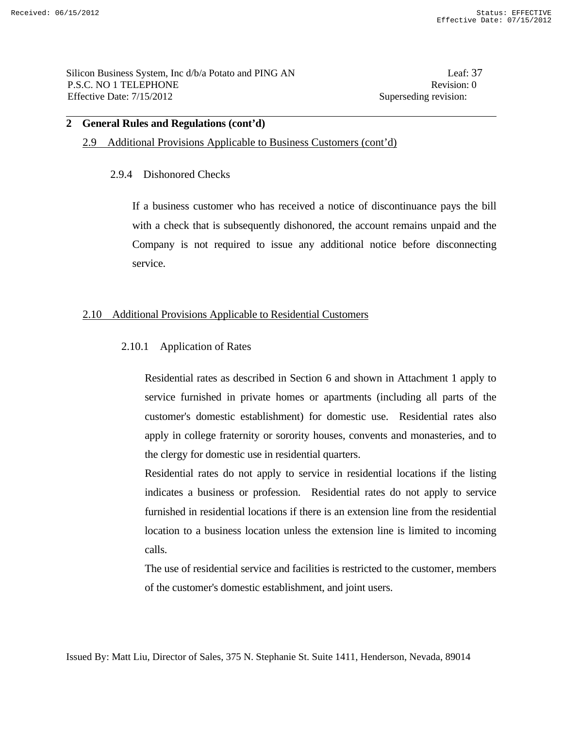#### 2.9 Additional Provisions Applicable to Business Customers (cont'd)

#### 2.9.4 Dishonored Checks

 If a business customer who has received a notice of discontinuance pays the bill with a check that is subsequently dishonored, the account remains unpaid and the Company is not required to issue any additional notice before disconnecting service.

### 2.10 Additional Provisions Applicable to Residential Customers

### 2.10.1 Application of Rates

 Residential rates as described in Section 6 and shown in Attachment 1 apply to service furnished in private homes or apartments (including all parts of the customer's domestic establishment) for domestic use. Residential rates also apply in college fraternity or sorority houses, convents and monasteries, and to the clergy for domestic use in residential quarters.

 Residential rates do not apply to service in residential locations if the listing indicates a business or profession. Residential rates do not apply to service furnished in residential locations if there is an extension line from the residential location to a business location unless the extension line is limited to incoming calls.

 The use of residential service and facilities is restricted to the customer, members of the customer's domestic establishment, and joint users.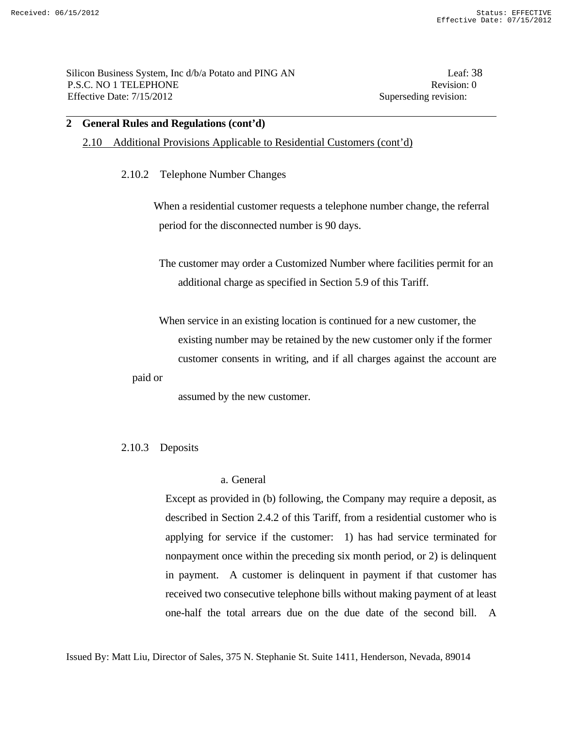#### 2.10 Additional Provisions Applicable to Residential Customers (cont'd)

2.10.2 Telephone Number Changes

 When a residential customer requests a telephone number change, the referral period for the disconnected number is 90 days.

 The customer may order a Customized Number where facilities permit for an additional charge as specified in Section 5.9 of this Tariff.

 When service in an existing location is continued for a new customer, the existing number may be retained by the new customer only if the former customer consents in writing, and if all charges against the account are

paid or

assumed by the new customer.

# 2.10.3 Deposits

#### a. General

 Except as provided in (b) following, the Company may require a deposit, as described in Section 2.4.2 of this Tariff, from a residential customer who is applying for service if the customer: 1) has had service terminated for nonpayment once within the preceding six month period, or 2) is delinquent in payment. A customer is delinquent in payment if that customer has received two consecutive telephone bills without making payment of at least one-half the total arrears due on the due date of the second bill. A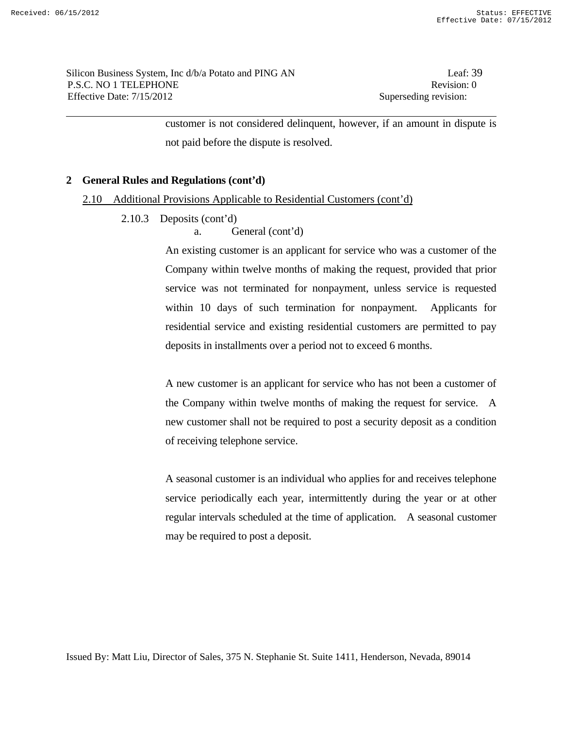customer is not considered delinquent, however, if an amount in dispute is not paid before the dispute is resolved.

#### **2 General Rules and Regulations (cont'd)**

#### 2.10 Additional Provisions Applicable to Residential Customers (cont'd)

2.10.3 Deposits (cont'd)

a. General (cont'd)

 An existing customer is an applicant for service who was a customer of the Company within twelve months of making the request, provided that prior service was not terminated for nonpayment, unless service is requested within 10 days of such termination for nonpayment. Applicants for residential service and existing residential customers are permitted to pay deposits in installments over a period not to exceed 6 months.

 A new customer is an applicant for service who has not been a customer of the Company within twelve months of making the request for service. A new customer shall not be required to post a security deposit as a condition of receiving telephone service.

 A seasonal customer is an individual who applies for and receives telephone service periodically each year, intermittently during the year or at other regular intervals scheduled at the time of application. A seasonal customer may be required to post a deposit.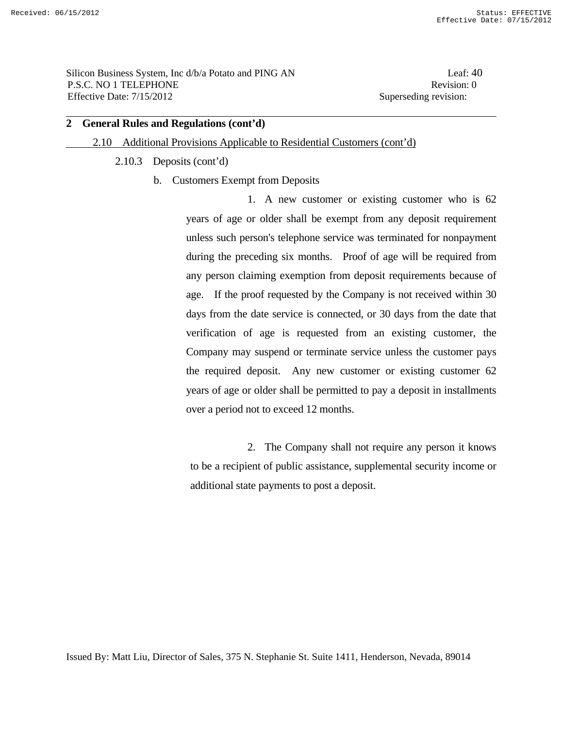### 2.10 Additional Provisions Applicable to Residential Customers (cont'd)

- 2.10.3 Deposits (cont'd)
	- b. Customers Exempt from Deposits

 1. A new customer or existing customer who is 62 years of age or older shall be exempt from any deposit requirement unless such person's telephone service was terminated for nonpayment during the preceding six months. Proof of age will be required from any person claiming exemption from deposit requirements because of age. If the proof requested by the Company is not received within 30 days from the date service is connected, or 30 days from the date that verification of age is requested from an existing customer, the Company may suspend or terminate service unless the customer pays the required deposit. Any new customer or existing customer 62 years of age or older shall be permitted to pay a deposit in installments over a period not to exceed 12 months.

 2. The Company shall not require any person it knows to be a recipient of public assistance, supplemental security income or additional state payments to post a deposit.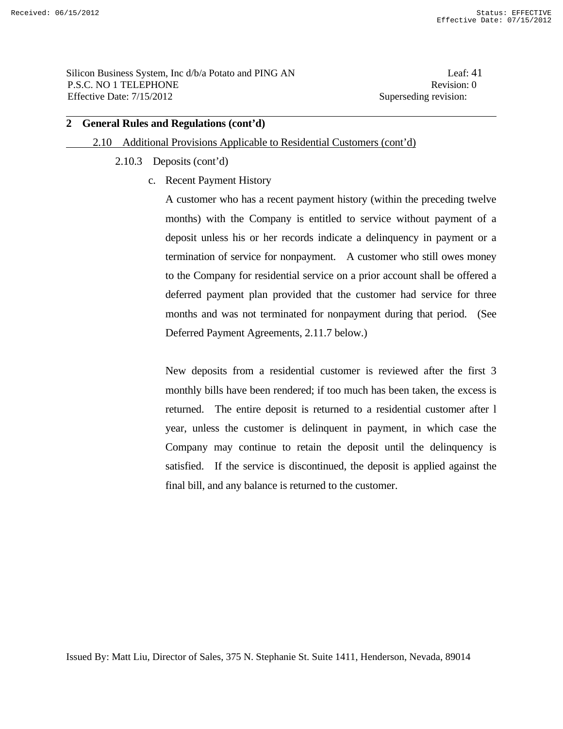#### 2.10 Additional Provisions Applicable to Residential Customers (cont'd)

### 2.10.3 Deposits (cont'd)

c. Recent Payment History

 A customer who has a recent payment history (within the preceding twelve months) with the Company is entitled to service without payment of a deposit unless his or her records indicate a delinquency in payment or a termination of service for nonpayment. A customer who still owes money to the Company for residential service on a prior account shall be offered a deferred payment plan provided that the customer had service for three months and was not terminated for nonpayment during that period. (See Deferred Payment Agreements, 2.11.7 below.)

 New deposits from a residential customer is reviewed after the first 3 monthly bills have been rendered; if too much has been taken, the excess is returned. The entire deposit is returned to a residential customer after l year, unless the customer is delinquent in payment, in which case the Company may continue to retain the deposit until the delinquency is satisfied. If the service is discontinued, the deposit is applied against the final bill, and any balance is returned to the customer.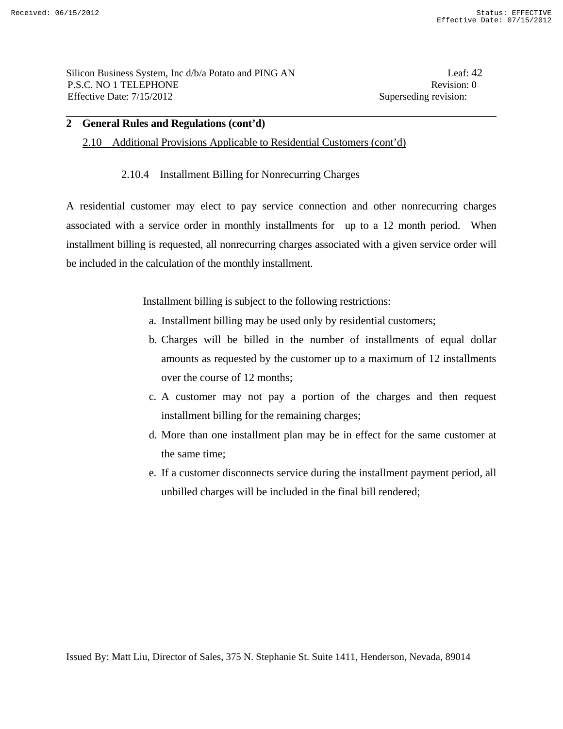# 2.10 Additional Provisions Applicable to Residential Customers (cont'd)

# 2.10.4 Installment Billing for Nonrecurring Charges

A residential customer may elect to pay service connection and other nonrecurring charges associated with a service order in monthly installments for up to a 12 month period. When installment billing is requested, all nonrecurring charges associated with a given service order will be included in the calculation of the monthly installment.

Installment billing is subject to the following restrictions:

- a. Installment billing may be used only by residential customers;
- b. Charges will be billed in the number of installments of equal dollar amounts as requested by the customer up to a maximum of 12 installments over the course of 12 months;
- c. A customer may not pay a portion of the charges and then request installment billing for the remaining charges;
- d. More than one installment plan may be in effect for the same customer at the same time;
- e. If a customer disconnects service during the installment payment period, all unbilled charges will be included in the final bill rendered;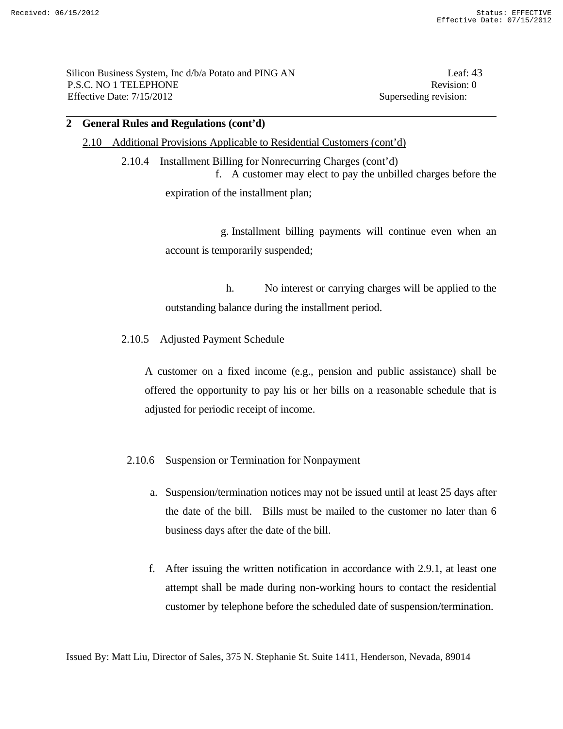#### 2.10 Additional Provisions Applicable to Residential Customers (cont'd)

 2.10.4 Installment Billing for Nonrecurring Charges (cont'd) f. A customer may elect to pay the unbilled charges before the expiration of the installment plan;

> g. Installment billing payments will continue even when an account is temporarily suspended;

> h. No interest or carrying charges will be applied to the outstanding balance during the installment period.

2.10.5 Adjusted Payment Schedule

 A customer on a fixed income (e.g., pension and public assistance) shall be offered the opportunity to pay his or her bills on a reasonable schedule that is adjusted for periodic receipt of income.

- 2.10.6 Suspension or Termination for Nonpayment
	- a. Suspension/termination notices may not be issued until at least 25 days after the date of the bill. Bills must be mailed to the customer no later than 6 business days after the date of the bill.
	- f. After issuing the written notification in accordance with 2.9.1, at least one attempt shall be made during non-working hours to contact the residential customer by telephone before the scheduled date of suspension/termination.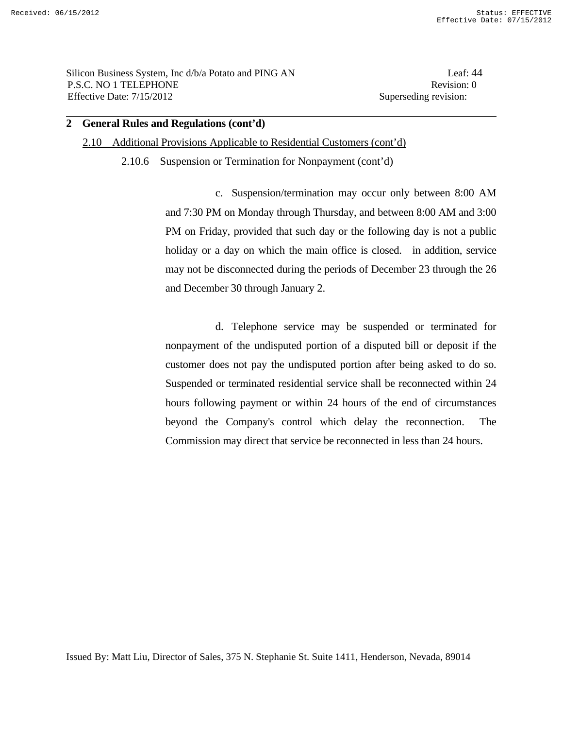# 2.10 Additional Provisions Applicable to Residential Customers (cont'd)

2.10.6 Suspension or Termination for Nonpayment (cont'd)

 c. Suspension/termination may occur only between 8:00 AM and 7:30 PM on Monday through Thursday, and between 8:00 AM and 3:00 PM on Friday, provided that such day or the following day is not a public holiday or a day on which the main office is closed. in addition, service may not be disconnected during the periods of December 23 through the 26 and December 30 through January 2.

 d. Telephone service may be suspended or terminated for nonpayment of the undisputed portion of a disputed bill or deposit if the customer does not pay the undisputed portion after being asked to do so. Suspended or terminated residential service shall be reconnected within 24 hours following payment or within 24 hours of the end of circumstances beyond the Company's control which delay the reconnection. The Commission may direct that service be reconnected in less than 24 hours.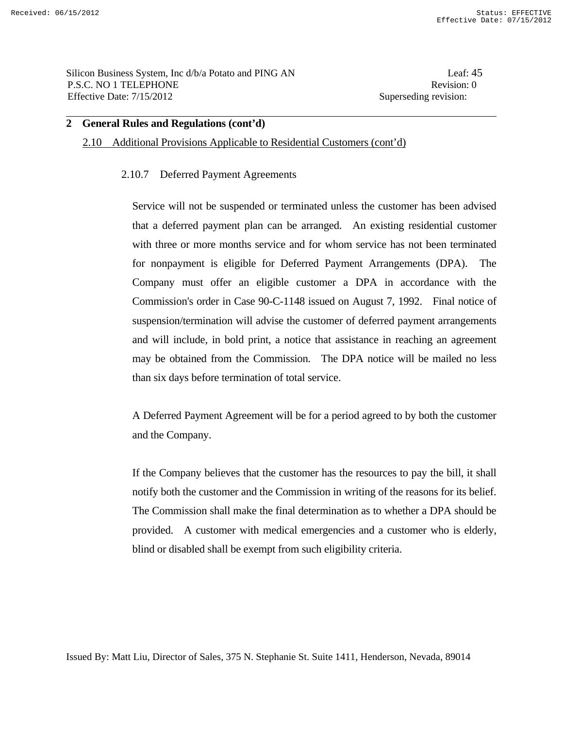#### 2.10 Additional Provisions Applicable to Residential Customers (cont'd)

### 2.10.7 Deferred Payment Agreements

 Service will not be suspended or terminated unless the customer has been advised that a deferred payment plan can be arranged. An existing residential customer with three or more months service and for whom service has not been terminated for nonpayment is eligible for Deferred Payment Arrangements (DPA). The Company must offer an eligible customer a DPA in accordance with the Commission's order in Case 90-C-1148 issued on August 7, 1992. Final notice of suspension/termination will advise the customer of deferred payment arrangements and will include, in bold print, a notice that assistance in reaching an agreement may be obtained from the Commission. The DPA notice will be mailed no less than six days before termination of total service.

 A Deferred Payment Agreement will be for a period agreed to by both the customer and the Company.

 If the Company believes that the customer has the resources to pay the bill, it shall notify both the customer and the Commission in writing of the reasons for its belief. The Commission shall make the final determination as to whether a DPA should be provided. A customer with medical emergencies and a customer who is elderly, blind or disabled shall be exempt from such eligibility criteria.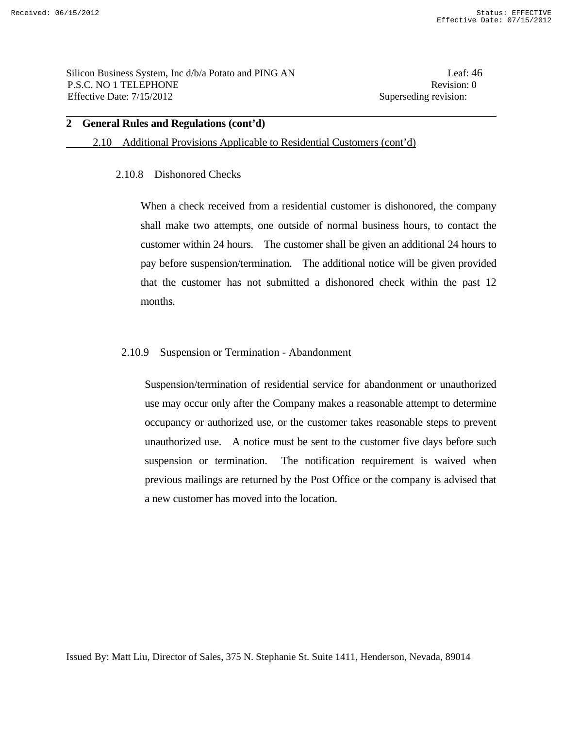2.10 Additional Provisions Applicable to Residential Customers (cont'd)

#### 2.10.8 Dishonored Checks

 When a check received from a residential customer is dishonored, the company shall make two attempts, one outside of normal business hours, to contact the customer within 24 hours. The customer shall be given an additional 24 hours to pay before suspension/termination. The additional notice will be given provided that the customer has not submitted a dishonored check within the past 12 months.

### 2.10.9 Suspension or Termination - Abandonment

 Suspension/termination of residential service for abandonment or unauthorized use may occur only after the Company makes a reasonable attempt to determine occupancy or authorized use, or the customer takes reasonable steps to prevent unauthorized use. A notice must be sent to the customer five days before such suspension or termination. The notification requirement is waived when previous mailings are returned by the Post Office or the company is advised that a new customer has moved into the location.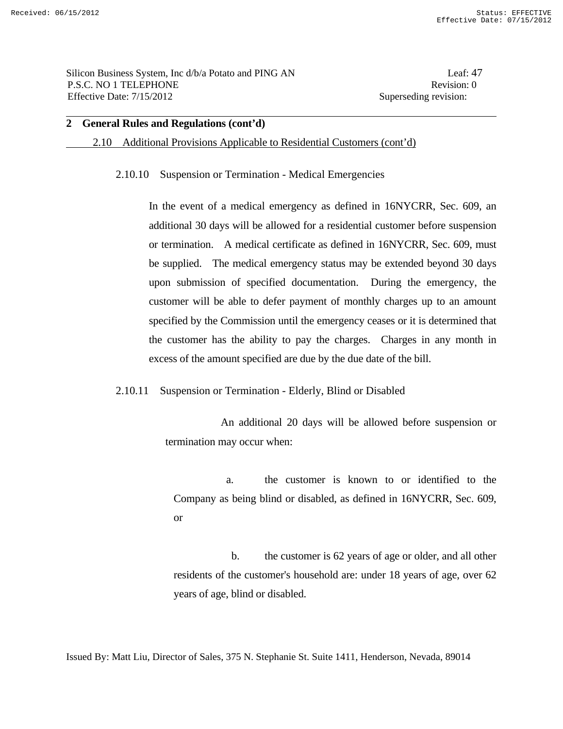# 2.10 Additional Provisions Applicable to Residential Customers (cont'd)

### 2.10.10 Suspension or Termination - Medical Emergencies

 In the event of a medical emergency as defined in 16NYCRR, Sec. 609, an additional 30 days will be allowed for a residential customer before suspension or termination. A medical certificate as defined in 16NYCRR, Sec. 609, must be supplied. The medical emergency status may be extended beyond 30 days upon submission of specified documentation. During the emergency, the customer will be able to defer payment of monthly charges up to an amount specified by the Commission until the emergency ceases or it is determined that the customer has the ability to pay the charges. Charges in any month in excess of the amount specified are due by the due date of the bill.

2.10.11 Suspension or Termination - Elderly, Blind or Disabled

 An additional 20 days will be allowed before suspension or termination may occur when:

 a. the customer is known to or identified to the Company as being blind or disabled, as defined in 16NYCRR, Sec. 609, or

 b. the customer is 62 years of age or older, and all other residents of the customer's household are: under 18 years of age, over 62 years of age, blind or disabled.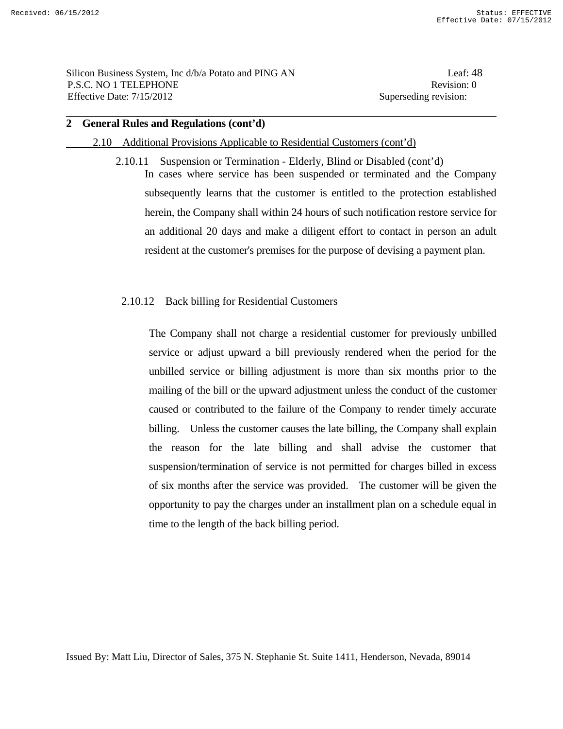- 2.10 Additional Provisions Applicable to Residential Customers (cont'd)
	- 2.10.11 Suspension or Termination Elderly, Blind or Disabled (cont'd) In cases where service has been suspended or terminated and the Company subsequently learns that the customer is entitled to the protection established herein, the Company shall within 24 hours of such notification restore service for an additional 20 days and make a diligent effort to contact in person an adult resident at the customer's premises for the purpose of devising a payment plan.
		- 2.10.12 Back billing for Residential Customers

 The Company shall not charge a residential customer for previously unbilled service or adjust upward a bill previously rendered when the period for the unbilled service or billing adjustment is more than six months prior to the mailing of the bill or the upward adjustment unless the conduct of the customer caused or contributed to the failure of the Company to render timely accurate billing. Unless the customer causes the late billing, the Company shall explain the reason for the late billing and shall advise the customer that suspension/termination of service is not permitted for charges billed in excess of six months after the service was provided. The customer will be given the opportunity to pay the charges under an installment plan on a schedule equal in time to the length of the back billing period.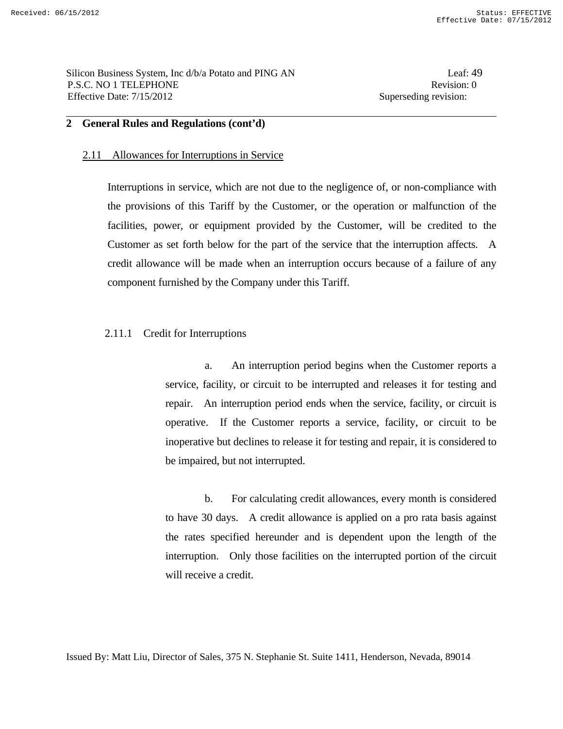Silicon Business System, Inc d/b/a Potato and PING AN Leaf: 49 P.S.C. NO 1 TELEPHONE Revision: 0 Effective Date: 7/15/2012 Superseding revision:

## **2 General Rules and Regulations (cont'd)**

#### 2.11 Allowances for Interruptions in Service

 Interruptions in service, which are not due to the negligence of, or non-compliance with the provisions of this Tariff by the Customer, or the operation or malfunction of the facilities, power, or equipment provided by the Customer, will be credited to the Customer as set forth below for the part of the service that the interruption affects. A credit allowance will be made when an interruption occurs because of a failure of any component furnished by the Company under this Tariff.

#### 2.11.1 Credit for Interruptions

 a. An interruption period begins when the Customer reports a service, facility, or circuit to be interrupted and releases it for testing and repair. An interruption period ends when the service, facility, or circuit is operative. If the Customer reports a service, facility, or circuit to be inoperative but declines to release it for testing and repair, it is considered to be impaired, but not interrupted.

 b. For calculating credit allowances, every month is considered to have 30 days. A credit allowance is applied on a pro rata basis against the rates specified hereunder and is dependent upon the length of the interruption. Only those facilities on the interrupted portion of the circuit will receive a credit.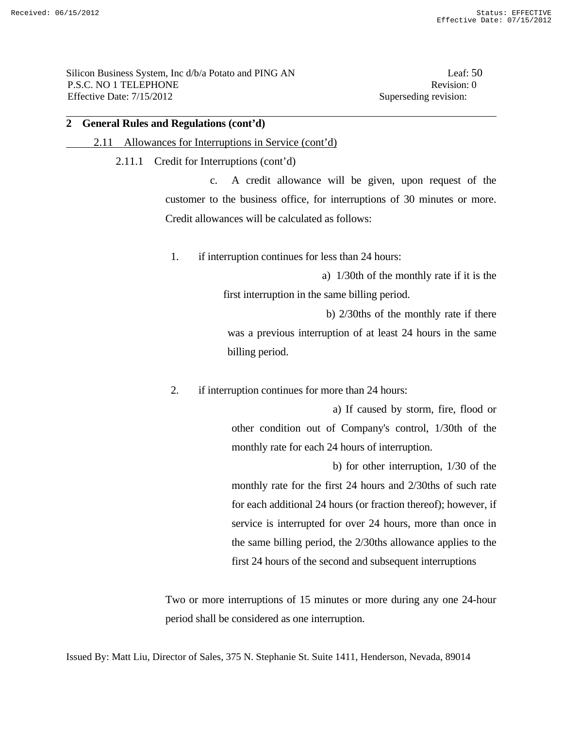#### 2.11 Allowances for Interruptions in Service (cont'd)

2.11.1 Credit for Interruptions (cont'd)

 c. A credit allowance will be given, upon request of the customer to the business office, for interruptions of 30 minutes or more. Credit allowances will be calculated as follows:

1. if interruption continues for less than 24 hours:

 a) 1/30th of the monthly rate if it is the first interruption in the same billing period.

 b) 2/30ths of the monthly rate if there was a previous interruption of at least 24 hours in the same billing period.

2. if interruption continues for more than 24 hours:

 a) If caused by storm, fire, flood or other condition out of Company's control, 1/30th of the monthly rate for each 24 hours of interruption.

 b) for other interruption, 1/30 of the monthly rate for the first 24 hours and 2/30ths of such rate for each additional 24 hours (or fraction thereof); however, if service is interrupted for over 24 hours, more than once in the same billing period, the 2/30ths allowance applies to the first 24 hours of the second and subsequent interruptions

 Two or more interruptions of 15 minutes or more during any one 24-hour period shall be considered as one interruption.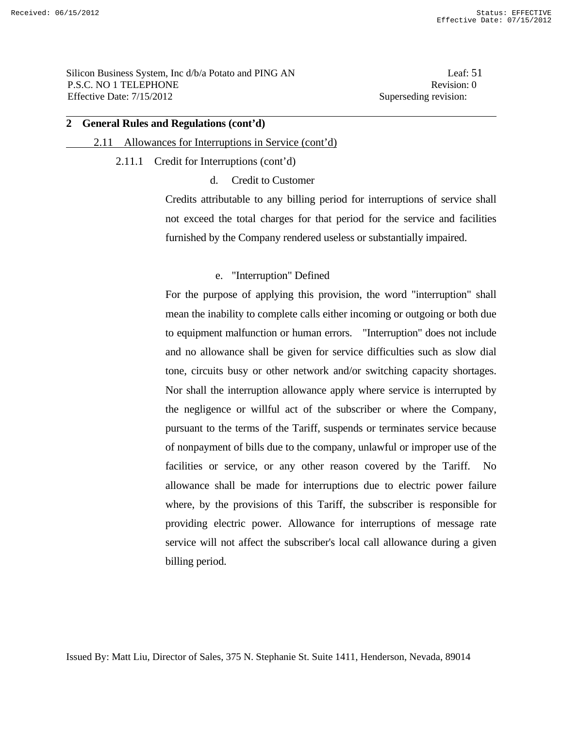#### 2.11 Allowances for Interruptions in Service (cont'd)

#### 2.11.1 Credit for Interruptions (cont'd)

d. Credit to Customer

 Credits attributable to any billing period for interruptions of service shall not exceed the total charges for that period for the service and facilities furnished by the Company rendered useless or substantially impaired.

#### e. "Interruption" Defined

 For the purpose of applying this provision, the word "interruption" shall mean the inability to complete calls either incoming or outgoing or both due to equipment malfunction or human errors. "Interruption" does not include and no allowance shall be given for service difficulties such as slow dial tone, circuits busy or other network and/or switching capacity shortages. Nor shall the interruption allowance apply where service is interrupted by the negligence or willful act of the subscriber or where the Company, pursuant to the terms of the Tariff, suspends or terminates service because of nonpayment of bills due to the company, unlawful or improper use of the facilities or service, or any other reason covered by the Tariff. No allowance shall be made for interruptions due to electric power failure where, by the provisions of this Tariff, the subscriber is responsible for providing electric power. Allowance for interruptions of message rate service will not affect the subscriber's local call allowance during a given billing period.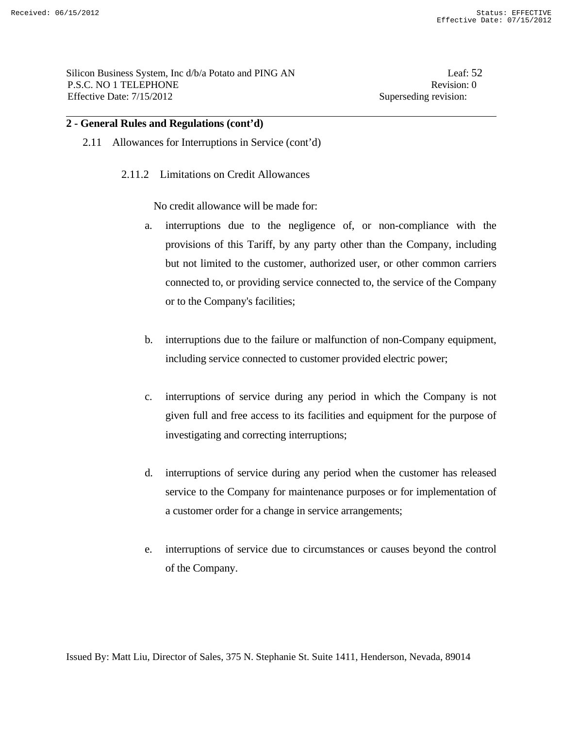Silicon Business System, Inc d/b/a Potato and PING AN Leaf: 52 P.S.C. NO 1 TELEPHONE Revision: 0 Effective Date: 7/15/2012 Superseding revision:

### **2 - General Rules and Regulations (cont'd)**

- 2.11 Allowances for Interruptions in Service (cont'd)
	- 2.11.2 Limitations on Credit Allowances

No credit allowance will be made for:

- a. interruptions due to the negligence of, or non-compliance with the provisions of this Tariff, by any party other than the Company, including but not limited to the customer, authorized user, or other common carriers connected to, or providing service connected to, the service of the Company or to the Company's facilities;
- b. interruptions due to the failure or malfunction of non-Company equipment, including service connected to customer provided electric power;
- c. interruptions of service during any period in which the Company is not given full and free access to its facilities and equipment for the purpose of investigating and correcting interruptions;
- d. interruptions of service during any period when the customer has released service to the Company for maintenance purposes or for implementation of a customer order for a change in service arrangements;
- e. interruptions of service due to circumstances or causes beyond the control of the Company.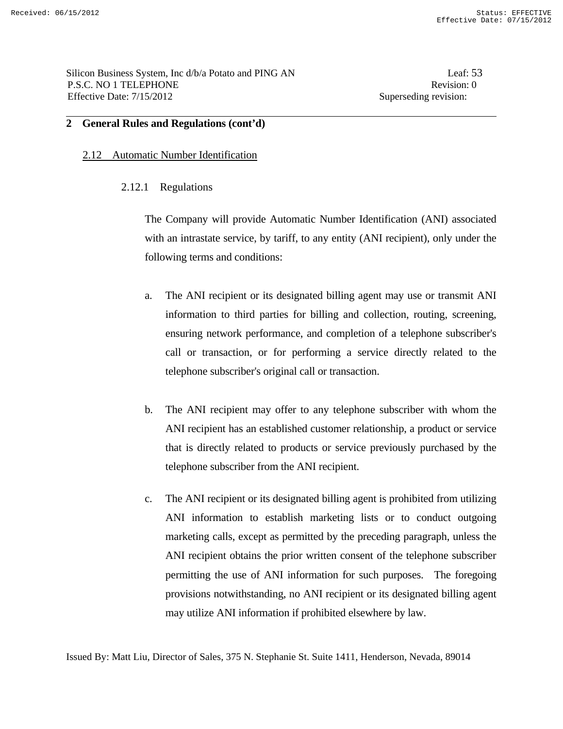## 2.12 Automatic Number Identification

# 2.12.1 Regulations

 The Company will provide Automatic Number Identification (ANI) associated with an intrastate service, by tariff, to any entity (ANI recipient), only under the following terms and conditions:

- a. The ANI recipient or its designated billing agent may use or transmit ANI information to third parties for billing and collection, routing, screening, ensuring network performance, and completion of a telephone subscriber's call or transaction, or for performing a service directly related to the telephone subscriber's original call or transaction.
- b. The ANI recipient may offer to any telephone subscriber with whom the ANI recipient has an established customer relationship, a product or service that is directly related to products or service previously purchased by the telephone subscriber from the ANI recipient.
- c. The ANI recipient or its designated billing agent is prohibited from utilizing ANI information to establish marketing lists or to conduct outgoing marketing calls, except as permitted by the preceding paragraph, unless the ANI recipient obtains the prior written consent of the telephone subscriber permitting the use of ANI information for such purposes. The foregoing provisions notwithstanding, no ANI recipient or its designated billing agent may utilize ANI information if prohibited elsewhere by law.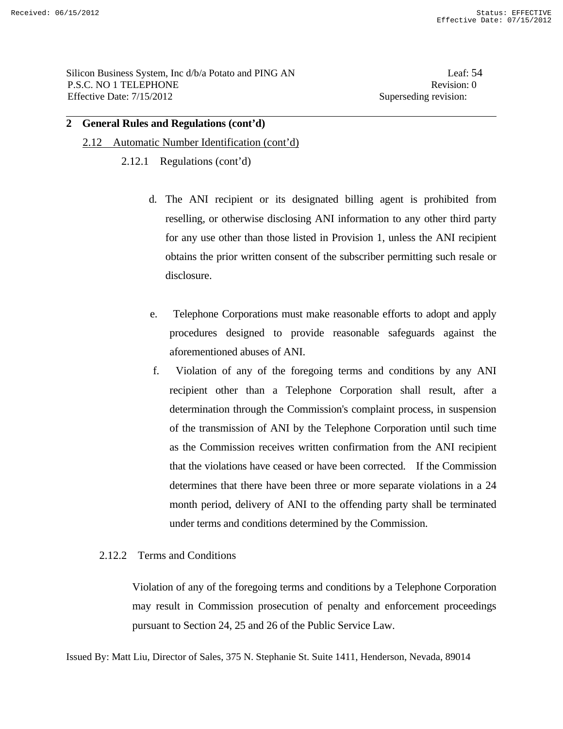- 2.12 Automatic Number Identification (cont'd)
	- 2.12.1 Regulations (cont'd)
		- d. The ANI recipient or its designated billing agent is prohibited from reselling, or otherwise disclosing ANI information to any other third party for any use other than those listed in Provision 1, unless the ANI recipient obtains the prior written consent of the subscriber permitting such resale or disclosure.
		- e. Telephone Corporations must make reasonable efforts to adopt and apply procedures designed to provide reasonable safeguards against the aforementioned abuses of ANI.
		- f. Violation of any of the foregoing terms and conditions by any ANI recipient other than a Telephone Corporation shall result, after a determination through the Commission's complaint process, in suspension of the transmission of ANI by the Telephone Corporation until such time as the Commission receives written confirmation from the ANI recipient that the violations have ceased or have been corrected. If the Commission determines that there have been three or more separate violations in a 24 month period, delivery of ANI to the offending party shall be terminated under terms and conditions determined by the Commission.

# 2.12.2 Terms and Conditions

Violation of any of the foregoing terms and conditions by a Telephone Corporation may result in Commission prosecution of penalty and enforcement proceedings pursuant to Section 24, 25 and 26 of the Public Service Law.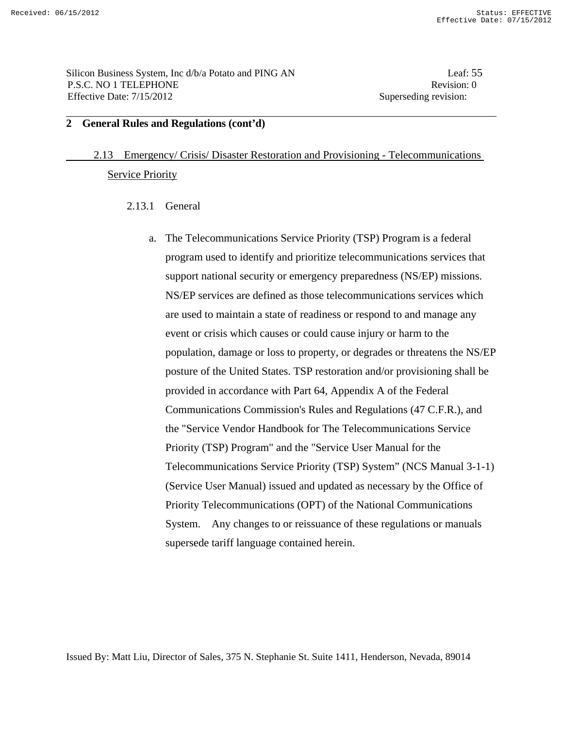Silicon Business System, Inc d/b/a Potato and PING AN Leaf: 55 P.S.C. NO 1 TELEPHONE Revision: 0 Effective Date: 7/15/2012 Superseding revision:

## **2 General Rules and Regulations (cont'd)**

# 2.13 Emergency/ Crisis/ Disaster Restoration and Provisioning - Telecommunications Service Priority

### 2.13.1 General

a. The Telecommunications Service Priority (TSP) Program is a federal program used to identify and prioritize telecommunications services that support national security or emergency preparedness (NS/EP) missions. NS/EP services are defined as those telecommunications services which are used to maintain a state of readiness or respond to and manage any event or crisis which causes or could cause injury or harm to the population, damage or loss to property, or degrades or threatens the NS/EP posture of the United States. TSP restoration and/or provisioning shall be provided in accordance with Part 64, Appendix A of the Federal Communications Commission's Rules and Regulations (47 C.F.R.), and the "Service Vendor Handbook for The Telecommunications Service Priority (TSP) Program" and the "Service User Manual for the Telecommunications Service Priority (TSP) System" (NCS Manual 3-1-1) (Service User Manual) issued and updated as necessary by the Office of Priority Telecommunications (OPT) of the National Communications System. Any changes to or reissuance of these regulations or manuals supersede tariff language contained herein.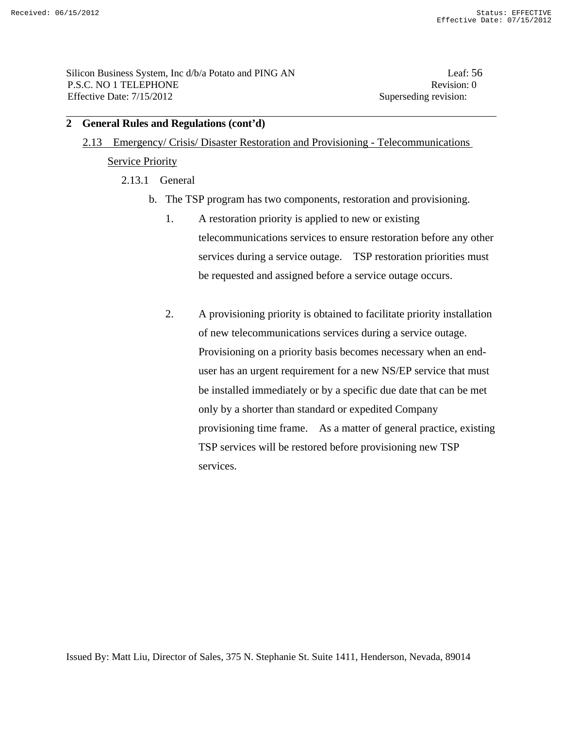#### 2.13 Emergency/ Crisis/ Disaster Restoration and Provisioning - Telecommunications

#### Service Priority

- 2.13.1 General
	- b. The TSP program has two components, restoration and provisioning.
		- 1. A restoration priority is applied to new or existing telecommunications services to ensure restoration before any other services during a service outage. TSP restoration priorities must be requested and assigned before a service outage occurs.
		- 2. A provisioning priority is obtained to facilitate priority installation of new telecommunications services during a service outage. Provisioning on a priority basis becomes necessary when an enduser has an urgent requirement for a new NS/EP service that must be installed immediately or by a specific due date that can be met only by a shorter than standard or expedited Company provisioning time frame. As a matter of general practice, existing TSP services will be restored before provisioning new TSP services.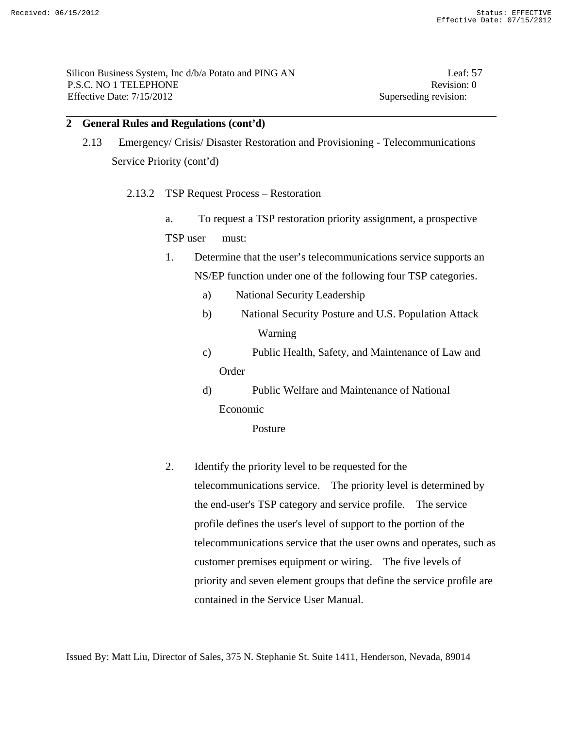- 2.13 Emergency/ Crisis/ Disaster Restoration and Provisioning Telecommunications Service Priority (cont'd)
	- 2.13.2 TSP Request Process Restoration
		- a. To request a TSP restoration priority assignment, a prospective

TSP user must:

- 1. Determine that the user's telecommunications service supports an NS/EP function under one of the following four TSP categories.
	- a) National Security Leadership
	- b) National Security Posture and U.S. Population Attack Warning
	- c) Public Health, Safety, and Maintenance of Law and Order
	- d) Public Welfare and Maintenance of National Economic

Posture

2. Identify the priority level to be requested for the telecommunications service. The priority level is determined by the end-user's TSP category and service profile. The service profile defines the user's level of support to the portion of the telecommunications service that the user owns and operates, such as customer premises equipment or wiring. The five levels of priority and seven element groups that define the service profile are contained in the Service User Manual.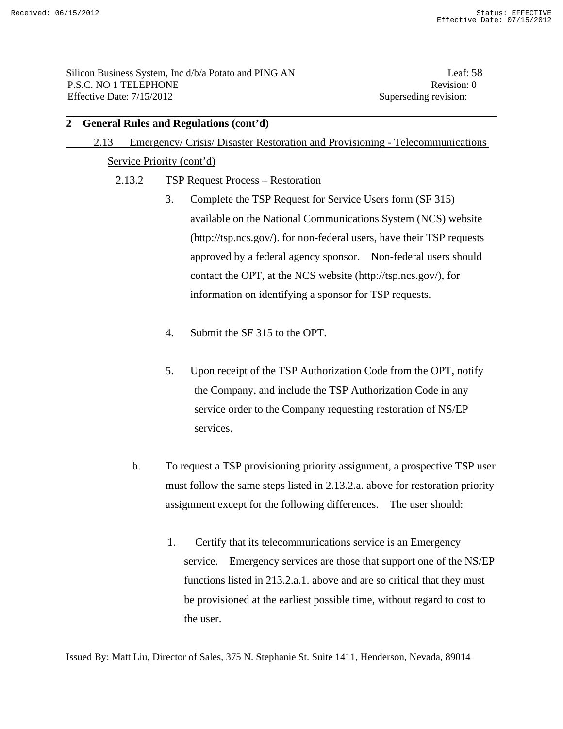### 2.13 Emergency/ Crisis/ Disaster Restoration and Provisioning - Telecommunications

## Service Priority (cont'd)

- 2.13.2 TSP Request Process Restoration
	- 3. Complete the TSP Request for Service Users form (SF 315) available on the National Communications System (NCS) website (http://tsp.ncs.gov/). for non-federal users, have their TSP requests approved by a federal agency sponsor. Non-federal users should contact the OPT, at the NCS website (http://tsp.ncs.gov/), for information on identifying a sponsor for TSP requests.
	- 4. Submit the SF 315 to the OPT.
	- 5. Upon receipt of the TSP Authorization Code from the OPT, notify the Company, and include the TSP Authorization Code in any service order to the Company requesting restoration of NS/EP services.
	- b. To request a TSP provisioning priority assignment, a prospective TSP user must follow the same steps listed in 2.13.2.a. above for restoration priority assignment except for the following differences. The user should:
		- 1. Certify that its telecommunications service is an Emergency service. Emergency services are those that support one of the NS/EP functions listed in 213.2.a.1. above and are so critical that they must be provisioned at the earliest possible time, without regard to cost to the user.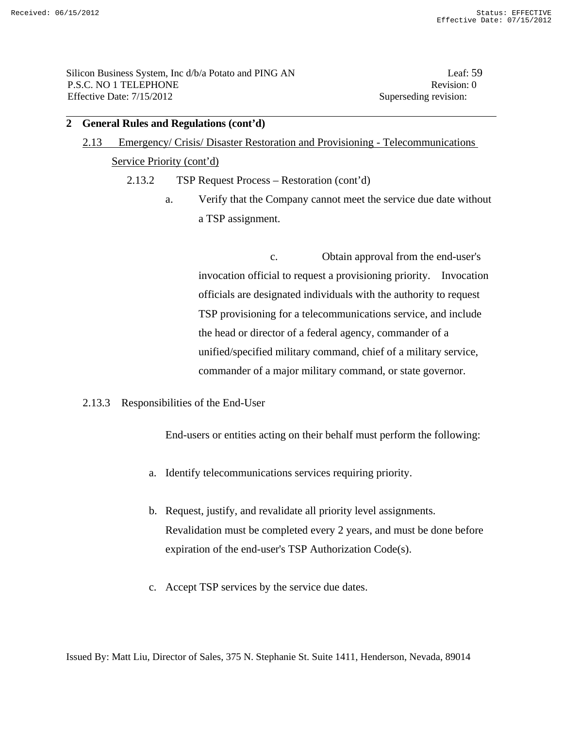# 2.13 Emergency/ Crisis/ Disaster Restoration and Provisioning - Telecommunications

#### Service Priority (cont'd)

- 2.13.2 TSP Request Process Restoration (cont'd)
	- a. Verify that the Company cannot meet the service due date without a TSP assignment.

 c. Obtain approval from the end-user's invocation official to request a provisioning priority. Invocation officials are designated individuals with the authority to request TSP provisioning for a telecommunications service, and include the head or director of a federal agency, commander of a unified/specified military command, chief of a military service, commander of a major military command, or state governor.

2.13.3 Responsibilities of the End-User

End-users or entities acting on their behalf must perform the following:

- a. Identify telecommunications services requiring priority.
- b. Request, justify, and revalidate all priority level assignments. Revalidation must be completed every 2 years, and must be done before expiration of the end-user's TSP Authorization Code(s).
- c. Accept TSP services by the service due dates.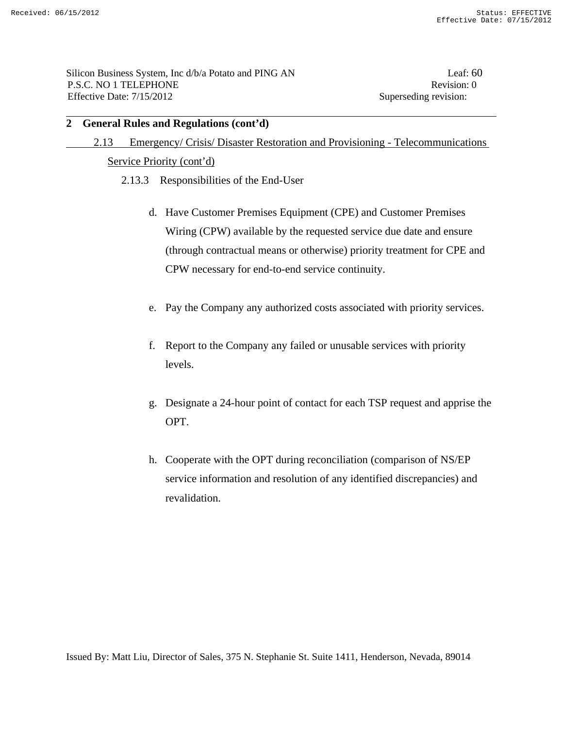# 2.13 Emergency/ Crisis/ Disaster Restoration and Provisioning - Telecommunications

#### Service Priority (cont'd)

- 2.13.3 Responsibilities of the End-User
	- d. Have Customer Premises Equipment (CPE) and Customer Premises Wiring (CPW) available by the requested service due date and ensure (through contractual means or otherwise) priority treatment for CPE and CPW necessary for end-to-end service continuity.
	- e. Pay the Company any authorized costs associated with priority services.
	- f. Report to the Company any failed or unusable services with priority levels.
	- g. Designate a 24-hour point of contact for each TSP request and apprise the OPT.
	- h. Cooperate with the OPT during reconciliation (comparison of NS/EP service information and resolution of any identified discrepancies) and revalidation.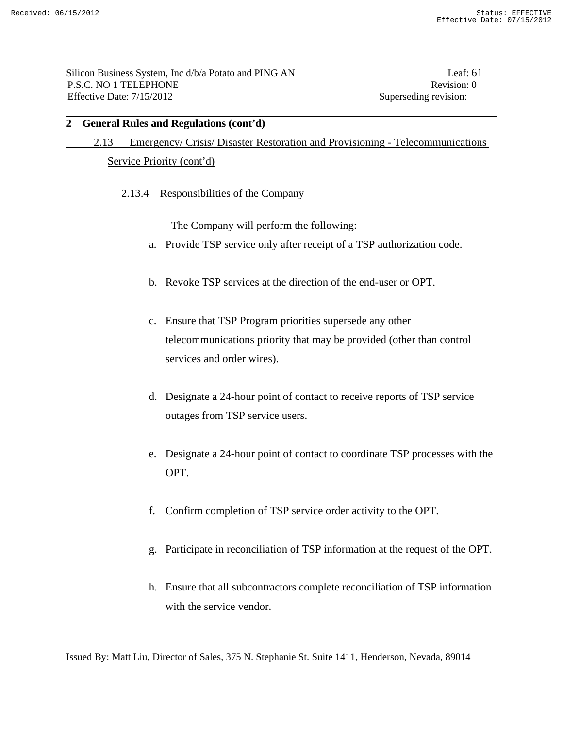# 2.13 Emergency/ Crisis/ Disaster Restoration and Provisioning - Telecommunications Service Priority (cont'd)

2.13.4 Responsibilities of the Company

The Company will perform the following:

- a. Provide TSP service only after receipt of a TSP authorization code.
- b. Revoke TSP services at the direction of the end-user or OPT.
- c. Ensure that TSP Program priorities supersede any other telecommunications priority that may be provided (other than control services and order wires).
- d. Designate a 24-hour point of contact to receive reports of TSP service outages from TSP service users.
- e. Designate a 24-hour point of contact to coordinate TSP processes with the OPT.
- f. Confirm completion of TSP service order activity to the OPT.
- g. Participate in reconciliation of TSP information at the request of the OPT.
- h. Ensure that all subcontractors complete reconciliation of TSP information with the service vendor.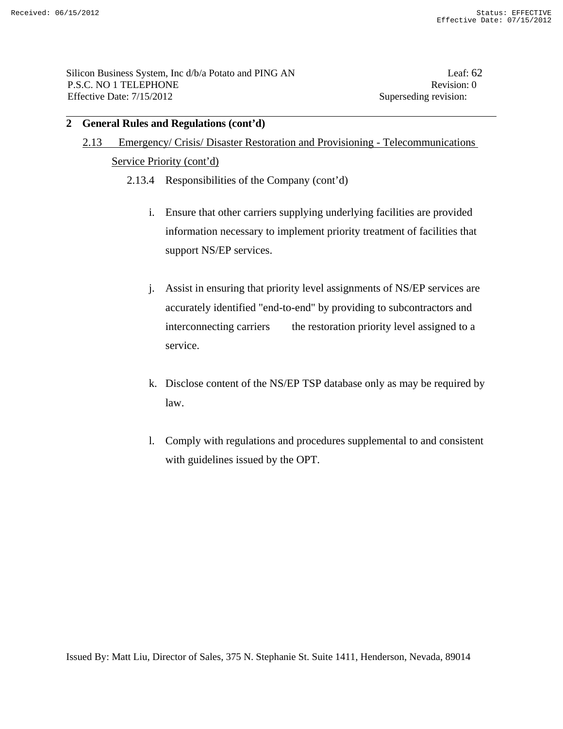2.13 Emergency/ Crisis/ Disaster Restoration and Provisioning - Telecommunications

Service Priority (cont'd)

- 2.13.4 Responsibilities of the Company (cont'd)
	- i. Ensure that other carriers supplying underlying facilities are provided information necessary to implement priority treatment of facilities that support NS/EP services.
	- j. Assist in ensuring that priority level assignments of NS/EP services are accurately identified "end-to-end" by providing to subcontractors and interconnecting carriers the restoration priority level assigned to a service.
	- k. Disclose content of the NS/EP TSP database only as may be required by law.
	- l. Comply with regulations and procedures supplemental to and consistent with guidelines issued by the OPT.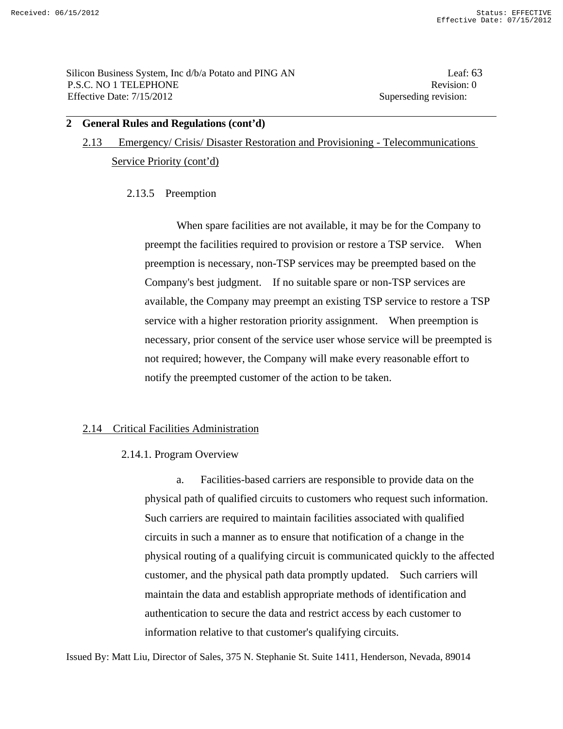# 2.13 Emergency/ Crisis/ Disaster Restoration and Provisioning - Telecommunications Service Priority (cont'd)

# 2.13.5 Preemption

 When spare facilities are not available, it may be for the Company to preempt the facilities required to provision or restore a TSP service. When preemption is necessary, non-TSP services may be preempted based on the Company's best judgment. If no suitable spare or non-TSP services are available, the Company may preempt an existing TSP service to restore a TSP service with a higher restoration priority assignment. When preemption is necessary, prior consent of the service user whose service will be preempted is not required; however, the Company will make every reasonable effort to notify the preempted customer of the action to be taken.

# 2.14 Critical Facilities Administration

# 2.14.1. Program Overview

 a. Facilities-based carriers are responsible to provide data on the physical path of qualified circuits to customers who request such information. Such carriers are required to maintain facilities associated with qualified circuits in such a manner as to ensure that notification of a change in the physical routing of a qualifying circuit is communicated quickly to the affected customer, and the physical path data promptly updated. Such carriers will maintain the data and establish appropriate methods of identification and authentication to secure the data and restrict access by each customer to information relative to that customer's qualifying circuits.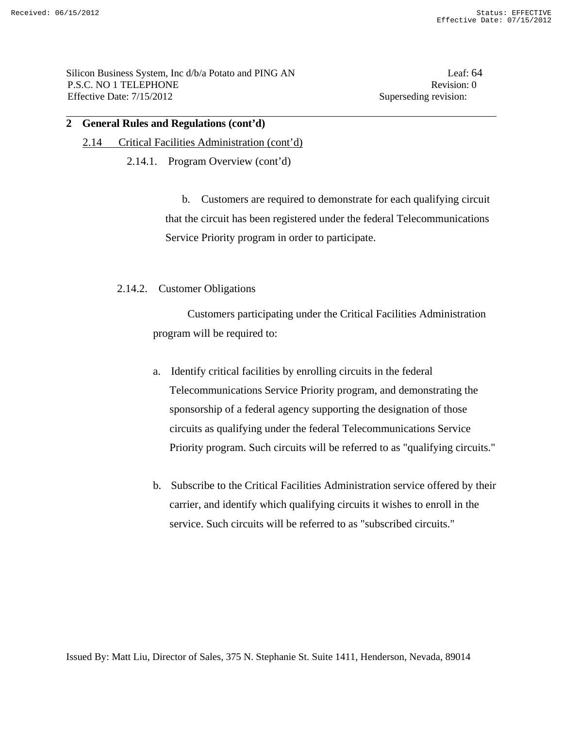Silicon Business System, Inc d/b/a Potato and PING AN Leaf: 64 P.S.C. NO 1 TELEPHONE Revision: 0 Effective Date: 7/15/2012 Superseding revision:

# **2 General Rules and Regulations (cont'd)**

#### 2.14 Critical Facilities Administration (cont'd)

2.14.1. Program Overview (cont'd)

 b. Customers are required to demonstrate for each qualifying circuit that the circuit has been registered under the federal Telecommunications Service Priority program in order to participate.

2.14.2. Customer Obligations

 Customers participating under the Critical Facilities Administration program will be required to:

- a. Identify critical facilities by enrolling circuits in the federal Telecommunications Service Priority program, and demonstrating the sponsorship of a federal agency supporting the designation of those circuits as qualifying under the federal Telecommunications Service Priority program. Such circuits will be referred to as "qualifying circuits."
- b. Subscribe to the Critical Facilities Administration service offered by their carrier, and identify which qualifying circuits it wishes to enroll in the service. Such circuits will be referred to as "subscribed circuits."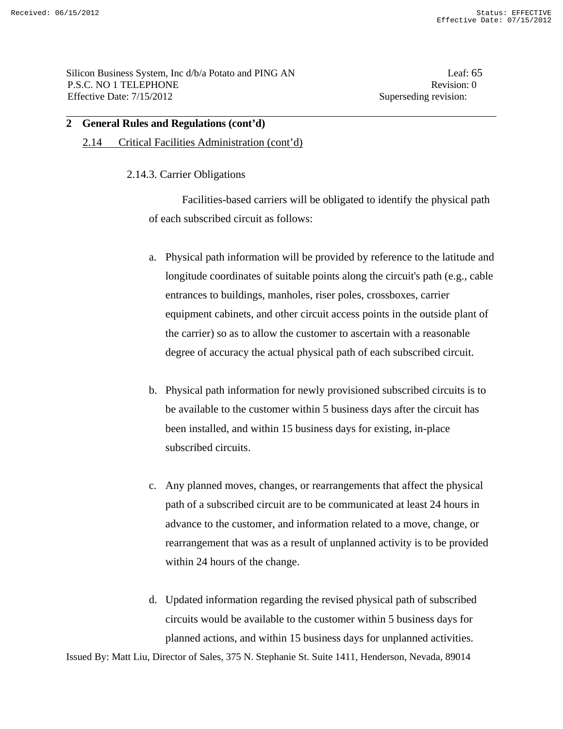Silicon Business System, Inc d/b/a Potato and PING AN Leaf: 65 P.S.C. NO 1 TELEPHONE Revision: 0 Effective Date: 7/15/2012 Superseding revision:

# **2 General Rules and Regulations (cont'd)**

- 2.14 Critical Facilities Administration (cont'd)
	- 2.14.3. Carrier Obligations

 Facilities-based carriers will be obligated to identify the physical path of each subscribed circuit as follows:

- a. Physical path information will be provided by reference to the latitude and longitude coordinates of suitable points along the circuit's path (e.g., cable entrances to buildings, manholes, riser poles, crossboxes, carrier equipment cabinets, and other circuit access points in the outside plant of the carrier) so as to allow the customer to ascertain with a reasonable degree of accuracy the actual physical path of each subscribed circuit.
- b. Physical path information for newly provisioned subscribed circuits is to be available to the customer within 5 business days after the circuit has been installed, and within 15 business days for existing, in-place subscribed circuits.
- c. Any planned moves, changes, or rearrangements that affect the physical path of a subscribed circuit are to be communicated at least 24 hours in advance to the customer, and information related to a move, change, or rearrangement that was as a result of unplanned activity is to be provided within 24 hours of the change.
- d. Updated information regarding the revised physical path of subscribed circuits would be available to the customer within 5 business days for planned actions, and within 15 business days for unplanned activities.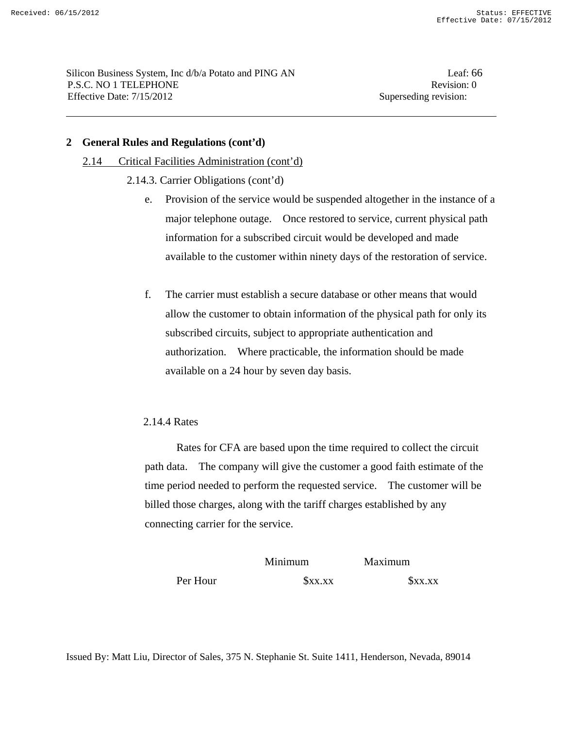Silicon Business System, Inc d/b/a Potato and PING AN Leaf: 66 P.S.C. NO 1 TELEPHONE Revision: 0 Effective Date: 7/15/2012 Superseding revision:

### **2 General Rules and Regulations (cont'd)**

- 2.14 Critical Facilities Administration (cont'd)
	- 2.14.3. Carrier Obligations (cont'd)
		- e. Provision of the service would be suspended altogether in the instance of a major telephone outage. Once restored to service, current physical path information for a subscribed circuit would be developed and made available to the customer within ninety days of the restoration of service.
		- f. The carrier must establish a secure database or other means that would allow the customer to obtain information of the physical path for only its subscribed circuits, subject to appropriate authentication and authorization. Where practicable, the information should be made available on a 24 hour by seven day basis.

#### 2.14.4 Rates

 Rates for CFA are based upon the time required to collect the circuit path data. The company will give the customer a good faith estimate of the time period needed to perform the requested service. The customer will be billed those charges, along with the tariff charges established by any connecting carrier for the service.

|          | Minimum | Maximum |  |
|----------|---------|---------|--|
| Per Hour | Sxx.xx  | Sxx.xx  |  |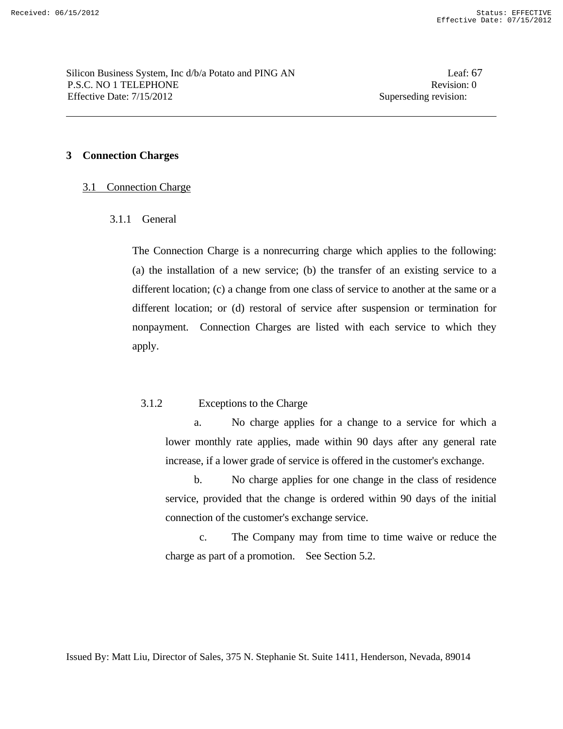#### **3 Connection Charges**

### 3.1 Connection Charge

### 3.1.1 General

 The Connection Charge is a nonrecurring charge which applies to the following: (a) the installation of a new service; (b) the transfer of an existing service to a different location; (c) a change from one class of service to another at the same or a different location; or (d) restoral of service after suspension or termination for nonpayment. Connection Charges are listed with each service to which they apply.

# 3.1.2 Exceptions to the Charge

 a. No charge applies for a change to a service for which a lower monthly rate applies, made within 90 days after any general rate increase, if a lower grade of service is offered in the customer's exchange.

 b. No charge applies for one change in the class of residence service, provided that the change is ordered within 90 days of the initial connection of the customer's exchange service.

 c. The Company may from time to time waive or reduce the charge as part of a promotion. See Section 5.2.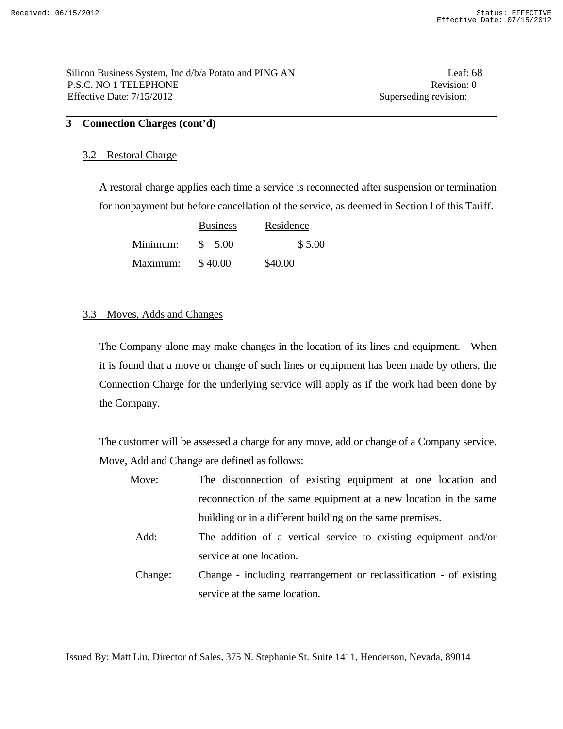#### **3 Connection Charges (cont'd)**

### 3.2 Restoral Charge

 A restoral charge applies each time a service is reconnected after suspension or termination for nonpayment but before cancellation of the service, as deemed in Section l of this Tariff.

|          | <b>Business</b> | Residence |  |
|----------|-----------------|-----------|--|
| Minimum: | \$ 5.00         | \$5.00    |  |
| Maximum: | \$40.00         | \$40.00   |  |

### 3.3 Moves, Adds and Changes

 The Company alone may make changes in the location of its lines and equipment. When it is found that a move or change of such lines or equipment has been made by others, the Connection Charge for the underlying service will apply as if the work had been done by the Company.

 The customer will be assessed a charge for any move, add or change of a Company service. Move, Add and Change are defined as follows:

- Move: The disconnection of existing equipment at one location and reconnection of the same equipment at a new location in the same building or in a different building on the same premises.
	- Add: The addition of a vertical service to existing equipment and/or service at one location.
	- Change: Change including rearrangement or reclassification of existing service at the same location.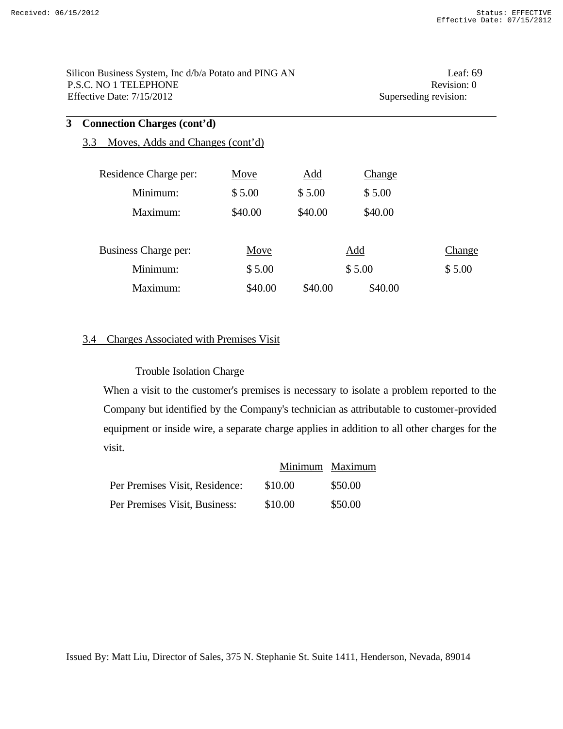| Silicon Business System, Inc d/b/a Potato and PING AN | Leaf: $69$            |
|-------------------------------------------------------|-----------------------|
| P.S.C. NO 1 TELEPHONE                                 | Revision: 0           |
| Effective Date: $7/15/2012$                           | Superseding revision: |

# **3 Connection Charges (cont'd)**

# 3.3 Moves, Adds and Changes (cont'd)

| Residence Charge per: | Move    | <u>Add</u> | <b>Change</b> |        |
|-----------------------|---------|------------|---------------|--------|
| Minimum:              | \$5.00  | \$5.00     | \$5.00        |        |
| Maximum:              | \$40.00 | \$40.00    | \$40.00       |        |
|                       |         |            |               |        |
| Business Charge per:  | Move    |            | <u>Add</u>    | Change |
| Minimum:              | \$5.00  |            | \$5.00        | \$5.00 |
| Maximum:              | \$40.00 | \$40.00    | \$40.00       |        |

## 3.4 Charges Associated with Premises Visit

#### Trouble Isolation Charge

 When a visit to the customer's premises is necessary to isolate a problem reported to the Company but identified by the Company's technician as attributable to customer-provided equipment or inside wire, a separate charge applies in addition to all other charges for the visit.

|                                | Minimum Maximum |         |
|--------------------------------|-----------------|---------|
| Per Premises Visit, Residence: | \$10.00         | \$50.00 |
| Per Premises Visit, Business:  | \$10.00         | \$50.00 |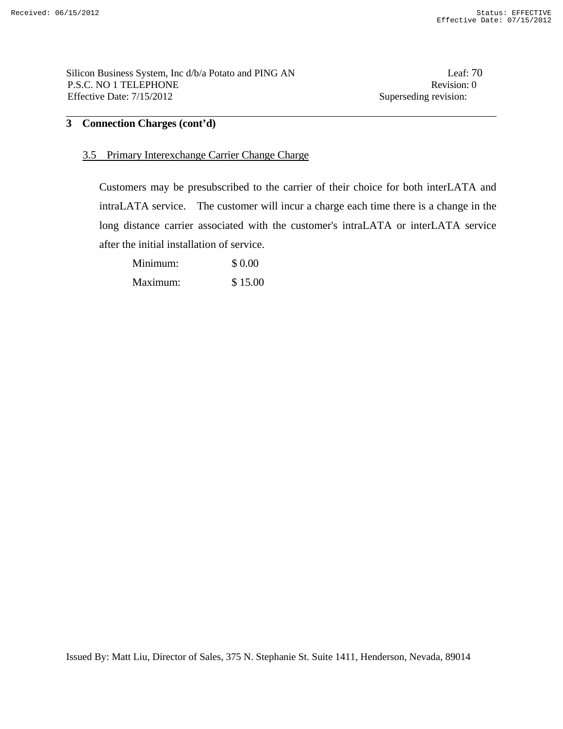Silicon Business System, Inc d/b/a Potato and PING AN Leaf: 70 P.S.C. NO 1 TELEPHONE Revision: 0 Effective Date:  $7/15/2012$  Superseding revision:

# **3 Connection Charges (cont'd)**

#### 3.5 Primary Interexchange Carrier Change Charge

 Customers may be presubscribed to the carrier of their choice for both interLATA and intraLATA service. The customer will incur a charge each time there is a change in the long distance carrier associated with the customer's intraLATA or interLATA service after the initial installation of service.

 Minimum: \$ 0.00 Maximum: \$ 15.00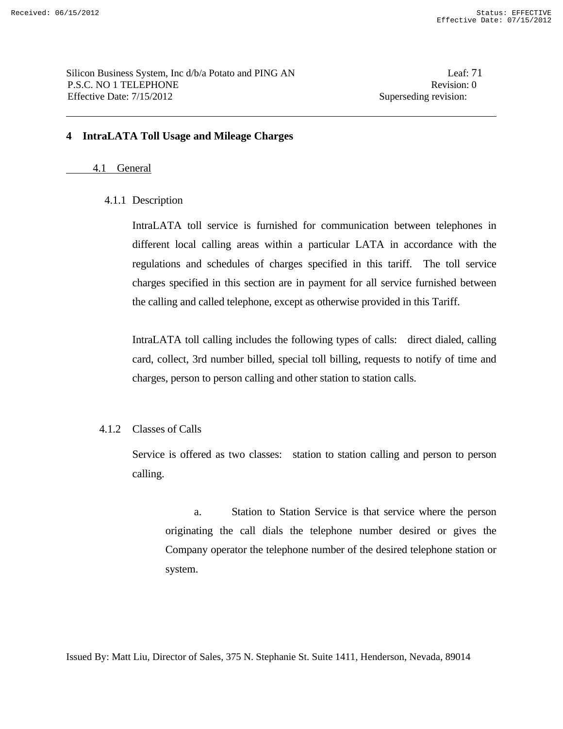Silicon Business System, Inc d/b/a Potato and PING AN Leaf: 71 P.S.C. NO 1 TELEPHONE Revision: 0 Effective Date: 7/15/2012 Superseding revision:

### **4 IntraLATA Toll Usage and Mileage Charges**

4.1 General

#### 4.1.1 Description

 IntraLATA toll service is furnished for communication between telephones in different local calling areas within a particular LATA in accordance with the regulations and schedules of charges specified in this tariff. The toll service charges specified in this section are in payment for all service furnished between the calling and called telephone, except as otherwise provided in this Tariff.

 IntraLATA toll calling includes the following types of calls: direct dialed, calling card, collect, 3rd number billed, special toll billing, requests to notify of time and charges, person to person calling and other station to station calls.

#### 4.1.2 Classes of Calls

Service is offered as two classes: station to station calling and person to person calling.

 a. Station to Station Service is that service where the person originating the call dials the telephone number desired or gives the Company operator the telephone number of the desired telephone station or system.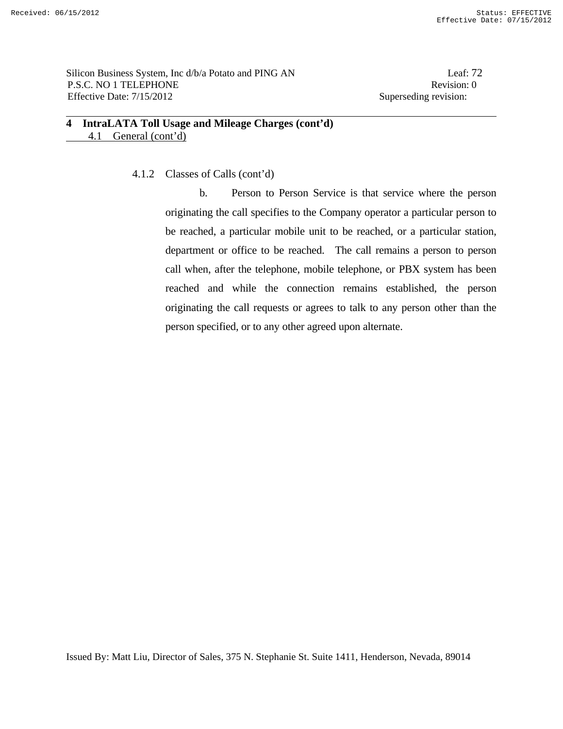Silicon Business System, Inc d/b/a Potato and PING AN Leaf: 72 P.S.C. NO 1 TELEPHONE Revision: 0 Effective Date:  $7/15/2012$  Superseding revision:

### **4 IntraLATA Toll Usage and Mileage Charges (cont'd)**  4.1 General (cont'd)

# 4.1.2 Classes of Calls (cont'd)

 b. Person to Person Service is that service where the person originating the call specifies to the Company operator a particular person to be reached, a particular mobile unit to be reached, or a particular station, department or office to be reached. The call remains a person to person call when, after the telephone, mobile telephone, or PBX system has been reached and while the connection remains established, the person originating the call requests or agrees to talk to any person other than the person specified, or to any other agreed upon alternate.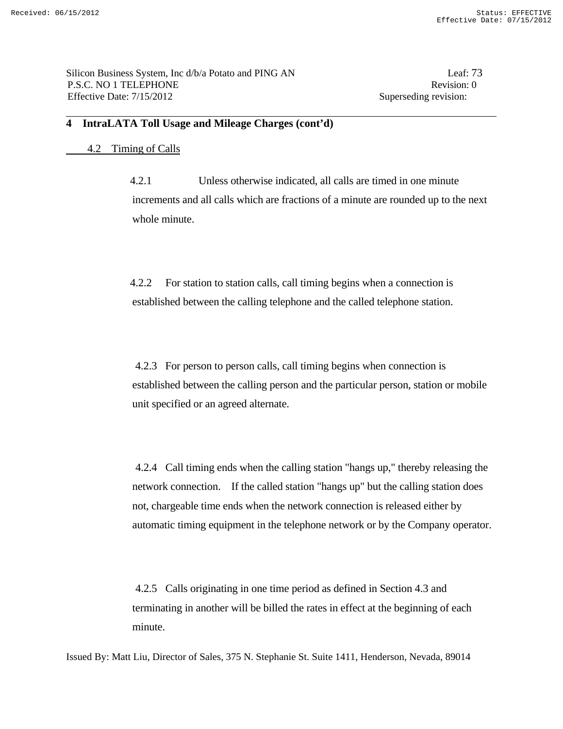### **4 IntraLATA Toll Usage and Mileage Charges (cont'd)**

### 4.2 Timing of Calls

 4.2.1 Unless otherwise indicated, all calls are timed in one minute increments and all calls which are fractions of a minute are rounded up to the next whole minute.

 4.2.2 For station to station calls, call timing begins when a connection is established between the calling telephone and the called telephone station.

 4.2.3 For person to person calls, call timing begins when connection is established between the calling person and the particular person, station or mobile unit specified or an agreed alternate.

 4.2.4 Call timing ends when the calling station "hangs up," thereby releasing the network connection. If the called station "hangs up" but the calling station does not, chargeable time ends when the network connection is released either by automatic timing equipment in the telephone network or by the Company operator.

 4.2.5 Calls originating in one time period as defined in Section 4.3 and terminating in another will be billed the rates in effect at the beginning of each minute.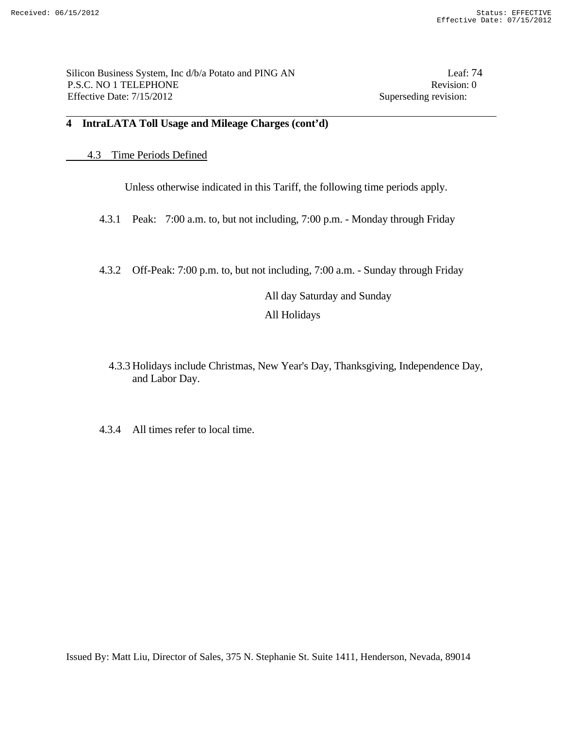# **4 IntraLATA Toll Usage and Mileage Charges (cont'd)**

### 4.3 Time Periods Defined

Unless otherwise indicated in this Tariff, the following time periods apply.

4.3.1 Peak: 7:00 a.m. to, but not including, 7:00 p.m. - Monday through Friday

4.3.2 Off-Peak: 7:00 p.m. to, but not including, 7:00 a.m. - Sunday through Friday

 All day Saturday and Sunday All Holidays

- 4.3.3 Holidays include Christmas, New Year's Day, Thanksgiving, Independence Day, and Labor Day.
- 4.3.4 All times refer to local time.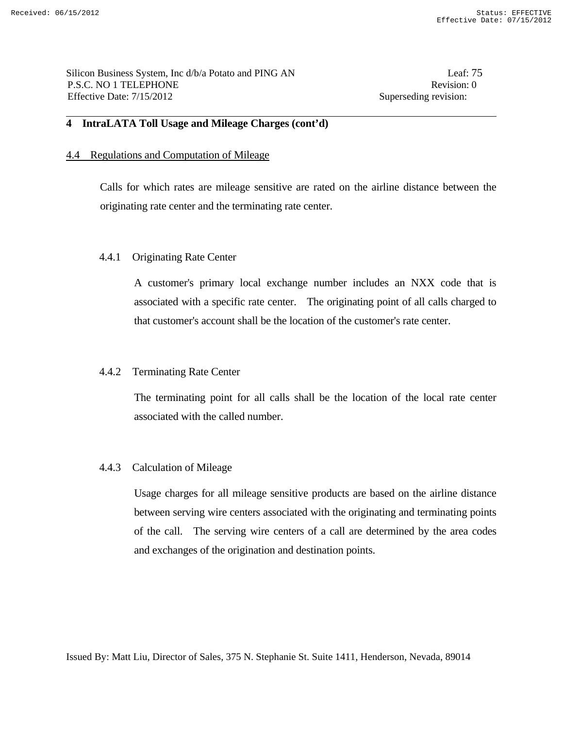Silicon Business System, Inc d/b/a Potato and PING AN Leaf: 75 P.S.C. NO 1 TELEPHONE Revision: 0 Effective Date: 7/15/2012 Superseding revision:

### **4 IntraLATA Toll Usage and Mileage Charges (cont'd)**

#### 4.4 Regulations and Computation of Mileage

 Calls for which rates are mileage sensitive are rated on the airline distance between the originating rate center and the terminating rate center.

#### 4.4.1 Originating Rate Center

A customer's primary local exchange number includes an NXX code that is associated with a specific rate center. The originating point of all calls charged to that customer's account shall be the location of the customer's rate center.

#### 4.4.2 Terminating Rate Center

The terminating point for all calls shall be the location of the local rate center associated with the called number.

#### 4.4.3 Calculation of Mileage

Usage charges for all mileage sensitive products are based on the airline distance between serving wire centers associated with the originating and terminating points of the call. The serving wire centers of a call are determined by the area codes and exchanges of the origination and destination points.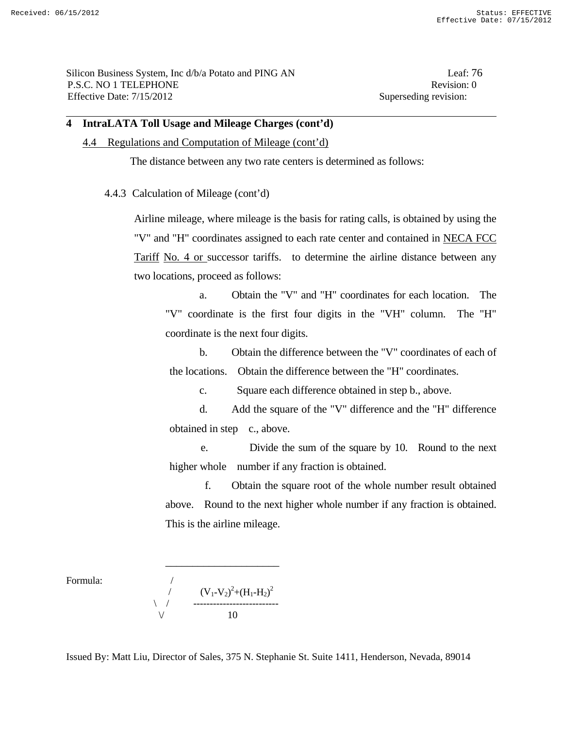### **4 IntraLATA Toll Usage and Mileage Charges (cont'd)**

4.4 Regulations and Computation of Mileage (cont'd)

The distance between any two rate centers is determined as follows:

4.4.3 Calculation of Mileage (cont'd)

 Airline mileage, where mileage is the basis for rating calls, is obtained by using the "V" and "H" coordinates assigned to each rate center and contained in NECA FCC Tariff No. 4 or successor tariffs. to determine the airline distance between any two locations, proceed as follows:

 a. Obtain the "V" and "H" coordinates for each location. The "V" coordinate is the first four digits in the "VH" column. The "H" coordinate is the next four digits.

 b. Obtain the difference between the "V" coordinates of each of the locations. Obtain the difference between the "H" coordinates.

c. Square each difference obtained in step b., above.

 d. Add the square of the "V" difference and the "H" difference obtained in step c., above.

 e. Divide the sum of the square by 10. Round to the next higher whole number if any fraction is obtained.

 f. Obtain the square root of the whole number result obtained above. Round to the next higher whole number if any fraction is obtained. This is the airline mileage.

Formula:

 $(V_1-V_2)^2+(H_1-H_2)^2$  \ / --------------------------  $\lor$  10

\_\_\_\_\_\_\_\_\_\_\_\_\_\_\_\_\_\_\_\_\_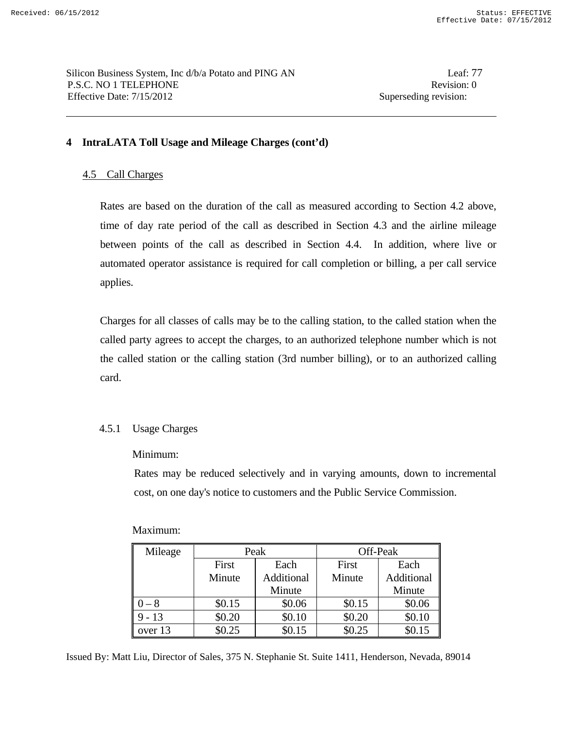### **4 IntraLATA Toll Usage and Mileage Charges (cont'd)**

### 4.5 Call Charges

 Rates are based on the duration of the call as measured according to Section 4.2 above, time of day rate period of the call as described in Section 4.3 and the airline mileage between points of the call as described in Section 4.4. In addition, where live or automated operator assistance is required for call completion or billing, a per call service applies.

 Charges for all classes of calls may be to the calling station, to the called station when the called party agrees to accept the charges, to an authorized telephone number which is not the called station or the calling station (3rd number billing), or to an authorized calling card.

### 4.5.1 Usage Charges

#### Minimum:

Rates may be reduced selectively and in varying amounts, down to incremental cost, on one day's notice to customers and the Public Service Commission.

| Mileage  | Peak   |            | Off-Peak |            |
|----------|--------|------------|----------|------------|
|          | First  | Each       | First    | Each       |
|          | Minute | Additional | Minute   | Additional |
|          |        | Minute     |          | Minute     |
| $0 - 8$  | \$0.15 | \$0.06     | \$0.15   | \$0.06     |
| $9 - 13$ | \$0.20 | \$0.10     | \$0.20   | \$0.10     |
| over 13  | 60.25  | \$0.15     | \$0.25   | \$0.15     |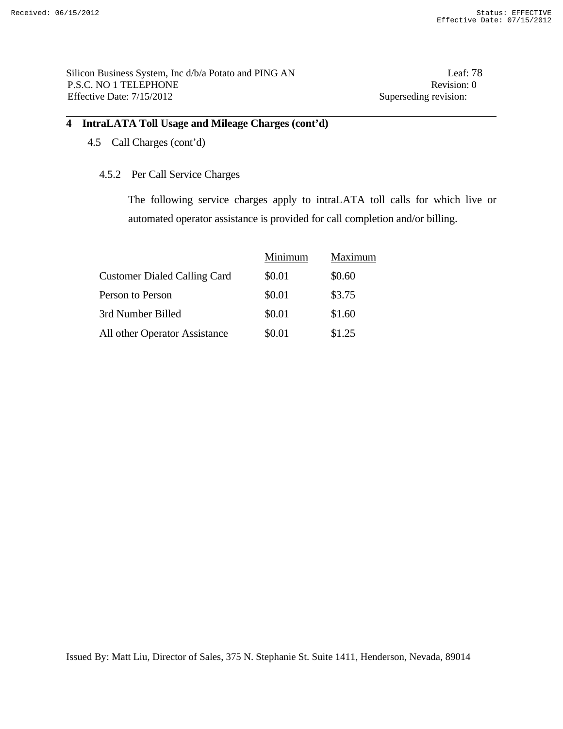Silicon Business System, Inc d/b/a Potato and PING AN Leaf: 78 P.S.C. NO 1 TELEPHONE Revision: 0 Effective Date:  $7/15/2012$  Superseding revision:

# **4 IntraLATA Toll Usage and Mileage Charges (cont'd)**

- 4.5 Call Charges (cont'd)
	- 4.5.2 Per Call Service Charges

 The following service charges apply to intraLATA toll calls for which live or automated operator assistance is provided for call completion and/or billing.

|                                     | Minimum | Maximum |
|-------------------------------------|---------|---------|
| <b>Customer Dialed Calling Card</b> | \$0.01  | \$0.60  |
| Person to Person                    | \$0.01  | \$3.75  |
| 3rd Number Billed                   | \$0.01  | \$1.60  |
| All other Operator Assistance       | \$0.01  | \$1.25  |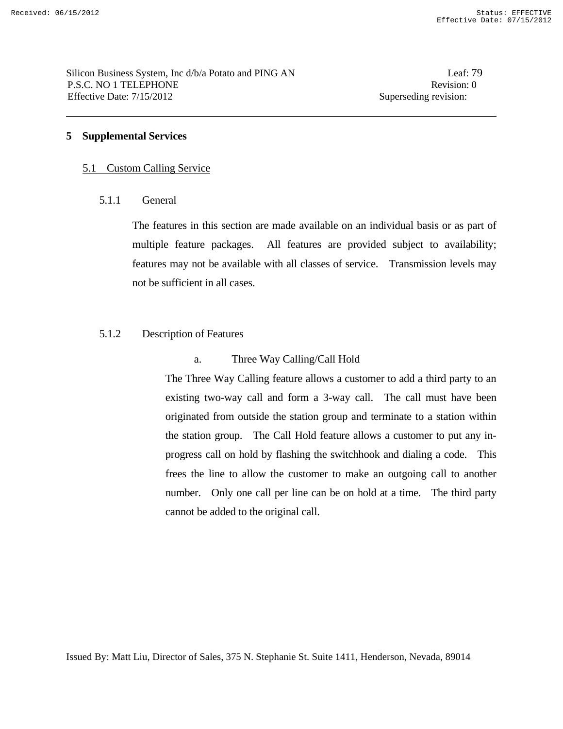### **5 Supplemental Services**

### 5.1 Custom Calling Service

### 5.1.1 General

The features in this section are made available on an individual basis or as part of multiple feature packages. All features are provided subject to availability; features may not be available with all classes of service. Transmission levels may not be sufficient in all cases.

### 5.1.2 Description of Features

### a. Three Way Calling/Call Hold

The Three Way Calling feature allows a customer to add a third party to an existing two-way call and form a 3-way call. The call must have been originated from outside the station group and terminate to a station within the station group. The Call Hold feature allows a customer to put any inprogress call on hold by flashing the switchhook and dialing a code. This frees the line to allow the customer to make an outgoing call to another number. Only one call per line can be on hold at a time. The third party cannot be added to the original call.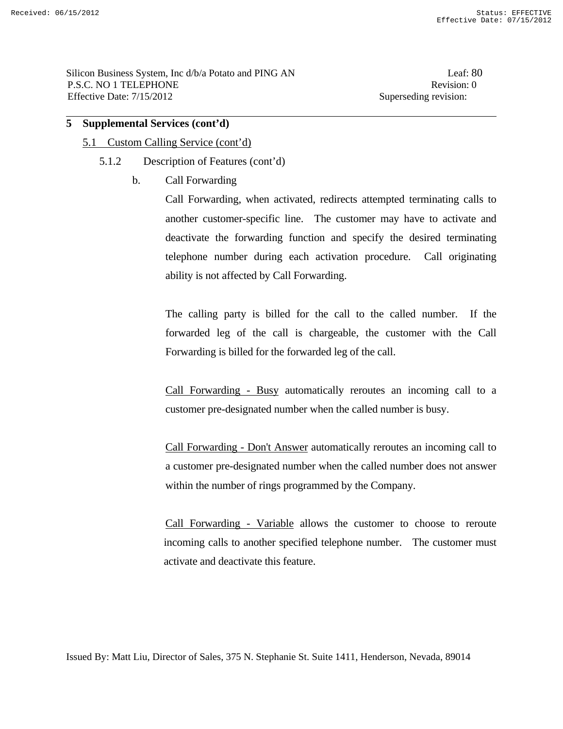Silicon Business System, Inc d/b/a Potato and PING AN Leaf: 80 P.S.C. NO 1 TELEPHONE Revision: 0 Effective Date: 7/15/2012 Superseding revision:

#### **5 Supplemental Services (cont'd)**

### 5.1 Custom Calling Service (cont'd)

- 5.1.2 Description of Features (cont'd)
	- b. Call Forwarding

 Call Forwarding, when activated, redirects attempted terminating calls to another customer-specific line. The customer may have to activate and deactivate the forwarding function and specify the desired terminating telephone number during each activation procedure. Call originating ability is not affected by Call Forwarding.

 The calling party is billed for the call to the called number. If the forwarded leg of the call is chargeable, the customer with the Call Forwarding is billed for the forwarded leg of the call.

 Call Forwarding - Busy automatically reroutes an incoming call to a customer pre-designated number when the called number is busy.

 Call Forwarding - Don't Answer automatically reroutes an incoming call to a customer pre-designated number when the called number does not answer within the number of rings programmed by the Company.

 Call Forwarding - Variable allows the customer to choose to reroute incoming calls to another specified telephone number. The customer must activate and deactivate this feature.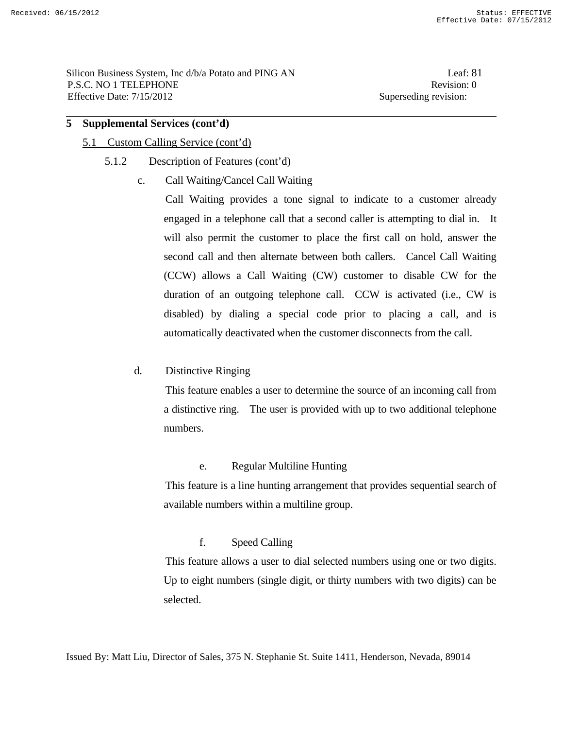Silicon Business System, Inc d/b/a Potato and PING AN Leaf: 81 P.S.C. NO 1 TELEPHONE Revision: 0 Effective Date: 7/15/2012 Superseding revision:

### **5 Supplemental Services (cont'd)**

#### 5.1 Custom Calling Service (cont'd)

- 5.1.2 Description of Features (cont'd)
	- c. Call Waiting/Cancel Call Waiting

 Call Waiting provides a tone signal to indicate to a customer already engaged in a telephone call that a second caller is attempting to dial in. It will also permit the customer to place the first call on hold, answer the second call and then alternate between both callers. Cancel Call Waiting (CCW) allows a Call Waiting (CW) customer to disable CW for the duration of an outgoing telephone call. CCW is activated (i.e., CW is disabled) by dialing a special code prior to placing a call, and is automatically deactivated when the customer disconnects from the call.

#### d. Distinctive Ringing

 This feature enables a user to determine the source of an incoming call from a distinctive ring. The user is provided with up to two additional telephone numbers.

### e. Regular Multiline Hunting

 This feature is a line hunting arrangement that provides sequential search of available numbers within a multiline group.

#### f. Speed Calling

 This feature allows a user to dial selected numbers using one or two digits. Up to eight numbers (single digit, or thirty numbers with two digits) can be selected.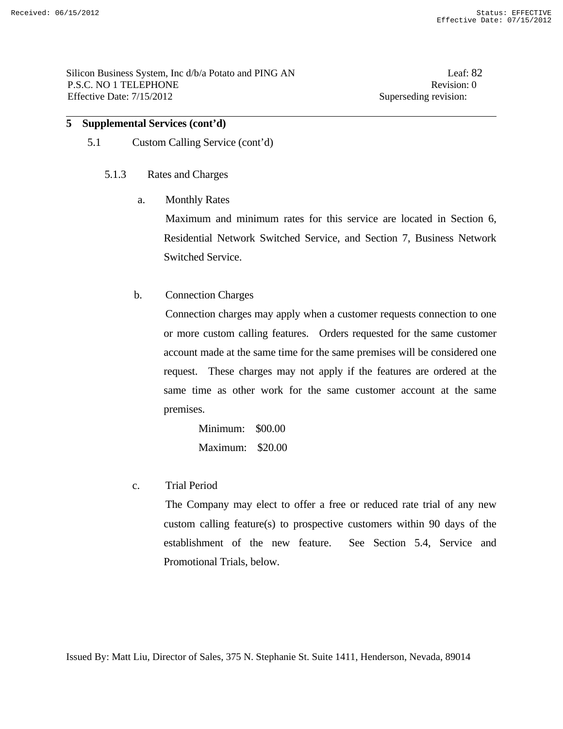Silicon Business System, Inc d/b/a Potato and PING AN Leaf: 82 P.S.C. NO 1 TELEPHONE Revision: 0 Effective Date: 7/15/2012 Superseding revision:

# **5 Supplemental Services (cont'd)**

- 5.1 Custom Calling Service (cont'd)
	- 5.1.3 Rates and Charges
		- a. Monthly Rates

 Maximum and minimum rates for this service are located in Section 6, Residential Network Switched Service, and Section 7, Business Network Switched Service.

b. Connection Charges

 Connection charges may apply when a customer requests connection to one or more custom calling features. Orders requested for the same customer account made at the same time for the same premises will be considered one request. These charges may not apply if the features are ordered at the same time as other work for the same customer account at the same premises.

 Minimum: \$00.00 Maximum: \$20.00

c. Trial Period

 The Company may elect to offer a free or reduced rate trial of any new custom calling feature(s) to prospective customers within 90 days of the establishment of the new feature. See Section 5.4, Service and Promotional Trials, below.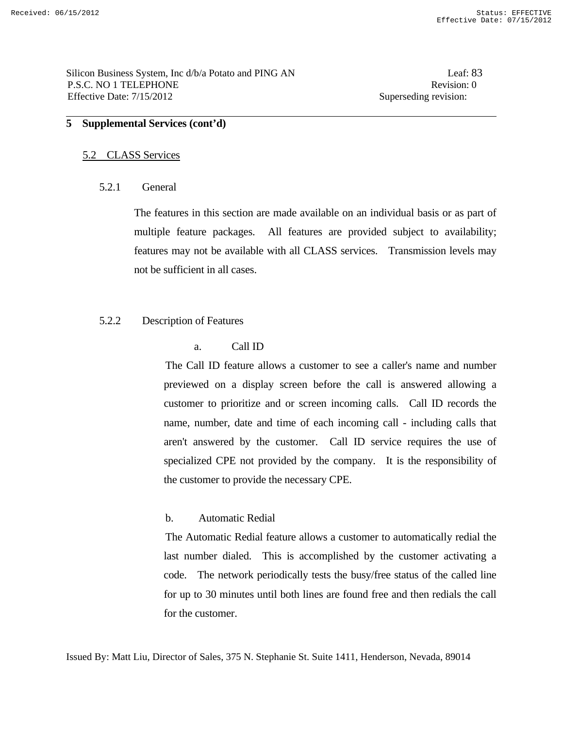### 5.2 CLASS Services

### 5.2.1 General

The features in this section are made available on an individual basis or as part of multiple feature packages. All features are provided subject to availability; features may not be available with all CLASS services. Transmission levels may not be sufficient in all cases.

### 5.2.2 Description of Features

#### a. Call ID

 The Call ID feature allows a customer to see a caller's name and number previewed on a display screen before the call is answered allowing a customer to prioritize and or screen incoming calls. Call ID records the name, number, date and time of each incoming call - including calls that aren't answered by the customer. Call ID service requires the use of specialized CPE not provided by the company. It is the responsibility of the customer to provide the necessary CPE.

### b. Automatic Redial

 The Automatic Redial feature allows a customer to automatically redial the last number dialed. This is accomplished by the customer activating a code. The network periodically tests the busy/free status of the called line for up to 30 minutes until both lines are found free and then redials the call for the customer.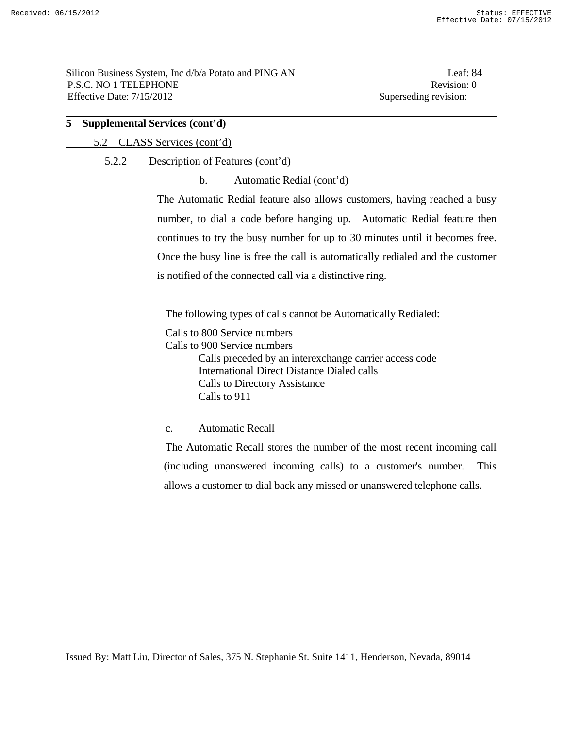Silicon Business System, Inc d/b/a Potato and PING AN Leaf: 84 P.S.C. NO 1 TELEPHONE Revision: 0 Effective Date: 7/15/2012 Superseding revision:

# **5 Supplemental Services (cont'd)**

### 5.2 CLASS Services (cont'd)

### 5.2.2 Description of Features (cont'd)

b. Automatic Redial (cont'd)

 The Automatic Redial feature also allows customers, having reached a busy number, to dial a code before hanging up. Automatic Redial feature then continues to try the busy number for up to 30 minutes until it becomes free. Once the busy line is free the call is automatically redialed and the customer is notified of the connected call via a distinctive ring.

The following types of calls cannot be Automatically Redialed:

 Calls to 800 Service numbers Calls to 900 Service numbers Calls preceded by an interexchange carrier access code International Direct Distance Dialed calls Calls to Directory Assistance Calls to 911

c. Automatic Recall

 The Automatic Recall stores the number of the most recent incoming call (including unanswered incoming calls) to a customer's number. This allows a customer to dial back any missed or unanswered telephone calls.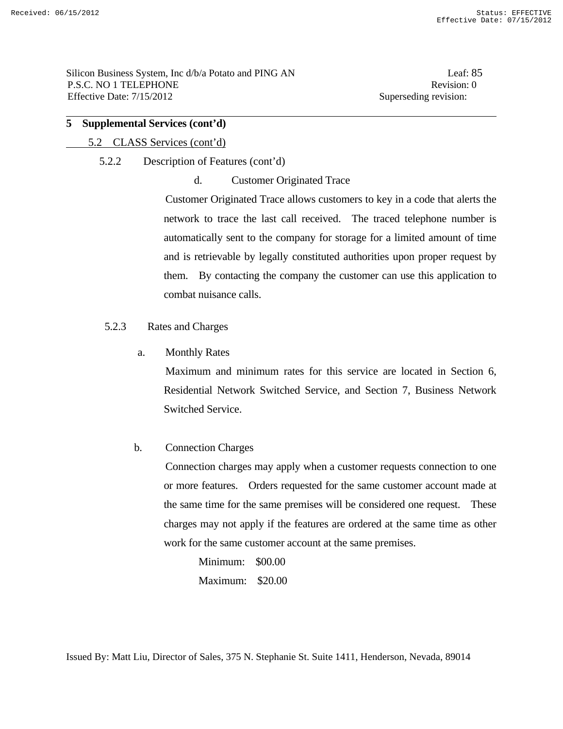### 5.2 CLASS Services (cont'd)

5.2.2 Description of Features (cont'd)

d. Customer Originated Trace

 Customer Originated Trace allows customers to key in a code that alerts the network to trace the last call received. The traced telephone number is automatically sent to the company for storage for a limited amount of time and is retrievable by legally constituted authorities upon proper request by them. By contacting the company the customer can use this application to combat nuisance calls.

### 5.2.3 Rates and Charges

### a. Monthly Rates

 Maximum and minimum rates for this service are located in Section 6, Residential Network Switched Service, and Section 7, Business Network Switched Service.

### b. Connection Charges

 Connection charges may apply when a customer requests connection to one or more features. Orders requested for the same customer account made at the same time for the same premises will be considered one request. These charges may not apply if the features are ordered at the same time as other work for the same customer account at the same premises.

> Minimum: \$00.00 Maximum: \$20.00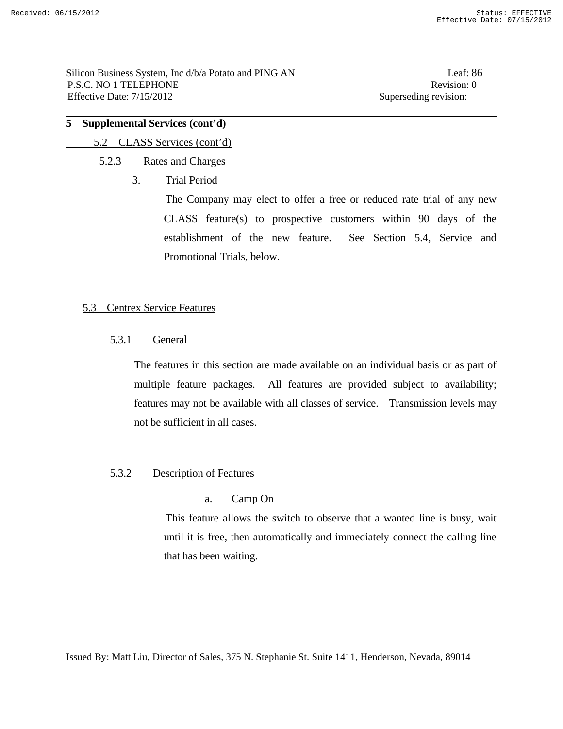- 5.2 CLASS Services (cont'd)
	- 5.2.3 Rates and Charges
		- 3. Trial Period

 The Company may elect to offer a free or reduced rate trial of any new CLASS feature(s) to prospective customers within 90 days of the establishment of the new feature. See Section 5.4, Service and Promotional Trials, below.

### 5.3 Centrex Service Features

5.3.1 General

 The features in this section are made available on an individual basis or as part of multiple feature packages. All features are provided subject to availability; features may not be available with all classes of service. Transmission levels may not be sufficient in all cases.

- 5.3.2 Description of Features
	- a. Camp On

 This feature allows the switch to observe that a wanted line is busy, wait until it is free, then automatically and immediately connect the calling line that has been waiting.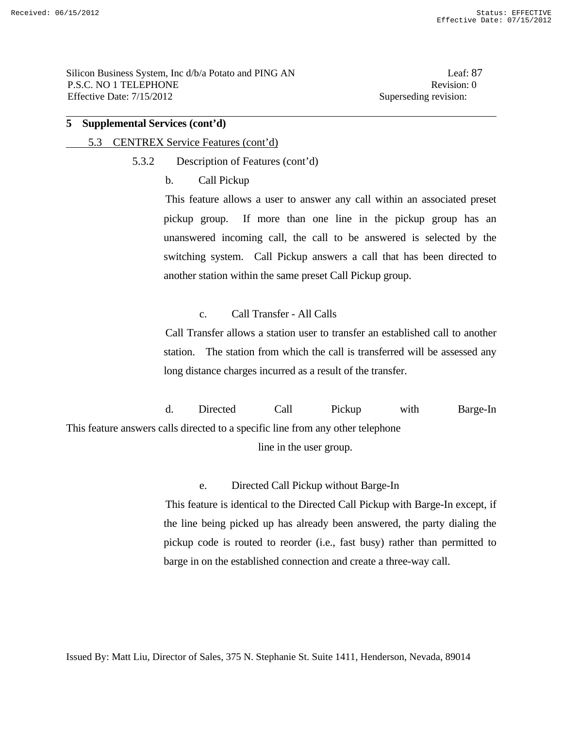Silicon Business System, Inc d/b/a Potato and PING AN Leaf: 87 P.S.C. NO 1 TELEPHONE Revision: 0 Effective Date: 7/15/2012 Superseding revision:

# **5 Supplemental Services (cont'd)**

#### 5.3 CENTREX Service Features (cont'd)

- 5.3.2 Description of Features (cont'd)
	- b. Call Pickup

 This feature allows a user to answer any call within an associated preset pickup group. If more than one line in the pickup group has an unanswered incoming call, the call to be answered is selected by the switching system. Call Pickup answers a call that has been directed to another station within the same preset Call Pickup group.

### c. Call Transfer - All Calls

 Call Transfer allows a station user to transfer an established call to another station. The station from which the call is transferred will be assessed any long distance charges incurred as a result of the transfer.

 d. Directed Call Pickup with Barge-In This feature answers calls directed to a specific line from any other telephone line in the user group.

#### e. Directed Call Pickup without Barge-In

 This feature is identical to the Directed Call Pickup with Barge-In except, if the line being picked up has already been answered, the party dialing the pickup code is routed to reorder (i.e., fast busy) rather than permitted to barge in on the established connection and create a three-way call.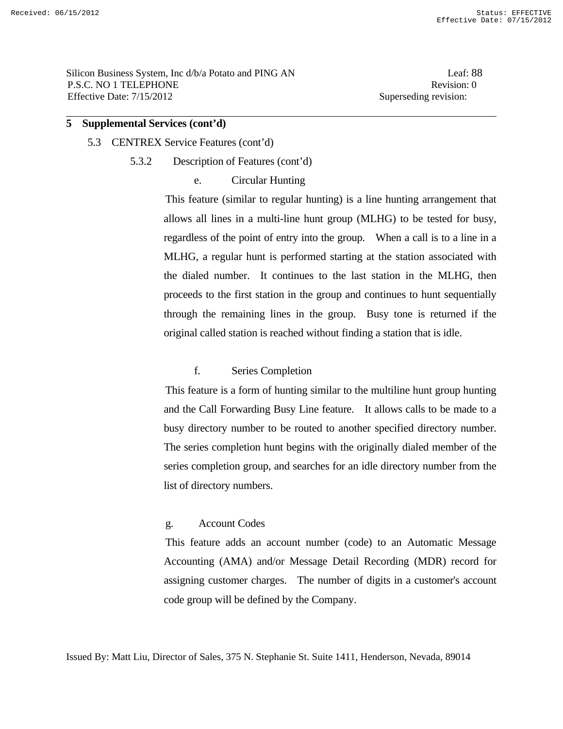#### 5.3 CENTREX Service Features (cont'd)

- 5.3.2 Description of Features (cont'd)
	- e. Circular Hunting

 This feature (similar to regular hunting) is a line hunting arrangement that allows all lines in a multi-line hunt group (MLHG) to be tested for busy, regardless of the point of entry into the group. When a call is to a line in a MLHG, a regular hunt is performed starting at the station associated with the dialed number. It continues to the last station in the MLHG, then proceeds to the first station in the group and continues to hunt sequentially through the remaining lines in the group. Busy tone is returned if the original called station is reached without finding a station that is idle.

### f. Series Completion

 This feature is a form of hunting similar to the multiline hunt group hunting and the Call Forwarding Busy Line feature. It allows calls to be made to a busy directory number to be routed to another specified directory number. The series completion hunt begins with the originally dialed member of the series completion group, and searches for an idle directory number from the list of directory numbers.

### g. Account Codes

 This feature adds an account number (code) to an Automatic Message Accounting (AMA) and/or Message Detail Recording (MDR) record for assigning customer charges. The number of digits in a customer's account code group will be defined by the Company.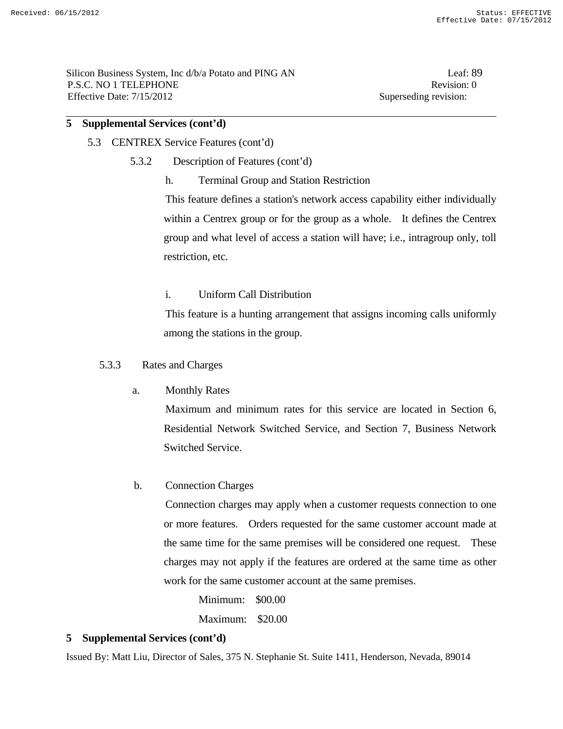### 5.3 CENTREX Service Features (cont'd)

- 5.3.2 Description of Features (cont'd)
	- h. Terminal Group and Station Restriction

 This feature defines a station's network access capability either individually within a Centrex group or for the group as a whole. It defines the Centrex group and what level of access a station will have; i.e., intragroup only, toll restriction, etc.

i. Uniform Call Distribution

 This feature is a hunting arrangement that assigns incoming calls uniformly among the stations in the group.

#### 5.3.3 Rates and Charges

a. Monthly Rates

 Maximum and minimum rates for this service are located in Section 6, Residential Network Switched Service, and Section 7, Business Network Switched Service.

b. Connection Charges

 Connection charges may apply when a customer requests connection to one or more features. Orders requested for the same customer account made at the same time for the same premises will be considered one request. These charges may not apply if the features are ordered at the same time as other work for the same customer account at the same premises.

 Minimum: \$00.00 Maximum: \$20.00

### **5 Supplemental Services (cont'd)**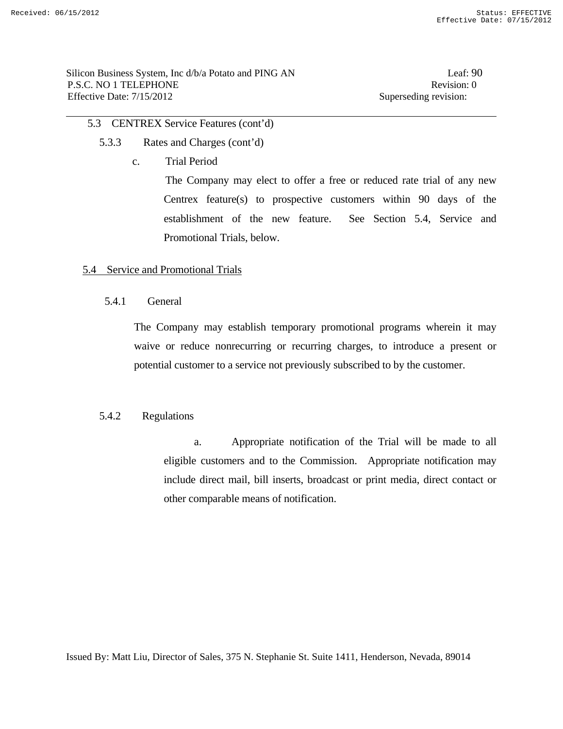# 5.3 CENTREX Service Features (cont'd)

- 5.3.3 Rates and Charges (cont'd)
	- c. Trial Period

 The Company may elect to offer a free or reduced rate trial of any new Centrex feature(s) to prospective customers within 90 days of the establishment of the new feature. See Section 5.4, Service and Promotional Trials, below.

### 5.4 Service and Promotional Trials

5.4.1 General

 The Company may establish temporary promotional programs wherein it may waive or reduce nonrecurring or recurring charges, to introduce a present or potential customer to a service not previously subscribed to by the customer.

#### 5.4.2 Regulations

 a. Appropriate notification of the Trial will be made to all eligible customers and to the Commission. Appropriate notification may include direct mail, bill inserts, broadcast or print media, direct contact or other comparable means of notification.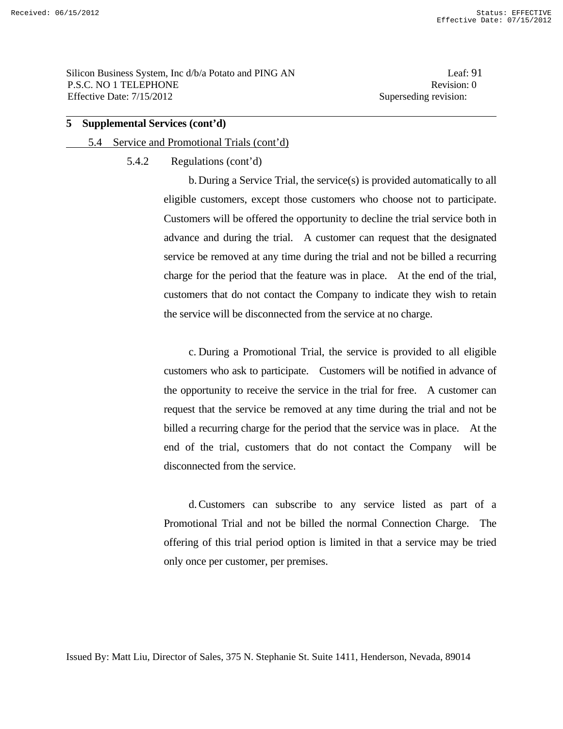#### 5.4 Service and Promotional Trials (cont'd)

#### 5.4.2 Regulations (cont'd)

 b. During a Service Trial, the service(s) is provided automatically to all eligible customers, except those customers who choose not to participate. Customers will be offered the opportunity to decline the trial service both in advance and during the trial. A customer can request that the designated service be removed at any time during the trial and not be billed a recurring charge for the period that the feature was in place. At the end of the trial, customers that do not contact the Company to indicate they wish to retain the service will be disconnected from the service at no charge.

 c. During a Promotional Trial, the service is provided to all eligible customers who ask to participate. Customers will be notified in advance of the opportunity to receive the service in the trial for free. A customer can request that the service be removed at any time during the trial and not be billed a recurring charge for the period that the service was in place. At the end of the trial, customers that do not contact the Company will be disconnected from the service.

 d. Customers can subscribe to any service listed as part of a Promotional Trial and not be billed the normal Connection Charge. The offering of this trial period option is limited in that a service may be tried only once per customer, per premises.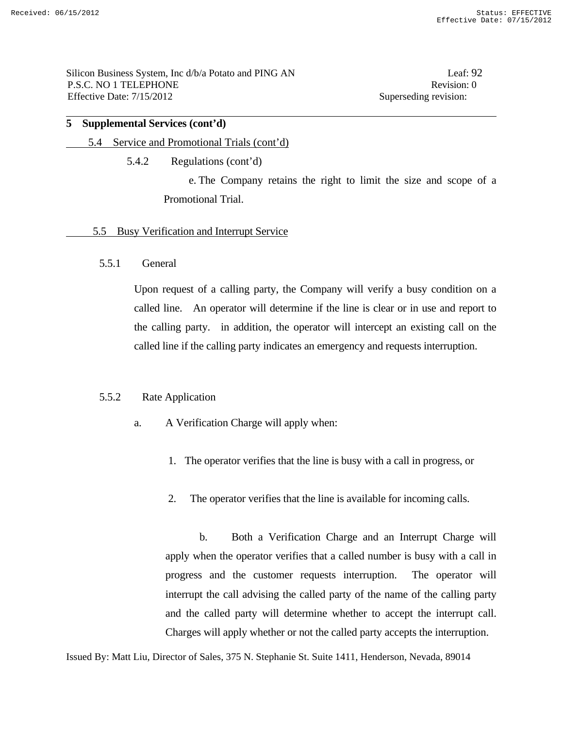Silicon Business System, Inc d/b/a Potato and PING AN Leaf: 92 P.S.C. NO 1 TELEPHONE Revision: 0 Effective Date: 7/15/2012 Superseding revision:

### **5 Supplemental Services (cont'd)**

#### 5.4 Service and Promotional Trials (cont'd)

5.4.2 Regulations (cont'd)

 e. The Company retains the right to limit the size and scope of a Promotional Trial.

#### 5.5 Busy Verification and Interrupt Service

5.5.1 General

Upon request of a calling party, the Company will verify a busy condition on a called line. An operator will determine if the line is clear or in use and report to the calling party. in addition, the operator will intercept an existing call on the called line if the calling party indicates an emergency and requests interruption.

#### 5.5.2 Rate Application

- a. A Verification Charge will apply when:
	- 1. The operator verifies that the line is busy with a call in progress, or
	- 2. The operator verifies that the line is available for incoming calls.

 b. Both a Verification Charge and an Interrupt Charge will apply when the operator verifies that a called number is busy with a call in progress and the customer requests interruption. The operator will interrupt the call advising the called party of the name of the calling party and the called party will determine whether to accept the interrupt call. Charges will apply whether or not the called party accepts the interruption.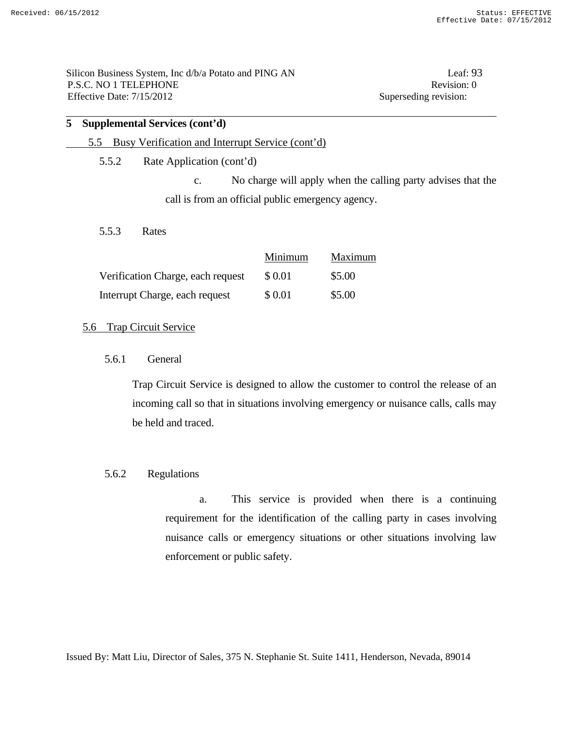Silicon Business System, Inc d/b/a Potato and PING AN Leaf: 93 P.S.C. NO 1 TELEPHONE Revision: 0 Effective Date: 7/15/2012 Superseding revision:

### **5 Supplemental Services (cont'd)**

### 5.5 Busy Verification and Interrupt Service (cont'd)

#### 5.5.2 Rate Application (cont'd)

 c. No charge will apply when the calling party advises that the call is from an official public emergency agency.

#### 5.5.3 Rates

|                                   | Minimum | Maximum |
|-----------------------------------|---------|---------|
| Verification Charge, each request | \$ 0.01 | \$5.00  |
| Interrupt Charge, each request    | \$ 0.01 | \$5.00  |

### 5.6 Trap Circuit Service

5.6.1 General

 Trap Circuit Service is designed to allow the customer to control the release of an incoming call so that in situations involving emergency or nuisance calls, calls may be held and traced.

#### 5.6.2 Regulations

 a. This service is provided when there is a continuing requirement for the identification of the calling party in cases involving nuisance calls or emergency situations or other situations involving law enforcement or public safety.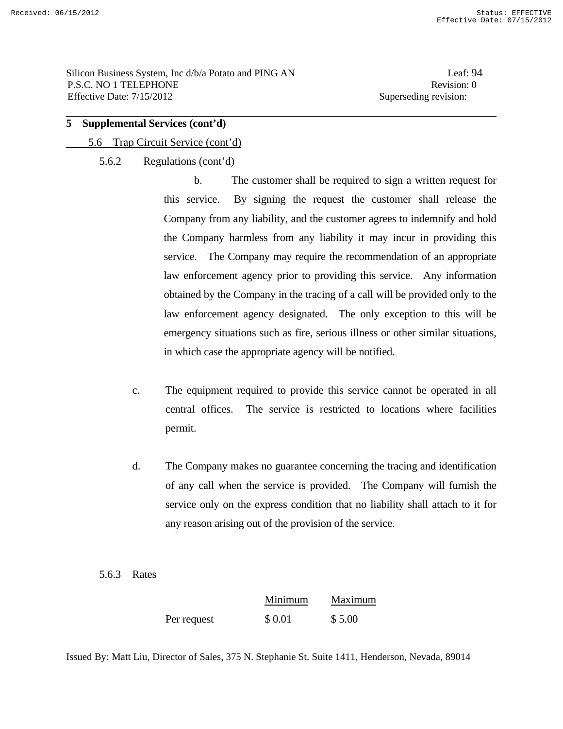### 5.6 Trap Circuit Service (cont'd)

5.6.2 Regulations (cont'd)

 b. The customer shall be required to sign a written request for this service. By signing the request the customer shall release the Company from any liability, and the customer agrees to indemnify and hold the Company harmless from any liability it may incur in providing this service. The Company may require the recommendation of an appropriate law enforcement agency prior to providing this service. Any information obtained by the Company in the tracing of a call will be provided only to the law enforcement agency designated. The only exception to this will be emergency situations such as fire, serious illness or other similar situations, in which case the appropriate agency will be notified.

- c. The equipment required to provide this service cannot be operated in all central offices. The service is restricted to locations where facilities permit.
- d. The Company makes no guarantee concerning the tracing and identification of any call when the service is provided. The Company will furnish the service only on the express condition that no liability shall attach to it for any reason arising out of the provision of the service.

#### 5.6.3 Rates

|             | Minimum | Maximum |
|-------------|---------|---------|
| Per request | \$0.01  | \$5.00  |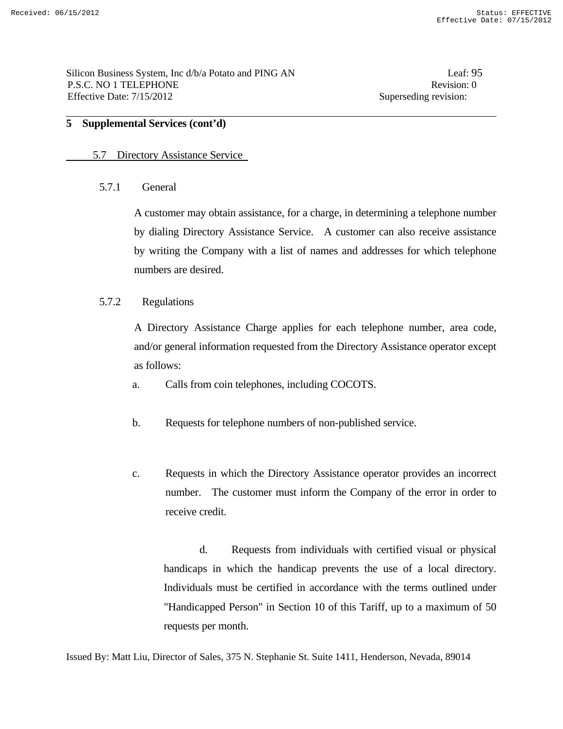### 5.7 Directory Assistance Service

### 5.7.1 General

A customer may obtain assistance, for a charge, in determining a telephone number by dialing Directory Assistance Service. A customer can also receive assistance by writing the Company with a list of names and addresses for which telephone numbers are desired.

### 5.7.2 Regulations

A Directory Assistance Charge applies for each telephone number, area code, and/or general information requested from the Directory Assistance operator except as follows:

a. Calls from coin telephones, including COCOTS.

- b. Requests for telephone numbers of non-published service.
- c. Requests in which the Directory Assistance operator provides an incorrect number. The customer must inform the Company of the error in order to receive credit.

 d. Requests from individuals with certified visual or physical handicaps in which the handicap prevents the use of a local directory. Individuals must be certified in accordance with the terms outlined under "Handicapped Person" in Section 10 of this Tariff, up to a maximum of 50 requests per month.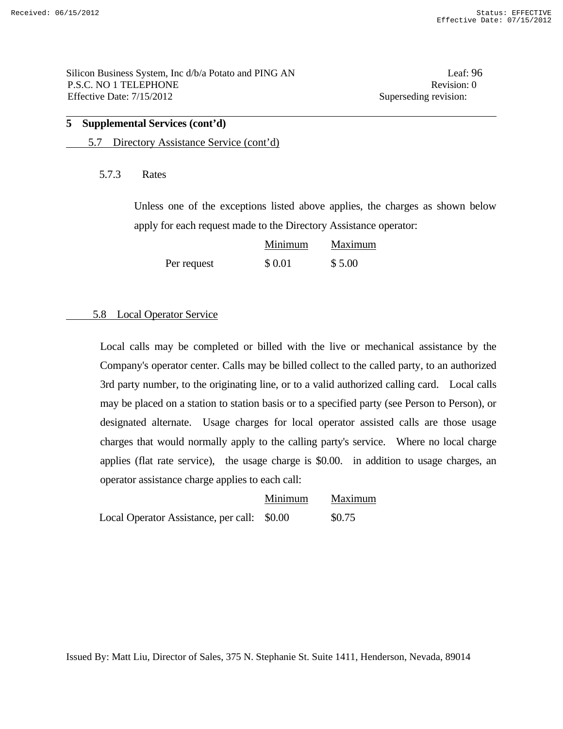Silicon Business System, Inc d/b/a Potato and PING AN Leaf: 96 P.S.C. NO 1 TELEPHONE Revision: 0 Effective Date: 7/15/2012 Superseding revision:

#### **5 Supplemental Services (cont'd)**

5.7 Directory Assistance Service (cont'd)

5.7.3 Rates

Unless one of the exceptions listed above applies, the charges as shown below apply for each request made to the Directory Assistance operator:

|             | Minimum | Maximum |
|-------------|---------|---------|
| Per request | \$0.01  | \$5.00  |

#### 5.8 Local Operator Service

 Local calls may be completed or billed with the live or mechanical assistance by the Company's operator center. Calls may be billed collect to the called party, to an authorized 3rd party number, to the originating line, or to a valid authorized calling card. Local calls may be placed on a station to station basis or to a specified party (see Person to Person), or designated alternate. Usage charges for local operator assisted calls are those usage charges that would normally apply to the calling party's service. Where no local charge applies (flat rate service), the usage charge is \$0.00. in addition to usage charges, an operator assistance charge applies to each call:

|                                             | Minimum | Maximum |
|---------------------------------------------|---------|---------|
| Local Operator Assistance, per call: \$0.00 |         | \$0.75  |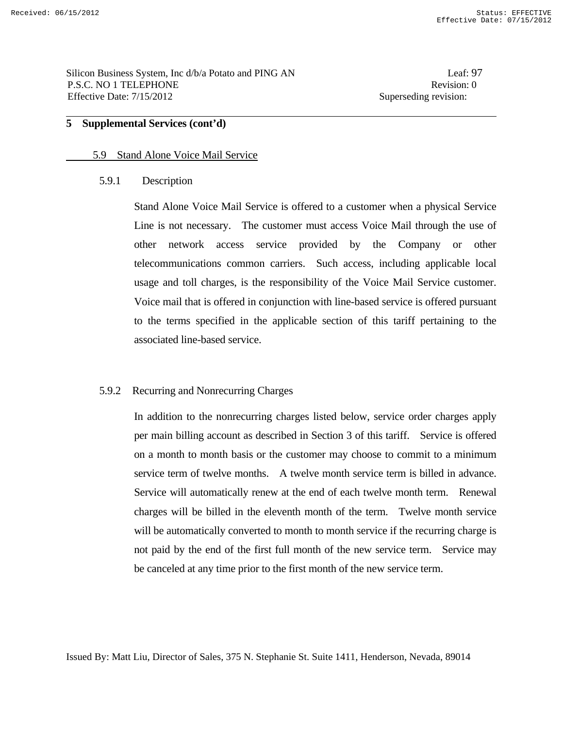#### 5.9 Stand Alone Voice Mail Service

#### 5.9.1 Description

Stand Alone Voice Mail Service is offered to a customer when a physical Service Line is not necessary. The customer must access Voice Mail through the use of other network access service provided by the Company or other telecommunications common carriers. Such access, including applicable local usage and toll charges, is the responsibility of the Voice Mail Service customer. Voice mail that is offered in conjunction with line-based service is offered pursuant to the terms specified in the applicable section of this tariff pertaining to the associated line-based service.

#### 5.9.2 Recurring and Nonrecurring Charges

In addition to the nonrecurring charges listed below, service order charges apply per main billing account as described in Section 3 of this tariff. Service is offered on a month to month basis or the customer may choose to commit to a minimum service term of twelve months. A twelve month service term is billed in advance. Service will automatically renew at the end of each twelve month term. Renewal charges will be billed in the eleventh month of the term. Twelve month service will be automatically converted to month to month service if the recurring charge is not paid by the end of the first full month of the new service term. Service may be canceled at any time prior to the first month of the new service term.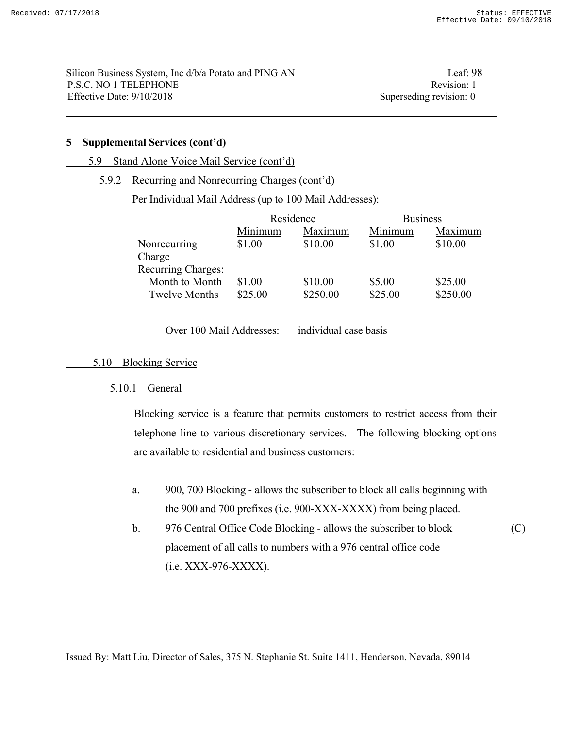Silicon Business System, Inc d/b/a Potato and PING AN Leaf: 98 P.S.C. NO 1 TELEPHONE Revision: 1 Effective Date:  $9/10/2018$  Superseding revision: 0

# **5 Supplemental Services (cont'd)**

#### 5.9 Stand Alone Voice Mail Service (cont'd)

5.9.2 Recurring and Nonrecurring Charges (cont'd)

Per Individual Mail Address (up to 100 Mail Addresses):

|                           | Residence |          | <b>Business</b> |          |
|---------------------------|-----------|----------|-----------------|----------|
|                           | Minimum   | Maximum  | Minimum         | Maximum  |
| Nonrecurring              | \$1.00    | \$10.00  | \$1.00          | \$10.00  |
| Charge                    |           |          |                 |          |
| <b>Recurring Charges:</b> |           |          |                 |          |
| Month to Month            | \$1.00    | \$10.00  | \$5.00          | \$25.00  |
| <b>Twelve Months</b>      | \$25.00   | \$250.00 | \$25.00         | \$250.00 |

Over 100 Mail Addresses: individual case basis

#### 5.10 Blocking Service

#### 5.10.1 General

 Blocking service is a feature that permits customers to restrict access from their telephone line to various discretionary services. The following blocking options are available to residential and business customers:

- a. 900, 700 Blocking allows the subscriber to block all calls beginning with the 900 and 700 prefixes (i.e. 900-XXX-XXXX) from being placed.
- b. 976 Central Office Code Blocking allows the subscriber to block (C) placement of all calls to numbers with a 976 central office code (i.e. XXX-976-XXXX).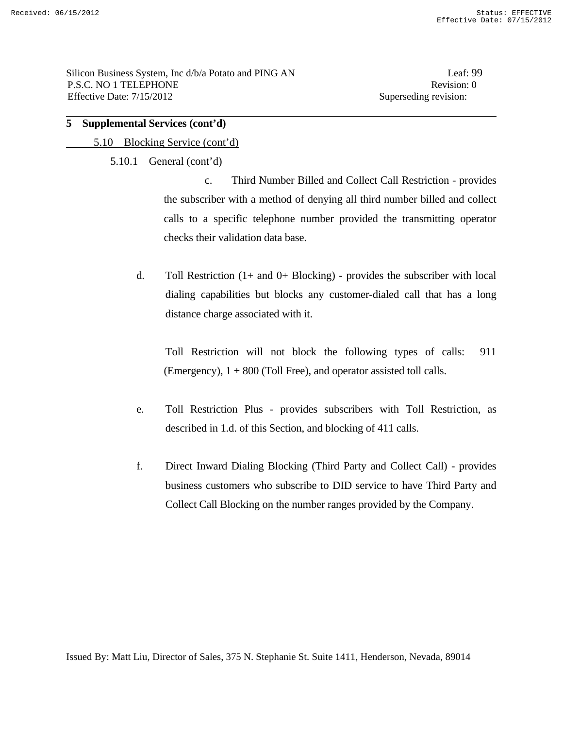5.10 Blocking Service (cont'd)

5.10.1 General (cont'd)

 c. Third Number Billed and Collect Call Restriction - provides the subscriber with a method of denying all third number billed and collect calls to a specific telephone number provided the transmitting operator checks their validation data base.

d. Toll Restriction (1+ and 0+ Blocking) - provides the subscriber with local dialing capabilities but blocks any customer-dialed call that has a long distance charge associated with it.

 Toll Restriction will not block the following types of calls: 911 (Emergency),  $1 + 800$  (Toll Free), and operator assisted toll calls.

- e. Toll Restriction Plus provides subscribers with Toll Restriction, as described in 1.d. of this Section, and blocking of 411 calls.
- f. Direct Inward Dialing Blocking (Third Party and Collect Call) provides business customers who subscribe to DID service to have Third Party and Collect Call Blocking on the number ranges provided by the Company.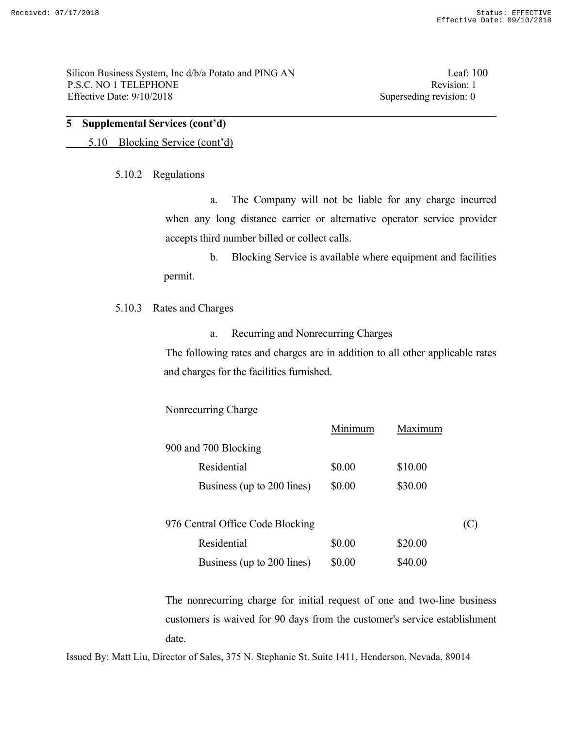Silicon Business System, Inc d/b/a Potato and PING AN Leaf: 100 P.S.C. NO 1 TELEPHONE Revision: 1 Effective Date:  $9/10/2018$  Superseding revision: 0

# **5 Supplemental Services (cont'd)**

5.10 Blocking Service (cont'd)

#### 5.10.2 Regulations

 a. The Company will not be liable for any charge incurred when any long distance carrier or alternative operator service provider accepts third number billed or collect calls.

 b. Blocking Service is available where equipment and facilities permit.

5.10.3 Rates and Charges

a. Recurring and Nonrecurring Charges

 The following rates and charges are in addition to all other applicable rates and charges for the facilities furnished.

Nonrecurring Charge

|                                  | Minimum | Maximum |     |
|----------------------------------|---------|---------|-----|
| 900 and 700 Blocking             |         |         |     |
| Residential                      | \$0.00  | \$10.00 |     |
| Business (up to 200 lines)       | \$0.00  | \$30.00 |     |
|                                  |         |         |     |
| 976 Central Office Code Blocking |         |         | (C) |
| Residential                      | \$0.00  | \$20.00 |     |
| Business (up to 200 lines)       | \$0.00  | \$40.00 |     |
|                                  |         |         |     |

 The nonrecurring charge for initial request of one and two-line business customers is waived for 90 days from the customer's service establishment date.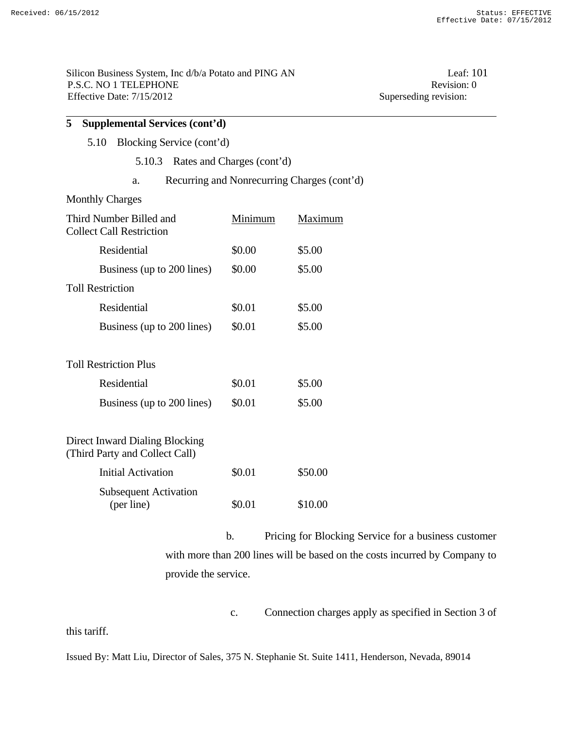Silicon Business System, Inc d/b/a Potato and PING AN Leaf: 101 P.S.C. NO 1 TELEPHONE Revision: 0 Effective Date:  $7/15/2012$  Superseding revision:

# **5 Supplemental Services (cont'd)**

# 5.10 Blocking Service (cont'd)

5.10.3 Rates and Charges (cont'd)

a. Recurring and Nonrecurring Charges (cont'd)

### Monthly Charges

| Third Number Billed and<br><b>Collect Call Restriction</b>       | Minimum | Maximum |
|------------------------------------------------------------------|---------|---------|
| Residential                                                      | \$0.00  | \$5.00  |
| Business (up to 200 lines)                                       | \$0.00  | \$5.00  |
| <b>Toll Restriction</b>                                          |         |         |
| Residential                                                      | \$0.01  | \$5.00  |
| Business (up to 200 lines)                                       | \$0.01  | \$5.00  |
| <b>Toll Restriction Plus</b>                                     |         |         |
| Residential                                                      | \$0.01  | \$5.00  |
| Business (up to 200 lines)                                       | \$0.01  | \$5.00  |
| Direct Inward Dialing Blocking<br>(Third Party and Collect Call) |         |         |
| <b>Initial Activation</b>                                        | \$0.01  | \$50.00 |
| <b>Subsequent Activation</b><br>(per line)                       | \$0.01  | \$10.00 |

 b. Pricing for Blocking Service for a business customer with more than 200 lines will be based on the costs incurred by Company to provide the service.

c. Connection charges apply as specified in Section 3 of

this tariff.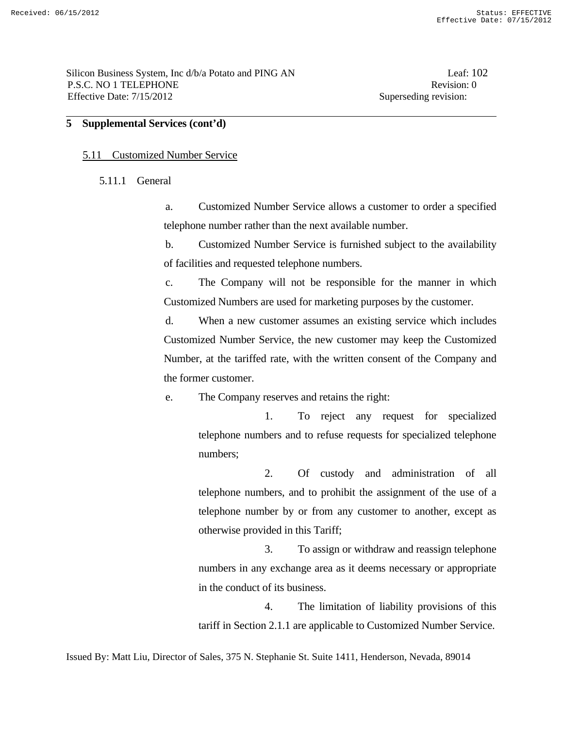#### 5.11 Customized Number Service

5.11.1 General

 a. Customized Number Service allows a customer to order a specified telephone number rather than the next available number.

 b. Customized Number Service is furnished subject to the availability of facilities and requested telephone numbers.

 c. The Company will not be responsible for the manner in which Customized Numbers are used for marketing purposes by the customer.

 d. When a new customer assumes an existing service which includes Customized Number Service, the new customer may keep the Customized Number, at the tariffed rate, with the written consent of the Company and the former customer.

e. The Company reserves and retains the right:

 1. To reject any request for specialized telephone numbers and to refuse requests for specialized telephone numbers;

 2. Of custody and administration of all telephone numbers, and to prohibit the assignment of the use of a telephone number by or from any customer to another, except as otherwise provided in this Tariff;

 3. To assign or withdraw and reassign telephone numbers in any exchange area as it deems necessary or appropriate in the conduct of its business.

 4. The limitation of liability provisions of this tariff in Section 2.1.1 are applicable to Customized Number Service.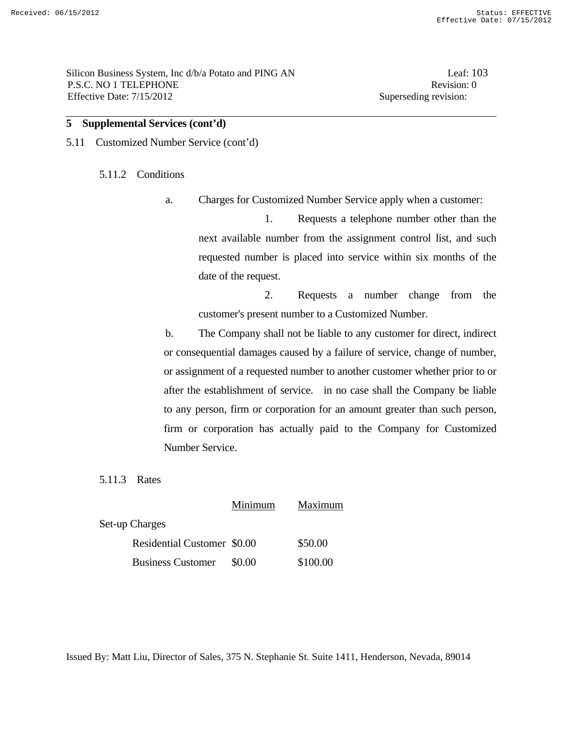Silicon Business System, Inc d/b/a Potato and PING AN Leaf: 103 P.S.C. NO 1 TELEPHONE Revision: 0 Effective Date: 7/15/2012 Superseding revision:

#### **5 Supplemental Services (cont'd)**

5.11 Customized Number Service (cont'd)

5.11.2 Conditions

a. Charges for Customized Number Service apply when a customer:

 1. Requests a telephone number other than the next available number from the assignment control list, and such requested number is placed into service within six months of the date of the request.

 2. Requests a number change from the customer's present number to a Customized Number.

 b. The Company shall not be liable to any customer for direct, indirect or consequential damages caused by a failure of service, change of number, or assignment of a requested number to another customer whether prior to or after the establishment of service. in no case shall the Company be liable to any person, firm or corporation for an amount greater than such person, firm or corporation has actually paid to the Company for Customized Number Service.

5.11.3 Rates

|                             | Minimum | <b>Maximum</b> |
|-----------------------------|---------|----------------|
| <b>Set-up Charges</b>       |         |                |
| Residential Customer \$0.00 |         | \$50.00        |
| <b>Business Customer</b>    | \$0.00  | \$100.00       |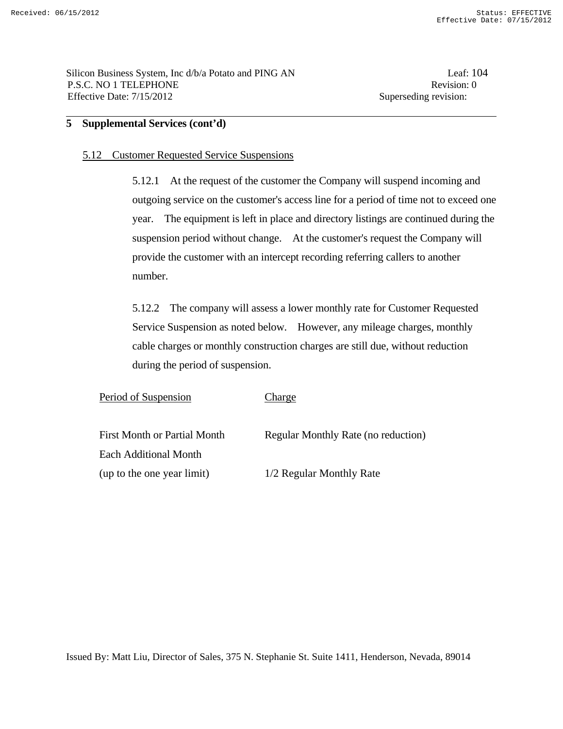Silicon Business System, Inc d/b/a Potato and PING AN Leaf: 104 P.S.C. NO 1 TELEPHONE Revision: 0 Effective Date: 7/15/2012 Superseding revision:

### **5 Supplemental Services (cont'd)**

#### 5.12 Customer Requested Service Suspensions

5.12.1 At the request of the customer the Company will suspend incoming and outgoing service on the customer's access line for a period of time not to exceed one year. The equipment is left in place and directory listings are continued during the suspension period without change. At the customer's request the Company will provide the customer with an intercept recording referring callers to another number.

5.12.2 The company will assess a lower monthly rate for Customer Requested Service Suspension as noted below. However, any mileage charges, monthly cable charges or monthly construction charges are still due, without reduction during the period of suspension.

| Period of Suspension         | Charge                              |
|------------------------------|-------------------------------------|
| First Month or Partial Month | Regular Monthly Rate (no reduction) |
| Each Additional Month        |                                     |
| (up to the one year limit)   | 1/2 Regular Monthly Rate            |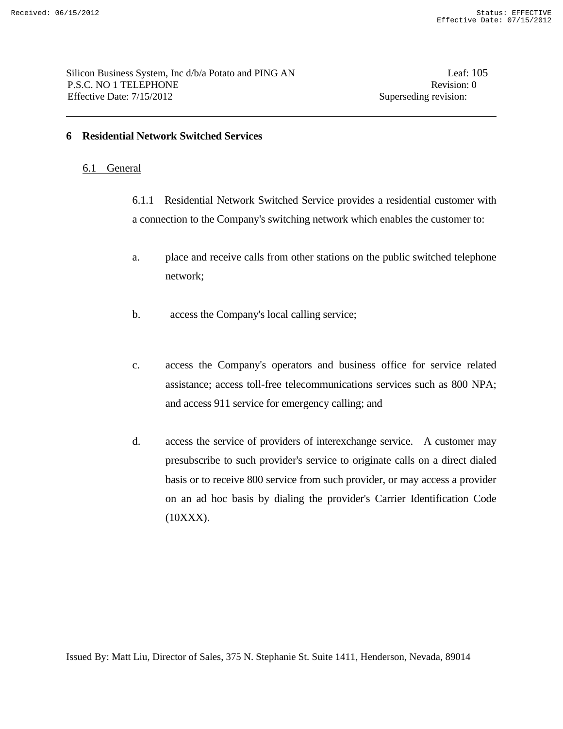### **6 Residential Network Switched Services**

### 6.1 General

 6.1.1 Residential Network Switched Service provides a residential customer with a connection to the Company's switching network which enables the customer to:

- a. place and receive calls from other stations on the public switched telephone network;
- b. access the Company's local calling service;
- c. access the Company's operators and business office for service related assistance; access toll-free telecommunications services such as 800 NPA; and access 911 service for emergency calling; and
- d. access the service of providers of interexchange service. A customer may presubscribe to such provider's service to originate calls on a direct dialed basis or to receive 800 service from such provider, or may access a provider on an ad hoc basis by dialing the provider's Carrier Identification Code (10XXX).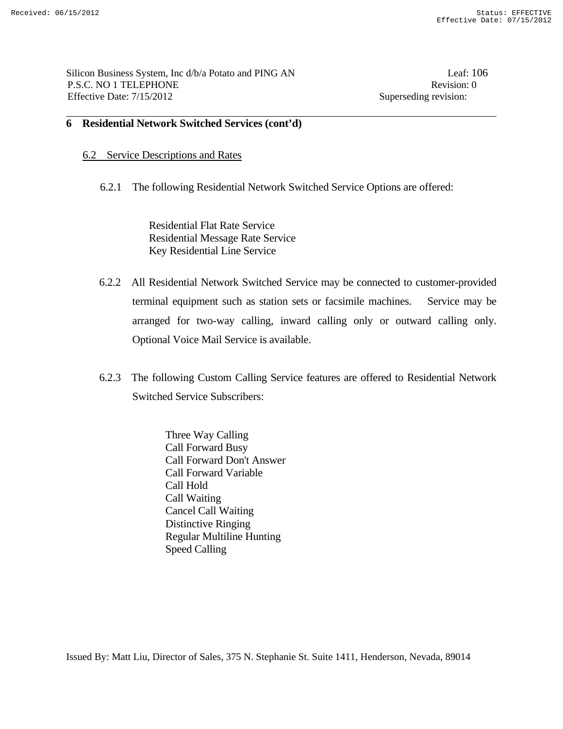#### **6 Residential Network Switched Services (cont'd)**

#### 6.2 Service Descriptions and Rates

6.2.1 The following Residential Network Switched Service Options are offered:

Residential Flat Rate Service Residential Message Rate Service Key Residential Line Service

- 6.2.2 All Residential Network Switched Service may be connected to customer-provided terminal equipment such as station sets or facsimile machines. Service may be arranged for two-way calling, inward calling only or outward calling only. Optional Voice Mail Service is available.
- 6.2.3 The following Custom Calling Service features are offered to Residential Network Switched Service Subscribers:
	- Three Way Calling Call Forward Busy Call Forward Don't Answer Call Forward Variable Call Hold Call Waiting Cancel Call Waiting Distinctive Ringing Regular Multiline Hunting Speed Calling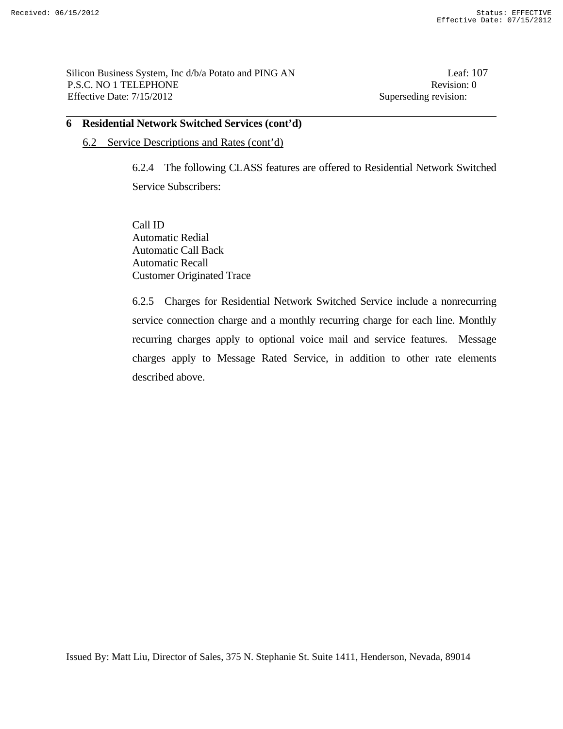Silicon Business System, Inc d/b/a Potato and PING AN Leaf: 107 P.S.C. NO 1 TELEPHONE Revision: 0 Effective Date:  $7/15/2012$  Superseding revision:

### **6 Residential Network Switched Services (cont'd)**

### 6.2 Service Descriptions and Rates (cont'd)

 6.2.4 The following CLASS features are offered to Residential Network Switched Service Subscribers:

 Call ID Automatic Redial Automatic Call Back Automatic Recall Customer Originated Trace

 6.2.5 Charges for Residential Network Switched Service include a nonrecurring service connection charge and a monthly recurring charge for each line. Monthly recurring charges apply to optional voice mail and service features. Message charges apply to Message Rated Service, in addition to other rate elements described above.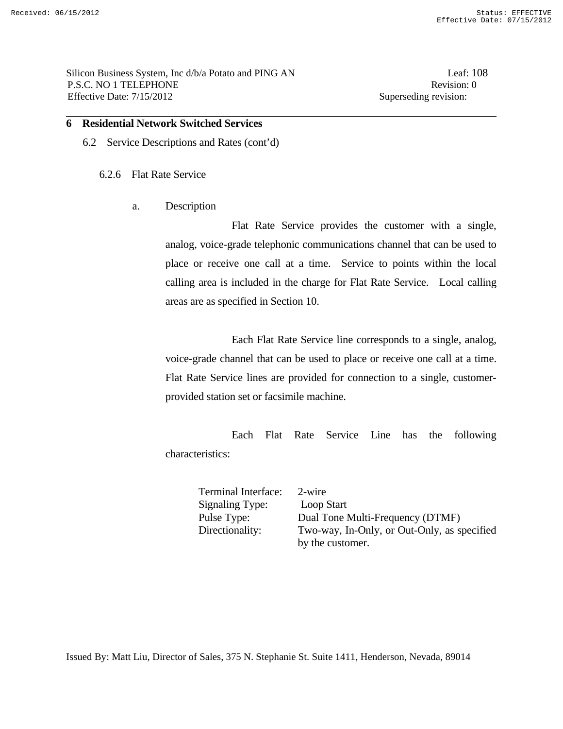Silicon Business System, Inc d/b/a Potato and PING AN Leaf: 108 P.S.C. NO 1 TELEPHONE Revision: 0 Effective Date: 7/15/2012 Superseding revision:

### **6 Residential Network Switched Services**

6.2 Service Descriptions and Rates (cont'd)

6.2.6 Flat Rate Service

a. Description

 Flat Rate Service provides the customer with a single, analog, voice-grade telephonic communications channel that can be used to place or receive one call at a time. Service to points within the local calling area is included in the charge for Flat Rate Service. Local calling areas are as specified in Section 10.

 Each Flat Rate Service line corresponds to a single, analog, voice-grade channel that can be used to place or receive one call at a time. Flat Rate Service lines are provided for connection to a single, customerprovided station set or facsimile machine.

 Each Flat Rate Service Line has the following characteristics:

Terminal Interface: 2-wire Signaling Type: Loop Start

Pulse Type: Dual Tone Multi-Frequency (DTMF) Directionality: Two-way, In-Only, or Out-Only, as specified by the customer.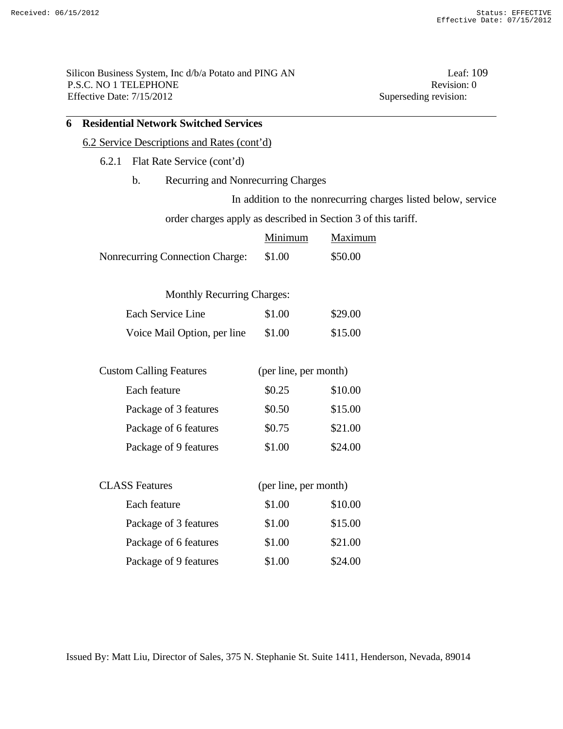Silicon Business System, Inc d/b/a Potato and PING AN Leaf: 109 P.S.C. NO 1 TELEPHONE Revision: 0<br>Effective Date: 7/15/2012 Superseding revision: 0 Effective Date:  $7/15/2012$ 

| 6 | <b>Residential Network Switched Services</b> |                                             |                                    |                       |                                                               |  |
|---|----------------------------------------------|---------------------------------------------|------------------------------------|-----------------------|---------------------------------------------------------------|--|
|   |                                              | 6.2 Service Descriptions and Rates (cont'd) |                                    |                       |                                                               |  |
|   | 6.2.1                                        |                                             |                                    |                       |                                                               |  |
|   |                                              | $\mathbf b$ .                               | Recurring and Nonrecurring Charges |                       |                                                               |  |
|   |                                              |                                             |                                    |                       | In addition to the nonrecurring charges listed below, service |  |
|   |                                              |                                             |                                    |                       | order charges apply as described in Section 3 of this tariff. |  |
|   |                                              |                                             |                                    | Minimum               | Maximum                                                       |  |
|   |                                              |                                             | Nonrecurring Connection Charge:    | \$1.00                | \$50.00                                                       |  |
|   |                                              |                                             | <b>Monthly Recurring Charges:</b>  |                       |                                                               |  |
|   |                                              |                                             | Each Service Line                  | \$1.00                | \$29.00                                                       |  |
|   |                                              |                                             | Voice Mail Option, per line        | \$1.00                | \$15.00                                                       |  |
|   |                                              |                                             | <b>Custom Calling Features</b>     | (per line, per month) |                                                               |  |
|   |                                              | Each feature                                |                                    | \$0.25                | \$10.00                                                       |  |
|   |                                              |                                             | Package of 3 features              | \$0.50                | \$15.00                                                       |  |
|   |                                              |                                             | Package of 6 features              | \$0.75                | \$21.00                                                       |  |
|   |                                              |                                             | Package of 9 features              | \$1.00                | \$24.00                                                       |  |
|   |                                              | <b>CLASS Features</b>                       |                                    | (per line, per month) |                                                               |  |
|   |                                              | Each feature                                |                                    | \$1.00                | \$10.00                                                       |  |
|   |                                              |                                             | Package of 3 features              | \$1.00                | \$15.00                                                       |  |
|   |                                              |                                             | Package of 6 features              | \$1.00                | \$21.00                                                       |  |
|   |                                              |                                             | Package of 9 features              | \$1.00                | \$24.00                                                       |  |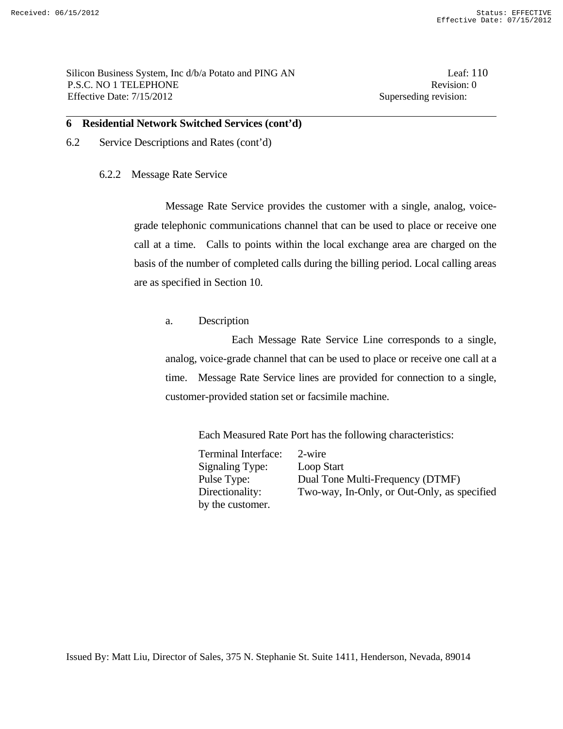Silicon Business System, Inc d/b/a Potato and PING AN Leaf: 110 P.S.C. NO 1 TELEPHONE Revision: 0 Effective Date: 7/15/2012 Superseding revision:

### **6 Residential Network Switched Services (cont'd)**

6.2 Service Descriptions and Rates (cont'd)

### 6.2.2 Message Rate Service

 Message Rate Service provides the customer with a single, analog, voicegrade telephonic communications channel that can be used to place or receive one call at a time. Calls to points within the local exchange area are charged on the basis of the number of completed calls during the billing period. Local calling areas are as specified in Section 10.

### a. Description

 Each Message Rate Service Line corresponds to a single, analog, voice-grade channel that can be used to place or receive one call at a time. Message Rate Service lines are provided for connection to a single, customer-provided station set or facsimile machine.

Each Measured Rate Port has the following characteristics:

| Terminal Interface: | 2-wire                                      |
|---------------------|---------------------------------------------|
| Signaling Type:     | Loop Start                                  |
| Pulse Type:         | Dual Tone Multi-Frequency (DTMF)            |
| Directionality:     | Two-way, In-Only, or Out-Only, as specified |
| by the customer.    |                                             |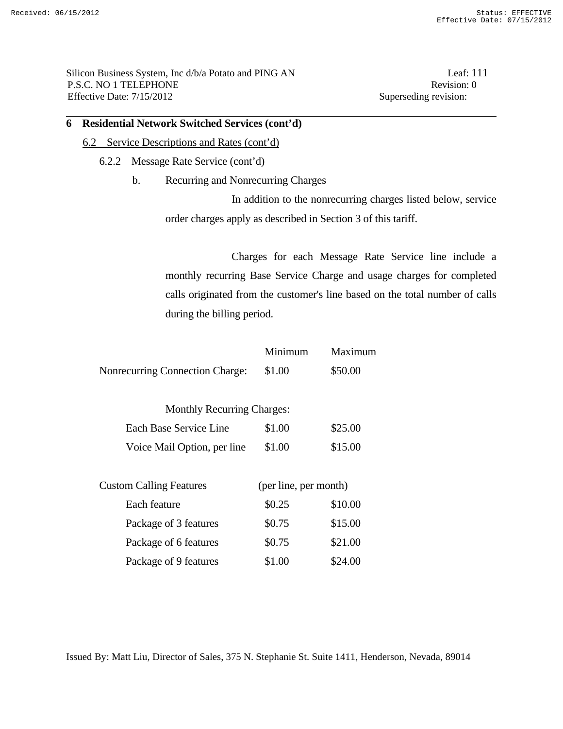Silicon Business System, Inc d/b/a Potato and PING AN Leaf: 111 P.S.C. NO 1 TELEPHONE Revision: 0 Effective Date:  $7/15/2012$  Superseding revision:

### **6 Residential Network Switched Services (cont'd)**

- 6.2 Service Descriptions and Rates (cont'd)
	- 6.2.2 Message Rate Service (cont'd)
		- b. Recurring and Nonrecurring Charges

 In addition to the nonrecurring charges listed below, service order charges apply as described in Section 3 of this tariff.

 Charges for each Message Rate Service line include a monthly recurring Base Service Charge and usage charges for completed calls originated from the customer's line based on the total number of calls during the billing period.

|                                        | Minimum               | Maximum |
|----------------------------------------|-----------------------|---------|
| <b>Nonrecurring Connection Charge:</b> | \$1.00                | \$50.00 |
|                                        |                       |         |
| <b>Monthly Recurring Charges:</b>      |                       |         |
| Each Base Service Line                 | \$1.00                | \$25.00 |
| Voice Mail Option, per line            | \$1.00                | \$15.00 |
|                                        |                       |         |
| <b>Custom Calling Features</b>         | (per line, per month) |         |
| Each feature                           | \$0.25                | \$10.00 |
| Package of 3 features                  | \$0.75                | \$15.00 |
| Package of 6 features                  | \$0.75                | \$21.00 |
| Package of 9 features                  | \$1.00                | \$24.00 |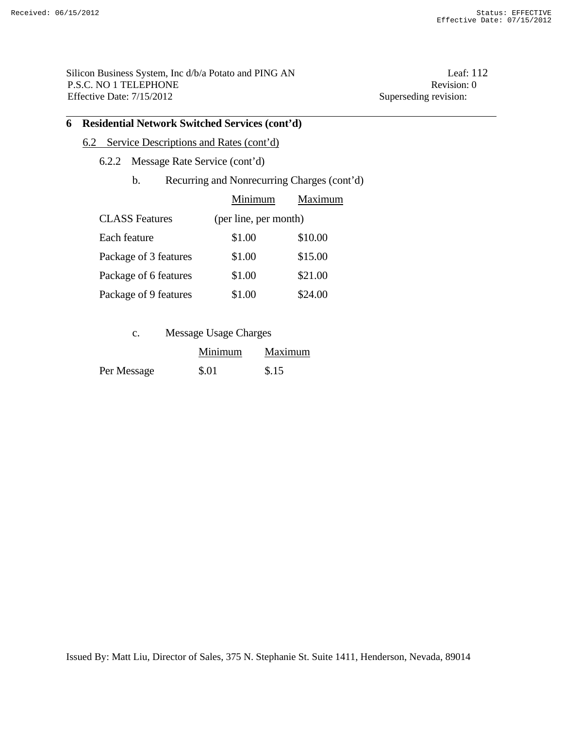Silicon Business System, Inc d/b/a Potato and PING AN Leaf: 112 P.S.C. NO 1 TELEPHONE Revision: 0 Effective Date: 7/15/2012 Superseding revision:

## **6 Residential Network Switched Services (cont'd)**

### 6.2 Service Descriptions and Rates (cont'd)

- 6.2.2 Message Rate Service (cont'd)
	- b. Recurring and Nonrecurring Charges (cont'd)

|                       | Minimum               | Maximum |
|-----------------------|-----------------------|---------|
| <b>CLASS</b> Features | (per line, per month) |         |
| Each feature          | \$1.00                | \$10.00 |
| Package of 3 features | \$1.00                | \$15.00 |
| Package of 6 features | \$1.00                | \$21.00 |
| Package of 9 features | \$1.00                | \$24.00 |

c. Message Usage Charges

|             | Minimum | Maximum |
|-------------|---------|---------|
| Per Message | \$.01   | \$.15   |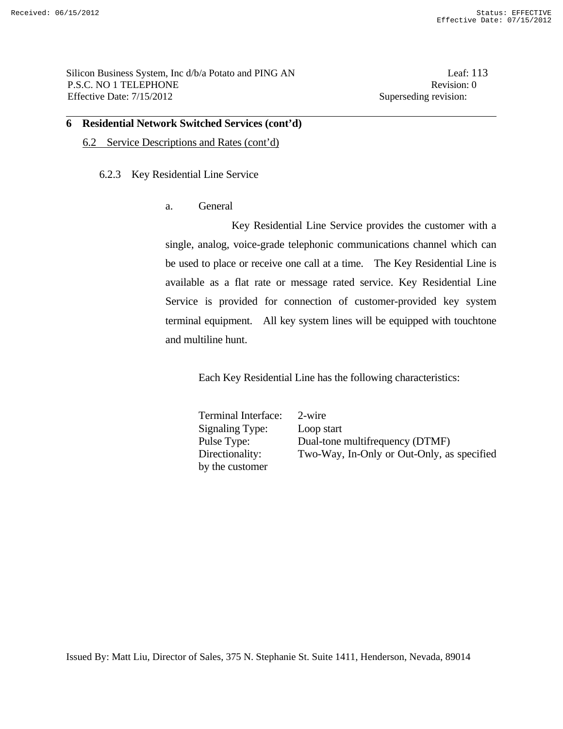Silicon Business System, Inc d/b/a Potato and PING AN Leaf: 113 P.S.C. NO 1 TELEPHONE Revision: 0 Effective Date: 7/15/2012 Superseding revision:

**6 Residential Network Switched Services (cont'd)** 

6.2 Service Descriptions and Rates (cont'd)

6.2.3 Key Residential Line Service

a. General

 Key Residential Line Service provides the customer with a single, analog, voice-grade telephonic communications channel which can be used to place or receive one call at a time. The Key Residential Line is available as a flat rate or message rated service. Key Residential Line Service is provided for connection of customer-provided key system terminal equipment. All key system lines will be equipped with touchtone and multiline hunt.

Each Key Residential Line has the following characteristics:

 Terminal Interface: 2-wire Signaling Type: Loop start by the customer

Pulse Type: Dual-tone multifrequency (DTMF) Directionality: Two-Way, In-Only or Out-Only, as specified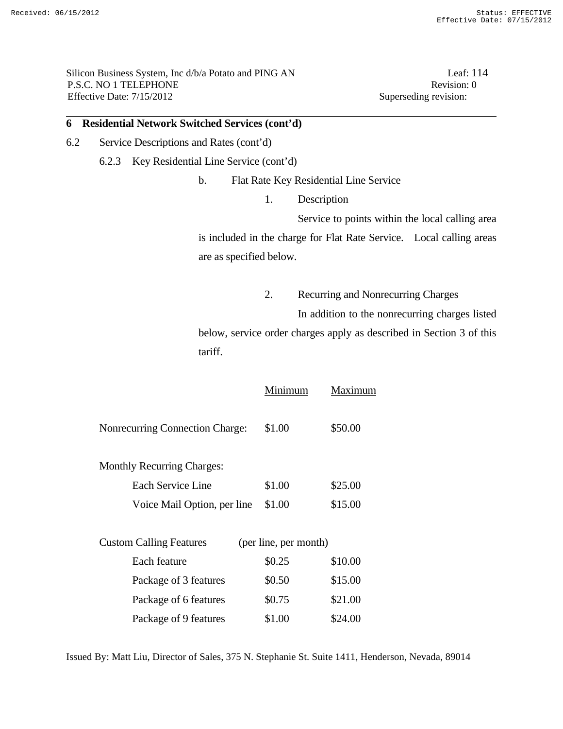Silicon Business System, Inc d/b/a Potato and PING AN Leaf: 114 P.S.C. NO 1 TELEPHONE Revision: 0 Effective Date:  $7/15/2012$  Superseding revision:

### **6 Residential Network Switched Services (cont'd)**

- 6.2 Service Descriptions and Rates (cont'd)
	- 6.2.3 Key Residential Line Service (cont'd)

b. Flat Rate Key Residential Line Service

1. Description

Service to points within the local calling area

is included in the charge for Flat Rate Service. Local calling areas are as specified below.

2. Recurring and Nonrecurring Charges

In addition to the nonrecurring charges listed

below, service order charges apply as described in Section 3 of this tariff.

|                                        | Minimum               | Maximum |
|----------------------------------------|-----------------------|---------|
| <b>Nonrecurring Connection Charge:</b> | \$1.00                | \$50.00 |
| <b>Monthly Recurring Charges:</b>      |                       |         |
| Each Service Line                      | \$1.00                | \$25.00 |
| Voice Mail Option, per line            | \$1.00                | \$15.00 |
| <b>Custom Calling Features</b>         | (per line, per month) |         |
| Each feature                           | \$0.25                | \$10.00 |
| Package of 3 features                  | \$0.50                | \$15.00 |
| Package of 6 features                  | \$0.75                | \$21.00 |
| Package of 9 features                  | \$1.00                | \$24.00 |
|                                        |                       |         |

Issued By: Matt Liu, Director of Sales, 375 N. Stephanie St. Suite 1411, Henderson, Nevada, 89014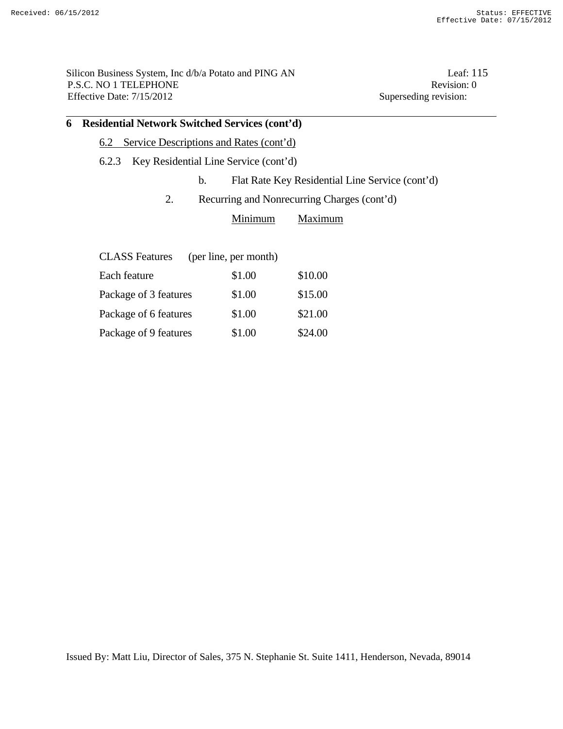Silicon Business System, Inc d/b/a Potato and PING AN Leaf: 115 P.S.C. NO 1 TELEPHONE Revision: 0 Effective Date: 7/15/2012 Superseding revision:

# **6 Residential Network Switched Services (cont'd)**

6.2 Service Descriptions and Rates (cont'd)

## 6.2.3 Key Residential Line Service (cont'd)

- b. Flat Rate Key Residential Line Service (cont'd)
- 2. Recurring and Nonrecurring Charges (cont'd)

|                       | Minimum               | Maximum |  |
|-----------------------|-----------------------|---------|--|
| <b>CLASS Features</b> | (per line, per month) |         |  |
| Each feature          | \$1.00                | \$10.00 |  |
| Package of 3 features | \$1.00                | \$15.00 |  |
| Package of 6 features | \$1.00                | \$21.00 |  |
| Package of 9 features | \$1.00                | \$24.00 |  |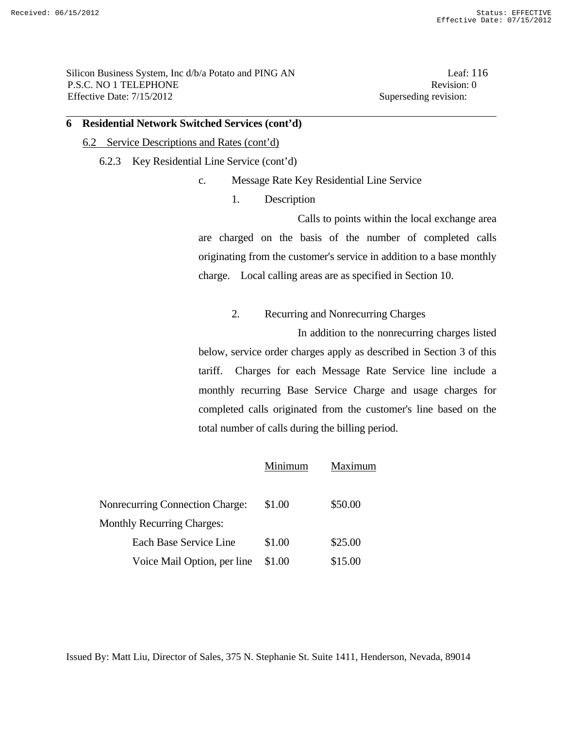Silicon Business System, Inc d/b/a Potato and PING AN Leaf: 116 P.S.C. NO 1 TELEPHONE Revision: 0 Effective Date: 7/15/2012 Superseding revision:

### **6 Residential Network Switched Services (cont'd)**

6.2 Service Descriptions and Rates (cont'd)

6.2.3 Key Residential Line Service (cont'd)

c. Message Rate Key Residential Line Service

1. Description

 Calls to points within the local exchange area are charged on the basis of the number of completed calls originating from the customer's service in addition to a base monthly charge. Local calling areas are as specified in Section 10.

2. Recurring and Nonrecurring Charges

 In addition to the nonrecurring charges listed below, service order charges apply as described in Section 3 of this tariff. Charges for each Message Rate Service line include a monthly recurring Base Service Charge and usage charges for completed calls originated from the customer's line based on the total number of calls during the billing period.

|                                        | Minimum | Maximum |
|----------------------------------------|---------|---------|
| <b>Nonrecurring Connection Charge:</b> | \$1.00  | \$50.00 |
| <b>Monthly Recurring Charges:</b>      |         |         |
| Each Base Service Line                 | \$1.00  | \$25.00 |
| Voice Mail Option, per line            | \$1.00  | \$15.00 |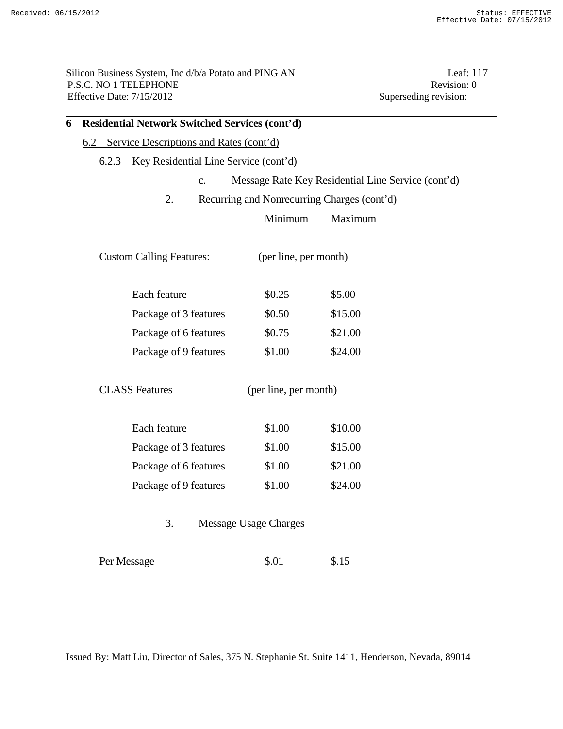Silicon Business System, Inc d/b/a Potato and PING AN Leaf: 117<br>P.S.C. NO 1 TELEPHONE Revision: 0 P.S.C. NO 1 TELEPHONE Revision: Revision: 0.01 TELEPHONE Revision: 0.01 TELEPHONE Revision: 0.01 TELEPHONE Effective Date:  $7/15/2012$ 

| Key Residential Line Service (cont'd)<br>6.2.3 |                                             |                                                    |
|------------------------------------------------|---------------------------------------------|----------------------------------------------------|
| $\mathbf{c}$ .                                 |                                             | Message Rate Key Residential Line Service (cont'd) |
| 2.                                             | Recurring and Nonrecurring Charges (cont'd) |                                                    |
|                                                | Minimum                                     | Maximum                                            |
| <b>Custom Calling Features:</b>                | (per line, per month)                       |                                                    |
| Each feature                                   | \$0.25                                      | \$5.00                                             |
| Package of 3 features                          | \$0.50                                      | \$15.00                                            |
| Package of 6 features                          | \$0.75                                      | \$21.00                                            |
| Package of 9 features                          | \$1.00                                      | \$24.00                                            |
| <b>CLASS Features</b>                          | (per line, per month)                       |                                                    |
| Each feature                                   | \$1.00                                      | \$10.00                                            |
| Package of 3 features                          | \$1.00                                      | \$15.00                                            |
| Package of 6 features                          | \$1.00                                      | \$21.00                                            |
| Package of 9 features                          | \$1.00                                      | \$24.00                                            |
| 3.                                             | <b>Message Usage Charges</b>                |                                                    |
| Per Message                                    | \$.01                                       | \$.15                                              |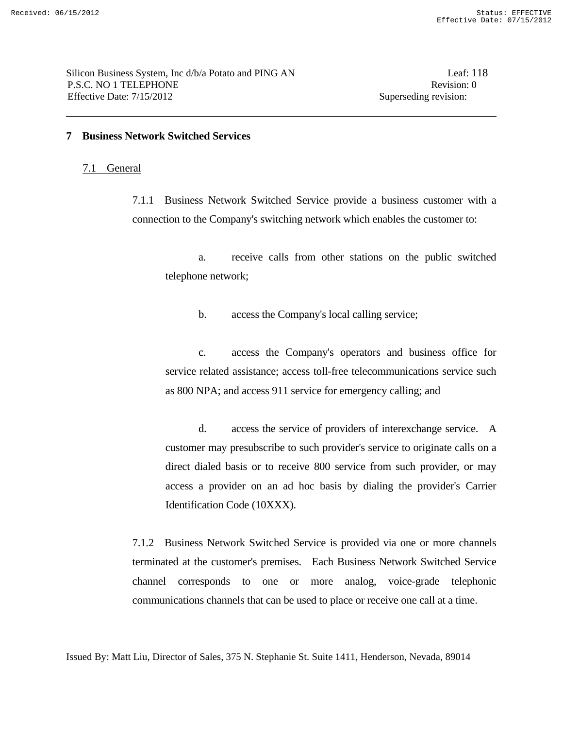### **7 Business Network Switched Services**

### 7.1 General

 7.1.1 Business Network Switched Service provide a business customer with a connection to the Company's switching network which enables the customer to:

 a. receive calls from other stations on the public switched telephone network;

b. access the Company's local calling service;

 c. access the Company's operators and business office for service related assistance; access toll-free telecommunications service such as 800 NPA; and access 911 service for emergency calling; and

 d. access the service of providers of interexchange service. A customer may presubscribe to such provider's service to originate calls on a direct dialed basis or to receive 800 service from such provider, or may access a provider on an ad hoc basis by dialing the provider's Carrier Identification Code (10XXX).

 7.1.2 Business Network Switched Service is provided via one or more channels terminated at the customer's premises. Each Business Network Switched Service channel corresponds to one or more analog, voice-grade telephonic communications channels that can be used to place or receive one call at a time.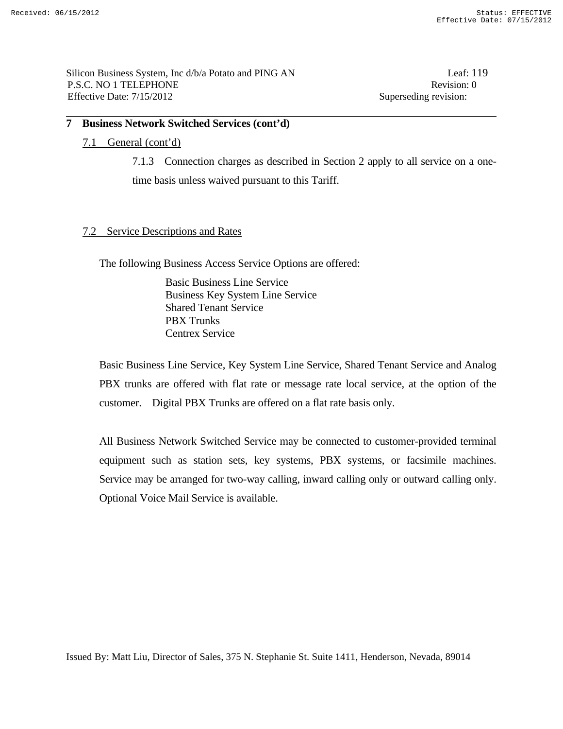Silicon Business System, Inc d/b/a Potato and PING AN Leaf: 119 P.S.C. NO 1 TELEPHONE Revision: 0 Effective Date: 7/15/2012 Superseding revision:

### **7 Business Network Switched Services (cont'd)**

### 7.1 General (cont'd)

 7.1.3 Connection charges as described in Section 2 apply to all service on a onetime basis unless waived pursuant to this Tariff.

### 7.2 Service Descriptions and Rates

The following Business Access Service Options are offered:

 Basic Business Line Service Business Key System Line Service Shared Tenant Service PBX Trunks Centrex Service

 Basic Business Line Service, Key System Line Service, Shared Tenant Service and Analog PBX trunks are offered with flat rate or message rate local service, at the option of the customer. Digital PBX Trunks are offered on a flat rate basis only.

 All Business Network Switched Service may be connected to customer-provided terminal equipment such as station sets, key systems, PBX systems, or facsimile machines. Service may be arranged for two-way calling, inward calling only or outward calling only. Optional Voice Mail Service is available.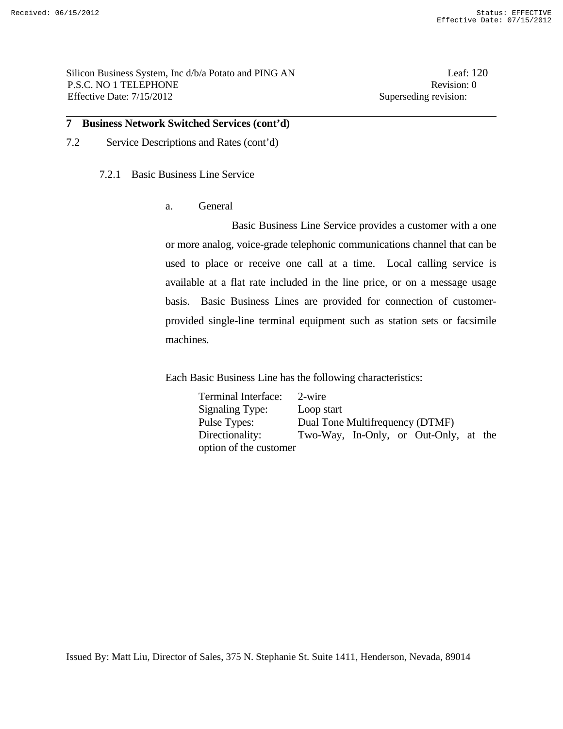Silicon Business System, Inc d/b/a Potato and PING AN Leaf: 120 P.S.C. NO 1 TELEPHONE Revision: 0 Effective Date:  $7/15/2012$  Superseding revision:

### **7 Business Network Switched Services (cont'd)**

- 7.2 Service Descriptions and Rates (cont'd)
	- 7.2.1 Basic Business Line Service
		- a. General

 Basic Business Line Service provides a customer with a one or more analog, voice-grade telephonic communications channel that can be used to place or receive one call at a time. Local calling service is available at a flat rate included in the line price, or on a message usage basis. Basic Business Lines are provided for connection of customerprovided single-line terminal equipment such as station sets or facsimile machines.

Each Basic Business Line has the following characteristics:

| <b>Terminal Interface:</b> | 2-wire                                |
|----------------------------|---------------------------------------|
| Signaling Type:            | Loop start                            |
| Pulse Types:               | Dual Tone Multifrequency (DTMF)       |
| Directionality:            | Two-Way, In-Only, or Out-Only, at the |
| option of the customer     |                                       |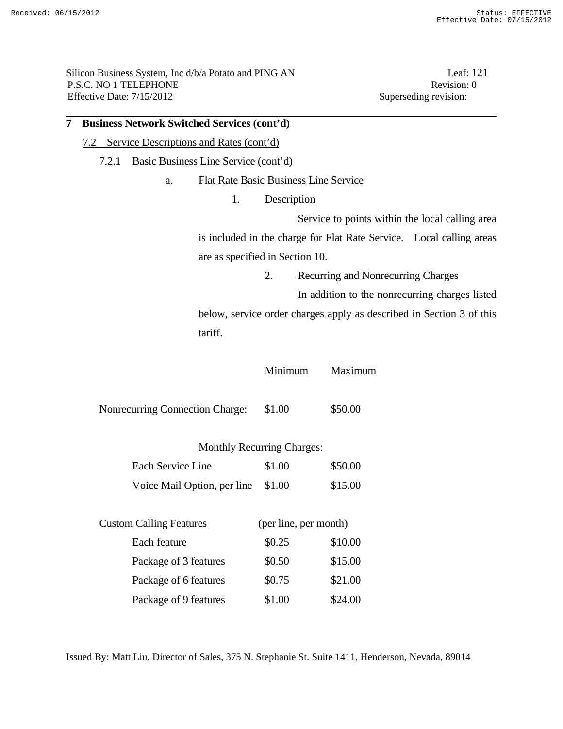Silicon Business System, Inc d/b/a Potato and PING AN Leaf: 121 P.S.C. NO 1 TELEPHONE Revision: 0 Effective Date:  $7/15/2012$  Superseding revision:

## **7 Business Network Switched Services (cont'd)**

- 7.2 Service Descriptions and Rates (cont'd)
	- 7.2.1 Basic Business Line Service (cont'd)

a. Flat Rate Basic Business Line Service

1. Description

 Service to points within the local calling area is included in the charge for Flat Rate Service. Local calling areas are as specified in Section 10.

2. Recurring and Nonrecurring Charges

 In addition to the nonrecurring charges listed below, service order charges apply as described in Section 3 of this tariff.

|                                 | Minimum                           | Maximum |
|---------------------------------|-----------------------------------|---------|
| Nonrecurring Connection Charge: | \$1.00                            | \$50.00 |
|                                 | <b>Monthly Recurring Charges:</b> |         |
| Each Service Line               | \$1.00                            | \$50.00 |
| Voice Mail Option, per line     | \$1.00                            | \$15.00 |
| <b>Custom Calling Features</b>  | (per line, per month)             |         |
| Each feature                    | \$0.25                            | \$10.00 |
| Package of 3 features           | \$0.50                            | \$15.00 |
| Package of 6 features           | \$0.75                            | \$21.00 |
| Package of 9 features           | \$1.00                            | \$24.00 |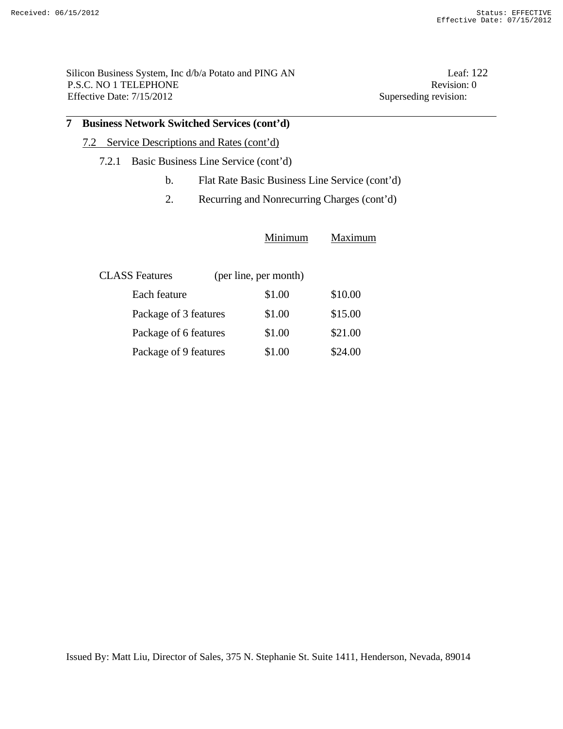Silicon Business System, Inc d/b/a Potato and PING AN Leaf: 122 P.S.C. NO 1 TELEPHONE Revision: 0 Effective Date: 7/15/2012 Superseding revision:

## **7 Business Network Switched Services (cont'd)**

## 7.2 Service Descriptions and Rates (cont'd)

## 7.2.1 Basic Business Line Service (cont'd)

- b. Flat Rate Basic Business Line Service (cont'd)
- 2. Recurring and Nonrecurring Charges (cont'd)

|                       | Minimum               | Maximum |
|-----------------------|-----------------------|---------|
| <b>CLASS</b> Features | (per line, per month) |         |
| Each feature          | \$1.00                | \$10.00 |
| Package of 3 features | \$1.00                | \$15.00 |
| Package of 6 features | \$1.00                | \$21.00 |
| Package of 9 features | \$1.00                | \$24.00 |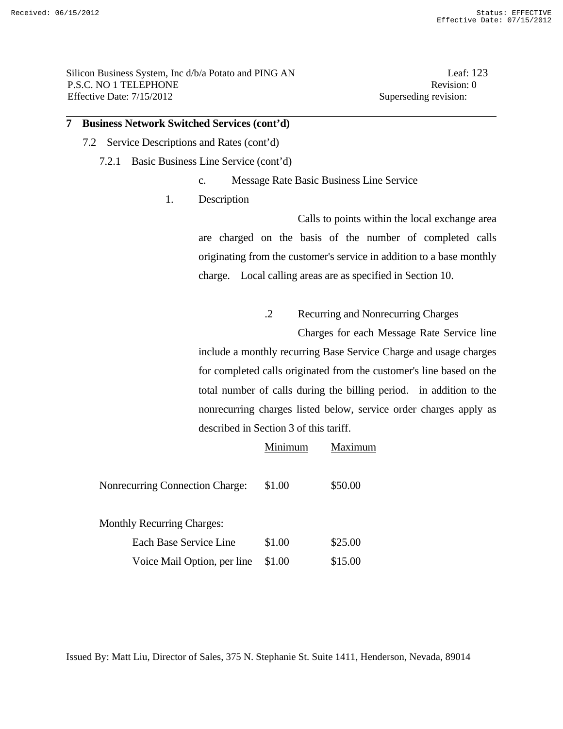Silicon Business System, Inc d/b/a Potato and PING AN Leaf: 123 P.S.C. NO 1 TELEPHONE Revision: 0 Effective Date: 7/15/2012 Superseding revision:

### **7 Business Network Switched Services (cont'd)**

- 7.2 Service Descriptions and Rates (cont'd)
	- 7.2.1 Basic Business Line Service (cont'd)
		- c. Message Rate Basic Business Line Service
		- 1. Description

 Calls to points within the local exchange area are charged on the basis of the number of completed calls originating from the customer's service in addition to a base monthly charge. Local calling areas are as specified in Section 10.

.2 Recurring and Nonrecurring Charges

 Charges for each Message Rate Service line include a monthly recurring Base Service Charge and usage charges for completed calls originated from the customer's line based on the total number of calls during the billing period. in addition to the nonrecurring charges listed below, service order charges apply as described in Section 3 of this tariff.

|                                   | Minimum | Maximum |
|-----------------------------------|---------|---------|
| Nonrecurring Connection Charge:   | \$1.00  | \$50.00 |
| <b>Monthly Recurring Charges:</b> |         |         |
| Each Base Service Line            | \$1.00  | \$25.00 |
| Voice Mail Option, per line       | \$1.00  | \$15.00 |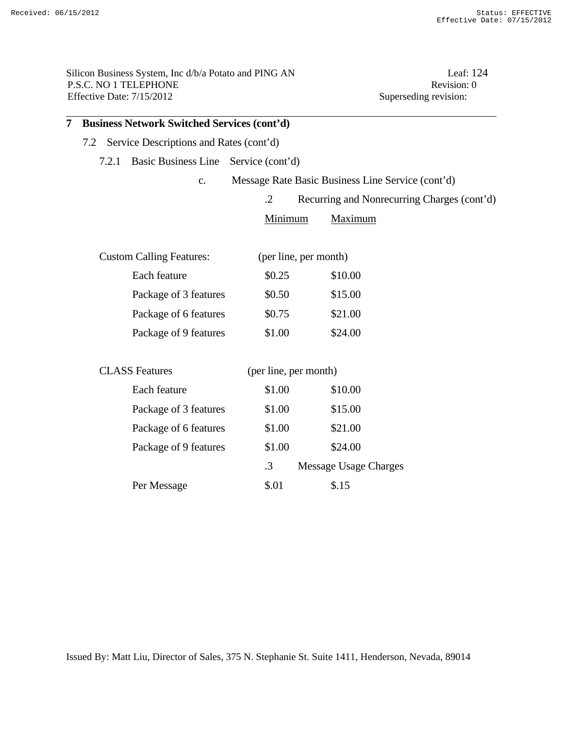Silicon Business System, Inc d/b/a Potato and PING AN Leaf: 124<br>P.S.C. NO 1 TELEPHONE Revision: 0 P.S.C. NO 1 TELEPHONE Effective Date: 7/15/2012 Superseding revision:

| 7 |       | <b>Business Network Switched Services (cont'd)</b> |                       |                                                   |  |  |
|---|-------|----------------------------------------------------|-----------------------|---------------------------------------------------|--|--|
|   | 7.2   | Service Descriptions and Rates (cont'd)            |                       |                                                   |  |  |
|   | 7.2.1 | <b>Basic Business Line</b>                         | Service (cont'd)      |                                                   |  |  |
|   |       | c.                                                 |                       | Message Rate Basic Business Line Service (cont'd) |  |  |
|   |       |                                                    | $\cdot$ .2            | Recurring and Nonrecurring Charges (cont'd)       |  |  |
|   |       |                                                    | <b>Minimum</b>        | Maximum                                           |  |  |
|   |       | <b>Custom Calling Features:</b>                    |                       | (per line, per month)                             |  |  |
|   |       | Each feature                                       | \$0.25                | \$10.00                                           |  |  |
|   |       | Package of 3 features                              | \$0.50                | \$15.00                                           |  |  |
|   |       | Package of 6 features                              | \$0.75                | \$21.00                                           |  |  |
|   |       | Package of 9 features                              | \$1.00                | \$24.00                                           |  |  |
|   |       | <b>CLASS Features</b>                              | (per line, per month) |                                                   |  |  |
|   |       | Each feature                                       | \$1.00                | \$10.00                                           |  |  |
|   |       | Package of 3 features                              | \$1.00                | \$15.00                                           |  |  |
|   |       | Package of 6 features                              | \$1.00                | \$21.00                                           |  |  |
|   |       | Package of 9 features                              | \$1.00                | \$24.00                                           |  |  |
|   |       |                                                    | .3                    | Message Usage Charges                             |  |  |
|   |       | Per Message                                        | \$.01                 | \$.15                                             |  |  |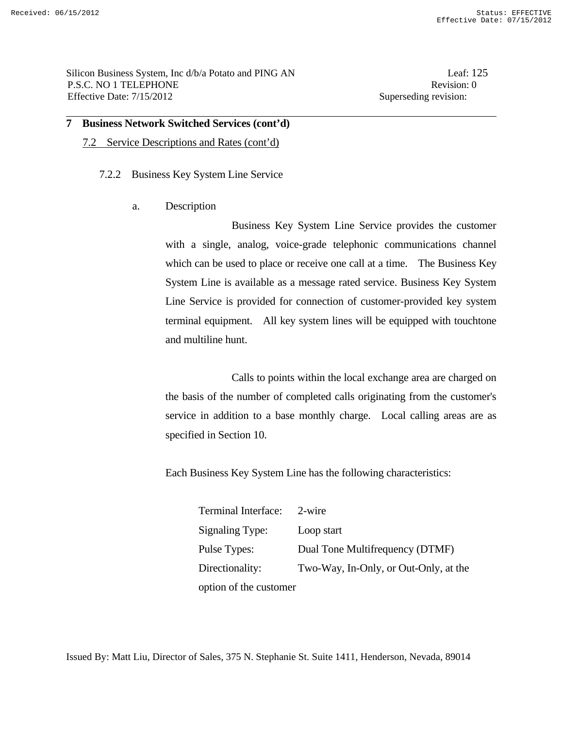Silicon Business System, Inc d/b/a Potato and PING AN Leaf: 125 P.S.C. NO 1 TELEPHONE Revision: 0 Effective Date: 7/15/2012 Superseding revision:

### **7 Business Network Switched Services (cont'd)**

### 7.2 Service Descriptions and Rates (cont'd)

### 7.2.2 Business Key System Line Service

a. Description

 Business Key System Line Service provides the customer with a single, analog, voice-grade telephonic communications channel which can be used to place or receive one call at a time. The Business Key System Line is available as a message rated service. Business Key System Line Service is provided for connection of customer-provided key system terminal equipment. All key system lines will be equipped with touchtone and multiline hunt.

 Calls to points within the local exchange area are charged on the basis of the number of completed calls originating from the customer's service in addition to a base monthly charge. Local calling areas are as specified in Section 10.

Each Business Key System Line has the following characteristics:

 Terminal Interface: 2-wire Signaling Type: Loop start Pulse Types: Dual Tone Multifrequency (DTMF) Directionality: Two-Way, In-Only, or Out-Only, at the option of the customer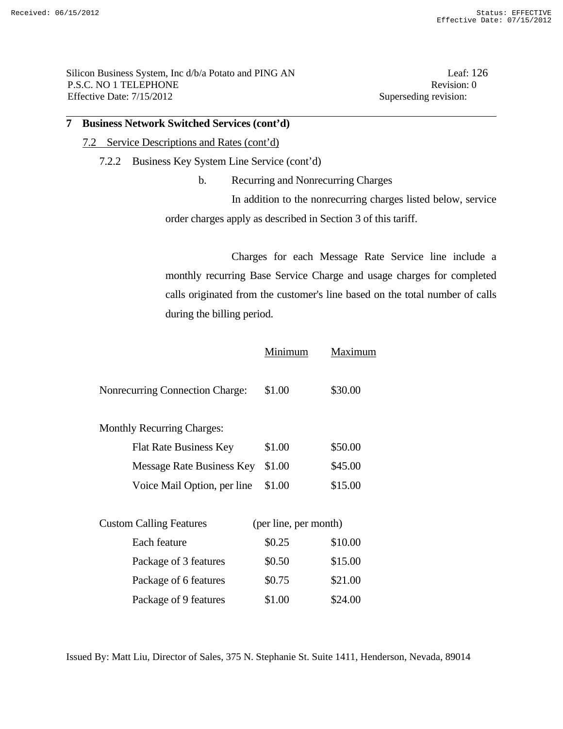Silicon Business System, Inc d/b/a Potato and PING AN Leaf: 126 P.S.C. NO 1 TELEPHONE Revision: 0 Effective Date:  $7/15/2012$  Superseding revision:

## **7 Business Network Switched Services (cont'd)**

- 7.2 Service Descriptions and Rates (cont'd)
	- 7.2.2 Business Key System Line Service (cont'd)
		- b. Recurring and Nonrecurring Charges

 In addition to the nonrecurring charges listed below, service order charges apply as described in Section 3 of this tariff.

 Charges for each Message Rate Service line include a monthly recurring Base Service Charge and usage charges for completed calls originated from the customer's line based on the total number of calls during the billing period.

|                                   | Minimum               | Maximum |
|-----------------------------------|-----------------------|---------|
| Nonrecurring Connection Charge:   | \$1.00                | \$30.00 |
| <b>Monthly Recurring Charges:</b> |                       |         |
| <b>Flat Rate Business Key</b>     | \$1.00                | \$50.00 |
| <b>Message Rate Business Key</b>  | \$1.00                | \$45.00 |
| Voice Mail Option, per line       | \$1.00                | \$15.00 |
| <b>Custom Calling Features</b>    | (per line, per month) |         |
| Each feature                      | \$0.25                | \$10.00 |
| Package of 3 features             | \$0.50                | \$15.00 |
| Package of 6 features             | \$0.75                | \$21.00 |
| Package of 9 features             | \$1.00                | \$24.00 |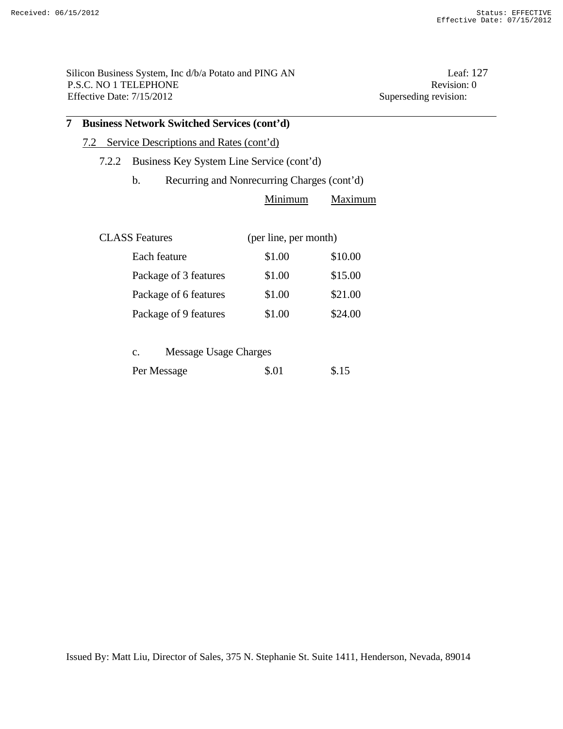Silicon Business System, Inc d/b/a Potato and PING AN Leaf: 127 P.S.C. NO 1 TELEPHONE Revision: 0 Effective Date: 7/15/2012 Superseding revision:

|  |  |  | 7 Business Network Switched Services (cont'd) |  |  |
|--|--|--|-----------------------------------------------|--|--|
|--|--|--|-----------------------------------------------|--|--|

7.2 Service Descriptions and Rates (cont'd)

## 7.2.2 Business Key System Line Service (cont'd)

b. Recurring and Nonrecurring Charges (cont'd)

|                                         | Minimum               | Maximum |
|-----------------------------------------|-----------------------|---------|
| <b>CLASS</b> Features                   | (per line, per month) |         |
| Each feature                            | \$1.00                | \$10.00 |
| Package of 3 features                   | \$1.00                | \$15.00 |
| Package of 6 features                   | \$1.00                | \$21.00 |
| Package of 9 features                   | \$1.00                | \$24.00 |
|                                         |                       |         |
| Message Usage Charges<br>$\mathbf{C}$ . |                       |         |

Per Message  $\$.01$   $\$.15$ 

|  | Issued By: Matt Liu, Director of Sales, 375 N. Stephanie St. Suite 1411, Henderson, Nevada, 89014 |  |  |  |  |
|--|---------------------------------------------------------------------------------------------------|--|--|--|--|
|--|---------------------------------------------------------------------------------------------------|--|--|--|--|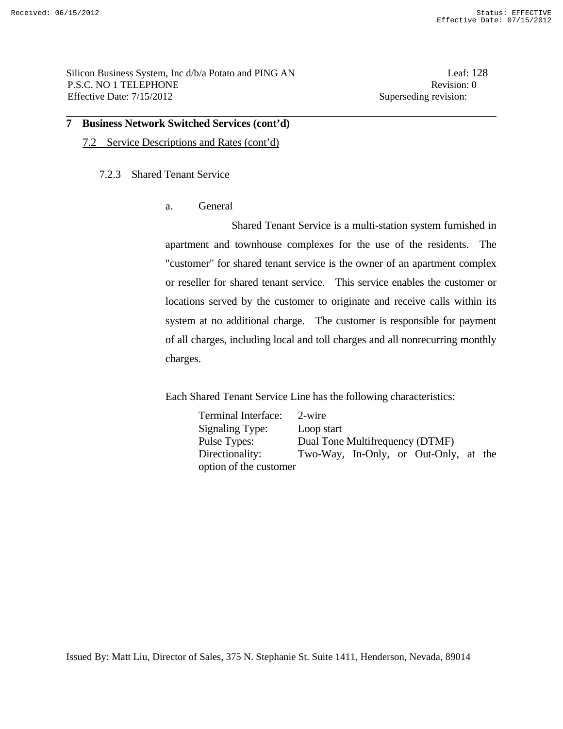Silicon Business System, Inc d/b/a Potato and PING AN Leaf: 128 P.S.C. NO 1 TELEPHONE Revision: 0 Effective Date: 7/15/2012 Superseding revision:

### **7 Business Network Switched Services (cont'd)**

7.2 Service Descriptions and Rates (cont'd)

### 7.2.3 Shared Tenant Service

a. General

 Shared Tenant Service is a multi-station system furnished in apartment and townhouse complexes for the use of the residents. The "customer" for shared tenant service is the owner of an apartment complex or reseller for shared tenant service. This service enables the customer or locations served by the customer to originate and receive calls within its system at no additional charge. The customer is responsible for payment of all charges, including local and toll charges and all nonrecurring monthly charges.

Each Shared Tenant Service Line has the following characteristics:

| Terminal Interface:    | 2-wire                                |
|------------------------|---------------------------------------|
| Signaling Type:        | Loop start                            |
| Pulse Types:           | Dual Tone Multifrequency (DTMF)       |
| Directionality:        | Two-Way, In-Only, or Out-Only, at the |
| option of the customer |                                       |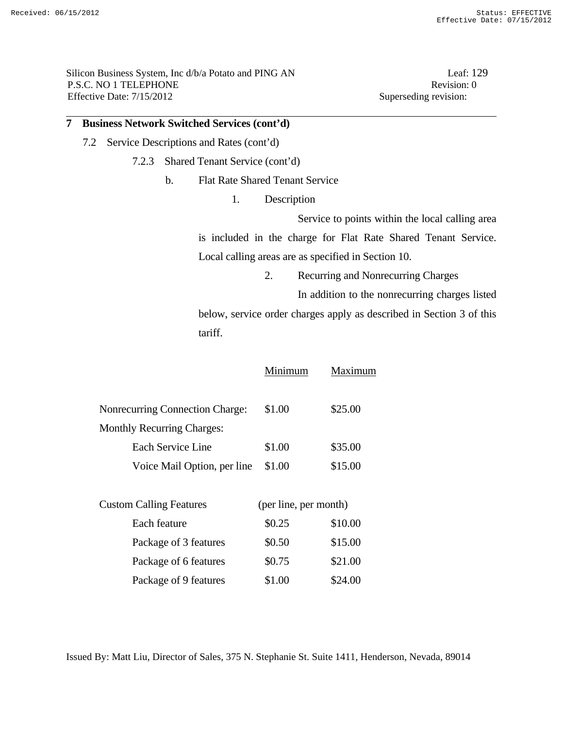Silicon Business System, Inc d/b/a Potato and PING AN Leaf: 129 P.S.C. NO 1 TELEPHONE Revision: 0 Effective Date:  $7/15/2012$  Superseding revision:

## **7 Business Network Switched Services (cont'd)**

- 7.2 Service Descriptions and Rates (cont'd)
	- 7.2.3 Shared Tenant Service (cont'd)
		- b. Flat Rate Shared Tenant Service
			- 1. Description

Service to points within the local calling area

is included in the charge for Flat Rate Shared Tenant Service. Local calling areas are as specified in Section 10.

2. Recurring and Nonrecurring Charges

In addition to the nonrecurring charges listed

below, service order charges apply as described in Section 3 of this tariff.

|                                        | Minimum | Maximum |
|----------------------------------------|---------|---------|
| <b>Nonrecurring Connection Charge:</b> | \$1.00  | \$25.00 |
| <b>Monthly Recurring Charges:</b>      |         |         |
| Each Service Line                      | \$1.00  | \$35.00 |
| Voice Mail Option, per line            | \$1.00  | \$15.00 |
|                                        |         |         |

| <b>Custom Calling Features</b> | (per line, per month) |         |
|--------------------------------|-----------------------|---------|
| Each feature                   | \$0.25                | \$10.00 |
| Package of 3 features          | \$0.50                | \$15.00 |
| Package of 6 features          | \$0.75                | \$21.00 |
| Package of 9 features          | \$1.00                | \$24.00 |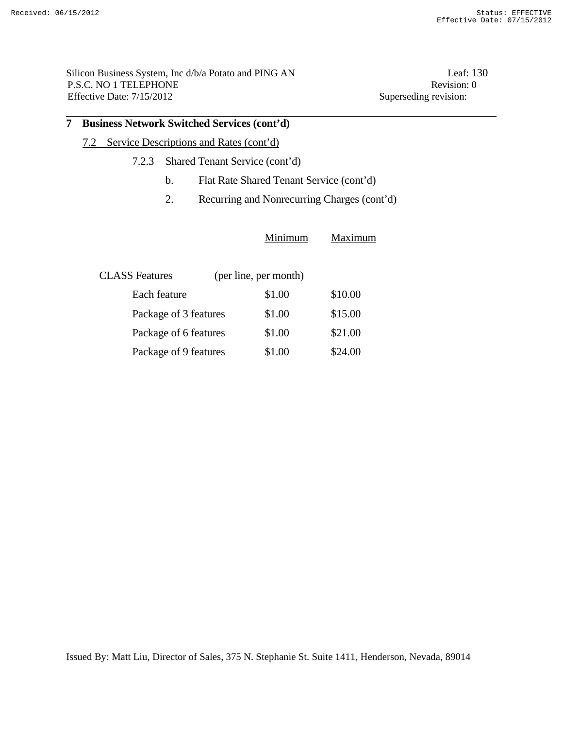Silicon Business System, Inc d/b/a Potato and PING AN Leaf: 130 P.S.C. NO 1 TELEPHONE Revision: 0 Effective Date: 7/15/2012 Superseding revision:

## **7 Business Network Switched Services (cont'd)**

## 7.2 Service Descriptions and Rates (cont'd)

- 7.2.3 Shared Tenant Service (cont'd)
	- b. Flat Rate Shared Tenant Service (cont'd)
	- 2. Recurring and Nonrecurring Charges (cont'd)

|                       | Minimum               | Maximum |
|-----------------------|-----------------------|---------|
| <b>CLASS</b> Features | (per line, per month) |         |
| Each feature          | \$1.00                | \$10.00 |
| Package of 3 features | \$1.00                | \$15.00 |
| Package of 6 features | \$1.00                | \$21.00 |
| Package of 9 features | \$1.00                | \$24.00 |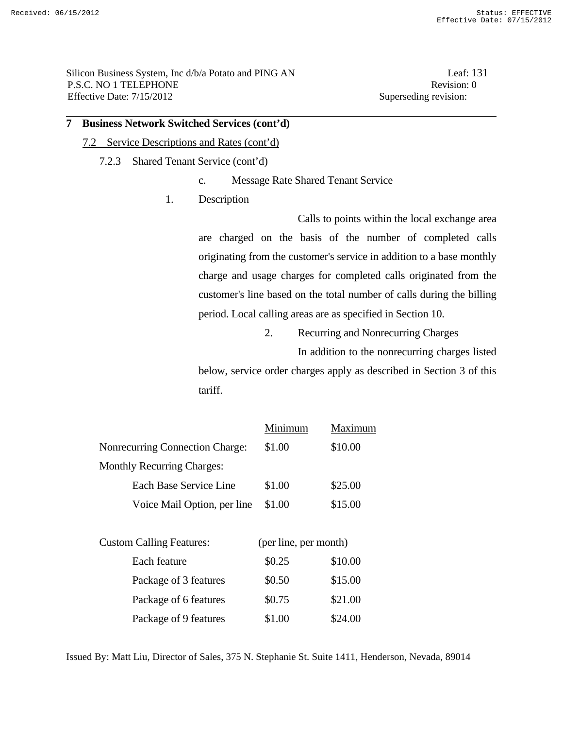Silicon Business System, Inc d/b/a Potato and PING AN Leaf: 131 P.S.C. NO 1 TELEPHONE Revision: 0 Effective Date:  $7/15/2012$  Superseding revision:

### **7 Business Network Switched Services (cont'd)**

- 7.2 Service Descriptions and Rates (cont'd)
	- 7.2.3 Shared Tenant Service (cont'd)
		- c. Message Rate Shared Tenant Service
		- 1. Description

 Calls to points within the local exchange area are charged on the basis of the number of completed calls originating from the customer's service in addition to a base monthly charge and usage charges for completed calls originated from the customer's line based on the total number of calls during the billing period. Local calling areas are as specified in Section 10.

2. Recurring and Nonrecurring Charges

 In addition to the nonrecurring charges listed below, service order charges apply as described in Section 3 of this tariff.

|                                        |                             | Minimum               | Maximum |
|----------------------------------------|-----------------------------|-----------------------|---------|
| <b>Nonrecurring Connection Charge:</b> |                             | \$1.00                | \$10.00 |
| <b>Monthly Recurring Charges:</b>      |                             |                       |         |
|                                        | Each Base Service Line      | \$1.00                | \$25.00 |
|                                        | Voice Mail Option, per line | \$1.00                | \$15.00 |
|                                        |                             |                       |         |
| <b>Custom Calling Features:</b>        |                             | (per line, per month) |         |
| Each feature                           |                             | \$0.25                | \$10.00 |
| Package of 3 features                  |                             | \$0.50                | \$15.00 |
| Package of 6 features                  |                             | \$0.75                | \$21.00 |
| Package of 9 features                  |                             | \$1.00                | \$24.00 |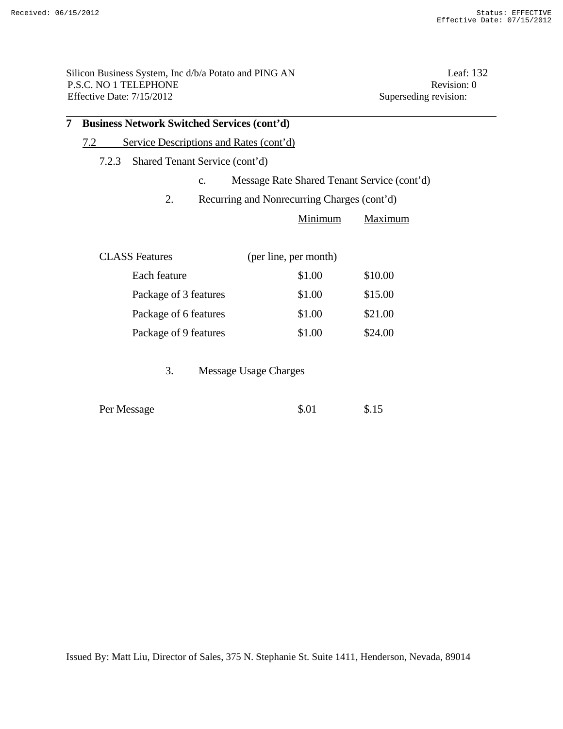Silicon Business System, Inc d/b/a Potato and PING AN Leaf: 132 P.S.C. NO 1 TELEPHONE Revision: 0<br>Effective Date: 7/15/2012 Superseding revision: 0 Effective Date:  $7/15/2012$ 

| <b>Business Network Switched Services (cont'd)</b><br>7 |                                                |                                             |         |
|---------------------------------------------------------|------------------------------------------------|---------------------------------------------|---------|
|                                                         | Service Descriptions and Rates (cont'd)<br>7.2 |                                             |         |
|                                                         | Shared Tenant Service (cont'd)<br>7.2.3        |                                             |         |
|                                                         | $\mathbf{C}$ .                                 | Message Rate Shared Tenant Service (cont'd) |         |
|                                                         | 2.                                             | Recurring and Nonrecurring Charges (cont'd) |         |
|                                                         |                                                | Minimum                                     | Maximum |
|                                                         |                                                |                                             |         |
|                                                         | <b>CLASS</b> Features                          | (per line, per month)                       |         |
|                                                         | Each feature                                   | \$1.00                                      | \$10.00 |
|                                                         | Package of 3 features                          | \$1.00                                      | \$15.00 |
|                                                         | Package of 6 features                          | \$1.00                                      | \$21.00 |
|                                                         | Package of 9 features                          | \$1.00                                      | \$24.00 |
|                                                         |                                                |                                             |         |

3. Message Usage Charges

| Per Message | \$.01 | \$.15 |
|-------------|-------|-------|
|-------------|-------|-------|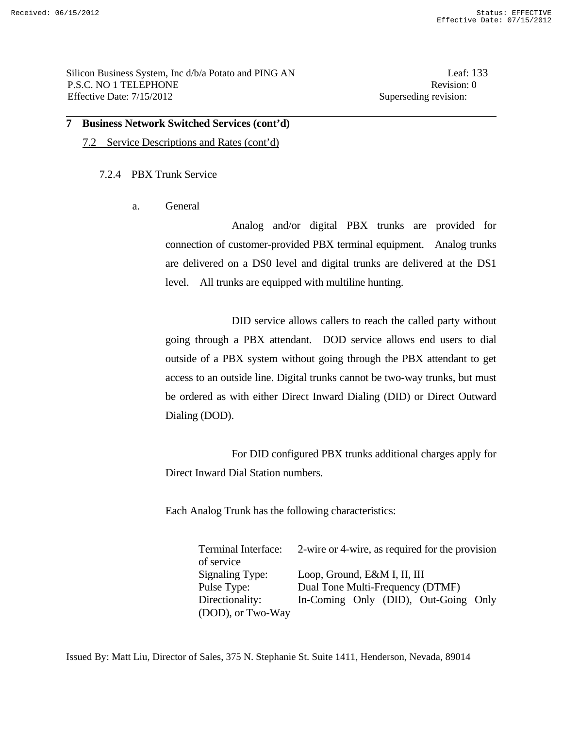Silicon Business System, Inc d/b/a Potato and PING AN Leaf: 133 P.S.C. NO 1 TELEPHONE Revision: 0 Effective Date: 7/15/2012 Superseding revision:

### **7 Business Network Switched Services (cont'd)**

7.2 Service Descriptions and Rates (cont'd)

### 7.2.4 PBX Trunk Service

a. General

 Analog and/or digital PBX trunks are provided for connection of customer-provided PBX terminal equipment. Analog trunks are delivered on a DS0 level and digital trunks are delivered at the DS1 level. All trunks are equipped with multiline hunting.

 DID service allows callers to reach the called party without going through a PBX attendant. DOD service allows end users to dial outside of a PBX system without going through the PBX attendant to get access to an outside line. Digital trunks cannot be two-way trunks, but must be ordered as with either Direct Inward Dialing (DID) or Direct Outward Dialing (DOD).

 For DID configured PBX trunks additional charges apply for Direct Inward Dial Station numbers.

Each Analog Trunk has the following characteristics:

| <b>Terminal Interface:</b> | 2-wire or 4-wire, as required for the provision |
|----------------------------|-------------------------------------------------|
| of service                 |                                                 |
| Signaling Type:            | Loop, Ground, E&M I, II, III                    |
| Pulse Type:                | Dual Tone Multi-Frequency (DTMF)                |
| Directionality:            | In-Coming Only (DID), Out-Going Only            |
| (DOD), or Two-Way          |                                                 |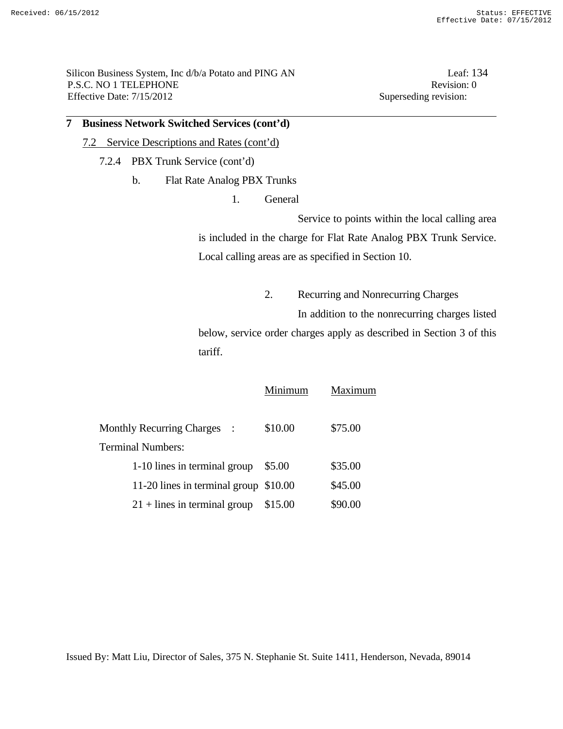Silicon Business System, Inc d/b/a Potato and PING AN Leaf: 134 P.S.C. NO 1 TELEPHONE Revision: 0 Effective Date:  $7/15/2012$  Superseding revision:

## **7 Business Network Switched Services (cont'd)**

- 7.2 Service Descriptions and Rates (cont'd)
	- 7.2.4 PBX Trunk Service (cont'd)
		- b. Flat Rate Analog PBX Trunks
			- 1. General

 Service to points within the local calling area is included in the charge for Flat Rate Analog PBX Trunk Service. Local calling areas are as specified in Section 10.

2. Recurring and Nonrecurring Charges

In addition to the nonrecurring charges listed

below, service order charges apply as described in Section 3 of this tariff.

|                                       | Minimum | Maximum |
|---------------------------------------|---------|---------|
| Monthly Recurring Charges :           | \$10.00 | \$75.00 |
| <b>Terminal Numbers:</b>              |         |         |
| 1-10 lines in terminal group          | \$5.00  | \$35.00 |
| 11-20 lines in terminal group \$10.00 |         | \$45.00 |
| $21 +$ lines in terminal group        | \$15.00 | \$90.00 |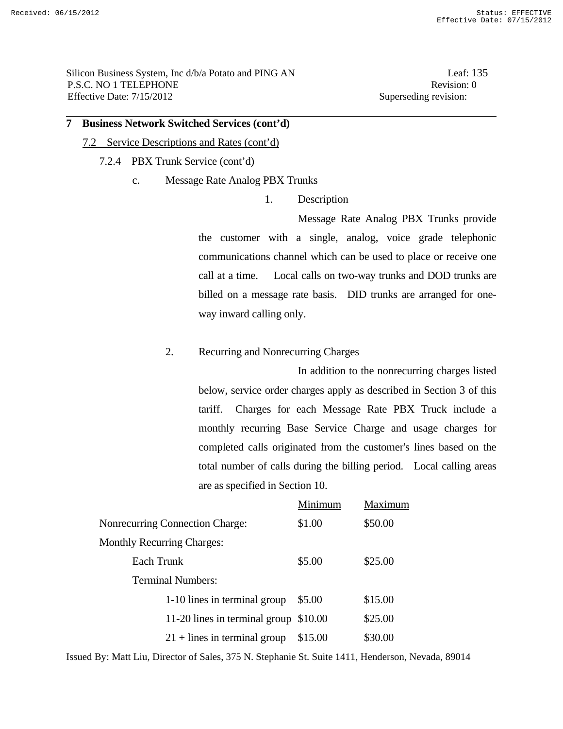Silicon Business System, Inc d/b/a Potato and PING AN Leaf: 135 P.S.C. NO 1 TELEPHONE Revision: 0 Effective Date: 7/15/2012 Superseding revision:

### **7 Business Network Switched Services (cont'd)**

- 7.2 Service Descriptions and Rates (cont'd)
	- 7.2.4 PBX Trunk Service (cont'd)
		- c. Message Rate Analog PBX Trunks

1. Description

 Message Rate Analog PBX Trunks provide the customer with a single, analog, voice grade telephonic communications channel which can be used to place or receive one call at a time. Local calls on two-way trunks and DOD trunks are billed on a message rate basis. DID trunks are arranged for oneway inward calling only.

### 2. Recurring and Nonrecurring Charges

 In addition to the nonrecurring charges listed below, service order charges apply as described in Section 3 of this tariff. Charges for each Message Rate PBX Truck include a monthly recurring Base Service Charge and usage charges for completed calls originated from the customer's lines based on the total number of calls during the billing period. Local calling areas are as specified in Section 10.

|                                   |                                        | Minimum | Maximum |
|-----------------------------------|----------------------------------------|---------|---------|
|                                   | <b>Nonrecurring Connection Charge:</b> | \$1.00  | \$50.00 |
| <b>Monthly Recurring Charges:</b> |                                        |         |         |
| Each Trunk                        |                                        | \$5.00  | \$25.00 |
|                                   | <b>Terminal Numbers:</b>               |         |         |
|                                   | 1-10 lines in terminal group           | \$5.00  | \$15.00 |
|                                   | 11-20 lines in terminal group \$10.00  |         | \$25.00 |
|                                   | $21 +$ lines in terminal group         | \$15.00 | \$30.00 |
|                                   |                                        |         |         |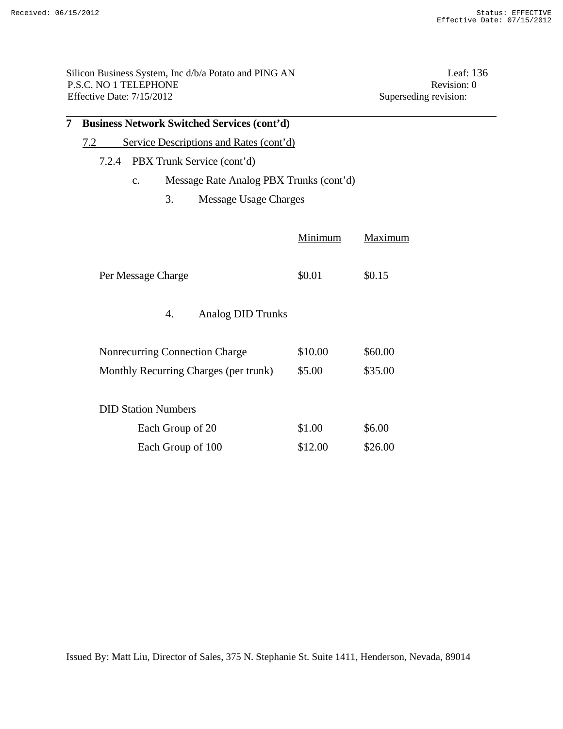Silicon Business System, Inc d/b/a Potato and PING AN Leaf: 136<br>P.S.C. NO 1 TELEPHONE Revision: 0 P.S.C. NO 1 TELEPHONE Revision: Revision: 0.01 TELEPHONE Revision: 0.01 TELEPHONE Revision: 0.01 TELEPHONE Effective Date:  $7/15/2012$ 

| 7 | <b>Business Network Switched Services (cont'd)</b> |                                         |                  |                                         |         |                |
|---|----------------------------------------------------|-----------------------------------------|------------------|-----------------------------------------|---------|----------------|
|   | 7.2                                                | Service Descriptions and Rates (cont'd) |                  |                                         |         |                |
|   | 7.2.4                                              |                                         |                  | PBX Trunk Service (cont'd)              |         |                |
|   |                                                    | $\mathcal{C}$ .                         |                  | Message Rate Analog PBX Trunks (cont'd) |         |                |
|   |                                                    |                                         | 3.               | Message Usage Charges                   |         |                |
|   |                                                    |                                         |                  |                                         | Minimum | <b>Maximum</b> |
|   |                                                    | Per Message Charge                      |                  |                                         | \$0.01  | \$0.15         |
|   |                                                    |                                         | 4.               | <b>Analog DID Trunks</b>                |         |                |
|   |                                                    |                                         |                  | Nonrecurring Connection Charge          | \$10.00 | \$60.00        |
|   |                                                    |                                         |                  | Monthly Recurring Charges (per trunk)   | \$5.00  | \$35.00        |
|   |                                                    | <b>DID Station Numbers</b>              |                  |                                         |         |                |
|   |                                                    |                                         | Each Group of 20 |                                         | \$1.00  | \$6.00         |
|   |                                                    |                                         |                  | Each Group of 100                       | \$12.00 | \$26.00        |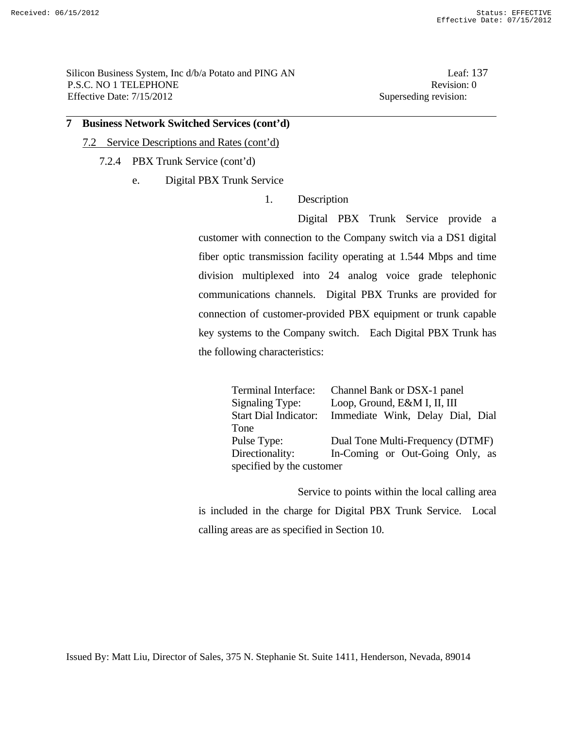Silicon Business System, Inc d/b/a Potato and PING AN Leaf: 137 P.S.C. NO 1 TELEPHONE Revision: 0 Effective Date: 7/15/2012 Superseding revision:

### **7 Business Network Switched Services (cont'd)**

- 7.2 Service Descriptions and Rates (cont'd)
	- 7.2.4 PBX Trunk Service (cont'd)
		- e. Digital PBX Trunk Service

## 1. Description

 Digital PBX Trunk Service provide a customer with connection to the Company switch via a DS1 digital fiber optic transmission facility operating at 1.544 Mbps and time division multiplexed into 24 analog voice grade telephonic communications channels. Digital PBX Trunks are provided for connection of customer-provided PBX equipment or trunk capable key systems to the Company switch. Each Digital PBX Trunk has the following characteristics:

| Start Dial Indicator: Immediate Wink, Delay Dial, Dial |
|--------------------------------------------------------|
|                                                        |
| Dual Tone Multi-Frequency (DTMF)                       |
| In-Coming or Out-Going Only, as                        |
|                                                        |

Service to points within the local calling area

is included in the charge for Digital PBX Trunk Service. Local calling areas are as specified in Section 10.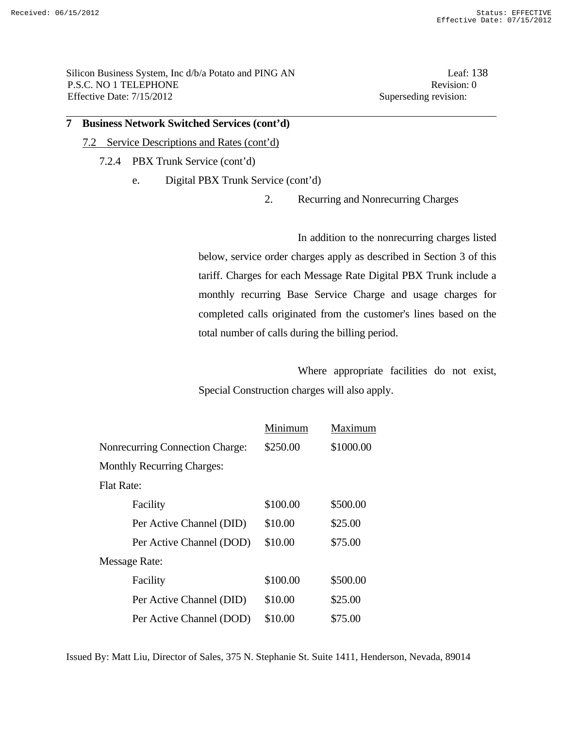Silicon Business System, Inc d/b/a Potato and PING AN Leaf: 138 P.S.C. NO 1 TELEPHONE Revision: 0 Effective Date:  $7/15/2012$  Superseding revision:

### **7 Business Network Switched Services (cont'd)**

- 7.2 Service Descriptions and Rates (cont'd)
	- 7.2.4 PBX Trunk Service (cont'd)
		- e. Digital PBX Trunk Service (cont'd)

2. Recurring and Nonrecurring Charges

 In addition to the nonrecurring charges listed below, service order charges apply as described in Section 3 of this tariff. Charges for each Message Rate Digital PBX Trunk include a monthly recurring Base Service Charge and usage charges for completed calls originated from the customer's lines based on the total number of calls during the billing period.

 Where appropriate facilities do not exist, Special Construction charges will also apply.

|                                   | Minimum  | Maximum   |
|-----------------------------------|----------|-----------|
| Nonrecurring Connection Charge:   | \$250.00 | \$1000.00 |
| <b>Monthly Recurring Charges:</b> |          |           |
| <b>Flat Rate:</b>                 |          |           |
| Facility                          | \$100.00 | \$500.00  |
| Per Active Channel (DID)          | \$10.00  | \$25.00   |
| Per Active Channel (DOD)          | \$10.00  | \$75.00   |
| <b>Message Rate:</b>              |          |           |
| Facility                          | \$100.00 | \$500.00  |
| Per Active Channel (DID)          | \$10.00  | \$25.00   |
| Per Active Channel (DOD)          | \$10.00  | \$75.00   |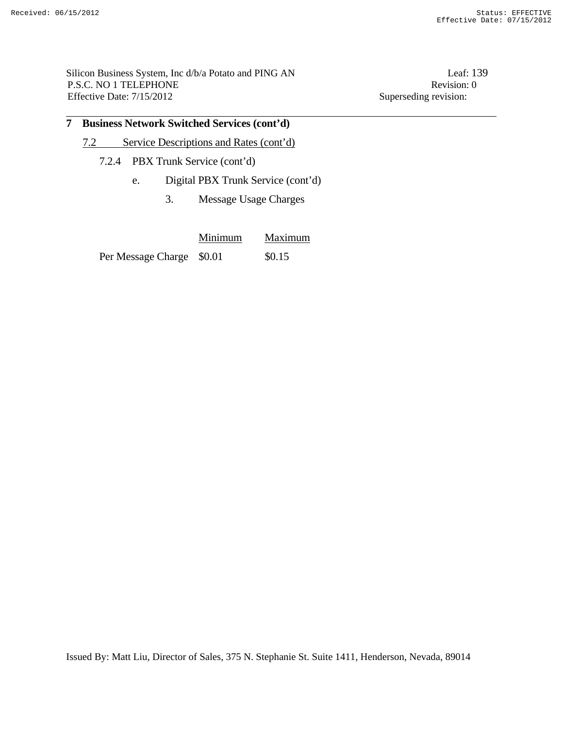Silicon Business System, Inc d/b/a Potato and PING AN Leaf: 139<br>P.S.C. NO 1 TELEPHONE Revision: 0 P.S.C. NO 1 TELEPHONE Effective Date: 7/15/2012 Superseding revision:

| 7                                        | <b>Business Network Switched Services (cont'd)</b> |  |  |  |  |
|------------------------------------------|----------------------------------------------------|--|--|--|--|
|                                          | Service Descriptions and Rates (cont'd)<br>7.2     |  |  |  |  |
| 7.2.4 PBX Trunk Service (cont'd)         |                                                    |  |  |  |  |
| Digital PBX Trunk Service (cont'd)<br>e. |                                                    |  |  |  |  |
|                                          |                                                    |  |  |  |  |

3. Message Usage Charges

|                           | Minimum | Maximum |
|---------------------------|---------|---------|
| Per Message Charge \$0.01 |         | \$0.15  |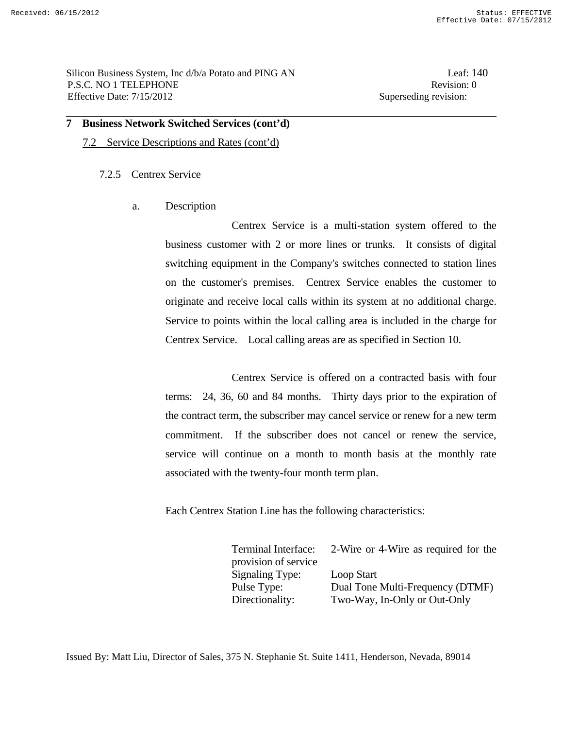Silicon Business System, Inc d/b/a Potato and PING AN Leaf: 140 P.S.C. NO 1 TELEPHONE Revision: 0 Effective Date: 7/15/2012 Superseding revision:

### **7 Business Network Switched Services (cont'd)**

#### 7.2 Service Descriptions and Rates (cont'd)

#### 7.2.5 Centrex Service

#### a. Description

 Centrex Service is a multi-station system offered to the business customer with 2 or more lines or trunks. It consists of digital switching equipment in the Company's switches connected to station lines on the customer's premises. Centrex Service enables the customer to originate and receive local calls within its system at no additional charge. Service to points within the local calling area is included in the charge for Centrex Service. Local calling areas are as specified in Section 10.

 Centrex Service is offered on a contracted basis with four terms: 24, 36, 60 and 84 months. Thirty days prior to the expiration of the contract term, the subscriber may cancel service or renew for a new term commitment. If the subscriber does not cancel or renew the service, service will continue on a month to month basis at the monthly rate associated with the twenty-four month term plan.

Each Centrex Station Line has the following characteristics:

| <b>Terminal Interface:</b><br>provision of service | 2-Wire or 4-Wire as required for the |
|----------------------------------------------------|--------------------------------------|
| Signaling Type:<br>Loop Start                      |                                      |
| Pulse Type:                                        | Dual Tone Multi-Frequency (DTMF)     |
| Directionality:                                    | Two-Way, In-Only or Out-Only         |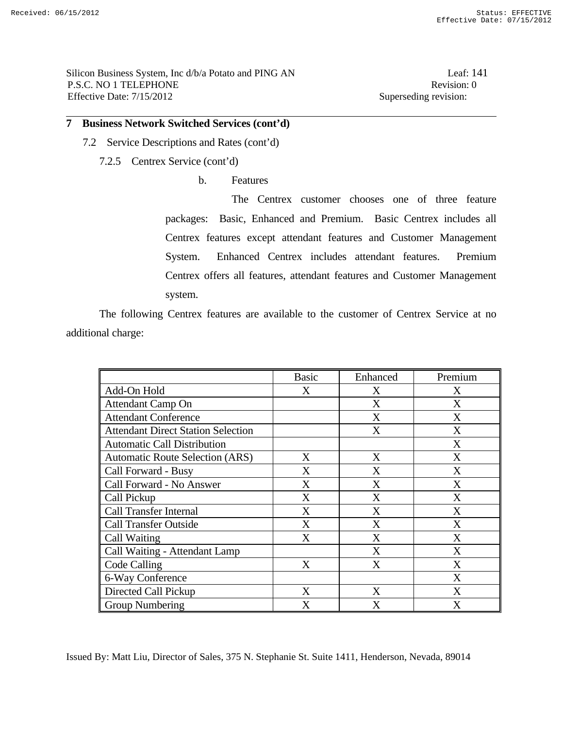## **7 Business Network Switched Services (cont'd)**

- 7.2 Service Descriptions and Rates (cont'd)
	- 7.2.5 Centrex Service (cont'd)

b. Features

 The Centrex customer chooses one of three feature packages: Basic, Enhanced and Premium. Basic Centrex includes all Centrex features except attendant features and Customer Management System. Enhanced Centrex includes attendant features. Premium Centrex offers all features, attendant features and Customer Management system.

 The following Centrex features are available to the customer of Centrex Service at no additional charge:

|                                           | <b>Basic</b> | Enhanced | Premium |
|-------------------------------------------|--------------|----------|---------|
| Add-On Hold                               | X            | X        | X       |
| <b>Attendant Camp On</b>                  |              | X        | X       |
| <b>Attendant Conference</b>               |              | X        | X       |
| <b>Attendant Direct Station Selection</b> |              | X        | X       |
| <b>Automatic Call Distribution</b>        |              |          | X       |
| <b>Automatic Route Selection (ARS)</b>    | X            | X        | X       |
| Call Forward - Busy                       | X            | X        | X       |
| Call Forward - No Answer                  | X            | X        | X       |
| Call Pickup                               | X            | X        | X       |
| <b>Call Transfer Internal</b>             | X            | X        | X       |
| <b>Call Transfer Outside</b>              | X            | X        | X       |
| <b>Call Waiting</b>                       | X            | X        | X       |
| Call Waiting - Attendant Lamp             |              | X        | X       |
| Code Calling                              | X            | X        | X       |
| 6-Way Conference                          |              |          | X       |
| Directed Call Pickup                      | X            | X        | X       |
| <b>Group Numbering</b>                    | X            | X        | X       |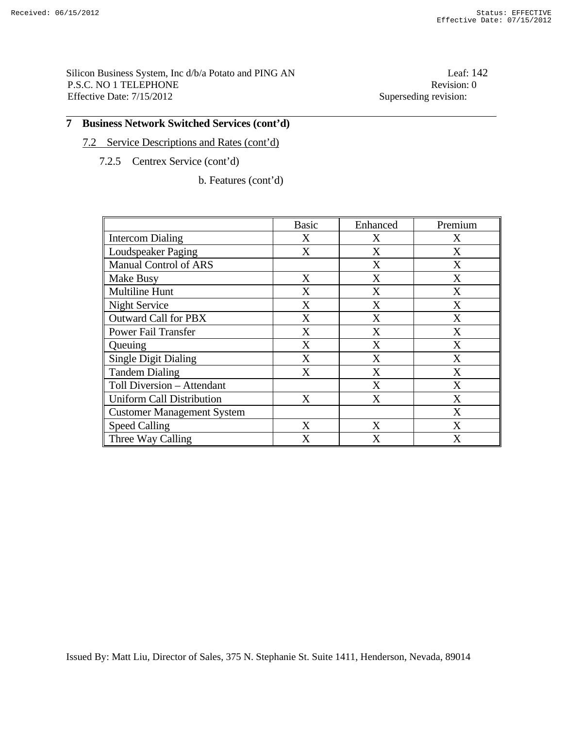Silicon Business System, Inc d/b/a Potato and PING AN Leaf: 142 P.S.C. NO 1 TELEPHONE Revision: 0 Effective Date: 7/15/2012 Superseding revision:

## **7 Business Network Switched Services (cont'd)**

### 7.2 Service Descriptions and Rates (cont'd)

7.2.5 Centrex Service (cont'd)

b. Features (cont'd)

|                                   | <b>Basic</b> | Enhanced | Premium |
|-----------------------------------|--------------|----------|---------|
| <b>Intercom Dialing</b>           | X            | X        | X       |
| Loudspeaker Paging                | X            | X        | X       |
| <b>Manual Control of ARS</b>      |              | X        | X       |
| <b>Make Busy</b>                  | X            | X        | X       |
| <b>Multiline Hunt</b>             | X            | X        | X       |
| <b>Night Service</b>              | X            | X        | X       |
| <b>Outward Call for PBX</b>       | X            | X        | X       |
| <b>Power Fail Transfer</b>        | X            | X        | X       |
| Queuing                           | X            | X        | X       |
| <b>Single Digit Dialing</b>       | X            | X        | X       |
| <b>Tandem Dialing</b>             | X            | X        | X       |
| Toll Diversion - Attendant        |              | X        | X       |
| <b>Uniform Call Distribution</b>  | X            | X        | X       |
| <b>Customer Management System</b> |              |          | X       |
| <b>Speed Calling</b>              | X            | X        | X       |
| Three Way Calling                 | X            | X        | X       |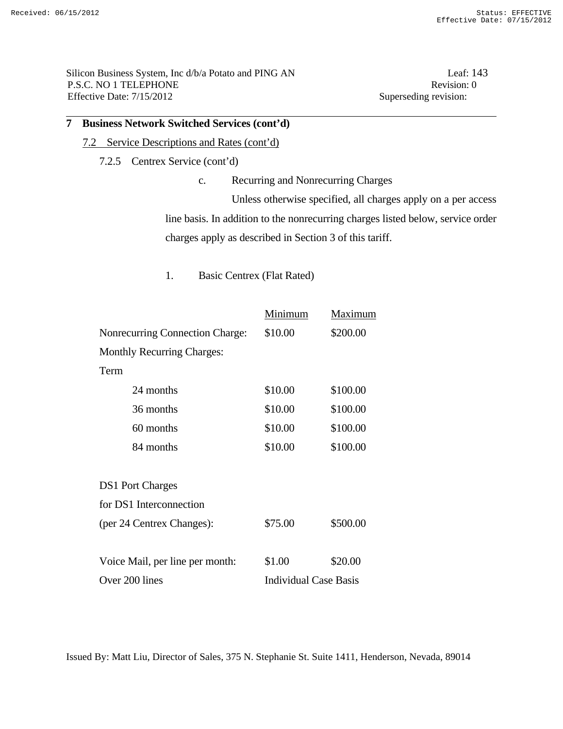Silicon Business System, Inc d/b/a Potato and PING AN Leaf: 143 P.S.C. NO 1 TELEPHONE Revision: 0 Effective Date:  $7/15/2012$  Superseding revision:

## **7 Business Network Switched Services (cont'd)**

## 7.2 Service Descriptions and Rates (cont'd)

#### 7.2.5 Centrex Service (cont'd)

c. Recurring and Nonrecurring Charges

 Unless otherwise specified, all charges apply on a per access line basis. In addition to the nonrecurring charges listed below, service order charges apply as described in Section 3 of this tariff.

1. Basic Centrex (Flat Rated)

|                                        | Minimum                      | Maximum  |
|----------------------------------------|------------------------------|----------|
| <b>Nonrecurring Connection Charge:</b> | \$10.00                      | \$200.00 |
| <b>Monthly Recurring Charges:</b>      |                              |          |
| Term                                   |                              |          |
| 24 months                              | \$10.00                      | \$100.00 |
| 36 months                              | \$10.00                      | \$100.00 |
| 60 months                              | \$10.00                      | \$100.00 |
| 84 months                              | \$10.00                      | \$100.00 |
| <b>DS1</b> Port Charges                |                              |          |
| for DS1 Interconnection                |                              |          |
| (per 24 Centrex Changes):              | \$75.00                      | \$500.00 |
| Voice Mail, per line per month:        | \$1.00                       | \$20.00  |
| Over 200 lines                         | <b>Individual Case Basis</b> |          |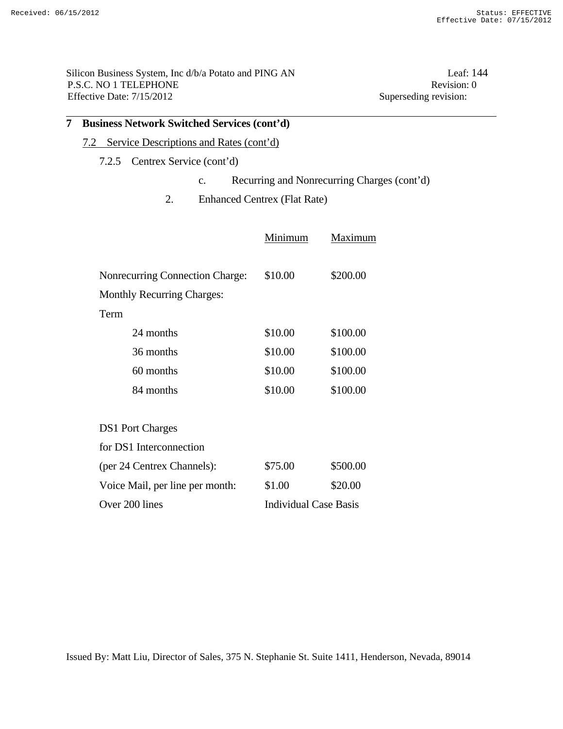Silicon Business System, Inc d/b/a Potato and PING AN Leaf: 144 P.S.C. NO 1 TELEPHONE Revision: 0 Effective Date: 7/15/2012 Superseding revision:

## **7 Business Network Switched Services (cont'd)**

## 7.2 Service Descriptions and Rates (cont'd)

## 7.2.5 Centrex Service (cont'd)

- c. Recurring and Nonrecurring Charges (cont'd)
- 2. Enhanced Centrex (Flat Rate)

|                                        | Minimum                      | Maximum  |
|----------------------------------------|------------------------------|----------|
| <b>Nonrecurring Connection Charge:</b> | \$10.00                      | \$200.00 |
| <b>Monthly Recurring Charges:</b>      |                              |          |
| Term                                   |                              |          |
| 24 months                              | \$10.00                      | \$100.00 |
| 36 months                              | \$10.00                      | \$100.00 |
| 60 months                              | \$10.00                      | \$100.00 |
| 84 months                              | \$10.00                      | \$100.00 |
| <b>DS1</b> Port Charges                |                              |          |
| for DS1 Interconnection                |                              |          |
| (per 24 Centrex Channels):             | \$75.00                      | \$500.00 |
| Voice Mail, per line per month:        | \$1.00                       | \$20.00  |
| Over 200 lines                         | <b>Individual Case Basis</b> |          |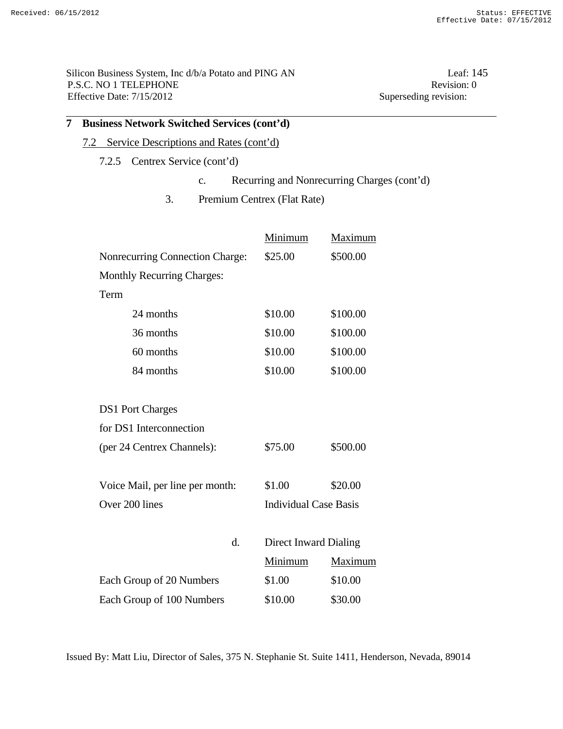Silicon Business System, Inc d/b/a Potato and PING AN Leaf: 145 P.S.C. NO 1 TELEPHONE Revision: 0 Effective Date:  $7/15/2012$  Superseding revision:

# **7 Business Network Switched Services (cont'd)**

## 7.2 Service Descriptions and Rates (cont'd)

- 7.2.5 Centrex Service (cont'd)
	- c. Recurring and Nonrecurring Charges (cont'd)
	- 3. Premium Centrex (Flat Rate)

|                                   | Minimum                      | Maximum  |
|-----------------------------------|------------------------------|----------|
| Nonrecurring Connection Charge:   | \$25.00                      | \$500.00 |
| <b>Monthly Recurring Charges:</b> |                              |          |
| Term                              |                              |          |
| 24 months                         | \$10.00                      | \$100.00 |
| 36 months                         | \$10.00                      | \$100.00 |
| 60 months                         | \$10.00                      | \$100.00 |
| 84 months                         | \$10.00                      | \$100.00 |
| <b>DS1</b> Port Charges           |                              |          |
| for DS1 Interconnection           |                              |          |
| (per 24 Centrex Channels):        | \$75.00                      | \$500.00 |
| Voice Mail, per line per month:   | \$1.00                       | \$20.00  |
| Over 200 lines                    | <b>Individual Case Basis</b> |          |
| d.                                | <b>Direct Inward Dialing</b> |          |
|                                   | Minimum                      | Maximum  |
| Each Group of 20 Numbers          | \$1.00                       | \$10.00  |
| Each Group of 100 Numbers         | \$10.00                      | \$30.00  |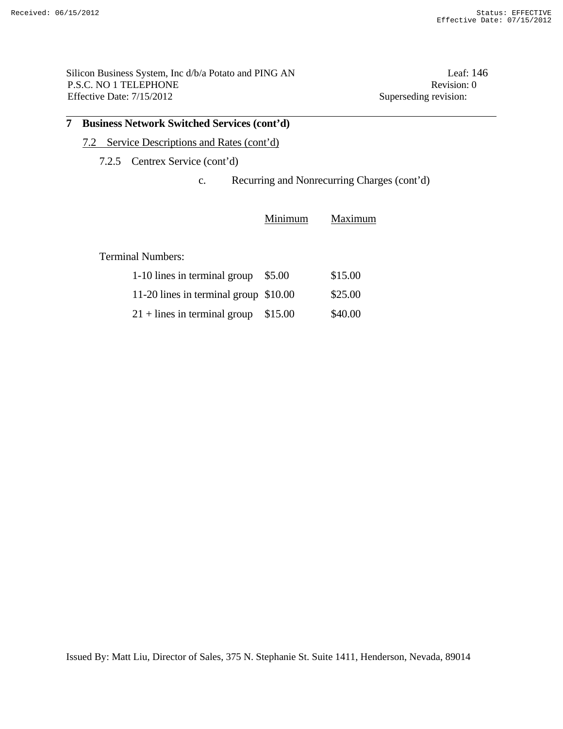Silicon Business System, Inc d/b/a Potato and PING AN Leaf: 146 P.S.C. NO 1 TELEPHONE Revision: 0 Effective Date: 7/15/2012 Superseding revision:

# **7 Business Network Switched Services (cont'd)**

## 7.2 Service Descriptions and Rates (cont'd)

7.2.5 Centrex Service (cont'd)

c. Recurring and Nonrecurring Charges (cont'd)

|                                       | Minimum | Maximum |
|---------------------------------------|---------|---------|
| <b>Terminal Numbers:</b>              |         |         |
| 1-10 lines in terminal group          | \$5.00  | \$15.00 |
| 11-20 lines in terminal group \$10.00 |         | \$25.00 |
| $21 +$ lines in terminal group        | \$15.00 | \$40.00 |
|                                       |         |         |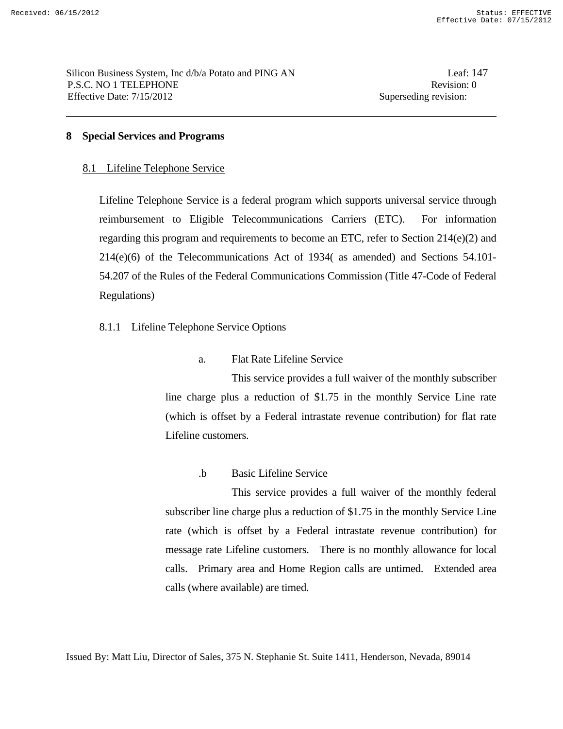## **8 Special Services and Programs**

## 8.1 Lifeline Telephone Service

 Lifeline Telephone Service is a federal program which supports universal service through reimbursement to Eligible Telecommunications Carriers (ETC). For information regarding this program and requirements to become an ETC, refer to Section 214(e)(2) and 214(e)(6) of the Telecommunications Act of 1934( as amended) and Sections 54.101- 54.207 of the Rules of the Federal Communications Commission (Title 47-Code of Federal Regulations)

## 8.1.1 Lifeline Telephone Service Options

## a. Flat Rate Lifeline Service

 This service provides a full waiver of the monthly subscriber line charge plus a reduction of \$1.75 in the monthly Service Line rate (which is offset by a Federal intrastate revenue contribution) for flat rate Lifeline customers.

## .b Basic Lifeline Service

 This service provides a full waiver of the monthly federal subscriber line charge plus a reduction of \$1.75 in the monthly Service Line rate (which is offset by a Federal intrastate revenue contribution) for message rate Lifeline customers. There is no monthly allowance for local calls. Primary area and Home Region calls are untimed. Extended area calls (where available) are timed.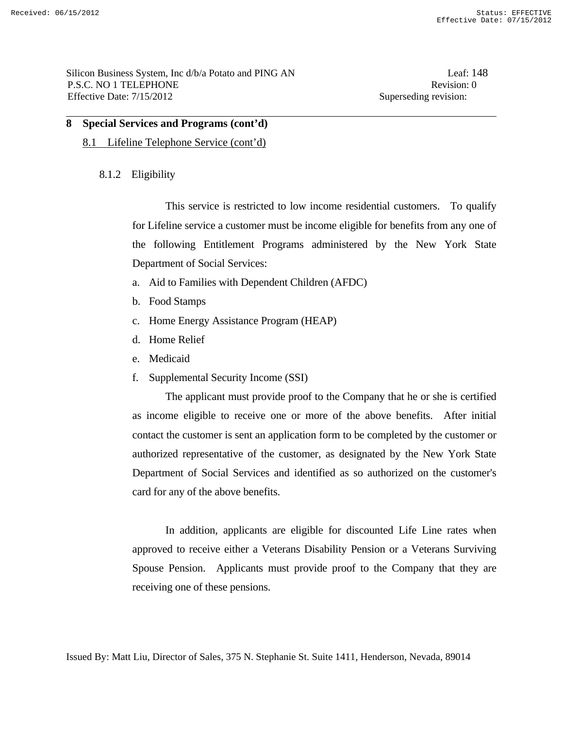## 8.1 Lifeline Telephone Service (cont'd)

## 8.1.2 Eligibility

 This service is restricted to low income residential customers. To qualify for Lifeline service a customer must be income eligible for benefits from any one of the following Entitlement Programs administered by the New York State Department of Social Services:

- a. Aid to Families with Dependent Children (AFDC)
- b. Food Stamps
- c. Home Energy Assistance Program (HEAP)
- d. Home Relief
- e. Medicaid
- f. Supplemental Security Income (SSI)

 The applicant must provide proof to the Company that he or she is certified as income eligible to receive one or more of the above benefits. After initial contact the customer is sent an application form to be completed by the customer or authorized representative of the customer, as designated by the New York State Department of Social Services and identified as so authorized on the customer's card for any of the above benefits.

 In addition, applicants are eligible for discounted Life Line rates when approved to receive either a Veterans Disability Pension or a Veterans Surviving Spouse Pension. Applicants must provide proof to the Company that they are receiving one of these pensions.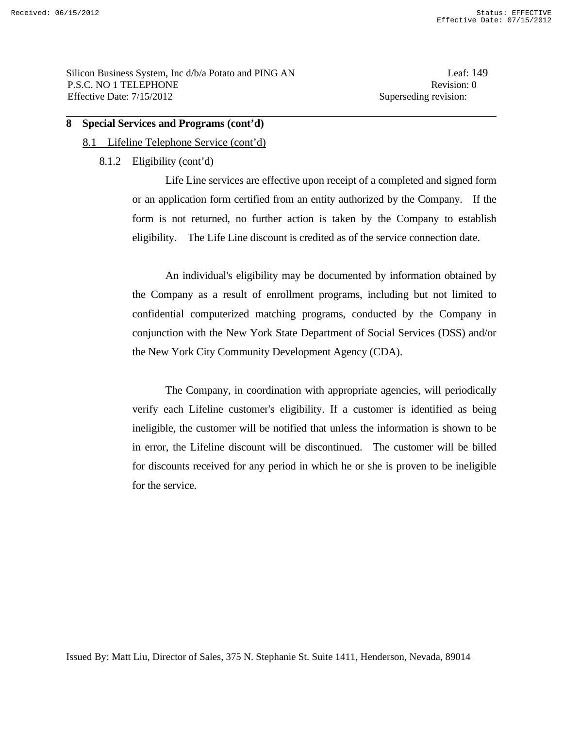### 8.1 Lifeline Telephone Service (cont'd)

### 8.1.2 Eligibility (cont'd)

 Life Line services are effective upon receipt of a completed and signed form or an application form certified from an entity authorized by the Company. If the form is not returned, no further action is taken by the Company to establish eligibility. The Life Line discount is credited as of the service connection date.

 An individual's eligibility may be documented by information obtained by the Company as a result of enrollment programs, including but not limited to confidential computerized matching programs, conducted by the Company in conjunction with the New York State Department of Social Services (DSS) and/or the New York City Community Development Agency (CDA).

 The Company, in coordination with appropriate agencies, will periodically verify each Lifeline customer's eligibility. If a customer is identified as being ineligible, the customer will be notified that unless the information is shown to be in error, the Lifeline discount will be discontinued. The customer will be billed for discounts received for any period in which he or she is proven to be ineligible for the service.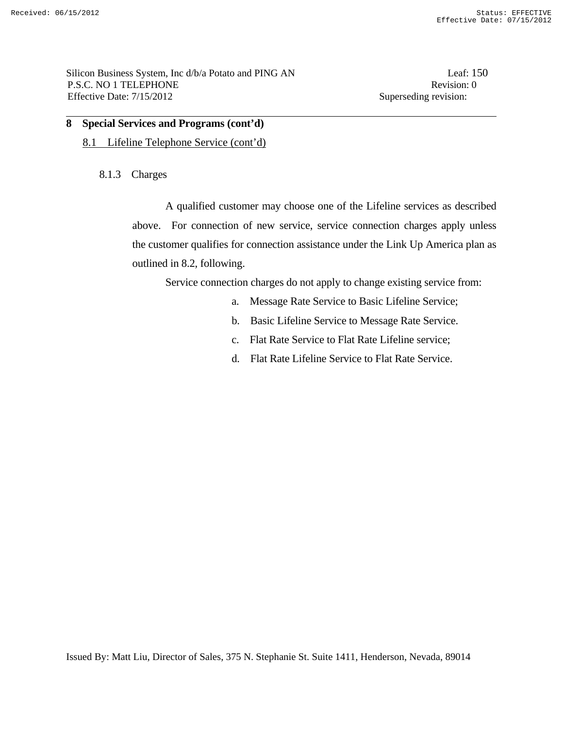Silicon Business System, Inc d/b/a Potato and PING AN Leaf: 150 P.S.C. NO 1 TELEPHONE Revision: 0 Effective Date:  $7/15/2012$  Superseding revision:

#### **8 Special Services and Programs (cont'd)**

## 8.1 Lifeline Telephone Service (cont'd)

#### 8.1.3 Charges

 A qualified customer may choose one of the Lifeline services as described above. For connection of new service, service connection charges apply unless the customer qualifies for connection assistance under the Link Up America plan as outlined in 8.2, following.

Service connection charges do not apply to change existing service from:

- a. Message Rate Service to Basic Lifeline Service;
- b. Basic Lifeline Service to Message Rate Service.
- c. Flat Rate Service to Flat Rate Lifeline service;
- d. Flat Rate Lifeline Service to Flat Rate Service.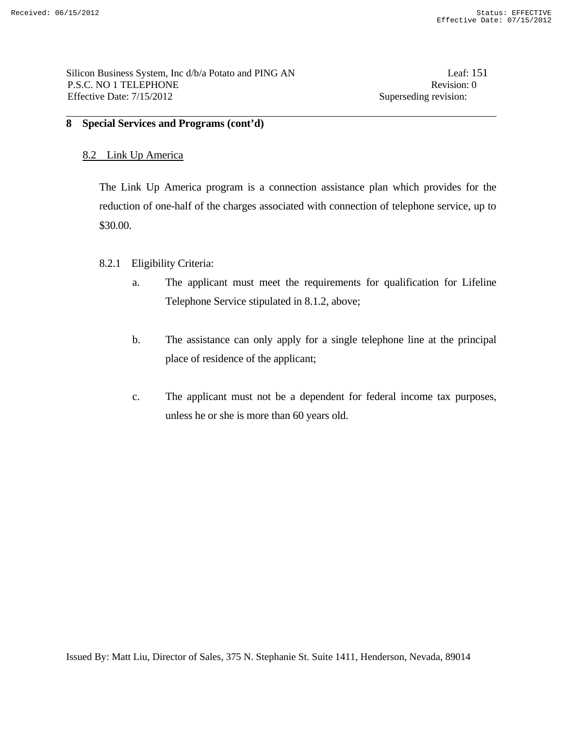## 8.2 Link Up America

 The Link Up America program is a connection assistance plan which provides for the reduction of one-half of the charges associated with connection of telephone service, up to \$30.00.

- 8.2.1 Eligibility Criteria:
	- a. The applicant must meet the requirements for qualification for Lifeline Telephone Service stipulated in 8.1.2, above;
	- b. The assistance can only apply for a single telephone line at the principal place of residence of the applicant;
	- c. The applicant must not be a dependent for federal income tax purposes, unless he or she is more than 60 years old.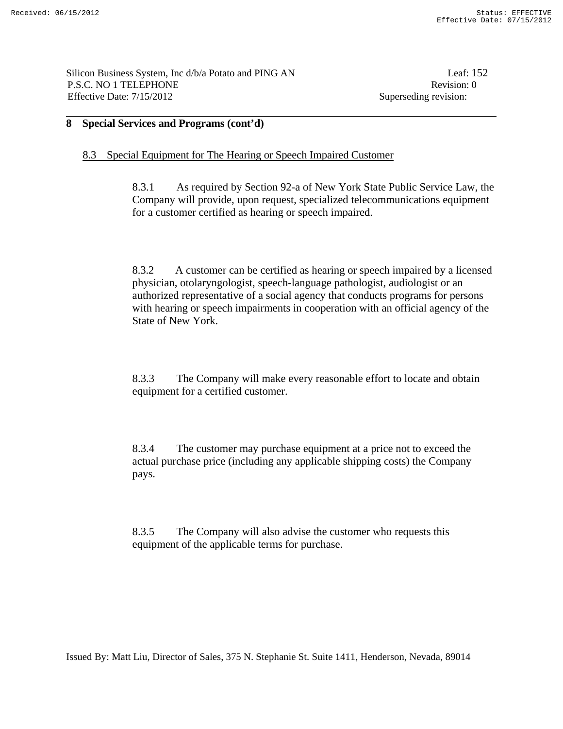Silicon Business System, Inc d/b/a Potato and PING AN Leaf: 152 P.S.C. NO 1 TELEPHONE Revision: 0 Effective Date: 7/15/2012 Superseding revision:

## **8 Special Services and Programs (cont'd)**

## 8.3 Special Equipment for The Hearing or Speech Impaired Customer

8.3.1 As required by Section 92-a of New York State Public Service Law, the Company will provide, upon request, specialized telecommunications equipment for a customer certified as hearing or speech impaired.

8.3.2 A customer can be certified as hearing or speech impaired by a licensed physician, otolaryngologist, speech-language pathologist, audiologist or an authorized representative of a social agency that conducts programs for persons with hearing or speech impairments in cooperation with an official agency of the State of New York.

8.3.3 The Company will make every reasonable effort to locate and obtain equipment for a certified customer.

8.3.4 The customer may purchase equipment at a price not to exceed the actual purchase price (including any applicable shipping costs) the Company pays.

8.3.5 The Company will also advise the customer who requests this equipment of the applicable terms for purchase.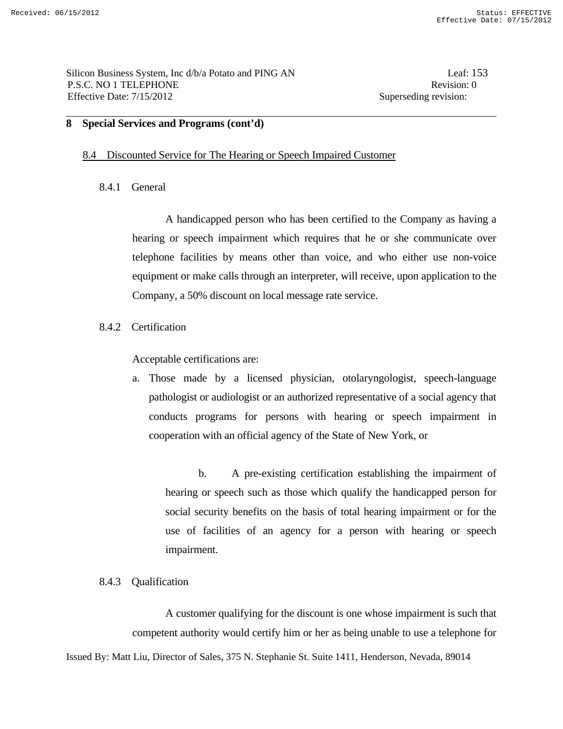## 8.4 Discounted Service for The Hearing or Speech Impaired Customer

## 8.4.1 General

 A handicapped person who has been certified to the Company as having a hearing or speech impairment which requires that he or she communicate over telephone facilities by means other than voice, and who either use non-voice equipment or make calls through an interpreter, will receive, upon application to the Company, a 50% discount on local message rate service.

8.4.2 Certification

Acceptable certifications are:

a. Those made by a licensed physician, otolaryngologist, speech-language pathologist or audiologist or an authorized representative of a social agency that conducts programs for persons with hearing or speech impairment in cooperation with an official agency of the State of New York, or

 b. A pre-existing certification establishing the impairment of hearing or speech such as those which qualify the handicapped person for social security benefits on the basis of total hearing impairment or for the use of facilities of an agency for a person with hearing or speech impairment.

#### 8.4.3 Qualification

 A customer qualifying for the discount is one whose impairment is such that competent authority would certify him or her as being unable to use a telephone for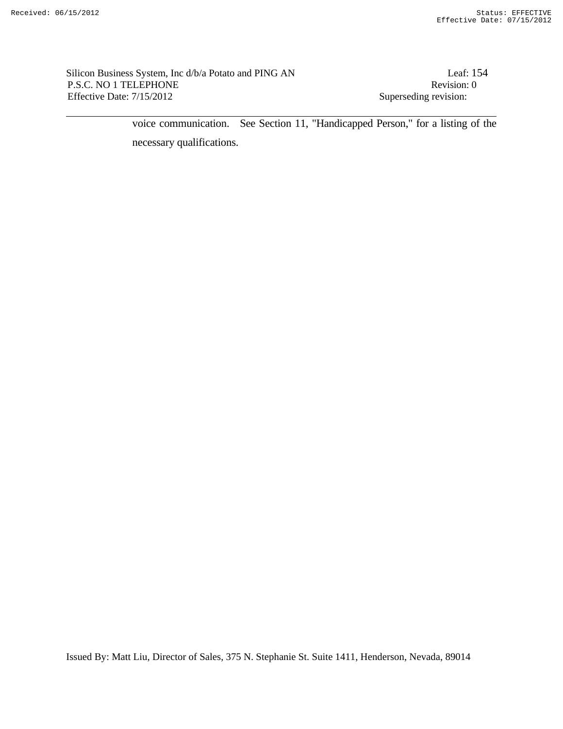Silicon Business System, Inc d/b/a Potato and PING AN Leaf: 154 P.S.C. NO 1 TELEPHONE Revision: 0 Effective Date: 7/15/2012 Superseding revision:

voice communication. See Section 11, "Handicapped Person," for a listing of the necessary qualifications.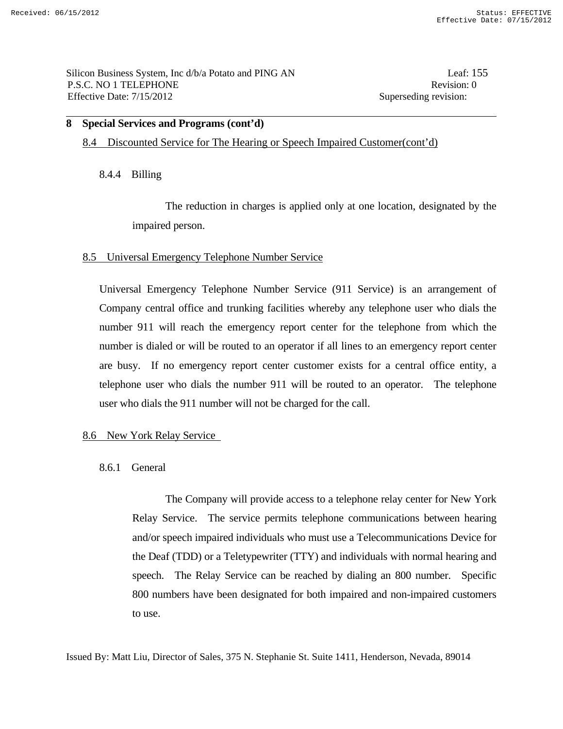8.4 Discounted Service for The Hearing or Speech Impaired Customer(cont'd)

8.4.4 Billing

 The reduction in charges is applied only at one location, designated by the impaired person.

## 8.5 Universal Emergency Telephone Number Service

 Universal Emergency Telephone Number Service (911 Service) is an arrangement of Company central office and trunking facilities whereby any telephone user who dials the number 911 will reach the emergency report center for the telephone from which the number is dialed or will be routed to an operator if all lines to an emergency report center are busy. If no emergency report center customer exists for a central office entity, a telephone user who dials the number 911 will be routed to an operator. The telephone user who dials the 911 number will not be charged for the call.

## 8.6 New York Relay Service

#### 8.6.1 General

 The Company will provide access to a telephone relay center for New York Relay Service. The service permits telephone communications between hearing and/or speech impaired individuals who must use a Telecommunications Device for the Deaf (TDD) or a Teletypewriter (TTY) and individuals with normal hearing and speech. The Relay Service can be reached by dialing an 800 number. Specific 800 numbers have been designated for both impaired and non-impaired customers to use.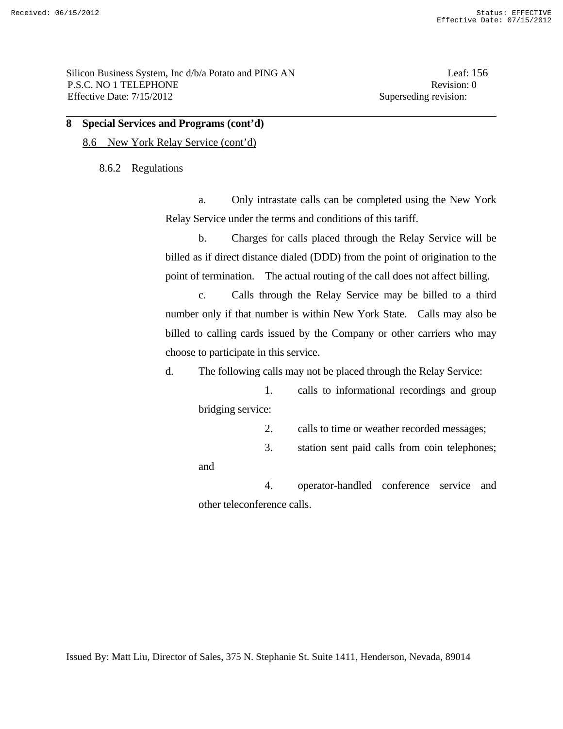8.6 New York Relay Service (cont'd)

8.6.2 Regulations

 a. Only intrastate calls can be completed using the New York Relay Service under the terms and conditions of this tariff.

 b. Charges for calls placed through the Relay Service will be billed as if direct distance dialed (DDD) from the point of origination to the point of termination. The actual routing of the call does not affect billing.

 c. Calls through the Relay Service may be billed to a third number only if that number is within New York State. Calls may also be billed to calling cards issued by the Company or other carriers who may choose to participate in this service.

d. The following calls may not be placed through the Relay Service:

1. calls to informational recordings and group

bridging service:

- 2. calls to time or weather recorded messages;
- 3. station sent paid calls from coin telephones;

and

 4. operator-handled conference service and other teleconference calls.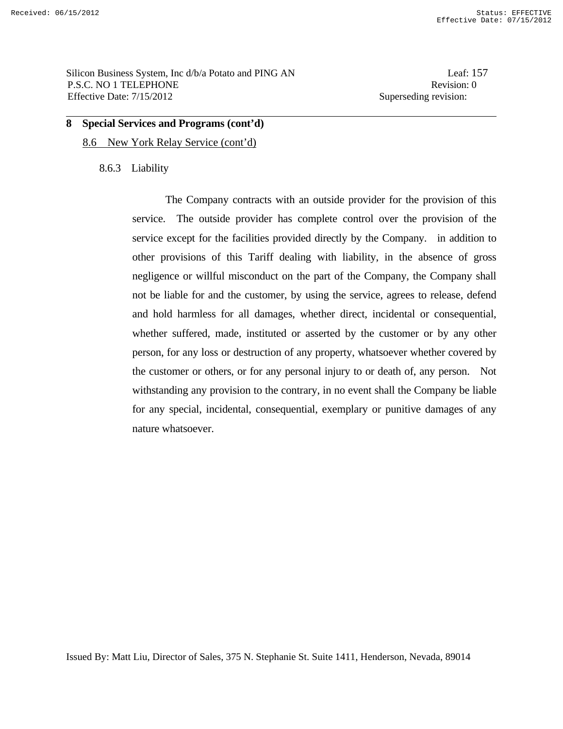## 8.6 New York Relay Service (cont'd)

#### 8.6.3 Liability

 The Company contracts with an outside provider for the provision of this service. The outside provider has complete control over the provision of the service except for the facilities provided directly by the Company. in addition to other provisions of this Tariff dealing with liability, in the absence of gross negligence or willful misconduct on the part of the Company, the Company shall not be liable for and the customer, by using the service, agrees to release, defend and hold harmless for all damages, whether direct, incidental or consequential, whether suffered, made, instituted or asserted by the customer or by any other person, for any loss or destruction of any property, whatsoever whether covered by the customer or others, or for any personal injury to or death of, any person. Not withstanding any provision to the contrary, in no event shall the Company be liable for any special, incidental, consequential, exemplary or punitive damages of any nature whatsoever.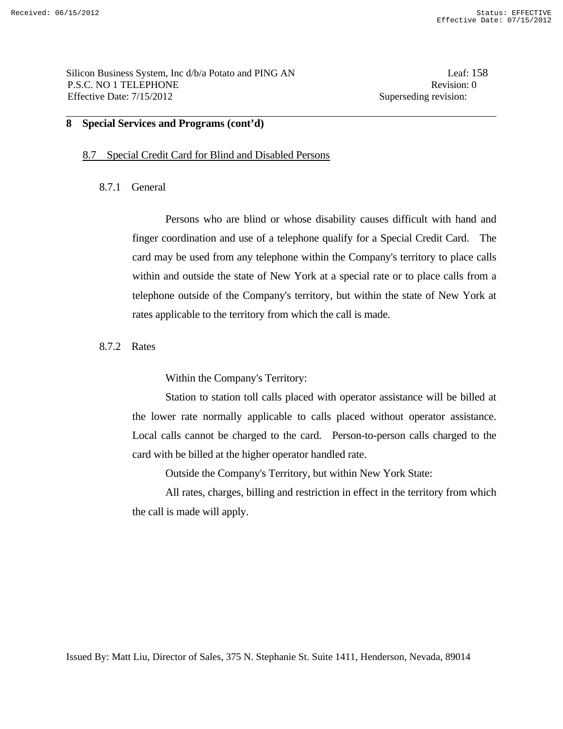Silicon Business System, Inc d/b/a Potato and PING AN Leaf: 158 P.S.C. NO 1 TELEPHONE Revision: 0 Effective Date: 7/15/2012 Superseding revision:

#### **8 Special Services and Programs (cont'd)**

#### 8.7 Special Credit Card for Blind and Disabled Persons

#### 8.7.1 General

 Persons who are blind or whose disability causes difficult with hand and finger coordination and use of a telephone qualify for a Special Credit Card. The card may be used from any telephone within the Company's territory to place calls within and outside the state of New York at a special rate or to place calls from a telephone outside of the Company's territory, but within the state of New York at rates applicable to the territory from which the call is made.

#### 8.7.2 Rates

Within the Company's Territory:

 Station to station toll calls placed with operator assistance will be billed at the lower rate normally applicable to calls placed without operator assistance. Local calls cannot be charged to the card. Person-to-person calls charged to the card with be billed at the higher operator handled rate.

Outside the Company's Territory, but within New York State:

 All rates, charges, billing and restriction in effect in the territory from which the call is made will apply.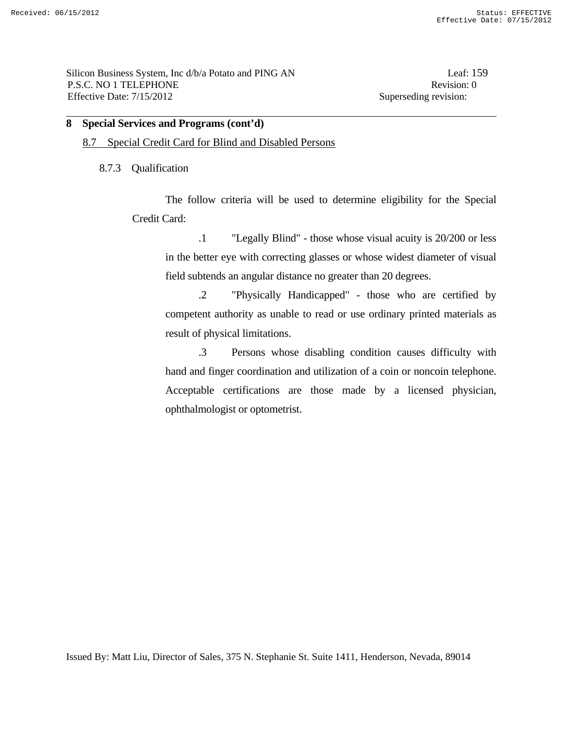#### 8.7 Special Credit Card for Blind and Disabled Persons

#### 8.7.3 Qualification

 The follow criteria will be used to determine eligibility for the Special Credit Card:

 .1 "Legally Blind" - those whose visual acuity is 20/200 or less in the better eye with correcting glasses or whose widest diameter of visual field subtends an angular distance no greater than 20 degrees.

 .2 "Physically Handicapped" - those who are certified by competent authority as unable to read or use ordinary printed materials as result of physical limitations.

 .3 Persons whose disabling condition causes difficulty with hand and finger coordination and utilization of a coin or noncoin telephone. Acceptable certifications are those made by a licensed physician, ophthalmologist or optometrist.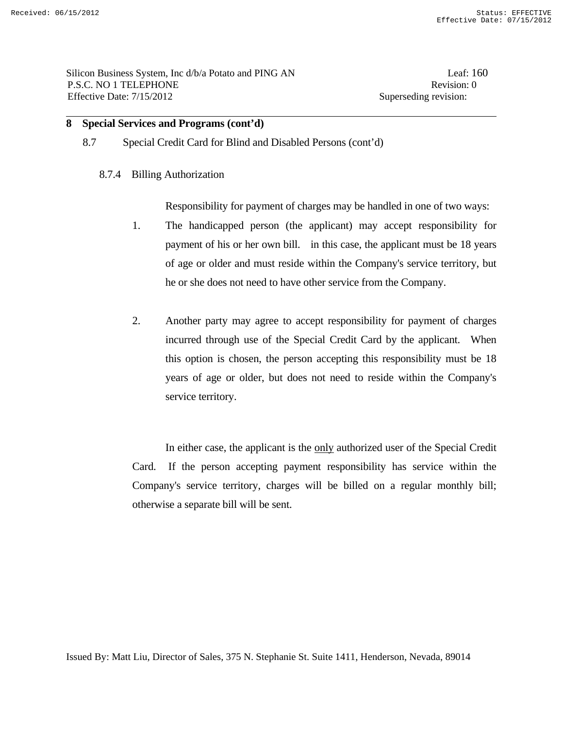- 8.7 Special Credit Card for Blind and Disabled Persons (cont'd)
	- 8.7.4 Billing Authorization

Responsibility for payment of charges may be handled in one of two ways:

- 1. The handicapped person (the applicant) may accept responsibility for payment of his or her own bill. in this case, the applicant must be 18 years of age or older and must reside within the Company's service territory, but he or she does not need to have other service from the Company.
- 2. Another party may agree to accept responsibility for payment of charges incurred through use of the Special Credit Card by the applicant. When this option is chosen, the person accepting this responsibility must be 18 years of age or older, but does not need to reside within the Company's service territory.

In either case, the applicant is the only authorized user of the Special Credit Card. If the person accepting payment responsibility has service within the Company's service territory, charges will be billed on a regular monthly bill; otherwise a separate bill will be sent.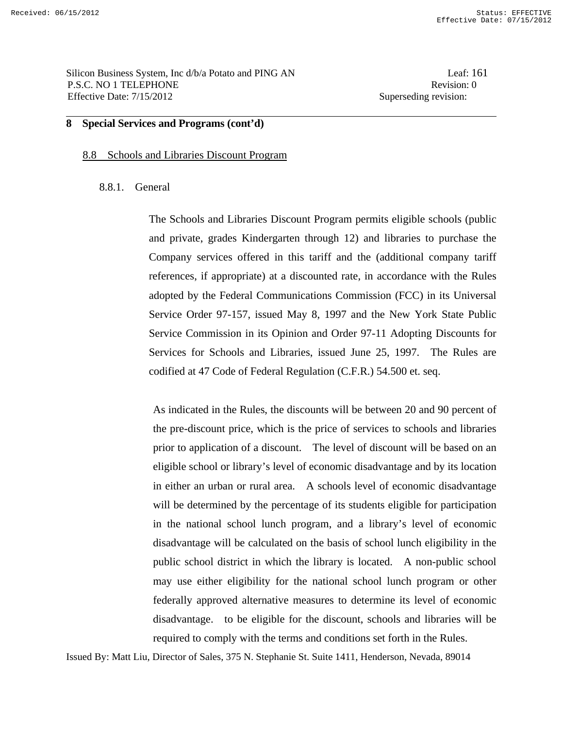Silicon Business System, Inc d/b/a Potato and PING AN Leaf: 161 P.S.C. NO 1 TELEPHONE Revision: 0 Effective Date: 7/15/2012 Superseding revision:

#### **8 Special Services and Programs (cont'd)**

#### 8.8 Schools and Libraries Discount Program

#### 8.8.1. General

The Schools and Libraries Discount Program permits eligible schools (public and private, grades Kindergarten through 12) and libraries to purchase the Company services offered in this tariff and the (additional company tariff references, if appropriate) at a discounted rate, in accordance with the Rules adopted by the Federal Communications Commission (FCC) in its Universal Service Order 97-157, issued May 8, 1997 and the New York State Public Service Commission in its Opinion and Order 97-11 Adopting Discounts for Services for Schools and Libraries, issued June 25, 1997. The Rules are codified at 47 Code of Federal Regulation (C.F.R.) 54.500 et. seq.

As indicated in the Rules, the discounts will be between 20 and 90 percent of the pre-discount price, which is the price of services to schools and libraries prior to application of a discount. The level of discount will be based on an eligible school or library's level of economic disadvantage and by its location in either an urban or rural area. A schools level of economic disadvantage will be determined by the percentage of its students eligible for participation in the national school lunch program, and a library's level of economic disadvantage will be calculated on the basis of school lunch eligibility in the public school district in which the library is located. A non-public school may use either eligibility for the national school lunch program or other federally approved alternative measures to determine its level of economic disadvantage. to be eligible for the discount, schools and libraries will be required to comply with the terms and conditions set forth in the Rules.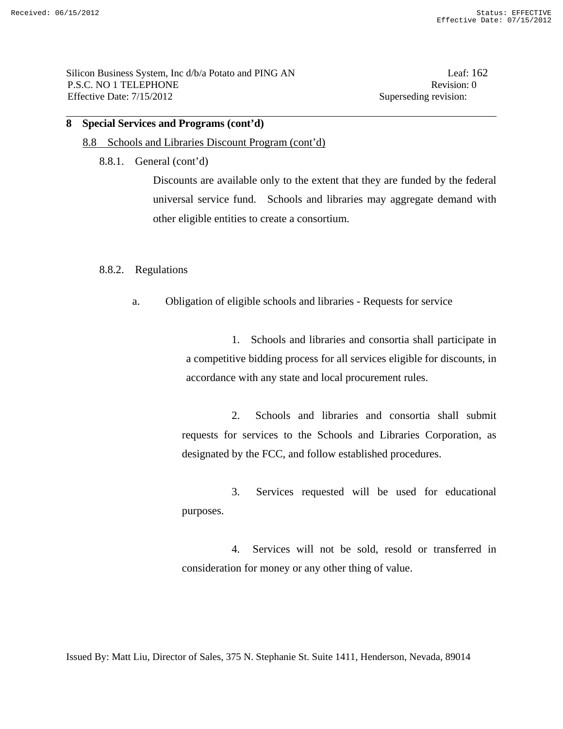## 8.8 Schools and Libraries Discount Program (cont'd)

8.8.1. General (cont'd)

Discounts are available only to the extent that they are funded by the federal universal service fund. Schools and libraries may aggregate demand with other eligible entities to create a consortium.

## 8.8.2. Regulations

a. Obligation of eligible schools and libraries - Requests for service

 1. Schools and libraries and consortia shall participate in a competitive bidding process for all services eligible for discounts, in accordance with any state and local procurement rules.

 2. Schools and libraries and consortia shall submit requests for services to the Schools and Libraries Corporation, as designated by the FCC, and follow established procedures.

 3. Services requested will be used for educational purposes.

 4. Services will not be sold, resold or transferred in consideration for money or any other thing of value.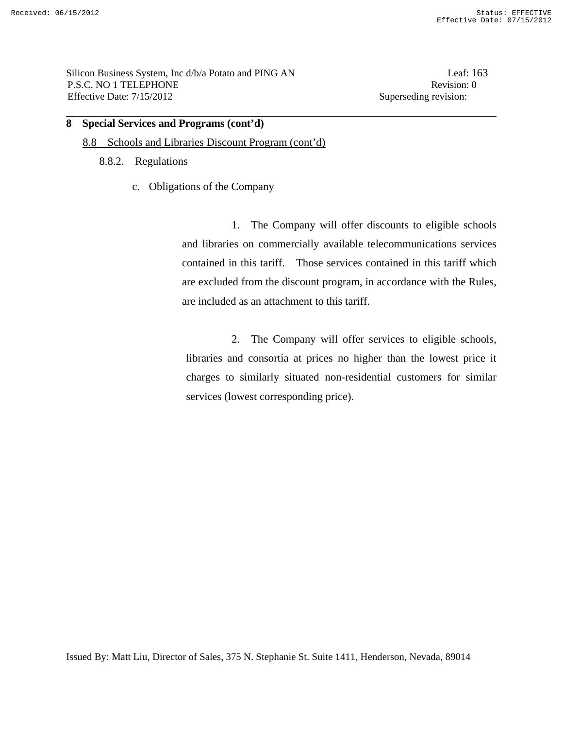Silicon Business System, Inc d/b/a Potato and PING AN Leaf: 163 P.S.C. NO 1 TELEPHONE Revision: 0 Effective Date: 7/15/2012 Superseding revision:

## **8 Special Services and Programs (cont'd)**

## 8.8 Schools and Libraries Discount Program (cont'd)

- 8.8.2. Regulations
	- c. Obligations of the Company

 1. The Company will offer discounts to eligible schools and libraries on commercially available telecommunications services contained in this tariff. Those services contained in this tariff which are excluded from the discount program, in accordance with the Rules, are included as an attachment to this tariff.

 2. The Company will offer services to eligible schools, libraries and consortia at prices no higher than the lowest price it charges to similarly situated non-residential customers for similar services (lowest corresponding price).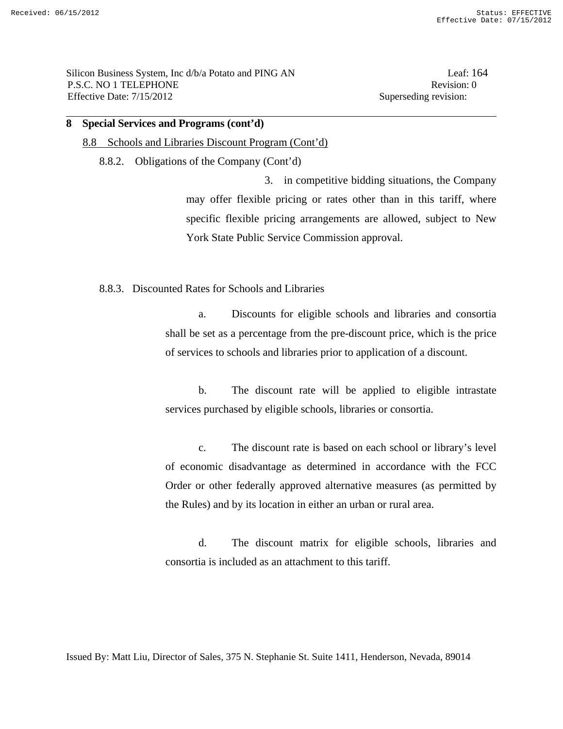#### 8.8 Schools and Libraries Discount Program (Cont'd)

8.8.2. Obligations of the Company (Cont'd)

 3. in competitive bidding situations, the Company may offer flexible pricing or rates other than in this tariff, where specific flexible pricing arrangements are allowed, subject to New York State Public Service Commission approval.

8.8.3. Discounted Rates for Schools and Libraries

 a. Discounts for eligible schools and libraries and consortia shall be set as a percentage from the pre-discount price, which is the price of services to schools and libraries prior to application of a discount.

 b. The discount rate will be applied to eligible intrastate services purchased by eligible schools, libraries or consortia.

 c. The discount rate is based on each school or library's level of economic disadvantage as determined in accordance with the FCC Order or other federally approved alternative measures (as permitted by the Rules) and by its location in either an urban or rural area.

 d. The discount matrix for eligible schools, libraries and consortia is included as an attachment to this tariff.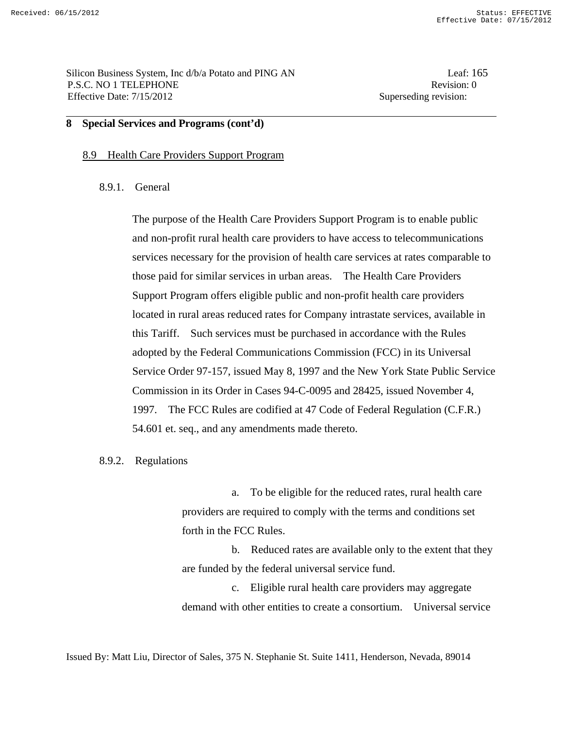Silicon Business System, Inc d/b/a Potato and PING AN Leaf: 165 P.S.C. NO 1 TELEPHONE Revision: 0 Effective Date: 7/15/2012 Superseding revision:

## **8 Special Services and Programs (cont'd)**

## 8.9 Health Care Providers Support Program

#### 8.9.1. General

The purpose of the Health Care Providers Support Program is to enable public and non-profit rural health care providers to have access to telecommunications services necessary for the provision of health care services at rates comparable to those paid for similar services in urban areas. The Health Care Providers Support Program offers eligible public and non-profit health care providers located in rural areas reduced rates for Company intrastate services, available in this Tariff. Such services must be purchased in accordance with the Rules adopted by the Federal Communications Commission (FCC) in its Universal Service Order 97-157, issued May 8, 1997 and the New York State Public Service Commission in its Order in Cases 94-C-0095 and 28425, issued November 4, 1997. The FCC Rules are codified at 47 Code of Federal Regulation (C.F.R.) 54.601 et. seq., and any amendments made thereto.

#### 8.9.2. Regulations

 a. To be eligible for the reduced rates, rural health care providers are required to comply with the terms and conditions set forth in the FCC Rules.

 b. Reduced rates are available only to the extent that they are funded by the federal universal service fund.

 c. Eligible rural health care providers may aggregate demand with other entities to create a consortium. Universal service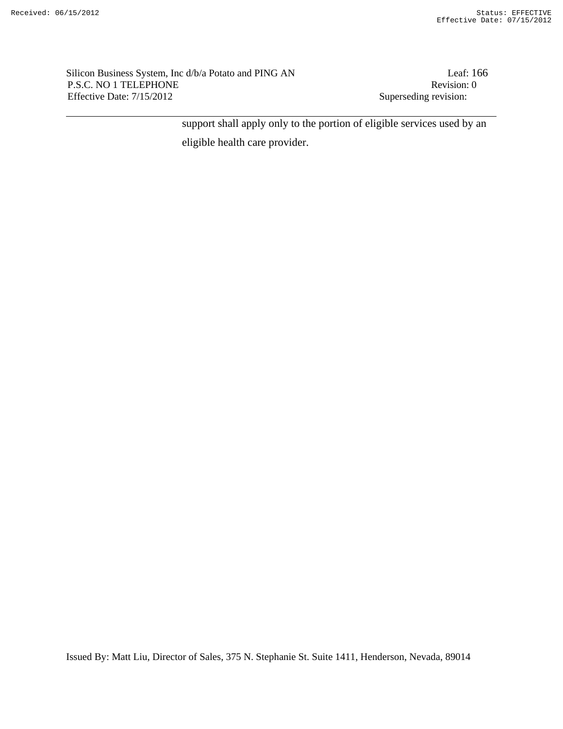Silicon Business System, Inc d/b/a Potato and PING AN Leaf: 166<br>P.S.C. NO 1 TELEPHONE Revision: 0 P.S.C. NO 1 TELEPHONE Revision: Revision: 0.01 TELEPHONE Revision: 0.01 TELEPHONE Revision: 0.01 TELEPHONE Effective Date:  $7/15/2012$ 

support shall apply only to the portion of eligible services used by an eligible health care provider.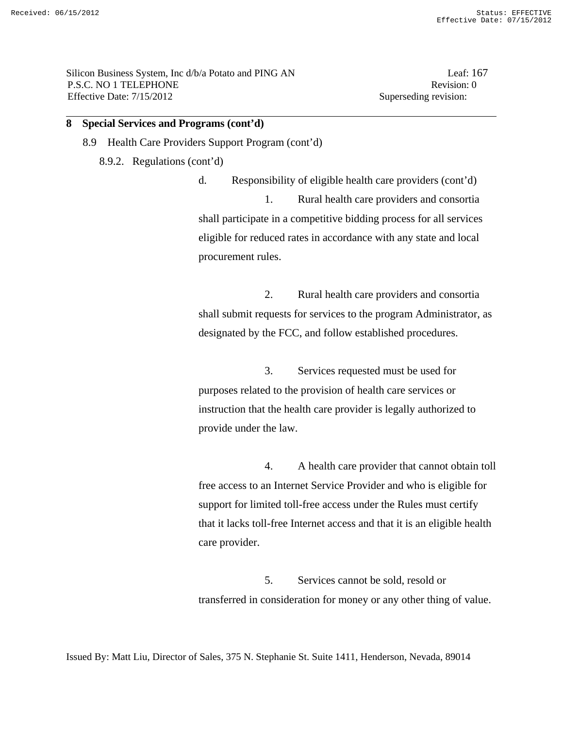Silicon Business System, Inc d/b/a Potato and PING AN Leaf: 167 P.S.C. NO 1 TELEPHONE Revision: 0 Effective Date: 7/15/2012 Superseding revision:

## **8 Special Services and Programs (cont'd)**

- 8.9 Health Care Providers Support Program (cont'd)
	- 8.9.2. Regulations (cont'd)

 d. Responsibility of eligible health care providers (cont'd) 1. Rural health care providers and consortia shall participate in a competitive bidding process for all services eligible for reduced rates in accordance with any state and local procurement rules.

 2. Rural health care providers and consortia shall submit requests for services to the program Administrator, as designated by the FCC, and follow established procedures.

 3. Services requested must be used for purposes related to the provision of health care services or instruction that the health care provider is legally authorized to provide under the law.

 4. A health care provider that cannot obtain toll free access to an Internet Service Provider and who is eligible for support for limited toll-free access under the Rules must certify that it lacks toll-free Internet access and that it is an eligible health care provider.

 5. Services cannot be sold, resold or transferred in consideration for money or any other thing of value.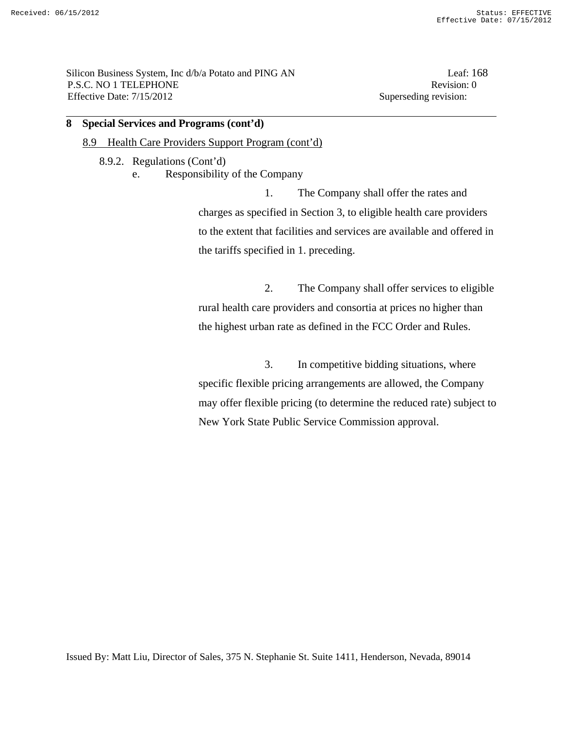Silicon Business System, Inc d/b/a Potato and PING AN Leaf: 168 P.S.C. NO 1 TELEPHONE Revision: 0 Effective Date: 7/15/2012 Superseding revision:

### **8 Special Services and Programs (cont'd)**

## 8.9 Health Care Providers Support Program (cont'd)

 8.9.2. Regulations (Cont'd) e. Responsibility of the Company

> 1. The Company shall offer the rates and charges as specified in Section 3, to eligible health care providers to the extent that facilities and services are available and offered in the tariffs specified in 1. preceding.

> 2. The Company shall offer services to eligible rural health care providers and consortia at prices no higher than the highest urban rate as defined in the FCC Order and Rules.

> 3. In competitive bidding situations, where specific flexible pricing arrangements are allowed, the Company may offer flexible pricing (to determine the reduced rate) subject to New York State Public Service Commission approval.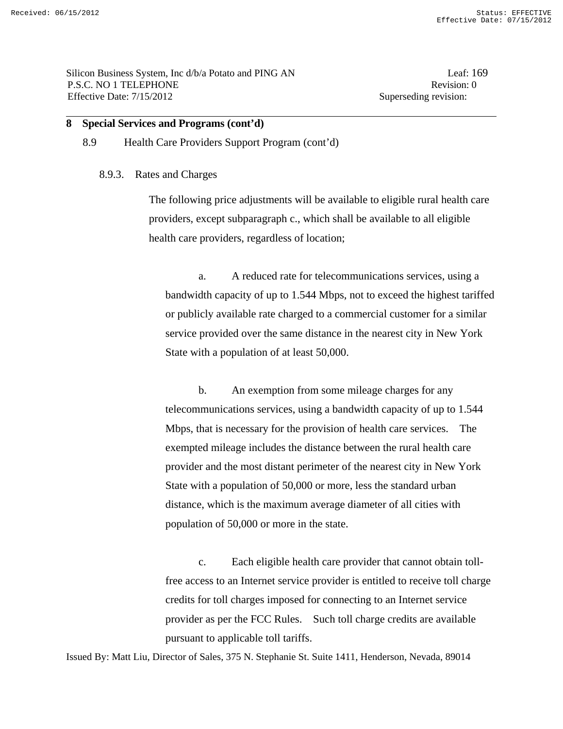8.9 Health Care Providers Support Program (cont'd)

8.9.3. Rates and Charges

The following price adjustments will be available to eligible rural health care providers, except subparagraph c., which shall be available to all eligible health care providers, regardless of location;

 a. A reduced rate for telecommunications services, using a bandwidth capacity of up to 1.544 Mbps, not to exceed the highest tariffed or publicly available rate charged to a commercial customer for a similar service provided over the same distance in the nearest city in New York State with a population of at least 50,000.

 b. An exemption from some mileage charges for any telecommunications services, using a bandwidth capacity of up to 1.544 Mbps, that is necessary for the provision of health care services. The exempted mileage includes the distance between the rural health care provider and the most distant perimeter of the nearest city in New York State with a population of 50,000 or more, less the standard urban distance, which is the maximum average diameter of all cities with population of 50,000 or more in the state.

 c. Each eligible health care provider that cannot obtain tollfree access to an Internet service provider is entitled to receive toll charge credits for toll charges imposed for connecting to an Internet service provider as per the FCC Rules. Such toll charge credits are available pursuant to applicable toll tariffs.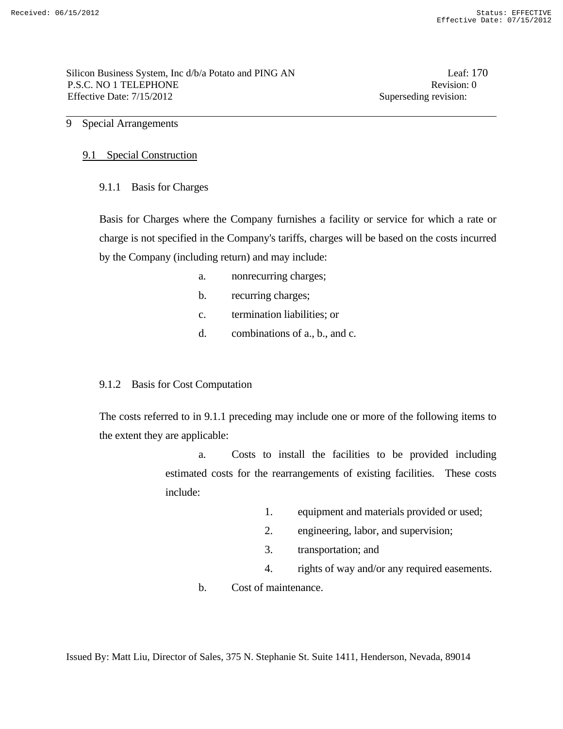### 9 Special Arrangements

## 9.1 Special Construction

## 9.1.1 Basis for Charges

Basis for Charges where the Company furnishes a facility or service for which a rate or charge is not specified in the Company's tariffs, charges will be based on the costs incurred by the Company (including return) and may include:

- a. nonrecurring charges;
- b. recurring charges;
- c. termination liabilities; or
- d. combinations of a., b., and c.

#### 9.1.2 Basis for Cost Computation

The costs referred to in 9.1.1 preceding may include one or more of the following items to the extent they are applicable:

> a. Costs to install the facilities to be provided including estimated costs for the rearrangements of existing facilities. These costs include:

- 1. equipment and materials provided or used;
- 2. engineering, labor, and supervision;
- 3. transportation; and
- 4. rights of way and/or any required easements.
- b. Cost of maintenance.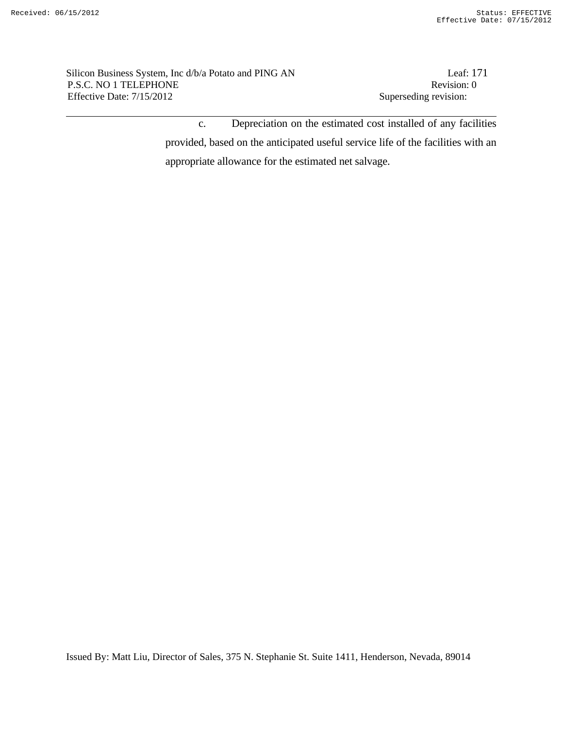Silicon Business System, Inc d/b/a Potato and PING AN Leaf: 171 P.S.C. NO 1 TELEPHONE Revision: 0 Effective Date: 7/15/2012 Superseding revision:

 c. Depreciation on the estimated cost installed of any facilities provided, based on the anticipated useful service life of the facilities with an appropriate allowance for the estimated net salvage.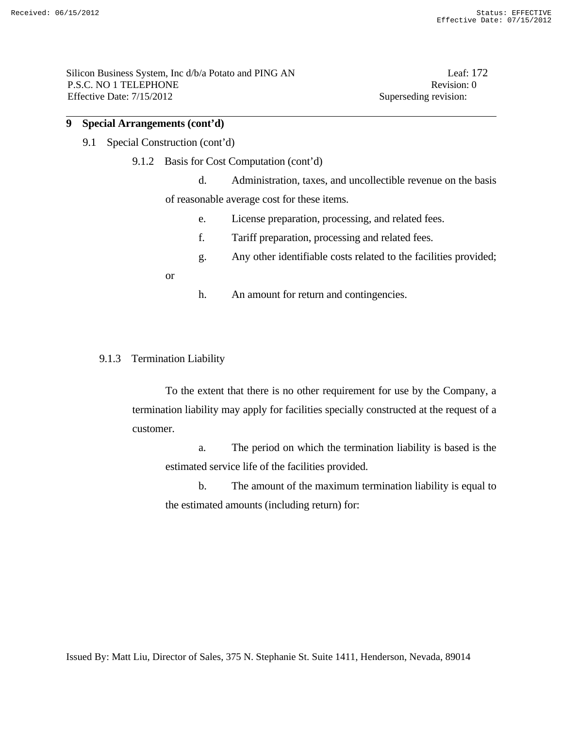## **9 Special Arrangements (cont'd)**

- 9.1 Special Construction (cont'd)
	- 9.1.2 Basis for Cost Computation (cont'd)

 d. Administration, taxes, and uncollectible revenue on the basis of reasonable average cost for these items.

- e. License preparation, processing, and related fees.
- f. Tariff preparation, processing and related fees.
- g. Any other identifiable costs related to the facilities provided;

or

h. An amount for return and contingencies.

#### 9.1.3 Termination Liability

 To the extent that there is no other requirement for use by the Company, a termination liability may apply for facilities specially constructed at the request of a customer.

 a. The period on which the termination liability is based is the estimated service life of the facilities provided.

 b. The amount of the maximum termination liability is equal to the estimated amounts (including return) for: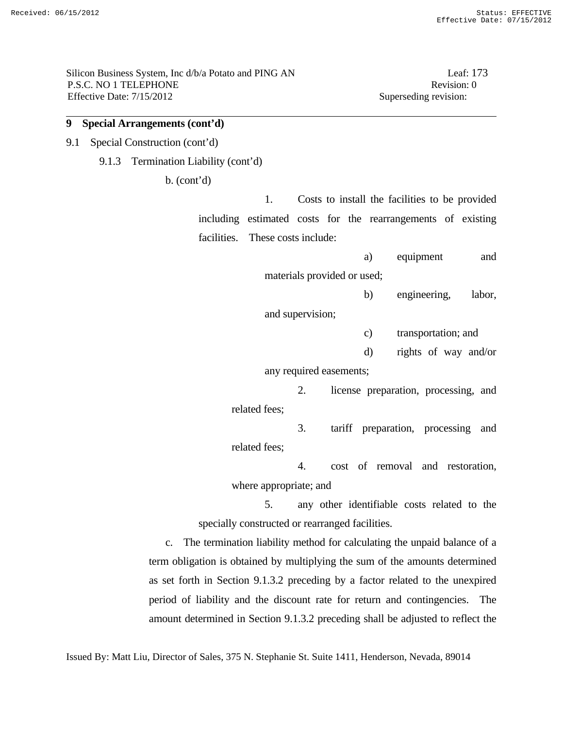Silicon Business System, Inc d/b/a Potato and PING AN Leaf: 173 P.S.C. NO 1 TELEPHONE Revision: 0 Effective Date: 7/15/2012 Superseding revision:

## **9 Special Arrangements (cont'd)**

9.1 Special Construction (cont'd)

9.1.3 Termination Liability (cont'd)

b. (cont'd)

 1. Costs to install the facilities to be provided including estimated costs for the rearrangements of existing facilities. These costs include:

> a) equipment and materials provided or used;

 b) engineering, labor, and supervision;

c) transportation; and

 d) rights of way and/or any required easements;

2. license preparation, processing, and

related fees;

 3. tariff preparation, processing and related fees;

 4. cost of removal and restoration, where appropriate; and

 5. any other identifiable costs related to the specially constructed or rearranged facilities.

 c. The termination liability method for calculating the unpaid balance of a term obligation is obtained by multiplying the sum of the amounts determined as set forth in Section 9.1.3.2 preceding by a factor related to the unexpired period of liability and the discount rate for return and contingencies. The amount determined in Section 9.1.3.2 preceding shall be adjusted to reflect the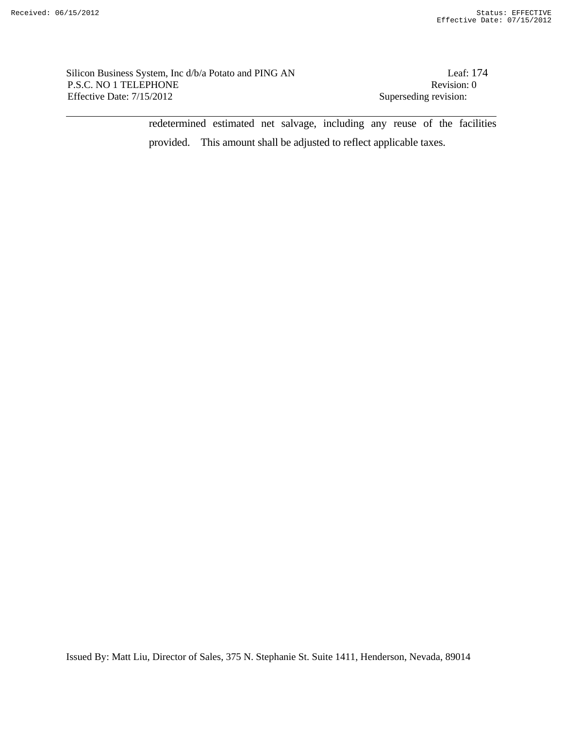Silicon Business System, Inc d/b/a Potato and PING AN Leaf: 174 P.S.C. NO 1 TELEPHONE Revision: 0 Effective Date: 7/15/2012 Superseding revision:

redetermined estimated net salvage, including any reuse of the facilities provided. This amount shall be adjusted to reflect applicable taxes.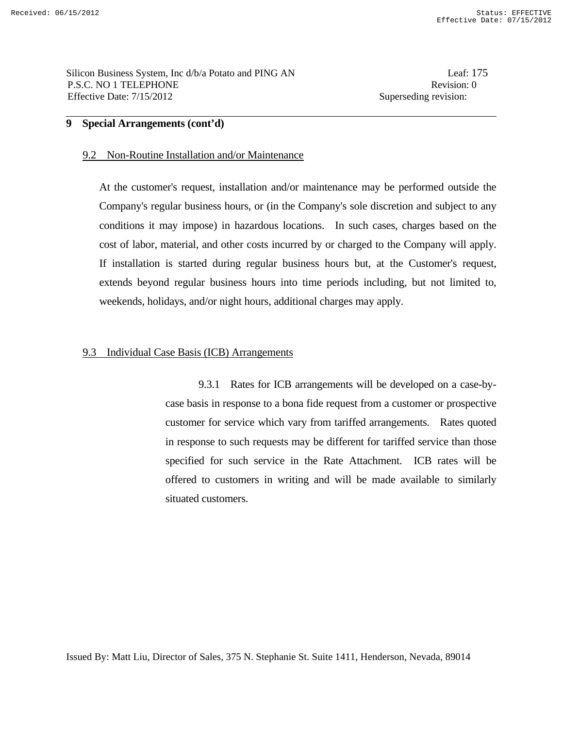#### **9 Special Arrangements (cont'd)**

#### 9.2 Non-Routine Installation and/or Maintenance

 At the customer's request, installation and/or maintenance may be performed outside the Company's regular business hours, or (in the Company's sole discretion and subject to any conditions it may impose) in hazardous locations. In such cases, charges based on the cost of labor, material, and other costs incurred by or charged to the Company will apply. If installation is started during regular business hours but, at the Customer's request, extends beyond regular business hours into time periods including, but not limited to, weekends, holidays, and/or night hours, additional charges may apply.

#### 9.3 Individual Case Basis (ICB) Arrangements

 9.3.1 Rates for ICB arrangements will be developed on a case-bycase basis in response to a bona fide request from a customer or prospective customer for service which vary from tariffed arrangements. Rates quoted in response to such requests may be different for tariffed service than those specified for such service in the Rate Attachment. ICB rates will be offered to customers in writing and will be made available to similarly situated customers.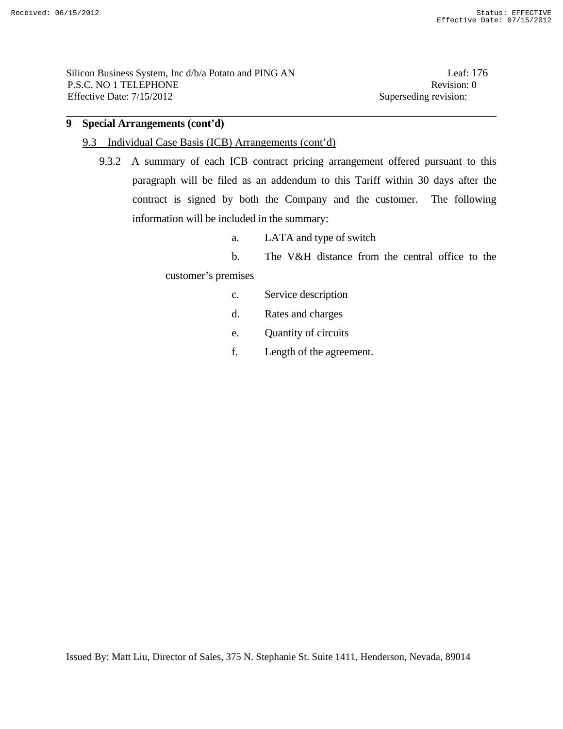## **9 Special Arrangements (cont'd)**

#### 9.3 Individual Case Basis (ICB) Arrangements (cont'd)

- 9.3.2 A summary of each ICB contract pricing arrangement offered pursuant to this paragraph will be filed as an addendum to this Tariff within 30 days after the contract is signed by both the Company and the customer. The following information will be included in the summary:
	- a. LATA and type of switch

b. The V&H distance from the central office to the

customer's premises

- c. Service description
- d. Rates and charges
- e. Quantity of circuits
- f. Length of the agreement.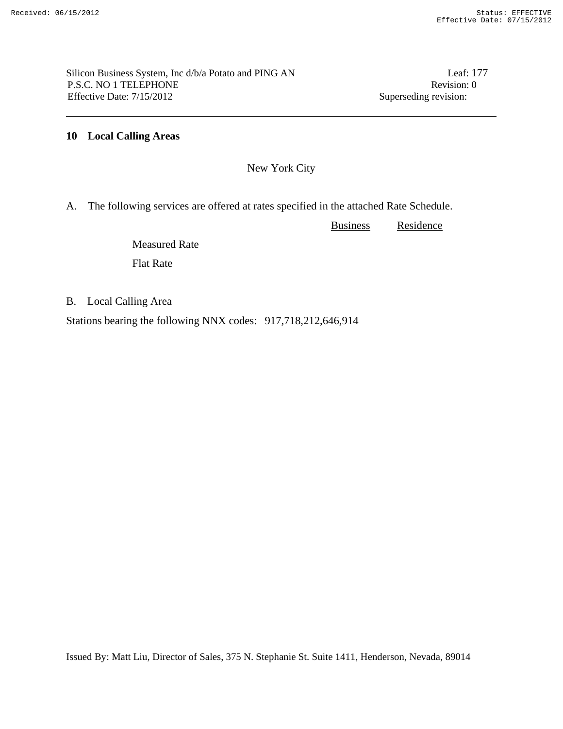Silicon Business System, Inc d/b/a Potato and PING AN Leaf: 177 P.S.C. NO 1 TELEPHONE Revision: 0 Effective Date:  $7/15/2012$  Superseding revision:

**10 Local Calling Areas** 

New York City

A. The following services are offered at rates specified in the attached Rate Schedule.

 Business Residence Measured Rate Flat Rate

B. Local Calling Area

Stations bearing the following NNX codes: 917,718,212,646,914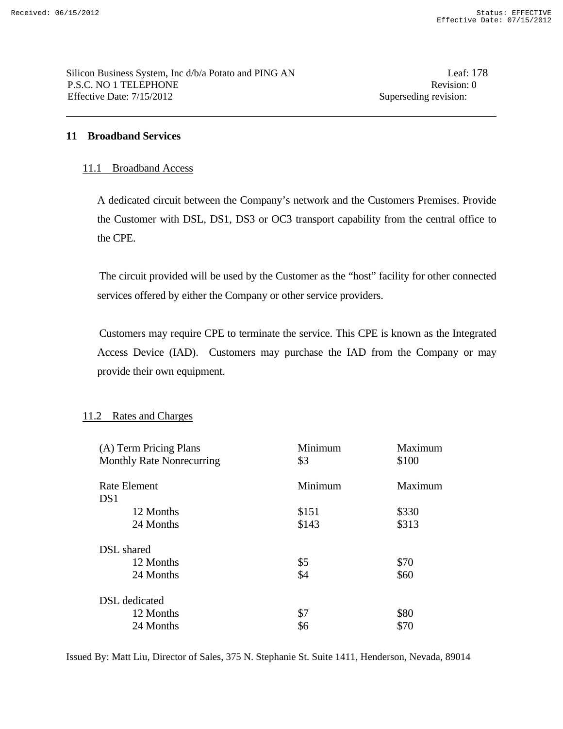## **11 Broadband Services**

## 11.1 Broadband Access

 A dedicated circuit between the Company's network and the Customers Premises. Provide the Customer with DSL, DS1, DS3 or OC3 transport capability from the central office to the CPE.

 The circuit provided will be used by the Customer as the "host" facility for other connected services offered by either the Company or other service providers.

 Customers may require CPE to terminate the service. This CPE is known as the Integrated Access Device (IAD). Customers may purchase the IAD from the Company or may provide their own equipment.

## 11.2 Rates and Charges

| (A) Term Pricing Plans           | Minimum | Maximum |  |
|----------------------------------|---------|---------|--|
| <b>Monthly Rate Nonrecurring</b> | \$3     | \$100   |  |
|                                  |         |         |  |
| Rate Element                     | Minimum | Maximum |  |
| DS1                              |         |         |  |
| 12 Months                        | \$151   | \$330   |  |
| 24 Months                        | \$143   | \$313   |  |
| <b>DSL</b> shared                |         |         |  |
| 12 Months                        | \$5     | \$70    |  |
| 24 Months                        | \$4     | \$60    |  |
| <b>DSL</b> dedicated             |         |         |  |
| 12 Months                        | \$7     | \$80    |  |
| 24 Months                        | \$6     | \$70    |  |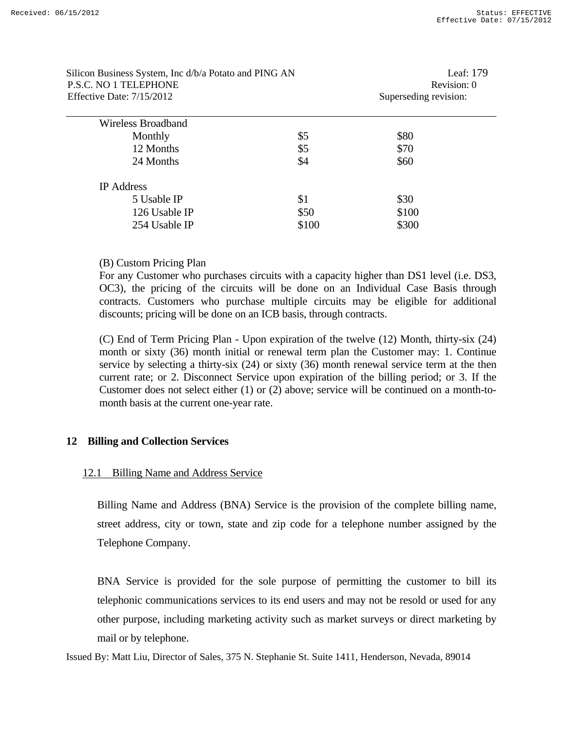| Silicon Business System, Inc d/b/a Potato and PING AN |       | Leaf: $179$           |             |
|-------------------------------------------------------|-------|-----------------------|-------------|
| P.S.C. NO 1 TELEPHONE                                 |       |                       | Revision: 0 |
| Effective Date: $7/15/2012$                           |       | Superseding revision: |             |
| Wireless Broadband                                    |       |                       |             |
| Monthly                                               | \$5   | \$80                  |             |
| 12 Months                                             | \$5   | \$70                  |             |
| 24 Months                                             | \$4   | \$60                  |             |
| <b>IP</b> Address                                     |       |                       |             |
| 5 Usable IP                                           | \$1   | \$30                  |             |
| 126 Usable IP                                         | \$50  | \$100                 |             |
| 254 Usable IP                                         | \$100 | \$300                 |             |
|                                                       |       |                       |             |

#### (B) Custom Pricing Plan

 For any Customer who purchases circuits with a capacity higher than DS1 level (i.e. DS3, OC3), the pricing of the circuits will be done on an Individual Case Basis through contracts. Customers who purchase multiple circuits may be eligible for additional discounts; pricing will be done on an ICB basis, through contracts.

 (C) End of Term Pricing Plan - Upon expiration of the twelve (12) Month, thirty-six (24) month or sixty (36) month initial or renewal term plan the Customer may: 1. Continue service by selecting a thirty-six (24) or sixty (36) month renewal service term at the then current rate; or 2. Disconnect Service upon expiration of the billing period; or 3. If the Customer does not select either (1) or (2) above; service will be continued on a month-tomonth basis at the current one-year rate.

## **12 Billing and Collection Services**

#### 12.1 Billing Name and Address Service

 Billing Name and Address (BNA) Service is the provision of the complete billing name, street address, city or town, state and zip code for a telephone number assigned by the Telephone Company.

 BNA Service is provided for the sole purpose of permitting the customer to bill its telephonic communications services to its end users and may not be resold or used for any other purpose, including marketing activity such as market surveys or direct marketing by mail or by telephone.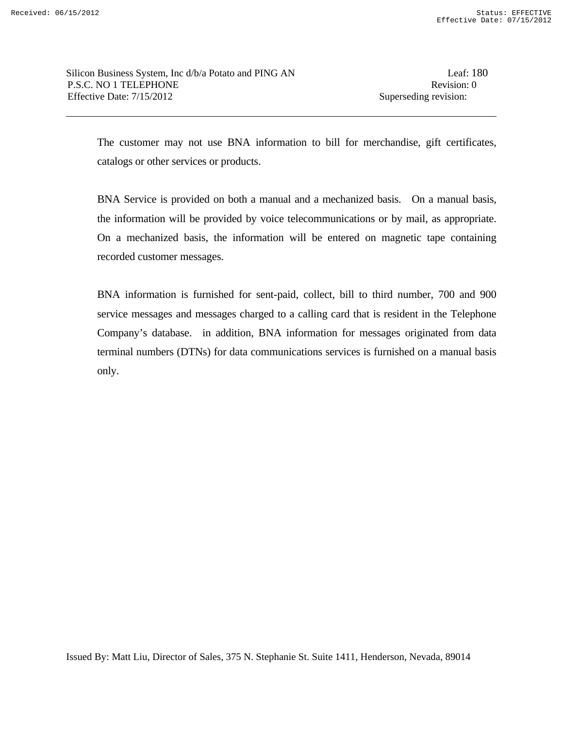The customer may not use BNA information to bill for merchandise, gift certificates, catalogs or other services or products.

 BNA Service is provided on both a manual and a mechanized basis. On a manual basis, the information will be provided by voice telecommunications or by mail, as appropriate. On a mechanized basis, the information will be entered on magnetic tape containing recorded customer messages.

 BNA information is furnished for sent-paid, collect, bill to third number, 700 and 900 service messages and messages charged to a calling card that is resident in the Telephone Company's database. in addition, BNA information for messages originated from data terminal numbers (DTNs) for data communications services is furnished on a manual basis only.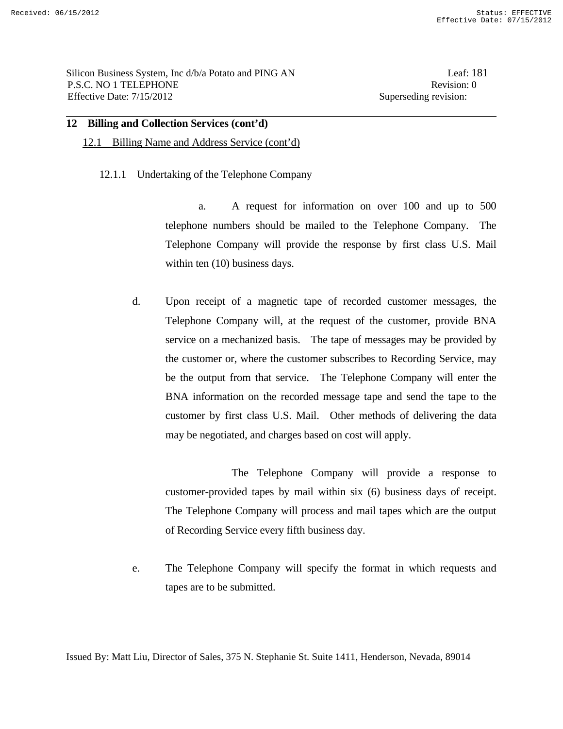Silicon Business System, Inc d/b/a Potato and PING AN Leaf: 181 P.S.C. NO 1 TELEPHONE Revision: 0 Effective Date: 7/15/2012 Superseding revision:

### **12 Billing and Collection Services (cont'd)**

#### 12.1 Billing Name and Address Service (cont'd)

12.1.1 Undertaking of the Telephone Company

 a. A request for information on over 100 and up to 500 telephone numbers should be mailed to the Telephone Company. The Telephone Company will provide the response by first class U.S. Mail within ten  $(10)$  business days.

d. Upon receipt of a magnetic tape of recorded customer messages, the Telephone Company will, at the request of the customer, provide BNA service on a mechanized basis. The tape of messages may be provided by the customer or, where the customer subscribes to Recording Service, may be the output from that service. The Telephone Company will enter the BNA information on the recorded message tape and send the tape to the customer by first class U.S. Mail. Other methods of delivering the data may be negotiated, and charges based on cost will apply.

 The Telephone Company will provide a response to customer-provided tapes by mail within six (6) business days of receipt. The Telephone Company will process and mail tapes which are the output of Recording Service every fifth business day.

e. The Telephone Company will specify the format in which requests and tapes are to be submitted.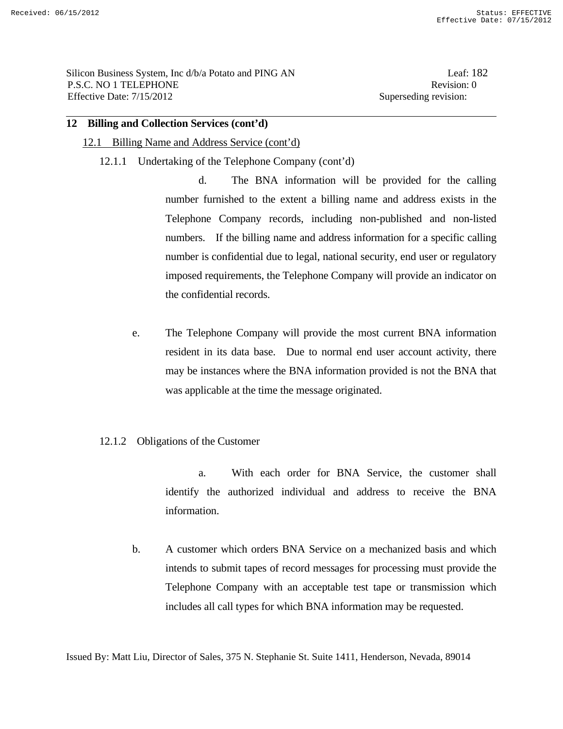### **12 Billing and Collection Services (cont'd)**

#### 12.1 Billing Name and Address Service (cont'd)

12.1.1 Undertaking of the Telephone Company (cont'd)

 d. The BNA information will be provided for the calling number furnished to the extent a billing name and address exists in the Telephone Company records, including non-published and non-listed numbers. If the billing name and address information for a specific calling number is confidential due to legal, national security, end user or regulatory imposed requirements, the Telephone Company will provide an indicator on the confidential records.

- e. The Telephone Company will provide the most current BNA information resident in its data base. Due to normal end user account activity, there may be instances where the BNA information provided is not the BNA that was applicable at the time the message originated.
- 12.1.2 Obligations of the Customer

 a. With each order for BNA Service, the customer shall identify the authorized individual and address to receive the BNA information.

b. A customer which orders BNA Service on a mechanized basis and which intends to submit tapes of record messages for processing must provide the Telephone Company with an acceptable test tape or transmission which includes all call types for which BNA information may be requested.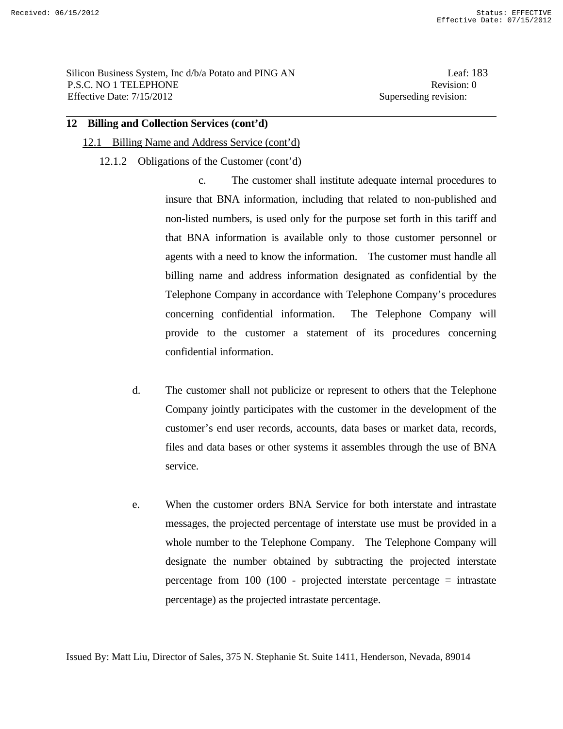### **12 Billing and Collection Services (cont'd)**

#### 12.1 Billing Name and Address Service (cont'd)

12.1.2 Obligations of the Customer (cont'd)

 c. The customer shall institute adequate internal procedures to insure that BNA information, including that related to non-published and non-listed numbers, is used only for the purpose set forth in this tariff and that BNA information is available only to those customer personnel or agents with a need to know the information. The customer must handle all billing name and address information designated as confidential by the Telephone Company in accordance with Telephone Company's procedures concerning confidential information. The Telephone Company will provide to the customer a statement of its procedures concerning confidential information.

- d. The customer shall not publicize or represent to others that the Telephone Company jointly participates with the customer in the development of the customer's end user records, accounts, data bases or market data, records, files and data bases or other systems it assembles through the use of BNA service.
- e. When the customer orders BNA Service for both interstate and intrastate messages, the projected percentage of interstate use must be provided in a whole number to the Telephone Company. The Telephone Company will designate the number obtained by subtracting the projected interstate percentage from  $100$  ( $100$  - projected interstate percentage = intrastate percentage) as the projected intrastate percentage.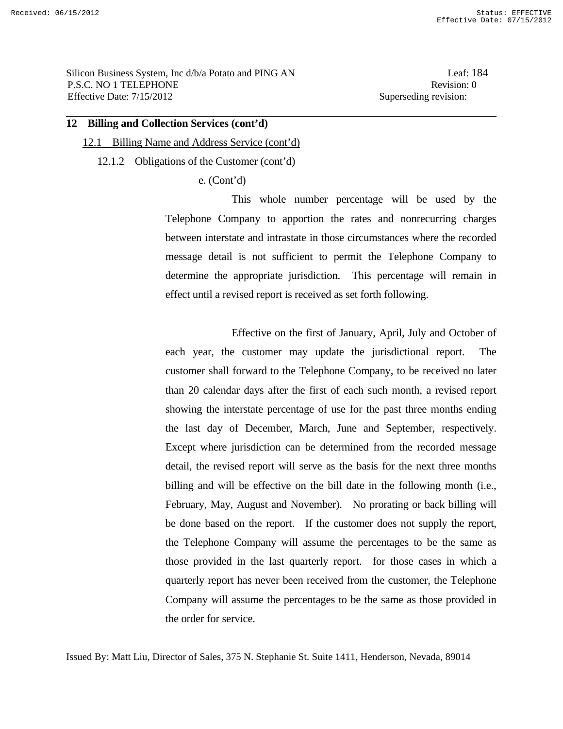Silicon Business System, Inc d/b/a Potato and PING AN Leaf: 184 P.S.C. NO 1 TELEPHONE Revision: 0 Effective Date: 7/15/2012 Superseding revision:

### **12 Billing and Collection Services (cont'd)**

#### 12.1 Billing Name and Address Service (cont'd)

#### 12.1.2 Obligations of the Customer (cont'd)

e. (Cont'd)

 This whole number percentage will be used by the Telephone Company to apportion the rates and nonrecurring charges between interstate and intrastate in those circumstances where the recorded message detail is not sufficient to permit the Telephone Company to determine the appropriate jurisdiction. This percentage will remain in effect until a revised report is received as set forth following.

 Effective on the first of January, April, July and October of each year, the customer may update the jurisdictional report. The customer shall forward to the Telephone Company, to be received no later than 20 calendar days after the first of each such month, a revised report showing the interstate percentage of use for the past three months ending the last day of December, March, June and September, respectively. Except where jurisdiction can be determined from the recorded message detail, the revised report will serve as the basis for the next three months billing and will be effective on the bill date in the following month (i.e., February, May, August and November). No prorating or back billing will be done based on the report. If the customer does not supply the report, the Telephone Company will assume the percentages to be the same as those provided in the last quarterly report. for those cases in which a quarterly report has never been received from the customer, the Telephone Company will assume the percentages to be the same as those provided in the order for service.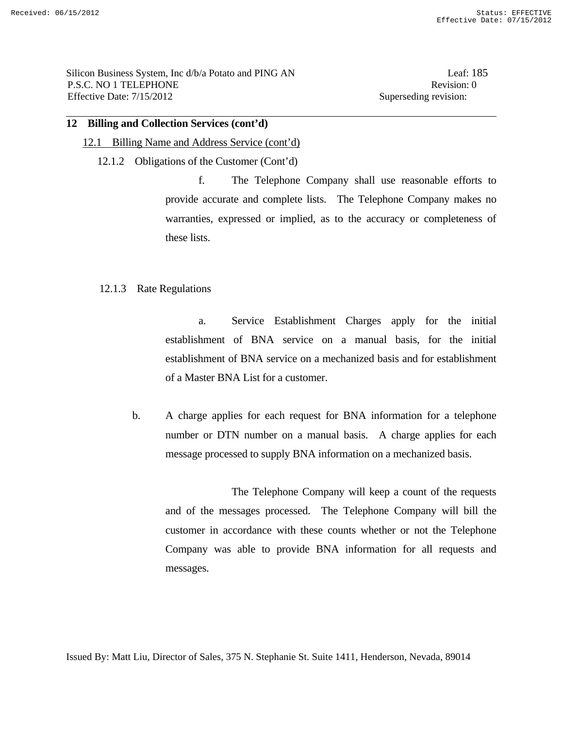Silicon Business System, Inc d/b/a Potato and PING AN Leaf: 185 P.S.C. NO 1 TELEPHONE Revision: 0 Effective Date: 7/15/2012 Superseding revision:

### **12 Billing and Collection Services (cont'd)**

#### 12.1 Billing Name and Address Service (cont'd)

12.1.2 Obligations of the Customer (Cont'd)

 f. The Telephone Company shall use reasonable efforts to provide accurate and complete lists. The Telephone Company makes no warranties, expressed or implied, as to the accuracy or completeness of these lists.

#### 12.1.3 Rate Regulations

 a. Service Establishment Charges apply for the initial establishment of BNA service on a manual basis, for the initial establishment of BNA service on a mechanized basis and for establishment of a Master BNA List for a customer.

b. A charge applies for each request for BNA information for a telephone number or DTN number on a manual basis. A charge applies for each message processed to supply BNA information on a mechanized basis.

 The Telephone Company will keep a count of the requests and of the messages processed. The Telephone Company will bill the customer in accordance with these counts whether or not the Telephone Company was able to provide BNA information for all requests and messages.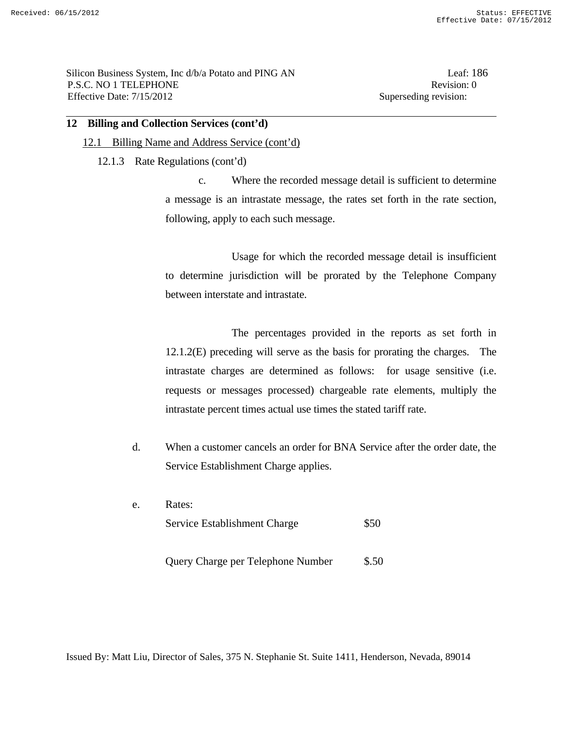Silicon Business System, Inc d/b/a Potato and PING AN Leaf: 186 P.S.C. NO 1 TELEPHONE Revision: 0 Effective Date: 7/15/2012 Superseding revision:

### **12 Billing and Collection Services (cont'd)**

#### 12.1 Billing Name and Address Service (cont'd)

12.1.3 Rate Regulations (cont'd)

 c. Where the recorded message detail is sufficient to determine a message is an intrastate message, the rates set forth in the rate section, following, apply to each such message.

 Usage for which the recorded message detail is insufficient to determine jurisdiction will be prorated by the Telephone Company between interstate and intrastate.

 The percentages provided in the reports as set forth in 12.1.2(E) preceding will serve as the basis for prorating the charges. The intrastate charges are determined as follows: for usage sensitive (i.e. requests or messages processed) chargeable rate elements, multiply the intrastate percent times actual use times the stated tariff rate.

- d. When a customer cancels an order for BNA Service after the order date, the Service Establishment Charge applies.
- e. Rates: Service Establishment Charge  $$50$

Query Charge per Telephone Number \$.50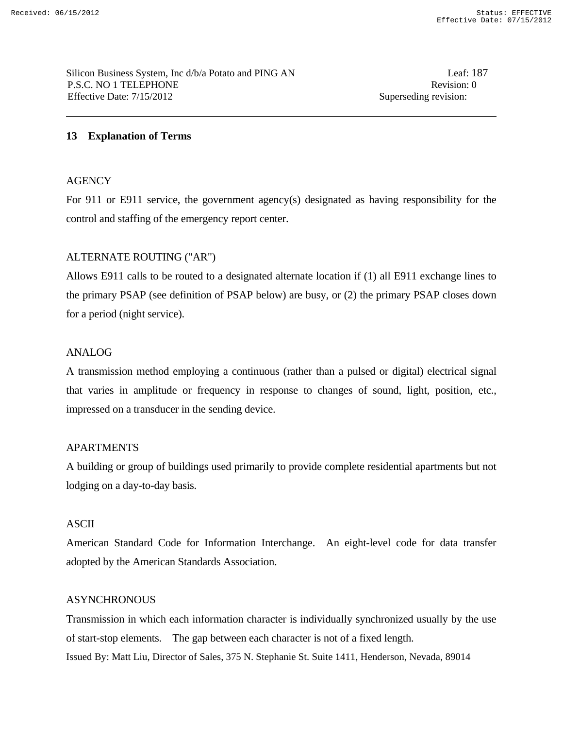# **13 Explanation of Terms**

# **AGENCY**

For 911 or E911 service, the government agency(s) designated as having responsibility for the control and staffing of the emergency report center.

# ALTERNATE ROUTING ("AR")

Allows E911 calls to be routed to a designated alternate location if (1) all E911 exchange lines to the primary PSAP (see definition of PSAP below) are busy, or (2) the primary PSAP closes down for a period (night service).

# ANALOG

A transmission method employing a continuous (rather than a pulsed or digital) electrical signal that varies in amplitude or frequency in response to changes of sound, light, position, etc., impressed on a transducer in the sending device.

# APARTMENTS

A building or group of buildings used primarily to provide complete residential apartments but not lodging on a day-to-day basis.

# ASCII

American Standard Code for Information Interchange. An eight-level code for data transfer adopted by the American Standards Association.

# **ASYNCHRONOUS**

Issued By: Matt Liu, Director of Sales, 375 N. Stephanie St. Suite 1411, Henderson, Nevada, 89014 Transmission in which each information character is individually synchronized usually by the use of start-stop elements. The gap between each character is not of a fixed length.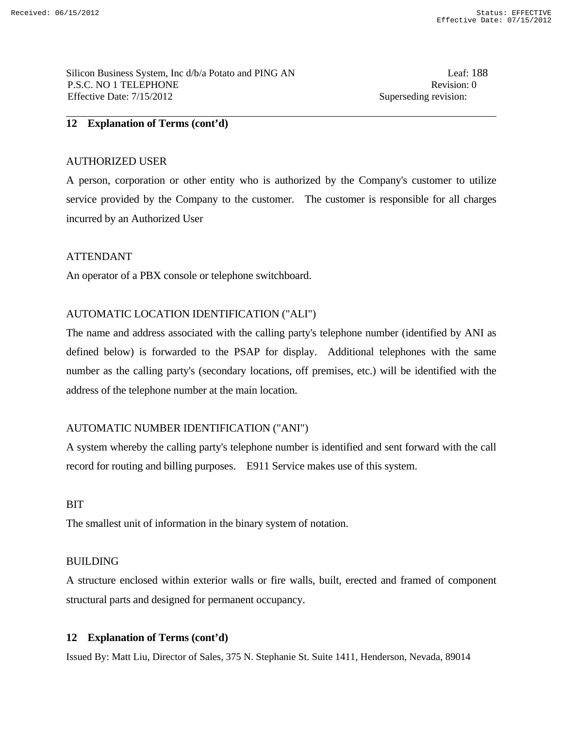Silicon Business System, Inc d/b/a Potato and PING AN Leaf: 188 P.S.C. NO 1 TELEPHONE Revision: 0 Effective Date: 7/15/2012 Superseding revision:

# **12 Explanation of Terms (cont'd)**

### AUTHORIZED USER

A person, corporation or other entity who is authorized by the Company's customer to utilize service provided by the Company to the customer. The customer is responsible for all charges incurred by an Authorized User

# ATTENDANT

An operator of a PBX console or telephone switchboard.

# AUTOMATIC LOCATION IDENTIFICATION ("ALI")

The name and address associated with the calling party's telephone number (identified by ANI as defined below) is forwarded to the PSAP for display. Additional telephones with the same number as the calling party's (secondary locations, off premises, etc.) will be identified with the address of the telephone number at the main location.

# AUTOMATIC NUMBER IDENTIFICATION ("ANI")

A system whereby the calling party's telephone number is identified and sent forward with the call record for routing and billing purposes. E911 Service makes use of this system.

#### **BIT**

The smallest unit of information in the binary system of notation.

#### BUILDING

A structure enclosed within exterior walls or fire walls, built, erected and framed of component structural parts and designed for permanent occupancy.

#### **12 Explanation of Terms (cont'd)**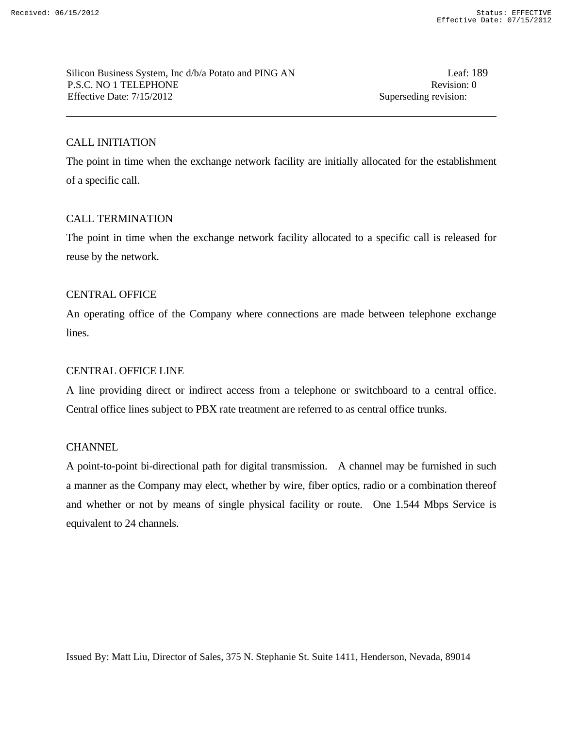Silicon Business System, Inc d/b/a Potato and PING AN Leaf: 189 P.S.C. NO 1 TELEPHONE Revision: 0 Effective Date: 7/15/2012 Superseding revision:

# CALL INITIATION

The point in time when the exchange network facility are initially allocated for the establishment of a specific call.

# CALL TERMINATION

The point in time when the exchange network facility allocated to a specific call is released for reuse by the network.

# CENTRAL OFFICE

An operating office of the Company where connections are made between telephone exchange lines.

# CENTRAL OFFICE LINE

A line providing direct or indirect access from a telephone or switchboard to a central office. Central office lines subject to PBX rate treatment are referred to as central office trunks.

# CHANNEL

A point-to-point bi-directional path for digital transmission. A channel may be furnished in such a manner as the Company may elect, whether by wire, fiber optics, radio or a combination thereof and whether or not by means of single physical facility or route. One 1.544 Mbps Service is equivalent to 24 channels.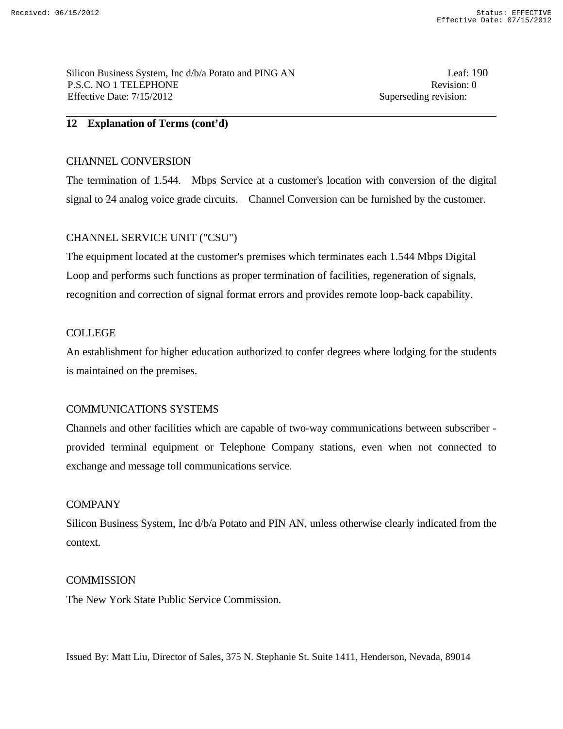### CHANNEL CONVERSION

The termination of 1.544. Mbps Service at a customer's location with conversion of the digital signal to 24 analog voice grade circuits. Channel Conversion can be furnished by the customer.

# CHANNEL SERVICE UNIT ("CSU")

The equipment located at the customer's premises which terminates each 1.544 Mbps Digital Loop and performs such functions as proper termination of facilities, regeneration of signals, recognition and correction of signal format errors and provides remote loop-back capability.

#### COLLEGE

An establishment for higher education authorized to confer degrees where lodging for the students is maintained on the premises.

#### COMMUNICATIONS SYSTEMS

Channels and other facilities which are capable of two-way communications between subscriber provided terminal equipment or Telephone Company stations, even when not connected to exchange and message toll communications service.

#### **COMPANY**

Silicon Business System, Inc d/b/a Potato and PIN AN, unless otherwise clearly indicated from the context.

#### **COMMISSION**

The New York State Public Service Commission.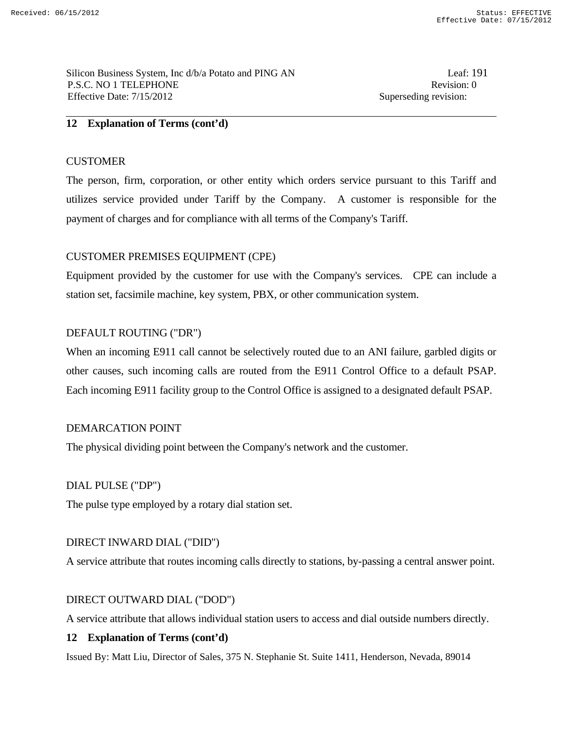### **CUSTOMER**

The person, firm, corporation, or other entity which orders service pursuant to this Tariff and utilizes service provided under Tariff by the Company. A customer is responsible for the payment of charges and for compliance with all terms of the Company's Tariff.

# CUSTOMER PREMISES EQUIPMENT (CPE)

Equipment provided by the customer for use with the Company's services. CPE can include a station set, facsimile machine, key system, PBX, or other communication system.

# DEFAULT ROUTING ("DR")

When an incoming E911 call cannot be selectively routed due to an ANI failure, garbled digits or other causes, such incoming calls are routed from the E911 Control Office to a default PSAP. Each incoming E911 facility group to the Control Office is assigned to a designated default PSAP.

# DEMARCATION POINT

The physical dividing point between the Company's network and the customer.

# DIAL PULSE ("DP")

The pulse type employed by a rotary dial station set.

# DIRECT INWARD DIAL ("DID")

A service attribute that routes incoming calls directly to stations, by-passing a central answer point.

# DIRECT OUTWARD DIAL ("DOD")

A service attribute that allows individual station users to access and dial outside numbers directly.

# **12 Explanation of Terms (cont'd)**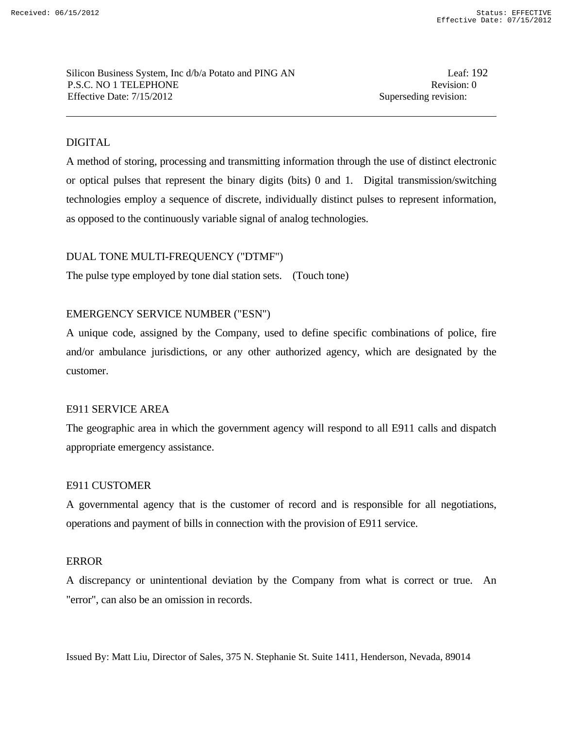Silicon Business System, Inc d/b/a Potato and PING AN Leaf: 192 P.S.C. NO 1 TELEPHONE Revision: 0 Effective Date: 7/15/2012 Superseding revision:

# DIGITAL

A method of storing, processing and transmitting information through the use of distinct electronic or optical pulses that represent the binary digits (bits) 0 and 1. Digital transmission/switching technologies employ a sequence of discrete, individually distinct pulses to represent information, as opposed to the continuously variable signal of analog technologies.

# DUAL TONE MULTI-FREQUENCY ("DTMF")

The pulse type employed by tone dial station sets. (Touch tone)

# EMERGENCY SERVICE NUMBER ("ESN")

A unique code, assigned by the Company, used to define specific combinations of police, fire and/or ambulance jurisdictions, or any other authorized agency, which are designated by the customer.

# E911 SERVICE AREA

The geographic area in which the government agency will respond to all E911 calls and dispatch appropriate emergency assistance.

# E911 CUSTOMER

A governmental agency that is the customer of record and is responsible for all negotiations, operations and payment of bills in connection with the provision of E911 service.

# ERROR

A discrepancy or unintentional deviation by the Company from what is correct or true. An "error", can also be an omission in records.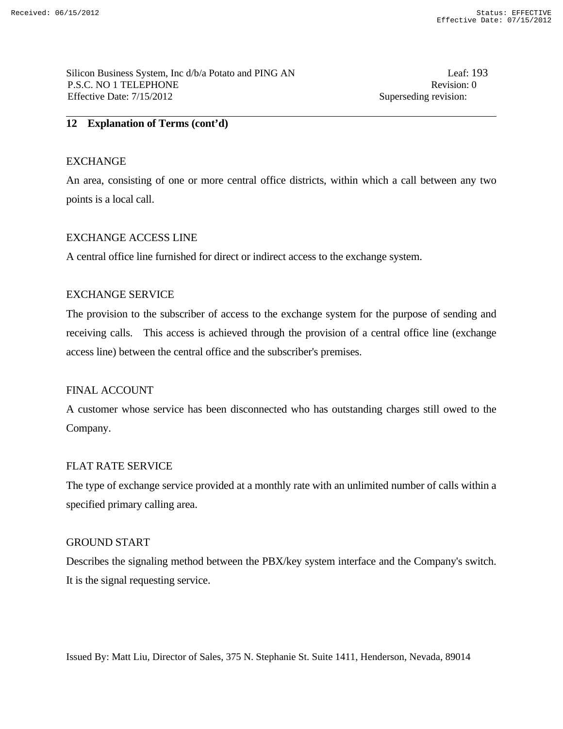### **EXCHANGE**

An area, consisting of one or more central office districts, within which a call between any two points is a local call.

### EXCHANGE ACCESS LINE

A central office line furnished for direct or indirect access to the exchange system.

### EXCHANGE SERVICE

The provision to the subscriber of access to the exchange system for the purpose of sending and receiving calls. This access is achieved through the provision of a central office line (exchange access line) between the central office and the subscriber's premises.

# FINAL ACCOUNT

A customer whose service has been disconnected who has outstanding charges still owed to the Company.

# FLAT RATE SERVICE

The type of exchange service provided at a monthly rate with an unlimited number of calls within a specified primary calling area.

#### GROUND START

Describes the signaling method between the PBX/key system interface and the Company's switch. It is the signal requesting service.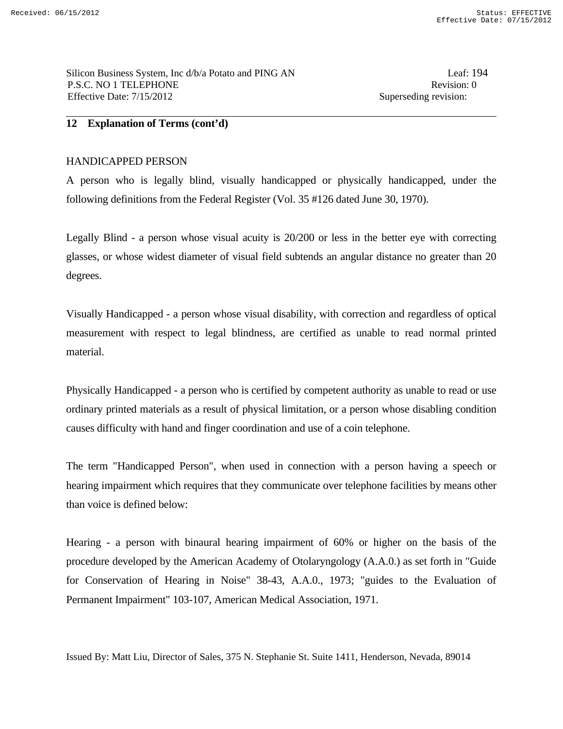#### HANDICAPPED PERSON

A person who is legally blind, visually handicapped or physically handicapped, under the following definitions from the Federal Register (Vol. 35 #126 dated June 30, 1970).

Legally Blind - a person whose visual acuity is 20/200 or less in the better eye with correcting glasses, or whose widest diameter of visual field subtends an angular distance no greater than 20 degrees.

Visually Handicapped - a person whose visual disability, with correction and regardless of optical measurement with respect to legal blindness, are certified as unable to read normal printed material.

Physically Handicapped - a person who is certified by competent authority as unable to read or use ordinary printed materials as a result of physical limitation, or a person whose disabling condition causes difficulty with hand and finger coordination and use of a coin telephone.

The term "Handicapped Person", when used in connection with a person having a speech or hearing impairment which requires that they communicate over telephone facilities by means other than voice is defined below:

Hearing - a person with binaural hearing impairment of 60% or higher on the basis of the procedure developed by the American Academy of Otolaryngology (A.A.0.) as set forth in "Guide for Conservation of Hearing in Noise" 38-43, A.A.0., 1973; "guides to the Evaluation of Permanent Impairment" 103-107, American Medical Association, 1971.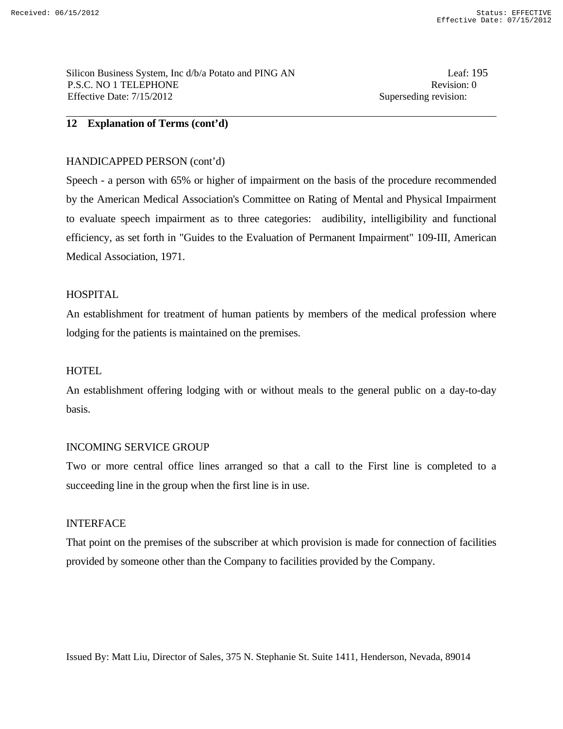Silicon Business System, Inc d/b/a Potato and PING AN Leaf: 195 P.S.C. NO 1 TELEPHONE Revision: 0 Effective Date: 7/15/2012 Superseding revision:

# **12 Explanation of Terms (cont'd)**

### HANDICAPPED PERSON (cont'd)

Speech - a person with 65% or higher of impairment on the basis of the procedure recommended by the American Medical Association's Committee on Rating of Mental and Physical Impairment to evaluate speech impairment as to three categories: audibility, intelligibility and functional efficiency, as set forth in "Guides to the Evaluation of Permanent Impairment" 109-III, American Medical Association, 1971.

### HOSPITAL

An establishment for treatment of human patients by members of the medical profession where lodging for the patients is maintained on the premises.

#### **HOTEL**

An establishment offering lodging with or without meals to the general public on a day-to-day basis.

#### INCOMING SERVICE GROUP

Two or more central office lines arranged so that a call to the First line is completed to a succeeding line in the group when the first line is in use.

#### INTERFACE

That point on the premises of the subscriber at which provision is made for connection of facilities provided by someone other than the Company to facilities provided by the Company.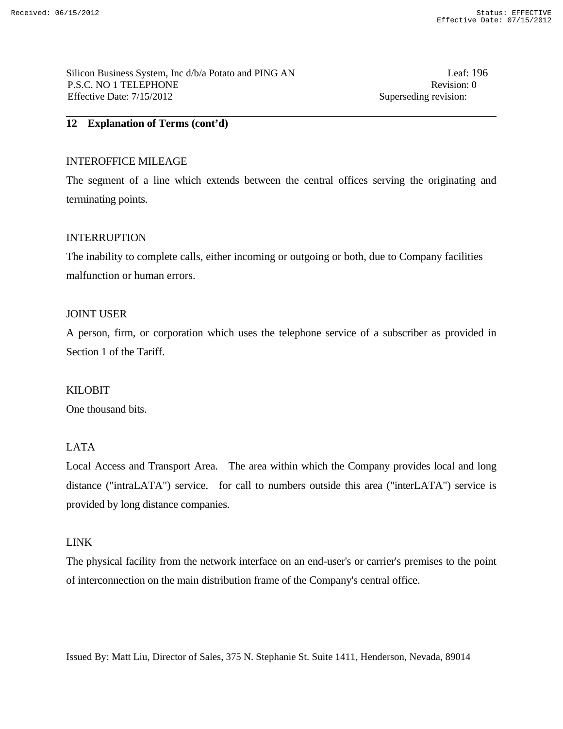Silicon Business System, Inc d/b/a Potato and PING AN Leaf: 196 P.S.C. NO 1 TELEPHONE Revision: 0 Effective Date: 7/15/2012 Superseding revision:

# **12 Explanation of Terms (cont'd)**

### INTEROFFICE MILEAGE

The segment of a line which extends between the central offices serving the originating and terminating points.

### INTERRUPTION

The inability to complete calls, either incoming or outgoing or both, due to Company facilities malfunction or human errors.

### JOINT USER

A person, firm, or corporation which uses the telephone service of a subscriber as provided in Section 1 of the Tariff.

### KILOBIT

One thousand bits.

# LATA

Local Access and Transport Area. The area within which the Company provides local and long distance ("intraLATA") service. for call to numbers outside this area ("interLATA") service is provided by long distance companies.

#### LINK

The physical facility from the network interface on an end-user's or carrier's premises to the point of interconnection on the main distribution frame of the Company's central office.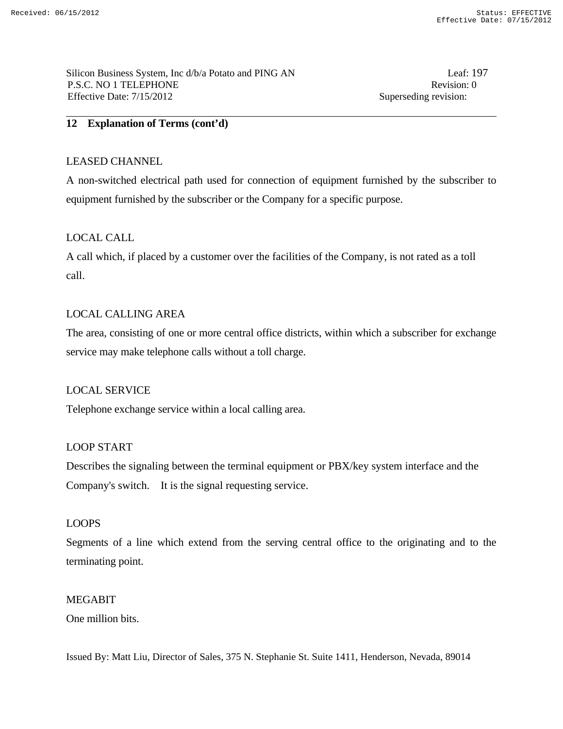Silicon Business System, Inc d/b/a Potato and PING AN Leaf: 197 P.S.C. NO 1 TELEPHONE Revision: 0 Effective Date: 7/15/2012 Superseding revision:

# **12 Explanation of Terms (cont'd)**

### LEASED CHANNEL

A non-switched electrical path used for connection of equipment furnished by the subscriber to equipment furnished by the subscriber or the Company for a specific purpose.

# LOCAL CALL

A call which, if placed by a customer over the facilities of the Company, is not rated as a toll call.

# LOCAL CALLING AREA

The area, consisting of one or more central office districts, within which a subscriber for exchange service may make telephone calls without a toll charge.

# LOCAL SERVICE

Telephone exchange service within a local calling area.

# LOOP START

Describes the signaling between the terminal equipment or PBX/key system interface and the Company's switch. It is the signal requesting service.

### LOOPS

Segments of a line which extend from the serving central office to the originating and to the terminating point.

### MEGABIT

One million bits.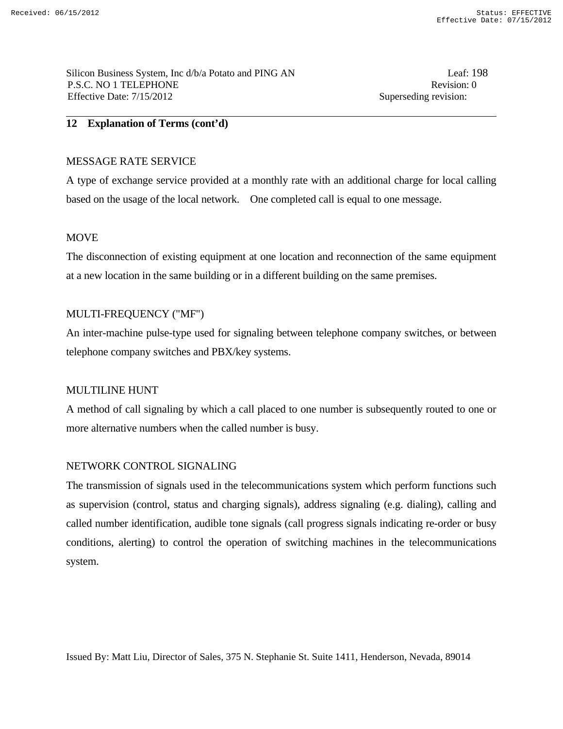### MESSAGE RATE SERVICE

A type of exchange service provided at a monthly rate with an additional charge for local calling based on the usage of the local network. One completed call is equal to one message.

### **MOVE**

The disconnection of existing equipment at one location and reconnection of the same equipment at a new location in the same building or in a different building on the same premises.

# MULTI-FREQUENCY ("MF")

An inter-machine pulse-type used for signaling between telephone company switches, or between telephone company switches and PBX/key systems.

### MULTILINE HUNT

A method of call signaling by which a call placed to one number is subsequently routed to one or more alternative numbers when the called number is busy.

#### NETWORK CONTROL SIGNALING

The transmission of signals used in the telecommunications system which perform functions such as supervision (control, status and charging signals), address signaling (e.g. dialing), calling and called number identification, audible tone signals (call progress signals indicating re-order or busy conditions, alerting) to control the operation of switching machines in the telecommunications system.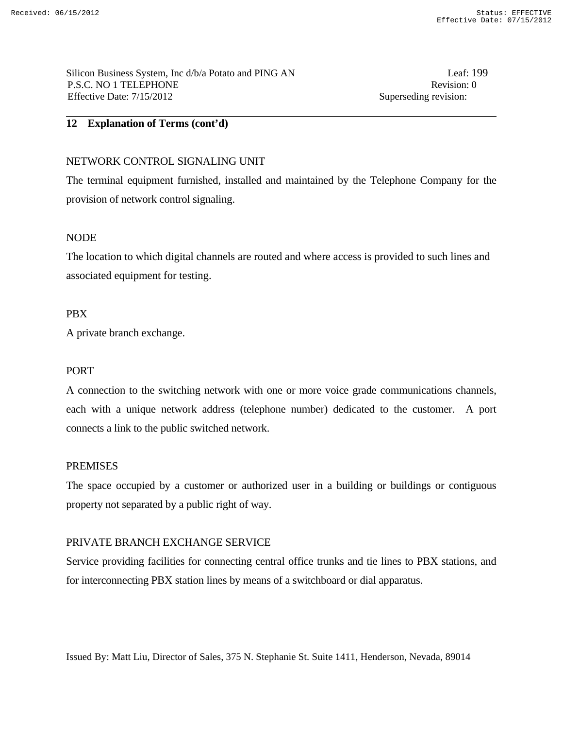Silicon Business System, Inc d/b/a Potato and PING AN Leaf: 199 P.S.C. NO 1 TELEPHONE Revision: 0 Effective Date: 7/15/2012 Superseding revision:

# **12 Explanation of Terms (cont'd)**

### NETWORK CONTROL SIGNALING UNIT

The terminal equipment furnished, installed and maintained by the Telephone Company for the provision of network control signaling.

### NODE

The location to which digital channels are routed and where access is provided to such lines and associated equipment for testing.

### PBX

A private branch exchange.

### PORT

A connection to the switching network with one or more voice grade communications channels, each with a unique network address (telephone number) dedicated to the customer. A port connects a link to the public switched network.

#### **PREMISES**

The space occupied by a customer or authorized user in a building or buildings or contiguous property not separated by a public right of way.

# PRIVATE BRANCH EXCHANGE SERVICE

Service providing facilities for connecting central office trunks and tie lines to PBX stations, and for interconnecting PBX station lines by means of a switchboard or dial apparatus.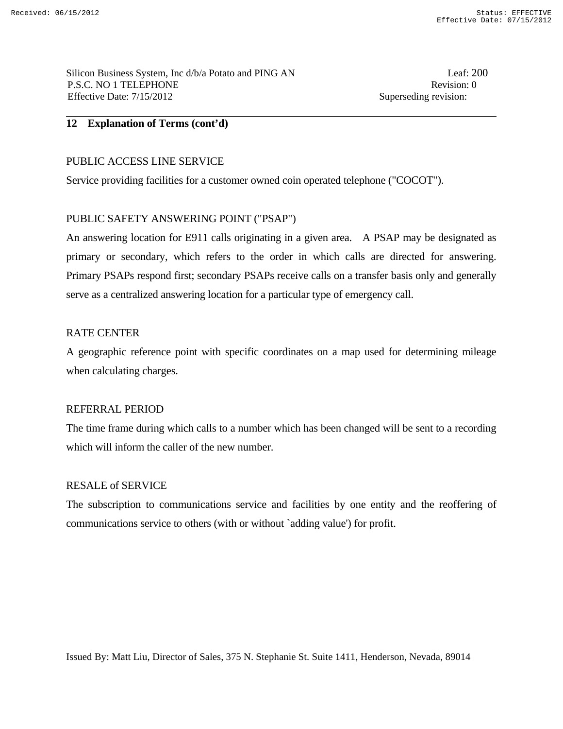### PUBLIC ACCESS LINE SERVICE

Service providing facilities for a customer owned coin operated telephone ("COCOT").

### PUBLIC SAFETY ANSWERING POINT ("PSAP")

An answering location for E911 calls originating in a given area. A PSAP may be designated as primary or secondary, which refers to the order in which calls are directed for answering. Primary PSAPs respond first; secondary PSAPs receive calls on a transfer basis only and generally serve as a centralized answering location for a particular type of emergency call.

#### RATE CENTER

A geographic reference point with specific coordinates on a map used for determining mileage when calculating charges.

#### REFERRAL PERIOD

The time frame during which calls to a number which has been changed will be sent to a recording which will inform the caller of the new number.

#### RESALE of SERVICE

The subscription to communications service and facilities by one entity and the reoffering of communications service to others (with or without `adding value') for profit.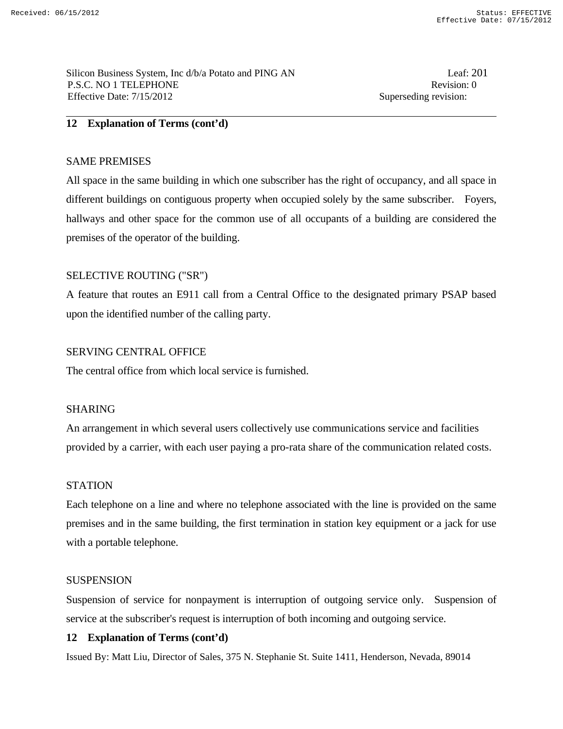Silicon Business System, Inc d/b/a Potato and PING AN Leaf: 201 P.S.C. NO 1 TELEPHONE Revision: 0 Effective Date: 7/15/2012 Superseding revision:

# **12 Explanation of Terms (cont'd)**

### SAME PREMISES

All space in the same building in which one subscriber has the right of occupancy, and all space in different buildings on contiguous property when occupied solely by the same subscriber. Foyers, hallways and other space for the common use of all occupants of a building are considered the premises of the operator of the building.

### SELECTIVE ROUTING ("SR")

A feature that routes an E911 call from a Central Office to the designated primary PSAP based upon the identified number of the calling party.

### SERVING CENTRAL OFFICE

The central office from which local service is furnished.

### SHARING

An arrangement in which several users collectively use communications service and facilities provided by a carrier, with each user paying a pro-rata share of the communication related costs.

#### **STATION**

Each telephone on a line and where no telephone associated with the line is provided on the same premises and in the same building, the first termination in station key equipment or a jack for use with a portable telephone.

#### **SUSPENSION**

Suspension of service for nonpayment is interruption of outgoing service only. Suspension of service at the subscriber's request is interruption of both incoming and outgoing service.

# **12 Explanation of Terms (cont'd)**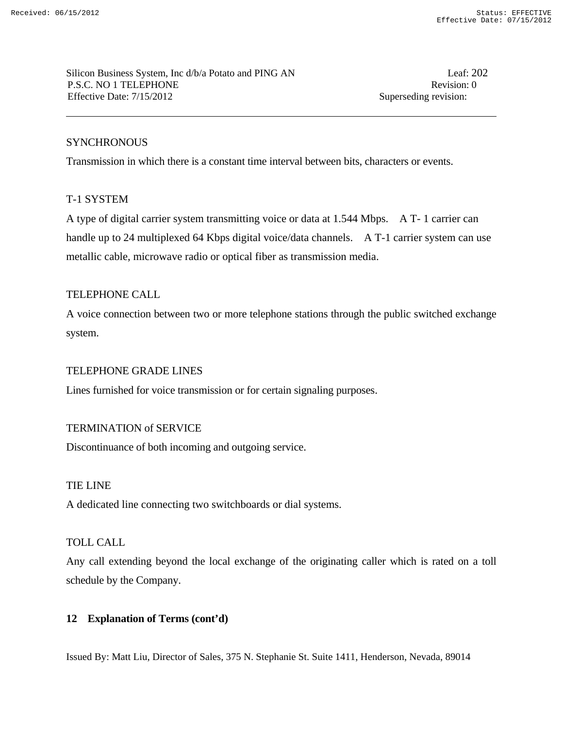Silicon Business System, Inc d/b/a Potato and PING AN Leaf: 202 P.S.C. NO 1 TELEPHONE Revision: 0 Effective Date: 7/15/2012 Superseding revision:

### **SYNCHRONOUS**

Transmission in which there is a constant time interval between bits, characters or events.

### T-1 SYSTEM

A type of digital carrier system transmitting voice or data at 1.544 Mbps. A T- 1 carrier can handle up to 24 multiplexed 64 Kbps digital voice/data channels. A T-1 carrier system can use metallic cable, microwave radio or optical fiber as transmission media.

### TELEPHONE CALL

A voice connection between two or more telephone stations through the public switched exchange system.

### TELEPHONE GRADE LINES

Lines furnished for voice transmission or for certain signaling purposes.

# TERMINATION of SERVICE

Discontinuance of both incoming and outgoing service.

#### TIE LINE

A dedicated line connecting two switchboards or dial systems.

#### TOLL CALL

Any call extending beyond the local exchange of the originating caller which is rated on a toll schedule by the Company.

# **12 Explanation of Terms (cont'd)**